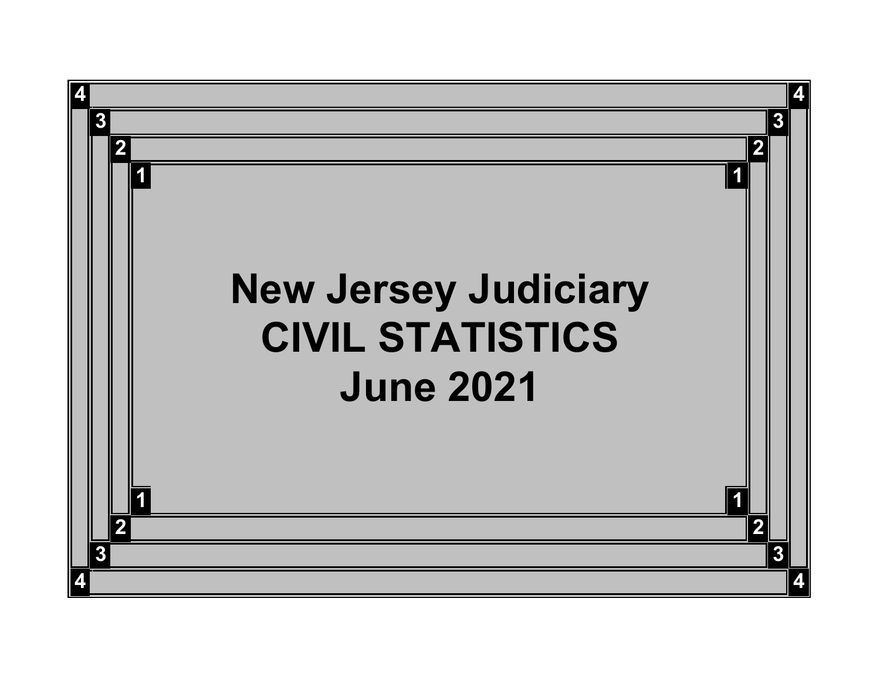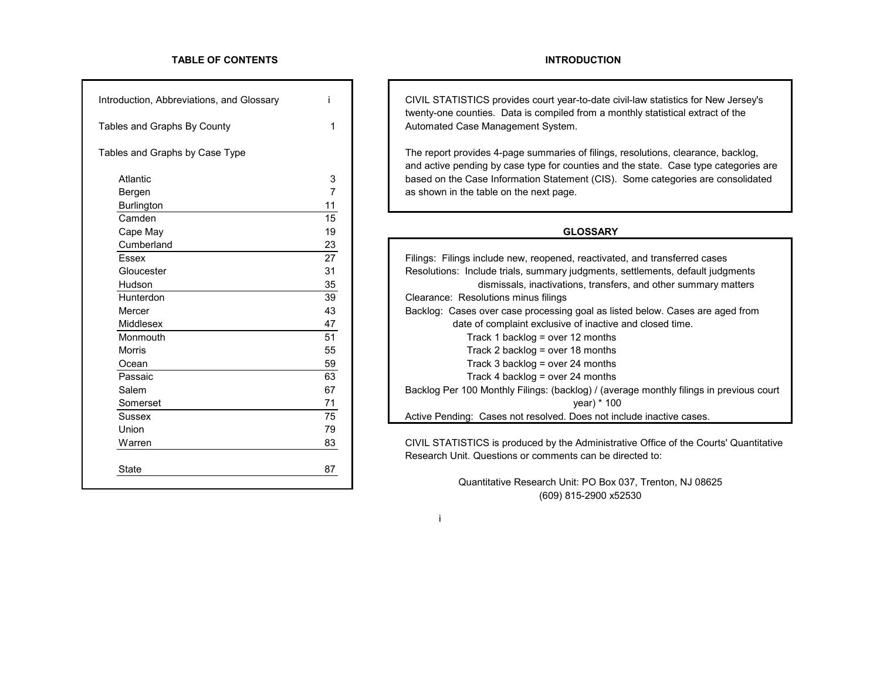# **TABLE OF CONTENTS INTRODUCTION**

| Introduction, Abbreviations, and Glossary |                 | CIVIL STATISTICS provides court year-to-date of<br>twenty-one counties. Data is compiled from a m    |
|-------------------------------------------|-----------------|------------------------------------------------------------------------------------------------------|
| Tables and Graphs By County               | 1               | Automated Case Management System.                                                                    |
| Tables and Graphs by Case Type            |                 | The report provides 4-page summaries of filings,<br>and active pending by case type for counties and |
| <b>Atlantic</b>                           | 3               | based on the Case Information Statement (CIS).                                                       |
| Bergen                                    | $\overline{7}$  | as shown in the table on the next page.                                                              |
| <b>Burlington</b>                         | 11              |                                                                                                      |
| Camden                                    | 15              |                                                                                                      |
| Cape May                                  | 19              | <b>GLOSSARY</b>                                                                                      |
| Cumberland                                | 23              |                                                                                                      |
| <b>Essex</b>                              | $\overline{27}$ | Filings: Filings include new, reopened, reactivate                                                   |
| Gloucester                                | 31              | Resolutions: Include trials, summary judgments,                                                      |
| Hudson                                    | 35              | dismissals, inactivations, transfe                                                                   |
| Hunterdon                                 | 39              | Clearance: Resolutions minus filings                                                                 |
| Mercer                                    | 43              | Backlog: Cases over case processing goal as lis                                                      |
| Middlesex                                 | 47              | date of complaint exclusive of inactive                                                              |
| Monmouth                                  | 51              | Track 1 backlog = over 12 months                                                                     |
| <b>Morris</b>                             | 55              | Track 2 backlog = over 18 months                                                                     |
| Ocean                                     | 59              | Track 3 backlog = over 24 months                                                                     |
| Passaic                                   | 63              | Track 4 backlog = over 24 months                                                                     |
| Salem                                     | 67              | Backlog Per 100 Monthly Filings: (backlog) / (ave                                                    |
| Somerset                                  | 71              | year) $*10$                                                                                          |
| <b>Sussex</b>                             | 75              | Active Pending: Cases not resolved. Does not ir                                                      |
| Union                                     | 79              |                                                                                                      |
| Warren                                    | 83              | CIVIL STATISTICS is produced by the Administr                                                        |
|                                           |                 | Research Unit. Questions or comments can be d                                                        |
| <b>State</b>                              | 87              |                                                                                                      |
|                                           |                 | <b>Quantitative Research Unit: PO Box</b>                                                            |

CIVIL STATISTICS provides court year-to-date civil-law statistics for New Jersey's twenty-one counties. Data is compiled from a monthly statistical extract of the Automated Case Management System.

The report provides 4-page summaries of filings, resolutions, clearance, backlog, and active pending by case type for counties and the state. Case type categories are based on the Case Information Statement (CIS). Some categories are consolidated as shown in the table on the next page.

| Essex            | 27 | Filings: Filings include new, reopened, reactivated, and transferred cases              |
|------------------|----|-----------------------------------------------------------------------------------------|
| Gloucester       | 31 | Resolutions: Include trials, summary judgments, settlements, default judgments          |
| Hudson           | 35 | dismissals, inactivations, transfers, and other summary matters                         |
| <b>Hunterdon</b> | 39 | Clearance: Resolutions minus filings                                                    |
| Mercer           | 43 | Backlog: Cases over case processing goal as listed below. Cases are aged from           |
| <b>Middlesex</b> | 47 | date of complaint exclusive of inactive and closed time.                                |
| Monmouth         | 51 | Track 1 backlog = over 12 months                                                        |
| Morris           | 55 | Track 2 backlog = over 18 months                                                        |
| Ocean            | 59 | Track 3 backlog = over 24 months                                                        |
| Passaic          | 63 | Track 4 backlog = over 24 months                                                        |
| Salem            | 67 | Backlog Per 100 Monthly Filings: (backlog) / (average monthly filings in previous court |
| Somerset         | 71 | year) $*$ 100                                                                           |
| Sussex           | 75 | Active Pending: Cases not resolved. Does not include inactive cases.                    |
| .                | -~ |                                                                                         |

CIVIL STATISTICS is produced by the Administrative Office of the Courts' Quantitative Research Unit. Questions or comments can be directed to:

> Quantitative Research Unit: PO Box 037, Trenton, NJ 08625 (609) 815-2900 x52530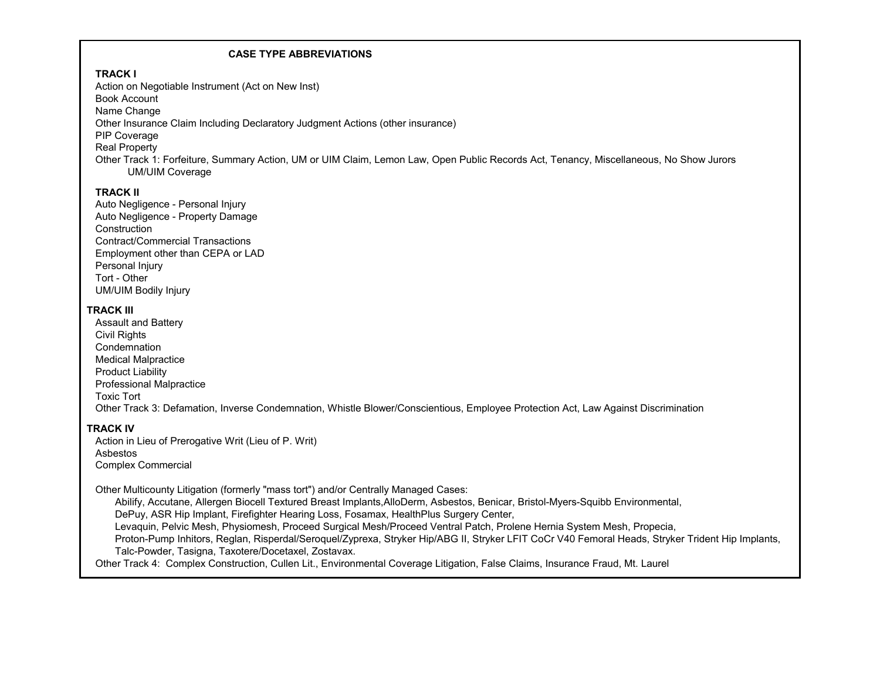# **CASE TYPE ABBREVIATIONS**

# **TRACK I**

Action on Negotiable Instrument (Act on New Inst) Book Account Name Change Other Insurance Claim Including Declaratory Judgment Actions (other insurance) PIP Coverage Real Property Other Track 1: Forfeiture, Summary Action, UM or UIM Claim, Lemon Law, Open Public Records Act, Tenancy, Miscellaneous, No Show Jurors UM/UIM Coverage

# **TRACK II**

Auto Negligence - Personal Injury Auto Negligence - Property Damage **Construction** Contract/Commercial Transactions Employment other than CEPA or LAD Personal Injury Tort - Other UM/UIM Bodily Injury

# **TRACK III**

Assault and Battery Civil Rights **Condemnation** Medical Malpractice Product Liability Professional Malpractice Toxic Tort Other Track 3: Defamation, Inverse Condemnation, Whistle Blower/Conscientious, Employee Protection Act, Law Against Discrimination

# **TRACK IV**

Action in Lieu of Prerogative Writ (Lieu of P. Writ) Asbestos Complex Commercial

Other Multicounty Litigation (formerly "mass tort") and/or Centrally Managed Cases:

 Abilify, Accutane, Allergen Biocell Textured Breast Implants,AlloDerm, Asbestos, Benicar, Bristol-Myers-Squibb Environmental, DePuy, ASR Hip Implant, Firefighter Hearing Loss, Fosamax, HealthPlus Surgery Center, Levaquin, Pelvic Mesh, Physiomesh, Proceed Surgical Mesh/Proceed Ventral Patch, Prolene Hernia System Mesh, Propecia, Proton-Pump Inhitors, Reglan, Risperdal/Seroquel/Zyprexa, Stryker Hip/ABG II, Stryker LFIT CoCr V40 Femoral Heads, Stryker Trident Hip Implants, Talc-Powder, Tasigna, Taxotere/Docetaxel, Zostavax.

Other Track 4: Complex Construction, Cullen Lit., Environmental Coverage Litigation, False Claims, Insurance Fraud, Mt. Laurel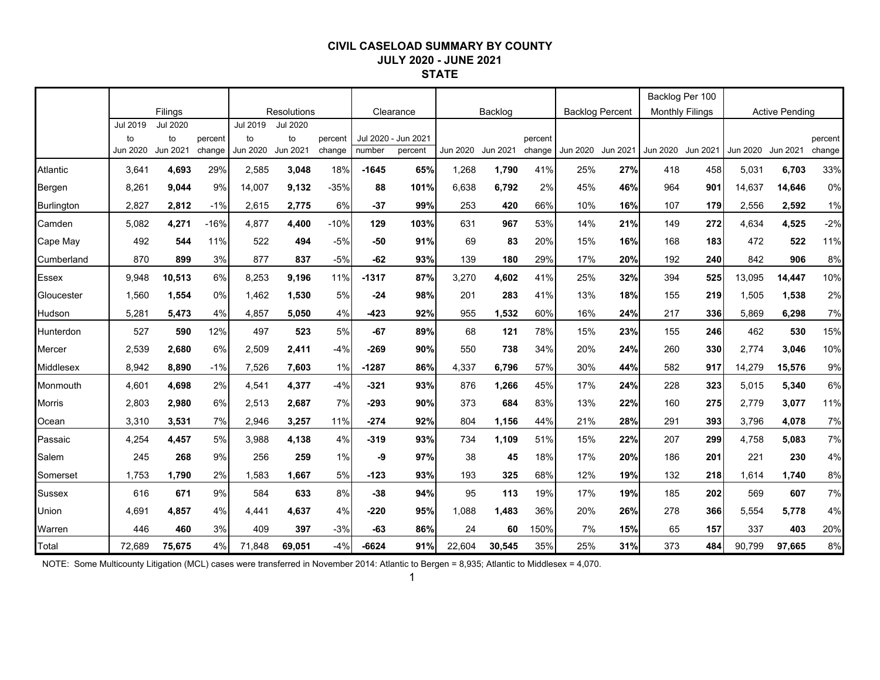### **CIVIL CASELOAD SUMMARY BY COUNTY JULY 2020 - JUNE 2021 STATE**

|                   |                            |                                   |                   |                            |                            |                   |         |                                |          |          |                   |                   |                        | Backlog Per 100        |     |        |                       |                   |
|-------------------|----------------------------|-----------------------------------|-------------------|----------------------------|----------------------------|-------------------|---------|--------------------------------|----------|----------|-------------------|-------------------|------------------------|------------------------|-----|--------|-----------------------|-------------------|
|                   |                            | Filings                           |                   |                            | <b>Resolutions</b>         |                   |         | Clearance                      |          | Backlog  |                   |                   | <b>Backlog Percent</b> | <b>Monthly Filings</b> |     |        | <b>Active Pending</b> |                   |
|                   | Jul 2019<br>to<br>Jun 2020 | <b>Jul 2020</b><br>to<br>Jun 2021 | percent<br>change | Jul 2019<br>to<br>Jun 2020 | Jul 2020<br>to<br>Jun 2021 | percent<br>change | number  | Jul 2020 - Jun 2021<br>percent | Jun 2020 | Jun 2021 | percent<br>change | Jun 2020 Jun 2021 |                        | Jun 2020 Jun 2021      |     |        | Jun 2020 Jun 2021     | percent<br>change |
| Atlantic          | 3,641                      | 4,693                             | 29%               | 2,585                      | 3,048                      | 18%               | $-1645$ | 65%                            | 1.268    | 1,790    | 41%               | 25%               | 27%                    | 418                    | 458 | 5,031  | 6,703                 | 33%               |
| Bergen            | 8,261                      | 9,044                             | 9%                | 14,007                     | 9,132                      | $-35%$            | 88      | 101%                           | 6,638    | 6,792    | 2%                | 45%               | 46%                    | 964                    | 901 | 14,637 | 14,646                | 0%                |
| <b>Burlington</b> | 2,827                      | 2,812                             | $-1%$             | 2,615                      | 2,775                      | 6%                | $-37$   | 99%                            | 253      | 420      | 66%               | 10%               | 16%                    | 107                    | 179 | 2,556  | 2,592                 | 1%                |
| Camden            | 5,082                      | 4,271                             | $-16%$            | 4,877                      | 4,400                      | $-10%$            | 129     | 103%                           | 631      | 967      | 53%               | 14%               | 21%                    | 149                    | 272 | 4,634  | 4,525                 | $-2%$             |
| Cape May          | 492                        | 544                               | 11%               | 522                        | 494                        | $-5%$             | $-50$   | 91%                            | 69       | 83       | 20%               | 15%               | 16%                    | 168                    | 183 | 472    | 522                   | 11%               |
| Cumberland        | 870                        | 899                               | 3%                | 877                        | 837                        | $-5%$             | $-62$   | 93%                            | 139      | 180      | 29%               | 17%               | 20%                    | 192                    | 240 | 842    | 906                   | 8%                |
| <b>Essex</b>      | 9,948                      | 10,513                            | 6%                | 8,253                      | 9,196                      | 11%               | $-1317$ | 87%                            | 3,270    | 4,602    | 41%               | 25%               | 32%                    | 394                    | 525 | 13,095 | 14,447                | 10%               |
| Gloucester        | 1.560                      | 1.554                             | 0%                | 1.462                      | 1,530                      | 5%                | $-24$   | 98%                            | 201      | 283      | 41%               | 13%               | 18%                    | 155                    | 219 | 1,505  | 1,538                 | 2%                |
| Hudson            | 5,281                      | 5,473                             | 4%                | 4,857                      | 5,050                      | 4%                | $-423$  | 92%                            | 955      | 1,532    | 60%               | 16%               | 24%                    | 217                    | 336 | 5,869  | 6,298                 | 7%                |
| Hunterdon         | 527                        | 590                               | 12%               | 497                        | 523                        | 5%                | $-67$   | 89%                            | 68       | 121      | 78%               | 15%               | 23%                    | 155                    | 246 | 462    | 530                   | 15%               |
| Mercer            | 2,539                      | 2.680                             | 6%                | 2,509                      | 2,411                      | $-4%$             | $-269$  | 90%                            | 550      | 738      | 34%               | 20%               | 24%                    | 260                    | 330 | 2.774  | 3,046                 | 10%               |
| <b>Middlesex</b>  | 8,942                      | 8,890                             | $-1%$             | 7,526                      | 7,603                      | 1%                | $-1287$ | 86%                            | 4,337    | 6,796    | 57%               | 30%               | 44%                    | 582                    | 917 | 14,279 | 15,576                | 9%                |
| Monmouth          | 4,601                      | 4,698                             | 2%                | 4,541                      | 4,377                      | $-4%$             | $-321$  | 93%                            | 876      | 1,266    | 45%               | 17%               | 24%                    | 228                    | 323 | 5,015  | 5,340                 | 6%                |
| <b>Morris</b>     | 2,803                      | 2,980                             | 6%                | 2,513                      | 2,687                      | 7%                | $-293$  | 90%                            | 373      | 684      | 83%               | 13%               | 22%                    | 160                    | 275 | 2,779  | 3,077                 | 11%               |
| Ocean             | 3,310                      | 3,531                             | 7%                | 2,946                      | 3,257                      | 11%               | $-274$  | 92%                            | 804      | 1,156    | 44%               | 21%               | 28%                    | 291                    | 393 | 3,796  | 4,078                 | 7%                |
| Passaic           | 4,254                      | 4,457                             | 5%                | 3,988                      | 4,138                      | 4%                | $-319$  | 93%                            | 734      | 1,109    | 51%               | 15%               | 22%                    | 207                    | 299 | 4,758  | 5,083                 | 7%                |
| Salem             | 245                        | 268                               | 9%                | 256                        | 259                        | 1%                | -9      | 97%                            | 38       | 45       | 18%               | 17%               | 20%                    | 186                    | 201 | 221    | 230                   | 4%                |
| Somerset          | 1,753                      | 1,790                             | 2%                | 1,583                      | 1,667                      | 5%                | $-123$  | 93%                            | 193      | 325      | 68%               | 12%               | 19%                    | 132                    | 218 | 1,614  | 1,740                 | 8%                |
| <b>Sussex</b>     | 616                        | 671                               | 9%                | 584                        | 633                        | 8%                | $-38$   | 94%                            | 95       | 113      | 19%               | 17%               | 19%                    | 185                    | 202 | 569    | 607                   | 7%                |
| Union             | 4.691                      | 4.857                             | 4%                | 4,441                      | 4,637                      | 4%                | $-220$  | 95%                            | 1.088    | 1.483    | 36%               | 20%               | 26%                    | 278                    | 366 | 5,554  | 5,778                 | 4%                |
| Warren            | 446                        | 460                               | 3%                | 409                        | 397                        | $-3%$             | $-63$   | 86%                            | 24       | 60       | 150%              | 7%                | 15%                    | 65                     | 157 | 337    | 403                   | 20%               |
| Total             | 72,689                     | 75,675                            | 4%                | 71,848                     | 69,051                     | $-4%$             | $-6624$ | 91%                            | 22,604   | 30,545   | 35%               | 25%               | 31%                    | 373                    | 484 | 90,799 | 97,665                | 8%                |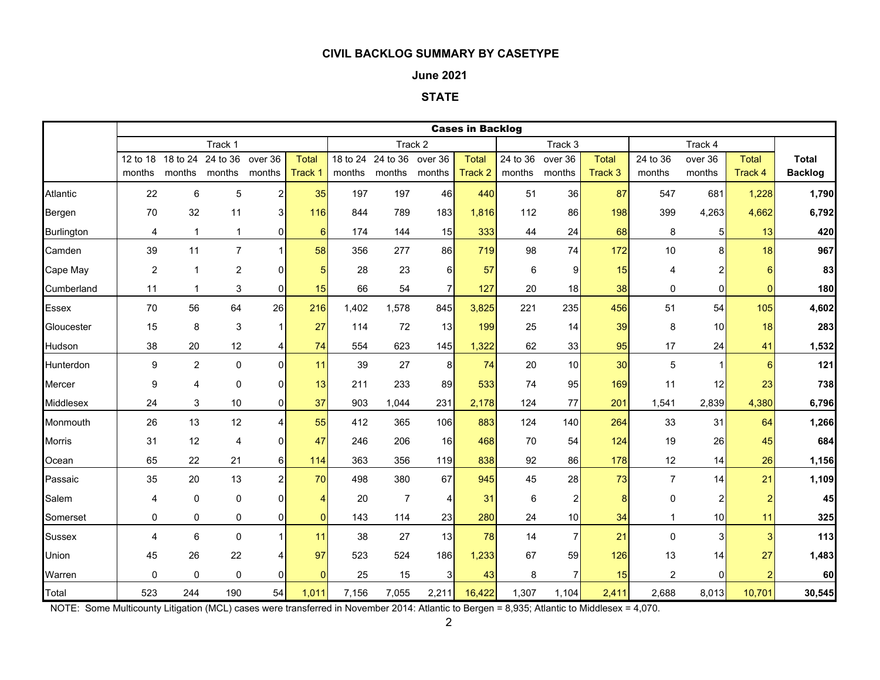#### **June 2021**

#### **STATE**

|                   |          |                           |                           |                   |                         |        |                             |                   | <b>Cases in Backlog</b> |                    |                   |                         |                    |                         |                         |                         |
|-------------------|----------|---------------------------|---------------------------|-------------------|-------------------------|--------|-----------------------------|-------------------|-------------------------|--------------------|-------------------|-------------------------|--------------------|-------------------------|-------------------------|-------------------------|
|                   |          |                           | Track 1                   |                   |                         |        |                             | Track 2           |                         |                    | Track 3           |                         |                    | Track 4                 |                         |                         |
|                   | months   | 12 to 18 18 to 24         | 24 to 36<br>months months | over 36<br>months | <b>Total</b><br>Track 1 | months | 18 to 24 24 to 36<br>months | over 36<br>months | <b>Total</b><br>Track 2 | 24 to 36<br>months | over 36<br>months | <b>Total</b><br>Track 3 | 24 to 36<br>months | over 36<br>months       | <b>Total</b><br>Track 4 | Total<br><b>Backlog</b> |
| Atlantic          | 22       | 6                         | $\mathbf 5$               | $\overline{a}$    | 35                      | 197    | 197                         | 46                | 440                     | 51                 | 36                | 87                      | 547                | 681                     | 1,228                   | 1,790                   |
| Bergen            | 70       | 32                        | 11                        | 3 <sup>1</sup>    | 116                     | 844    | 789                         | 183               | 1,816                   | 112                | 86                | 198                     | 399                | 4,263                   | 4,662                   | 6,792                   |
| <b>Burlington</b> | 4        | $\mathbf{1}$              | $\mathbf{1}$              | $\overline{0}$    | $6\phantom{1}6$         | 174    | 144                         | 15                | 333                     | 44                 | 24                | 68                      | 8                  | $\sqrt{5}$              | 13                      | 420                     |
| Camden            | 39       | 11                        | $\overline{7}$            | $\mathbf{1}$      | 58                      | 356    | 277                         | 86                | 719                     | 98                 | 74                | 172                     | 10                 | 8                       | 18                      | 967                     |
| Cape May          | 2        | $\overline{1}$            | $\overline{2}$            | $\mathbf 0$       | 5                       | 28     | 23                          | $6 \mid$          | 57                      | 6                  | 9                 | 15                      | 4                  | 2                       | 6                       | 83                      |
| Cumberland        | 11       | $\mathbf{1}$              | 3                         | $\Omega$          | 15                      | 66     | 54                          | $\overline{7}$    | 127                     | 20                 | 18                | 38                      | 0                  | $\mathbf 0$             | $\mathbf{0}$            | 180                     |
| <b>Essex</b>      | 70       | 56                        | 64                        | 26                | 216                     | 1,402  | 1,578                       | 845               | 3,825                   | 221                | 235               | 456                     | 51                 | 54                      | 105                     | 4,602                   |
| Gloucester        | 15       | 8                         | $\sqrt{3}$                | $\mathbf{1}$      | 27                      | 114    | 72                          | 13                | 199                     | 25                 | 14                | 39                      | 8                  | 10                      | 18                      | 283                     |
| Hudson            | 38       | 20                        | 12                        | 4                 | 74                      | 554    | 623                         | 145               | 1,322                   | 62                 | 33                | 95                      | 17                 | 24                      | 41                      | 1,532                   |
| Hunterdon         | 9        | $\overline{c}$            | $\mathbf 0$               | $\Omega$          | 11                      | 39     | 27                          | 8                 | 74                      | 20                 | 10                | 30                      | 5                  | $\overline{1}$          | 6                       | 121                     |
| Mercer            | 9        | $\overline{4}$            | $\mathbf 0$               | $\Omega$          | 13                      | 211    | 233                         | 89                | 533                     | 74                 | 95                | 169                     | 11                 | 12                      | 23                      | 738                     |
| Middlesex         | 24       | $\ensuremath{\mathsf{3}}$ | 10                        | $\overline{0}$    | 37                      | 903    | 1,044                       | 231               | 2,178                   | 124                | 77                | 201                     | 1,541              | 2,839                   | 4,380                   | 6,796                   |
| Monmouth          | 26       | 13                        | 12                        | 4                 | 55                      | 412    | 365                         | 106               | 883                     | 124                | 140               | 264                     | 33                 | 31                      | 64                      | 1,266                   |
| <b>Morris</b>     | 31       | 12                        | 4                         | $\overline{0}$    | 47                      | 246    | 206                         | 16                | 468                     | 70                 | 54                | 124                     | 19                 | 26                      | 45                      | 684                     |
| Ocean             | 65       | 22                        | 21                        | $6 \mid$          | 114                     | 363    | 356                         | 119               | 838                     | 92                 | 86                | 178                     | 12                 | 14                      | 26                      | 1,156                   |
| Passaic           | 35       | 20                        | 13                        | $\overline{a}$    | 70                      | 498    | 380                         | 67                | 945                     | 45                 | 28                | 73                      | $\overline{7}$     | 14                      | 21                      | 1,109                   |
| Salem             | 4        | $\pmb{0}$                 | $\mathbf 0$               | $\overline{0}$    | $\overline{4}$          | 20     | $\overline{7}$              | 4                 | 31                      | $\,6$              | $\mathbf{2}$      | 8                       | 0                  | $\overline{\mathbf{c}}$ | $\overline{2}$          | 45                      |
| Somerset          | 0        | 0                         | 0                         | $\overline{0}$    | $\overline{0}$          | 143    | 114                         | 23                | 280                     | 24                 | 10                | 34                      | $\mathbf{1}$       | 10                      | 11                      | 325                     |
| <b>Sussex</b>     | 4        | $6\phantom{1}$            | $\pmb{0}$                 | 1                 | 11                      | 38     | 27                          | 13                | 78                      | 14                 | 7 <sup>1</sup>    | 21                      | $\Omega$           | $\mathbf{3}$            | 3                       | 113                     |
| Union             | 45       | 26                        | 22                        | 4                 | 97                      | 523    | 524                         | 186               | 1,233                   | 67                 | 59                | 126                     | 13                 | 14                      | 27                      | 1,483                   |
| Warren            | $\Omega$ | $\mathbf 0$               | $\mathbf 0$               | $\mathbf 0$       | $\mathbf{0}$            | 25     | 15                          | 3                 | 43                      | 8                  | 7 <sup>1</sup>    | 15                      | $\overline{2}$     | $\mathbf 0$             | 2                       | 60                      |
| Total             | 523      | 244                       | 190                       | 54                | 1,011                   | 7,156  | 7,055                       | 2,211             | 16,422                  | 1,307              | 1,104             | 2,411                   | 2,688              | 8,013                   | 10,701                  | 30,545                  |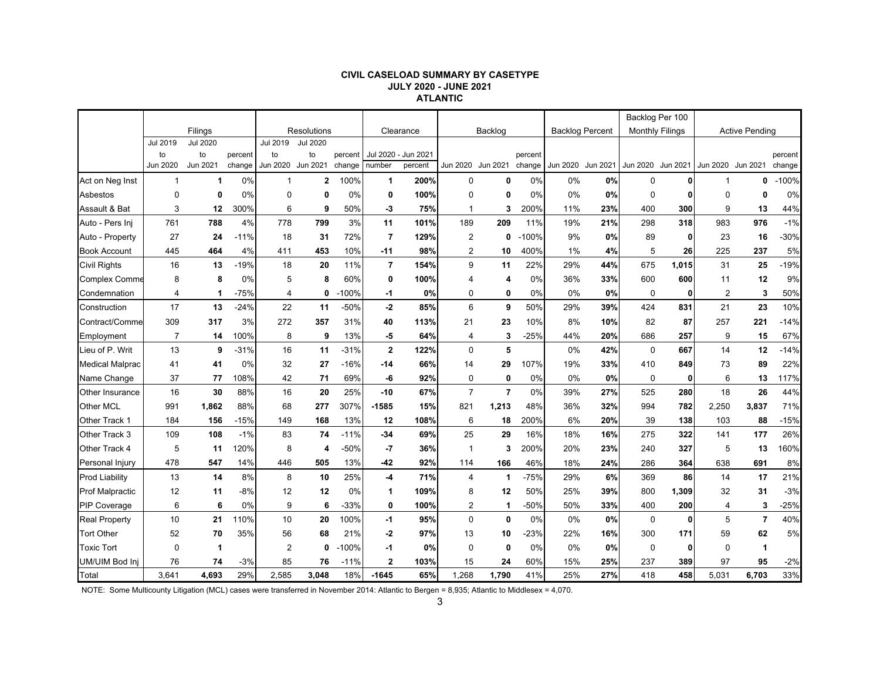#### **CIVIL CASELOAD SUMMARY BY CASETYPE JULY 2020 - JUNE 2021 ATLANTIC**

|                        |                |                 |         |                |                 |         |                |           |                |                |         |                        |                   | Backlog Per 100        |              |                   |                       |         |
|------------------------|----------------|-----------------|---------|----------------|-----------------|---------|----------------|-----------|----------------|----------------|---------|------------------------|-------------------|------------------------|--------------|-------------------|-----------------------|---------|
|                        |                | Filings         |         |                | Resolutions     |         |                | Clearance |                | Backlog        |         | <b>Backlog Percent</b> |                   | <b>Monthly Filings</b> |              |                   | <b>Active Pending</b> |         |
|                        | Jul 2019       | <b>Jul 2020</b> |         | Jul 2019       | <b>Jul 2020</b> |         |                |           |                |                |         |                        |                   |                        |              |                   |                       |         |
|                        | to             | to              | percent | to             | to              | percent | Jul 2020 -     | Jun 2021  |                |                | percent |                        |                   |                        |              |                   |                       | percent |
|                        | Jun 2020       | Jun 2021        | change  | Jun 2020       | Jun 2021        | change  | number         | percent   | Jun 2020       | Jun 2021       | change  |                        | Jun 2020 Jun 2021 | Jun 2020 Jun 2021      |              | Jun 2020 Jun 2021 |                       | change  |
| Act on Neg Inst        | $\mathbf{1}$   | $\mathbf 1$     | 0%      |                | $\overline{2}$  | 100%    | $\mathbf{1}$   | 200%      | $\mathbf 0$    | $\mathbf 0$    | 0%      | 0%                     | 0%                | $\mathbf 0$            | U            | 1                 | 0                     | $-100%$ |
| Asbestos               | $\mathbf 0$    | 0               | 0%      | $\mathbf 0$    | $\mathbf 0$     | 0%      | 0              | 100%      | 0              | 0              | 0%      | 0%                     | 0%                | $\mathbf 0$            | 0            | $\mathbf 0$       | $\mathbf{0}$          | 0%      |
| Assault & Bat          | 3              | 12              | 300%    | 6              | 9               | 50%     | -3             | 75%       | 1              | 3              | 200%    | 11%                    | 23%               | 400                    | 300          | 9                 | 13                    | 44%     |
| Auto - Pers Inj        | 761            | 788             | 4%      | 778            | 799             | 3%      | 11             | 101%      | 189            | 209            | 11%     | 19%                    | 21%               | 298                    | 318          | 983               | 976                   | $-1%$   |
| Auto - Property        | 27             | 24              | $-11%$  | 18             | 31              | 72%     | $\overline{7}$ | 129%      | $\overline{2}$ | 0              | $-100%$ | 9%                     | 0%                | 89                     | 0            | 23                | 16                    | $-30%$  |
| <b>Book Account</b>    | 445            | 464             | 4%      | 411            | 453             | 10%     | $-11$          | 98%       | $\overline{c}$ | 10             | 400%    | 1%                     | 4%                | 5                      | 26           | 225               | 237                   | 5%      |
| <b>Civil Rights</b>    | 16             | 13              | $-19%$  | 18             | 20              | 11%     | $\overline{7}$ | 154%      | 9              | 11             | 22%     | 29%                    | 44%               | 675                    | 1,015        | 31                | 25                    | $-19%$  |
| <b>Complex Comme</b>   | 8              | 8               | 0%      | 5              | 8               | 60%     | 0              | 100%      | 4              | 4              | 0%      | 36%                    | 33%               | 600                    | 600          | 11                | 12                    | 9%      |
| Condemnation           | 4              | -1              | $-75%$  | 4              | 0               | $-100%$ | -1             | 0%        | 0              | 0              | 0%      | 0%                     | 0%                | 0                      | $\mathbf{0}$ | $\overline{2}$    | 3                     | 50%     |
| Construction           | 17             | 13              | $-24%$  | 22             | 11              | $-50%$  | $-2$           | 85%       | 6              | 9              | 50%     | 29%                    | 39%               | 424                    | 831          | 21                | 23                    | 10%     |
| Contract/Comme         | 309            | 317             | 3%      | 272            | 357             | 31%     | 40             | 113%      | 21             | 23             | 10%     | 8%                     | 10%               | 82                     | 87           | 257               | 221                   | $-14%$  |
| Employment             | $\overline{7}$ | 14              | 100%    | 8              | 9               | 13%     | -5             | 64%       | 4              | 3              | $-25%$  | 44%                    | 20%               | 686                    | 257          | 9                 | 15                    | 67%     |
| Lieu of P. Writ        | 13             | 9               | $-31%$  | 16             | 11              | $-31%$  | $\mathbf 2$    | 122%      | $\mathbf 0$    | 5              |         | 0%                     | 42%               | $\mathbf 0$            | 667          | 14                | 12                    | $-14%$  |
| <b>Medical Malprac</b> | 41             | 41              | 0%      | 32             | 27              | $-16%$  | -14            | 66%       | 14             | 29             | 107%    | 19%                    | 33%               | 410                    | 849          | 73                | 89                    | 22%     |
| Name Change            | 37             | 77              | 108%    | 42             | 71              | 69%     | -6             | 92%       | 0              | $\mathbf 0$    | 0%      | 0%                     | 0%                | $\mathbf 0$            | 0            | 6                 | 13                    | 117%    |
| Other Insurance        | 16             | 30              | 88%     | 16             | 20              | 25%     | $-10$          | 67%       | $\overline{7}$ | $\overline{7}$ | 0%      | 39%                    | 27%               | 525                    | 280          | 18                | 26                    | 44%     |
| Other MCL              | 991            | 1,862           | 88%     | 68             | 277             | 307%    | $-1585$        | 15%       | 821            | 1,213          | 48%     | 36%                    | 32%               | 994                    | 782          | 2,250             | 3,837                 | 71%     |
| Other Track 1          | 184            | 156             | -15%    | 149            | 168             | 13%     | 12             | 108%      | 6              | 18             | 200%    | 6%                     | 20%               | 39                     | 138          | 103               | 88                    | $-15%$  |
| Other Track 3          | 109            | 108             | $-1%$   | 83             | 74              | $-11%$  | $-34$          | 69%       | 25             | 29             | 16%     | 18%                    | 16%               | 275                    | 322          | 141               | 177                   | 26%     |
| Other Track 4          | 5              | 11              | 120%    | 8              | 4               | $-50%$  | $-7$           | 36%       | 1              | 3              | 200%    | 20%                    | 23%               | 240                    | 327          | 5                 | 13                    | 160%    |
| Personal Injury        | 478            | 547             | 14%     | 446            | 505             | 13%     | $-42$          | 92%       | 114            | 166            | 46%     | 18%                    | 24%               | 286                    | 364          | 638               | 691                   | 8%      |
| <b>Prod Liability</b>  | 13             | 14              | 8%      | 8              | 10              | 25%     | $-4$           | 71%       | 4              | 1              | $-75%$  | 29%                    | 6%                | 369                    | 86           | 14                | 17                    | 21%     |
| <b>Prof Malpractic</b> | 12             | 11              | $-8%$   | 12             | 12              | 0%      | 1              | 109%      | 8              | 12             | 50%     | 25%                    | 39%               | 800                    | 1,309        | 32                | 31                    | $-3%$   |
| <b>PIP Coverage</b>    | 6              | 6               | 0%      | 9              | 6               | $-33%$  | 0              | 100%      | 2              | $\mathbf{1}$   | -50%    | 50%                    | 33%               | 400                    | 200          | $\overline{4}$    | 3                     | $-25%$  |
| <b>Real Property</b>   | 10             | 21              | 110%    | 10             | 20              | 100%    | $-1$           | 95%       | $\Omega$       | $\mathbf{0}$   | 0%      | 0%                     | 0%                | $\Omega$               | $\mathbf{0}$ | 5                 | $\overline{7}$        | 40%     |
| <b>Tort Other</b>      | 52             | 70              | 35%     | 56             | 68              | 21%     | $-2$           | 97%       | 13             | 10             | $-23%$  | 22%                    | 16%               | 300                    | 171          | 59                | 62                    | 5%      |
| <b>Toxic Tort</b>      | $\mathbf 0$    | 1               |         | $\overline{2}$ | $\mathbf 0$     | $-100%$ | -1             | 0%        | $\Omega$       | $\mathbf 0$    | 0%      | 0%                     | 0%                | $\mathbf 0$            | 0            | $\Omega$          | 1                     |         |
| UM/UIM Bod Inj         | 76             | 74              | $-3%$   | 85             | 76              | $-11%$  | $\mathbf 2$    | 103%      | 15             | 24             | 60%     | 15%                    | 25%               | 237                    | 389          | 97                | 95                    | $-2%$   |
| Total                  | 3.641          | 4,693           | 29%     | 2,585          | 3.048           | 18%     | $-1645$        | 65%       | 1,268          | 1.790          | 41%     | 25%                    | 27%               | 418                    | 458          | 5.031             | 6.703                 | 33%     |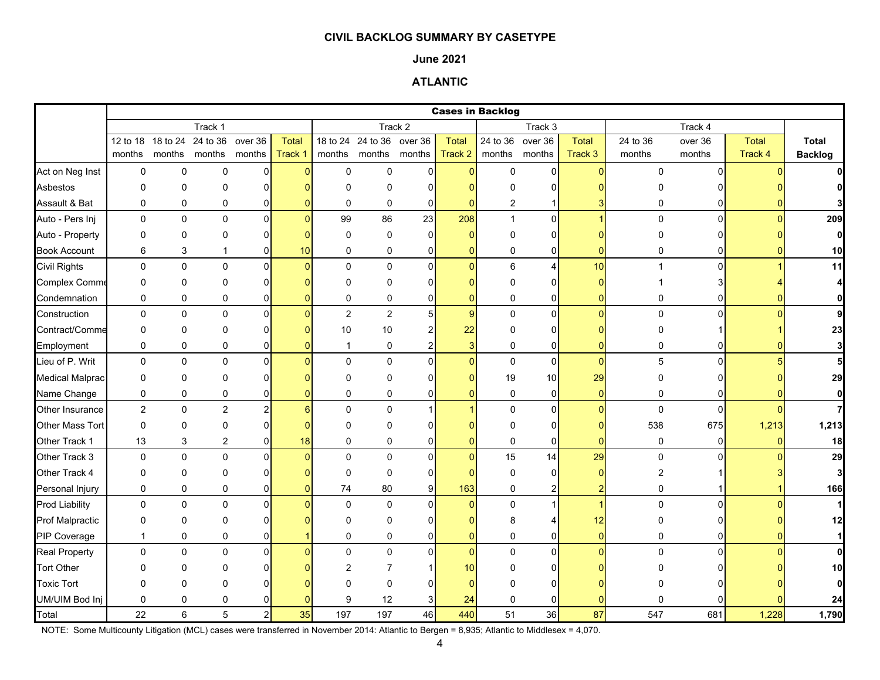#### **June 2021**

## **ATLANTIC**

|                        |                |                            |                      |                  |              |                |                           |                |                 | <b>Cases in Backlog</b> |                 |                |             |                |              |                |
|------------------------|----------------|----------------------------|----------------------|------------------|--------------|----------------|---------------------------|----------------|-----------------|-------------------------|-----------------|----------------|-------------|----------------|--------------|----------------|
|                        |                |                            | Track 1              |                  |              |                |                           | Track 2        |                 |                         | Track 3         |                |             | Track 4        |              |                |
|                        |                | 12 to 18 18 to 24 24 to 36 |                      | over 36          | <b>Total</b> |                | 18 to 24 24 to 36 over 36 |                | <b>Total</b>    | 24 to 36 over 36        |                 | Total          | 24 to 36    | over 36        | <b>Total</b> | <b>Total</b>   |
|                        | months         |                            | months months months |                  | Track 1      | months         |                           | months months  | Track 2         |                         | months months   | Track 3        | months      | months         | Track 4      | <b>Backlog</b> |
| Act on Neg Inst        | $\mathbf 0$    | 0                          | $\mathbf 0$          | $\mathbf 0$      | n            | $\mathbf 0$    | $\mathsf 0$               | 0              | $\overline{0}$  | $\pmb{0}$               | $\overline{0}$  | $\Omega$       | 0           | $\Omega$       |              |                |
| Asbestos               | 0              | 0                          | $\Omega$             | 0                |              | $\Omega$       | $\Omega$                  | O              | n               | $\Omega$                | 0               |                |             |                |              | 0              |
| Assault & Bat          | 0              | 0                          | 0                    | 0                |              | 0              | 0                         | $\mathbf 0$    | $\mathbf{0}$    | 2                       |                 |                | 0           | $\overline{0}$ |              |                |
| Auto - Pers Inj        | $\mathbf 0$    | 0                          | $\mathbf 0$          | $\pmb{0}$        | $\Omega$     | 99             | 86                        | 23             | 208             | $\mathbf{1}$            | $\overline{0}$  |                | $\mathbf 0$ | $\Omega$       | $\Omega$     | 209            |
| Auto - Property        | $\Omega$       | 0                          | $\Omega$             | 0                |              | 0              | $\mathbf 0$               | $\Omega$       | $\Omega$        | 0                       | 0               |                | 0           |                |              | $\mathbf{0}$   |
| <b>Book Account</b>    | 6              | 3                          | 1                    | 0                | 10           | $\mathbf 0$    | $\pmb{0}$                 | 0              | $\mathbf{0}$    | 0                       | 0               | $\overline{0}$ | 0           | 0              |              | 10             |
| <b>Civil Rights</b>    | 0              | $\mathbf 0$                | $\mathbf 0$          | $\mathbf{0}$     | O            | $\mathbf{0}$   | $\mathsf 0$               | $\Omega$       | $\overline{0}$  | 6                       | $\vert 4 \vert$ | 10             |             | $\Omega$       |              | 11             |
| <b>Complex Comme</b>   | 0              | 0                          | 0                    | 0                |              | $\mathbf 0$    | 0                         | ∩              | $\Omega$        | $\Omega$                | $\Omega$        | $\Omega$       |             |                |              | $\overline{4}$ |
| Condemnation           | $\mathbf 0$    | 0                          | 0                    | 0                |              | $\pmb{0}$      | $\pmb{0}$                 | $\Omega$       | $\overline{0}$  | 0                       | 0               | $\Omega$       | 0           | 0              |              | $\mathbf{0}$   |
| Construction           | $\mathbf 0$    | 0                          | $\mathbf 0$          | 0                |              | $\overline{2}$ | $\overline{c}$            | 5              | $\overline{9}$  | 0                       | $\overline{0}$  | $\Omega$       | $\mathbf 0$ | $\Omega$       |              | 9              |
| Contract/Comme         | 0              | 0                          | 0                    | 0                |              | 10             | $10\,$                    |                | 22              | 0                       | $\overline{0}$  |                | 0           |                |              | 23             |
| Employment             | $\mathbf 0$    | 0                          | 0                    | 0                |              | $\mathbf{1}$   | $\pmb{0}$                 | 2              | $\overline{3}$  | 0                       | $\overline{0}$  | $\Omega$       | 0           |                |              | 3              |
| Lieu of P. Writ        | $\mathbf 0$    | 0                          | $\mathbf 0$          | $\Omega$         |              | $\Omega$       | $\Omega$                  | $\Omega$       | $\Omega$        | $\pmb{0}$               | $\Omega$        | $\Omega$       | 5           | $\Omega$       |              | 5              |
| <b>Medical Malprac</b> | 0              | 0                          | $\Omega$             | 0                |              | $\Omega$       | $\Omega$                  | O              | $\Omega$        | 19                      | 10              | 29             | 0           |                |              | 29             |
| Name Change            | 0              | 0                          | $\pmb{0}$            | 0                |              | $\mathbf 0$    | $\pmb{0}$                 | 0              | $\Omega$        | $\pmb{0}$               | $\overline{0}$  | $\overline{0}$ | $\pmb{0}$   | 0              |              | $\mathbf{0}$   |
| Other Insurance        | $\overline{2}$ | 0                          | $\boldsymbol{2}$     | $\boldsymbol{2}$ |              | $\mathbf 0$    | $\pmb{0}$                 |                |                 | 0                       | $\overline{0}$  | $\overline{0}$ | 0           | $\overline{0}$ |              | 7              |
| Other Mass Tort        | $\mathbf 0$    | 0                          | $\mathbf 0$          | 0                |              | $\Omega$       | 0                         |                |                 | 0                       | 0               |                | 538         | 675            | 1,213        | 1,213          |
| Other Track 1          | 13             | 3                          | 2                    | 0                | 18           | 0              | 0                         | 0              | $\Omega$        | 0                       | 0               | $\Omega$       | 0           | $\Omega$       |              | 18             |
| Other Track 3          | $\mathbf 0$    | 0                          | $\mathbf 0$          | $\Omega$         |              | $\Omega$       | $\mathbf 0$               | $\Omega$       | $\overline{0}$  | 15                      | 14              | 29             | $\mathbf 0$ |                |              | 29             |
| Other Track 4          | 0              | 0                          | $\Omega$             | 0                |              | $\Omega$       | $\mathbf 0$               | $\Omega$       | $\Omega$        | $\mathbf 0$             | 0               | $\Omega$       | 2           |                |              | $\mathbf{3}$   |
| Personal Injury        | $\mathbf 0$    | 0                          | 0                    | 0                |              | 74             | 80                        | 9 <sub>l</sub> | 163             | 0                       | 2               | $\overline{2}$ | 0           |                |              | 166            |
| <b>Prod Liability</b>  | $\mathbf 0$    | 0                          | 0                    | $\mathbf 0$      |              | $\mathbf 0$    | $\mathbf 0$               | $\Omega$       | $\overline{0}$  | 0                       |                 |                | 0           | $\Omega$       |              | $\mathbf{1}$   |
| <b>Prof Malpractic</b> | 0              | 0                          | 0                    | 0                |              | $\Omega$       | $\mathbf{0}$              | n              | o               | 8                       |                 | 12             | 0           |                |              | 12             |
| PIP Coverage           | $\mathbf{1}$   | 0                          | 0                    | 0                |              | $\mathbf 0$    | 0                         | $\Omega$       | $\overline{0}$  | 0                       | 0               | $\overline{0}$ | 0           | ΩI             |              | $\mathbf{1}$   |
| <b>Real Property</b>   | $\mathbf 0$    | 0                          | $\mathbf 0$          | $\mathbf 0$      |              | $\Omega$       | $\mathbf 0$               | $\Omega$       | $\overline{0}$  | 0                       | $\overline{0}$  | $\Omega$       | $\Omega$    | $\Omega$       |              | $\mathbf{0}$   |
| <b>Tort Other</b>      | $\Omega$       | 0                          | O                    |                  |              | 2              | 7                         |                | 10 <sup>1</sup> | U                       | 0               |                |             |                |              | 10             |
| <b>Toxic Tort</b>      | $\Omega$       | 0                          | $\Omega$             |                  |              | $\Omega$       | $\Omega$                  |                | $\Omega$        | U                       |                 |                |             |                |              | $\mathbf{0}$   |
| UM/UIM Bod Inj         | 0              | 0                          | 0                    |                  |              | 9              | 12                        | 3              | 24              | 0                       | 0               |                |             |                |              | 24             |
| Total                  | 22             | 6                          | 5                    | $\overline{2}$   | 35           | 197            | 197                       | 46             | 440             | 51                      | 36              | 87             | 547         | 681            | 1,228        | 1,790          |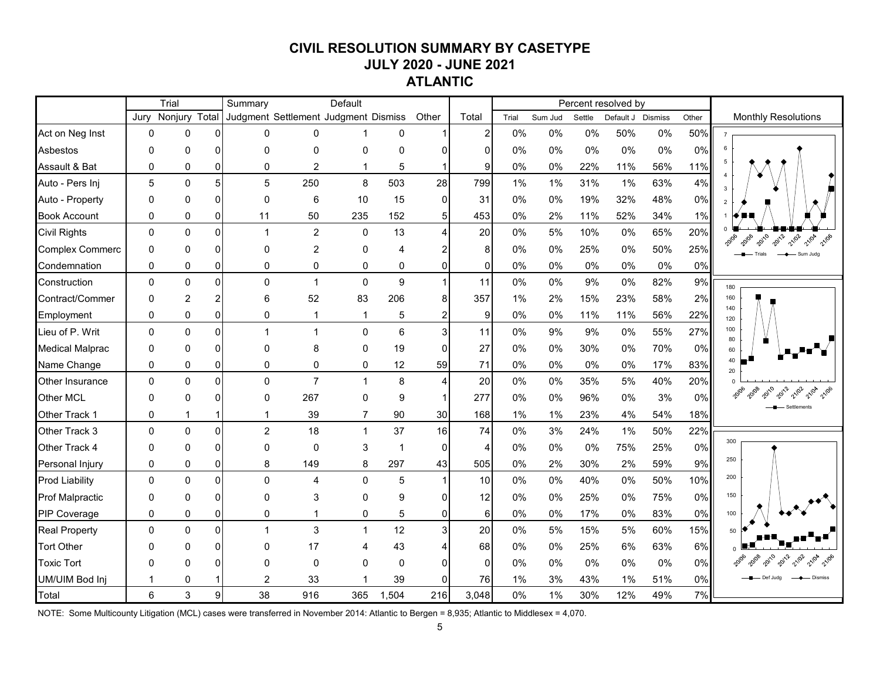# **CIVIL RESOLUTION SUMMARY BY CASETYPE JULY 2020 - JUNE 2021 ATLANTIC**

|                        | Trial<br>Nonjury Total |                |          | Summary                              |                | Default        |                |                         |                |       |         |        | Percent resolved by |     |       |                                |
|------------------------|------------------------|----------------|----------|--------------------------------------|----------------|----------------|----------------|-------------------------|----------------|-------|---------|--------|---------------------|-----|-------|--------------------------------|
|                        | Jury                   |                |          | Judgment Settlement Judgment Dismiss |                |                |                | Other                   | Total          | Trial | Sum Jud | Settle | Default J Dismiss   |     | Other | <b>Monthly Resolutions</b>     |
| Act on Neg Inst        | 0                      | $\pmb{0}$      | $\Omega$ | 0                                    | 0              | $\mathbf 1$    | 0              |                         | $\overline{2}$ | 0%    | 0%      | 0%     | 50%                 | 0%  | 50%   |                                |
| Asbestos               | 0                      | 0              | O        | $\Omega$                             | 0              | 0              | $\Omega$       |                         | $\Omega$       | 0%    | 0%      | 0%     | 0%                  | 0%  | 0%    |                                |
| Assault & Bat          | 0                      | $\mathbf 0$    | $\Omega$ | $\mathbf 0$                          | 2              | $\mathbf 1$    | 5              |                         | $\overline{9}$ | 0%    | 0%      | 22%    | 11%                 | 56% | 11%   |                                |
| Auto - Pers Inj        | 5                      | $\mathbf 0$    | 5        | 5                                    | 250            | 8              | 503            | 28                      | 799            | 1%    | 1%      | 31%    | 1%                  | 63% | 4%    | 3                              |
| Auto - Property        | $\Omega$               | $\mathbf 0$    | O        | $\Omega$                             | 6              | 10             | 15             | $\Omega$                | 31             | 0%    | 0%      | 19%    | 32%                 | 48% | 0%    | 2                              |
| <b>Book Account</b>    | 0                      | $\pmb{0}$      | 0        | 11                                   | 50             | 235            | 152            | 5 <sub>l</sub>          | 453            | 0%    | 2%      | 11%    | 52%                 | 34% | 1%    |                                |
| <b>Civil Rights</b>    | $\Omega$               | $\mathbf 0$    | $\Omega$ | $\mathbf{1}$                         | $\overline{c}$ | $\mathbf 0$    | 13             | Δ                       | 20             | 0%    | 5%      | 10%    | 0%                  | 65% | 20%   | 2012<br>2010<br>21/02<br>21/04 |
| <b>Complex Commerc</b> | 0                      | 0              | $\Omega$ | $\mathbf 0$                          | $\overline{2}$ | 0              | 4              |                         | 8              | 0%    | 0%      | 25%    | 0%                  | 50% | 25%   |                                |
| Condemnation           | $\Omega$               | $\pmb{0}$      | 0        | 0                                    | 0              | 0              | 0              | 0                       | $\Omega$       | 0%    | 0%      | 0%     | 0%                  | 0%  | 0%    |                                |
| Construction           | $\Omega$               | $\mathbf{0}$   | $\Omega$ | $\Omega$                             | $\overline{1}$ | $\mathbf 0$    | 9              |                         | 11             | 0%    | 0%      | 9%     | 0%                  | 82% | 9%    | 180                            |
| Contract/Commer        | $\Omega$               | $\overline{2}$ | 2        | 6                                    | 52             | 83             | 206            | 8                       | 357            | 1%    | 2%      | 15%    | 23%                 | 58% | 2%    | 160                            |
| Employment             | $\Omega$               | $\mathbf 0$    | $\Omega$ | $\Omega$                             | 1              | $\overline{1}$ | 5              | $\overline{2}$          | 9              | 0%    | 0%      | 11%    | 11%                 | 56% | 22%   | 140<br>120                     |
| Lieu of P. Writ        | $\Omega$               | $\mathbf 0$    | $\Omega$ | $\mathbf{1}$                         | $\mathbf{1}$   | $\mathbf 0$    | 6              | $\overline{\mathbf{3}}$ | 11             | 0%    | 9%      | 9%     | 0%                  | 55% | 27%   | 100<br>80                      |
| <b>Medical Malprac</b> | 0                      | $\mathbf 0$    | ŋ        | $\Omega$                             | 8              | 0              | 19             | 0                       | 27             | 0%    | 0%      | 30%    | 0%                  | 70% | 0%    | 60                             |
| Name Change            | $\Omega$               | $\mathbf 0$    | 0        | $\Omega$                             | 0              | 0              | 12             | 59                      | 71             | 0%    | 0%      | 0%     | 0%                  | 17% | 83%   | 40<br>20                       |
| Other Insurance        | $\Omega$               | $\mathbf 0$    | $\Omega$ | $\mathbf{0}$                         | $\overline{7}$ | $\mathbf{1}$   | 8              |                         | 20             | 0%    | 0%      | 35%    | 5%                  | 40% | 20%   |                                |
| Other MCL              | 0                      | $\Omega$       | 0        | $\Omega$                             | 267            | 0              | 9              |                         | 277            | 0%    | 0%      | 96%    | 0%                  | 3%  | 0%    | 20108<br>2012<br>20106         |
| Other Track 1          | 0                      | 1              |          | -1                                   | 39             | $\overline{7}$ | 90             | 30                      | 168            | 1%    | 1%      | 23%    | 4%                  | 54% | 18%   |                                |
| Other Track 3          | $\Omega$               | $\mathbf 0$    | $\Omega$ | $\overline{2}$                       | 18             | $\mathbf{1}$   | 37             | 16                      | 74             | 0%    | 3%      | 24%    | 1%                  | 50% | 22%   |                                |
| Other Track 4          | $\Omega$               | $\Omega$       | $\Omega$ | $\mathbf 0$                          | 0              | $\mathbf 3$    | $\overline{1}$ | $\Omega$                | $\overline{4}$ | 0%    | 0%      | 0%     | 75%                 | 25% | 0%    | 300                            |
| Personal Injury        | 0                      | $\pmb{0}$      | 0        | 8                                    | 149            | 8              | 297            | 43                      | 505            | 0%    | 2%      | 30%    | 2%                  | 59% | 9%    | 250                            |
| <b>Prod Liability</b>  | $\mathbf 0$            | $\mathbf 0$    | $\Omega$ | $\Omega$                             | 4              | $\mathbf 0$    | 5              |                         | 10             | 0%    | 0%      | 40%    | 0%                  | 50% | 10%   | 200                            |
| <b>Prof Malpractic</b> | $\Omega$               | $\mathbf 0$    | O        | $\Omega$                             | 3              | 0              | 9              | 0                       | 12             | 0%    | 0%      | 25%    | 0%                  | 75% | 0%    | 150                            |
| PIP Coverage           | $\mathbf 0$            | $\pmb{0}$      | 0        | $\mathbf 0$                          | 1              | 0              | 5              | Οl                      | 6              | 0%    | 0%      | 17%    | 0%                  | 83% | $0\%$ | 100                            |
| <b>Real Property</b>   | $\Omega$               | $\mathbf 0$    | $\Omega$ | $\mathbf{1}$                         | 3              | $\mathbf{1}$   | 12             | 3                       | 20             | 0%    | 5%      | 15%    | 5%                  | 60% | 15%   | 50                             |
| <b>Tort Other</b>      | $\Omega$               | 0              | n        | $\Omega$                             | 17             | 4              | 43             |                         | 68             | 0%    | 0%      | 25%    | 6%                  | 63% | 6%    |                                |
| <b>Toxic Tort</b>      | U                      | $\Omega$       |          | $\Omega$                             | $\Omega$       | 0              | $\Omega$       | $\Omega$                | $\Omega$       | 0%    | $0\%$   | 0%     | 0%                  | 0%  | 0%    |                                |
| UM/UIM Bod Inj         |                        | 0              |          | 2                                    | 33             |                | 39             |                         | 76             | 1%    | 3%      | 43%    | 1%                  | 51% | 0%    |                                |
| Total                  | 6                      | 3              | 9        | 38                                   | 916            | 365            | 1,504          | 216                     | 3,048          | 0%    | 1%      | 30%    | 12%                 | 49% | 7%    |                                |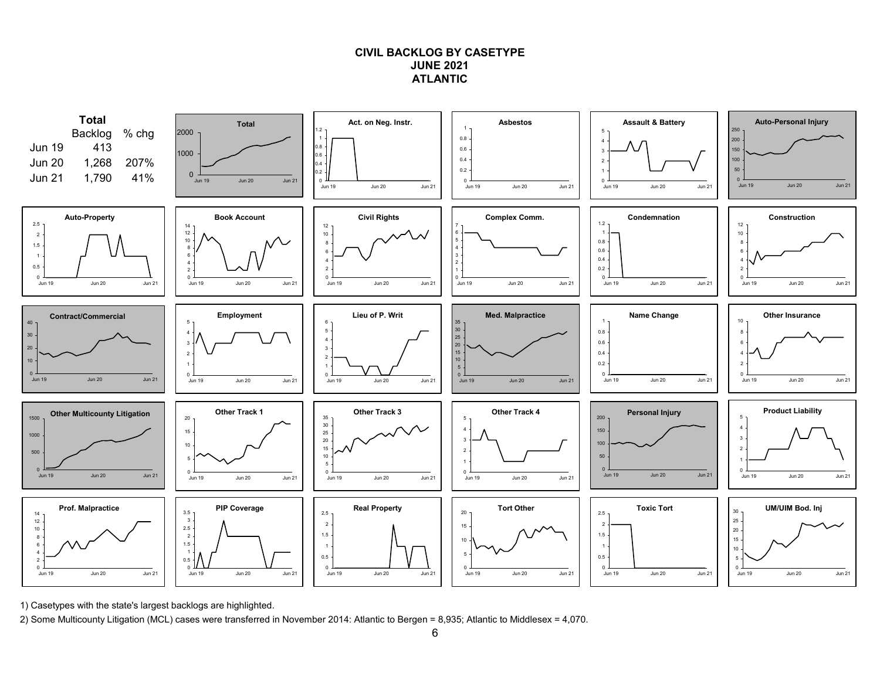### **CIVIL BACKLOG BY CASETYPEJUNE 2021ATLANTIC**



1) Casetypes with the state's largest backlogs are highlighted.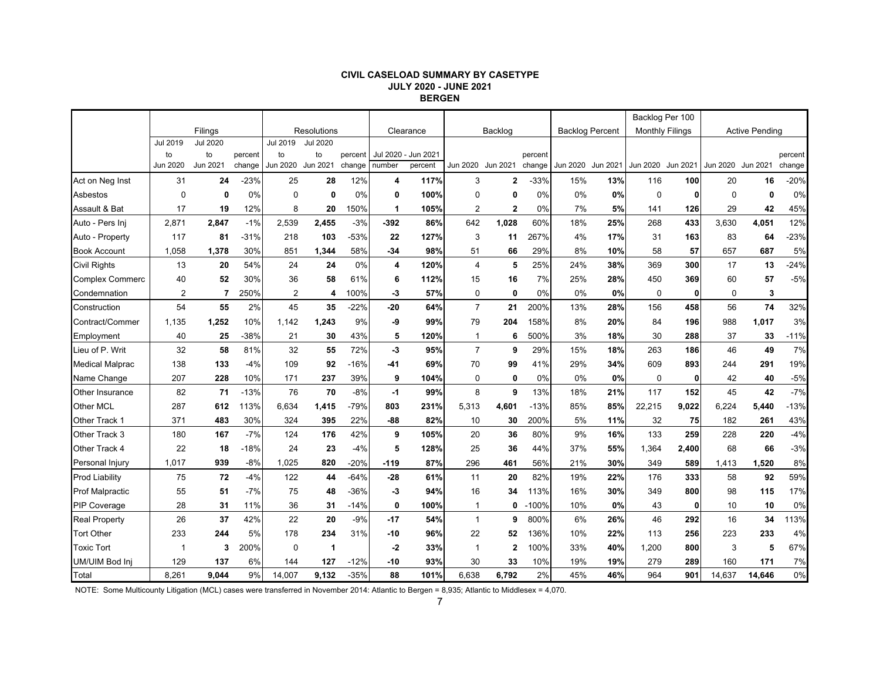#### **CIVIL CASELOAD SUMMARY BY CASETYPE JULY 2020 - JUNE 2021 BERGEN**

|                        |                |                 |         |          |                 |         |        |                     |                   |         |         |                        |          |                        | Backlog Per 100 |                   |                       |         |
|------------------------|----------------|-----------------|---------|----------|-----------------|---------|--------|---------------------|-------------------|---------|---------|------------------------|----------|------------------------|-----------------|-------------------|-----------------------|---------|
|                        |                | Filings         |         |          | Resolutions     |         |        | Clearance           |                   | Backlog |         | <b>Backlog Percent</b> |          | <b>Monthly Filings</b> |                 |                   | <b>Active Pending</b> |         |
|                        | Jul 2019       | <b>Jul 2020</b> |         | Jul 2019 | <b>Jul 2020</b> |         |        |                     |                   |         |         |                        |          |                        |                 |                   |                       |         |
|                        | to             | to              | percent | to       | to              | percent |        | Jul 2020 - Jun 2021 |                   |         | percent |                        |          |                        |                 |                   |                       | percent |
|                        | Jun 2020       | Jun 2021        | change  | Jun 2020 | Jun 2021        | change  | number | percent             | Jun 2020 Jun 2021 |         | change  | Jun 2020               | Jun 2021 | Jun 2020               | Jun 2021        | Jun 2020 Jun 2021 |                       | change  |
| Act on Neg Inst        | 31             | 24              | $-23%$  | 25       | 28              | 12%     | 4      | 117%                | 3                 | 2       | $-33%$  | 15%                    | 13%      | 116                    | 100             | 20                | 16                    | $-20%$  |
| Asbestos               | $\Omega$       | 0               | 0%      | $\Omega$ | $\mathbf 0$     | 0%      | 0      | 100%                | $\mathbf 0$       | 0       | 0%      | $0\%$                  | 0%       | $\mathbf 0$            | 0               | $\Omega$          | 0                     | 0%      |
| Assault & Bat          | 17             | 19              | 12%     | 8        | 20              | 150%    | 1      | 105%                | $\overline{2}$    | 2       | 0%      | 7%                     | 5%       | 141                    | 126             | 29                | 42                    | 45%     |
| Auto - Pers Inj        | 2,871          | 2,847           | $-1%$   | 2,539    | 2,455           | $-3%$   | $-392$ | 86%                 | 642               | 1,028   | 60%     | 18%                    | 25%      | 268                    | 433             | 3,630             | 4,051                 | 12%     |
| Auto - Property        | 117            | 81              | -31%    | 218      | 103             | $-53%$  | 22     | 127%                | 3                 | 11      | 267%    | 4%                     | 17%      | 31                     | 163             | 83                | 64                    | $-23%$  |
| <b>Book Account</b>    | 1,058          | 1,378           | 30%     | 851      | 1,344           | 58%     | $-34$  | 98%                 | 51                | 66      | 29%     | 8%                     | 10%      | 58                     | 57              | 657               | 687                   | 5%      |
| <b>Civil Rights</b>    | 13             | 20              | 54%     | 24       | 24              | 0%      | 4      | 120%                | $\overline{4}$    | 5       | 25%     | 24%                    | 38%      | 369                    | 300             | 17                | 13                    | $-24%$  |
| <b>Complex Commerc</b> | 40             | 52              | 30%     | 36       | 58              | 61%     | 6      | 112%                | 15                | 16      | 7%      | 25%                    | 28%      | 450                    | 369             | 60                | 57                    | $-5%$   |
| Condemnation           | $\overline{2}$ | 7               | 250%    | 2        | 4               | 100%    | -3     | 57%                 | $\mathbf 0$       | 0       | 0%      | 0%                     | 0%       | $\mathbf 0$            | 0               | $\Omega$          | 3                     |         |
| Construction           | 54             | 55              | 2%      | 45       | 35              | $-22%$  | $-20$  | 64%                 | $\overline{7}$    | 21      | 200%    | 13%                    | 28%      | 156                    | 458             | 56                | 74                    | 32%     |
| Contract/Commer        | 1,135          | 1,252           | 10%     | 1,142    | 1,243           | 9%      | -9     | 99%                 | 79                | 204     | 158%    | 8%                     | 20%      | 84                     | 196             | 988               | 1,017                 | 3%      |
| Employment             | 40             | 25              | $-38%$  | 21       | 30              | 43%     | 5      | 120%                | -1                | 6       | 500%    | 3%                     | 18%      | 30                     | 288             | 37                | 33                    | $-11%$  |
| Lieu of P. Writ        | 32             | 58              | 81%     | 32       | 55              | 72%     | -3     | 95%                 | $\overline{7}$    | 9       | 29%     | 15%                    | 18%      | 263                    | 186             | 46                | 49                    | 7%      |
| <b>Medical Malprac</b> | 138            | 133             | $-4%$   | 109      | 92              | -16%    | -41    | 69%                 | 70                | 99      | 41%     | 29%                    | 34%      | 609                    | 893             | 244               | 291                   | 19%     |
| Name Change            | 207            | 228             | 10%     | 171      | 237             | 39%     | 9      | 104%                | $\mathbf 0$       | 0       | 0%      | $0\%$                  | 0%       | $\mathbf 0$            | 0               | 42                | 40                    | $-5%$   |
| <b>Other Insurance</b> | 82             | 71              | $-13%$  | 76       | 70              | $-8%$   | $-1$   | 99%                 | 8                 | 9       | 13%     | 18%                    | 21%      | 117                    | 152             | 45                | 42                    | $-7%$   |
| <b>Other MCL</b>       | 287            | 612             | 113%    | 6,634    | 1,415           | $-79%$  | 803    | 231%                | 5,313             | 4,601   | $-13%$  | 85%                    | 85%      | 22,215                 | 9,022           | 6,224             | 5,440                 | $-13%$  |
| Other Track 1          | 371            | 483             | 30%     | 324      | 395             | 22%     | -88    | 82%                 | 10                | 30      | 200%    | 5%                     | 11%      | 32                     | 75              | 182               | 261                   | 43%     |
| Other Track 3          | 180            | 167             | $-7%$   | 124      | 176             | 42%     | 9      | 105%                | 20                | 36      | 80%     | 9%                     | 16%      | 133                    | 259             | 228               | 220                   | $-4%$   |
| Other Track 4          | 22             | 18              | $-18%$  | 24       | 23              | $-4%$   | 5      | 128%                | 25                | 36      | 44%     | 37%                    | 55%      | 1,364                  | 2,400           | 68                | 66                    | $-3%$   |
| Personal Injury        | 1,017          | 939             | $-8%$   | 1,025    | 820             | $-20%$  | -119   | 87%                 | 296               | 461     | 56%     | 21%                    | 30%      | 349                    | 589             | 1,413             | 1,520                 | 8%      |
| <b>Prod Liability</b>  | 75             | 72              | $-4%$   | 122      | 44              | $-64%$  | $-28$  | 61%                 | 11                | 20      | 82%     | 19%                    | 22%      | 176                    | 333             | 58                | 92                    | 59%     |
| <b>Prof Malpractic</b> | 55             | 51              | $-7%$   | 75       | 48              | $-36%$  | -3     | 94%                 | 16                | 34      | 113%    | 16%                    | 30%      | 349                    | 800             | 98                | 115                   | 17%     |
| <b>PIP Coverage</b>    | 28             | 31              | 11%     | 36       | 31              | $-14%$  | 0      | 100%                | -1                | 0       | $-100%$ | 10%                    | 0%       | 43                     | 0               | 10                | 10                    | 0%      |
| <b>Real Property</b>   | 26             | 37              | 42%     | 22       | 20              | $-9%$   | -17    | 54%                 | $\mathbf{1}$      | 9       | 800%    | 6%                     | 26%      | 46                     | 292             | 16                | 34                    | 113%    |
| <b>Tort Other</b>      | 233            | 244             | 5%      | 178      | 234             | 31%     | -10    | 96%                 | 22                | 52      | 136%    | 10%                    | 22%      | 113                    | 256             | 223               | 233                   | 4%      |
| <b>Toxic Tort</b>      | -1             | 3               | 200%    | 0        | 1               |         | $-2$   | 33%                 | -1                | 2       | 100%    | 33%                    | 40%      | 1,200                  | 800             | 3                 | 5                     | 67%     |
| UM/UIM Bod Inj         | 129            | 137             | 6%      | 144      | 127             | $-12%$  | -10    | 93%                 | 30                | 33      | 10%     | 19%                    | 19%      | 279                    | 289             | 160               | 171                   | 7%      |
| Total                  | 8,261          | 9.044           | 9%      | 14,007   | 9,132           | $-35%$  | 88     | 101%                | 6,638             | 6.792   | 2%      | 45%                    | 46%      | 964                    | 901             | 14,637            | 14,646                | 0%      |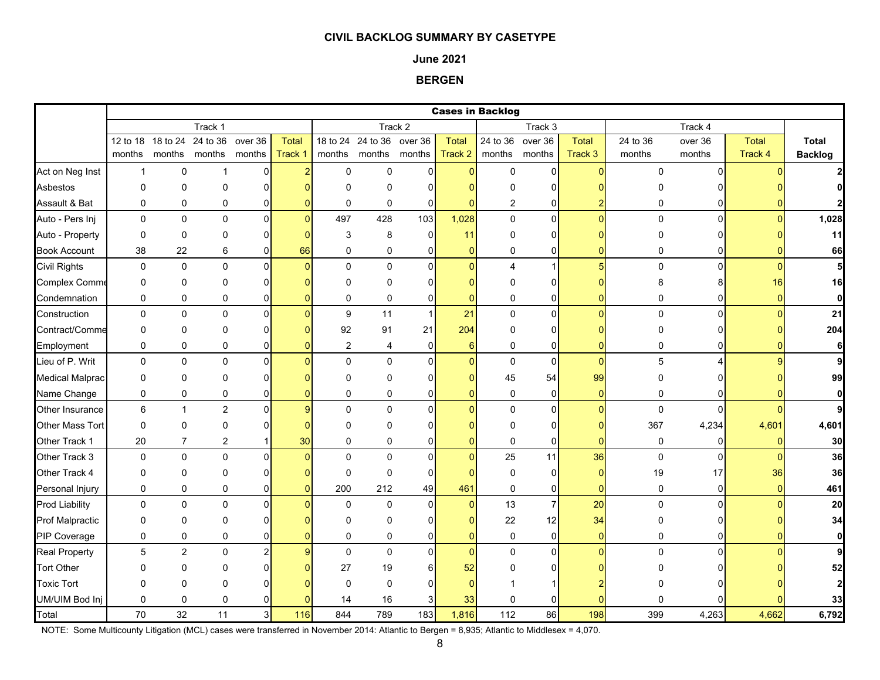#### **June 2021**

**BERGEN**

|                        |              |                            |                         |                   |                  |                |                                    |                   |                         | <b>Cases in Backlog</b> |                            |                  |                    |                   |                         |                                |
|------------------------|--------------|----------------------------|-------------------------|-------------------|------------------|----------------|------------------------------------|-------------------|-------------------------|-------------------------|----------------------------|------------------|--------------------|-------------------|-------------------------|--------------------------------|
|                        |              |                            | Track 1                 |                   |                  |                |                                    | Track 2           |                         |                         | Track 3                    |                  |                    | Track 4           |                         |                                |
|                        | months       | 12 to 18 18 to 24 24 to 36 | months months           | over 36<br>months | Total<br>Track 1 |                | 18 to 24 24 to 36<br>months months | over 36<br>months | <b>Total</b><br>Track 2 | months                  | 24 to 36 over 36<br>months | Total<br>Track 3 | 24 to 36<br>months | over 36<br>months | <b>Total</b><br>Track 4 | <b>Total</b><br><b>Backlog</b> |
| Act on Neg Inst        | $\mathbf{1}$ | 0                          | $\overline{1}$          | $\overline{0}$    |                  | $\Omega$       | $\mathbf 0$                        | $\Omega$          | $\Omega$                | $\Omega$                | 0                          |                  | $\Omega$           | $\Omega$          |                         |                                |
| Asbestos               | $\mathbf 0$  | 0                          | $\mathbf 0$             | $\overline{0}$    |                  | 0              | $\mathbf 0$                        | $\overline{0}$    |                         | 0                       | $\Omega$                   |                  |                    |                   |                         |                                |
| Assault & Bat          | $\pmb{0}$    | 0                          | 0                       | $\overline{0}$    |                  | 0              | $\mathbf 0$                        | 0                 | $\Omega$                | $\overline{2}$          | 0                          |                  | 0                  |                   |                         |                                |
| Auto - Pers Inj        | $\mathbf 0$  | $\mathbf 0$                | $\mathbf 0$             | $\mathsf{O}$      | $\Omega$         | 497            | 428                                | 103               | 1,028                   | $\mathbf 0$             | $\overline{0}$             | $\Omega$         | $\Omega$           | $\Omega$          |                         | 1,028                          |
| Auto - Property        | $\pmb{0}$    | 0                          | 0                       | $\overline{0}$    |                  | 3              | 8                                  | $\overline{0}$    | 11                      | $\mathbf 0$             | $\overline{0}$             |                  |                    |                   |                         | 11                             |
| <b>Book Account</b>    | 38           | 22                         | 6                       | $\overline{0}$    | 66               | 0              | 0                                  | 0                 | $\mathbf{0}$            | 0                       | $\overline{0}$             |                  | 0                  |                   |                         | 66                             |
| <b>Civil Rights</b>    | $\mathbf 0$  | 0                          | $\Omega$                | $\overline{0}$    |                  | $\Omega$       | $\Omega$                           | $\Omega$          | $\Omega$                | 4                       | 1                          |                  | $\mathbf 0$        | $\Omega$          |                         | 5                              |
| <b>Complex Comme</b>   | $\mathbf 0$  | 0                          | 0                       | $\overline{0}$    |                  | $\Omega$       | $\Omega$                           | $\Omega$          | ŋ                       | 0                       | $\overline{0}$             |                  |                    |                   | 16                      | 16                             |
| Condemnation           | $\pmb{0}$    | 0                          | 0                       | $\overline{0}$    |                  | $\mathbf 0$    | 0                                  | $\mathbf 0$       | $\Omega$                | 0                       | $\overline{0}$             |                  | 0                  |                   |                         | $\mathbf 0$                    |
| Construction           | $\mathbf 0$  | 0                          | $\mathbf 0$             | $\overline{0}$    |                  | 9              | 11                                 | $\mathbf{1}$      | 21                      | $\pmb{0}$               | $\overline{0}$             | O                | $\mathbf 0$        | 0                 |                         | 21                             |
| Contract/Comme         | $\mathbf 0$  | 0                          | 0                       | 0                 |                  | 92             | 91                                 | 21                | 204                     | 0                       | $\overline{0}$             |                  |                    |                   |                         | 204                            |
| Employment             | 0            | 0                          | 0                       | 0                 |                  | $\overline{c}$ | 4                                  | $\mathbf 0$       | $6 \overline{6}$        | 0                       | $\overline{0}$             | $\Omega$         | 0                  |                   |                         | 6                              |
| Lieu of P. Writ        | $\mathbf 0$  | 0                          | $\Omega$                | $\overline{0}$    |                  | $\Omega$       | $\Omega$                           | $\Omega$          | $\overline{0}$          | $\boldsymbol{0}$        | $\overline{0}$             | $\Omega$         | 5                  |                   |                         | 91                             |
| <b>Medical Malprac</b> | 0            | 0                          | 0                       | 01                |                  | $\Omega$       | $\Omega$                           | 0                 | n                       | 45                      | 54                         | 99               | $\Omega$           |                   |                         | 99                             |
| Name Change            | $\mathbf 0$  | 0                          | 0                       | 0                 |                  | $\mathbf 0$    | 0                                  | $\mathbf 0$       | $\Omega$                | $\mathbf 0$             | $\overline{0}$             | $\overline{0}$   | $\mathbf 0$        |                   |                         | $\mathbf{0}$                   |
| <b>Other Insurance</b> | $\,6\,$      | $\mathbf{1}$               | $\overline{2}$          | $\overline{0}$    |                  | $\Omega$       | $\Omega$                           | $\Omega$          | $\mathbf{0}$            | $\pmb{0}$               | $\overline{0}$             | $\Omega$         | $\mathbf{0}$       |                   |                         | 9                              |
| Other Mass Tort        | 0            | 0                          | 0                       | 0                 |                  | $\Omega$       | O                                  | 0                 |                         | 0                       | 0                          |                  | 367                | 4,234             | 4,601                   | 4,601                          |
| Other Track 1          | $20\,$       | $\overline{7}$             | $\overline{\mathbf{c}}$ |                   | 30               | $\mathbf 0$    | 0                                  | 0                 | $\Omega$                | $\pmb{0}$               | 0                          | $\Omega$         | 0                  | 0                 |                         | 30                             |
| Other Track 3          | 0            | 0                          | $\mathbf 0$             | $\overline{0}$    |                  | $\Omega$       | 0                                  | $\mathbf 0$       | $\overline{0}$          | 25                      | 11                         | 36               | $\mathbf 0$        | $\Omega$          |                         | 36                             |
| Other Track 4          | 0            | 0                          | 0                       | $\Omega$          |                  | $\Omega$       | $\Omega$                           | $\mathbf 0$       |                         | $\pmb{0}$               | 0                          | $\Omega$         | 19                 | 17                | 36                      | 36                             |
| Personal Injury        | $\pmb{0}$    | 0                          | 0                       | $\overline{0}$    |                  | 200            | 212                                | 49                | 461                     | $\pmb{0}$               | $\overline{0}$             | $\Omega$         | $\pmb{0}$          | $\overline{0}$    |                         | 461                            |
| <b>Prod Liability</b>  | 0            | 0                          | 0                       | $\overline{0}$    |                  | 0              | $\mathbf 0$                        | $\overline{0}$    | $\overline{0}$          | 13                      | $\overline{7}$             | 20               | 0                  | $\Omega$          |                         | 20                             |
| <b>Prof Malpractic</b> | 0            | 0                          | 0                       | $\overline{0}$    |                  | $\Omega$       | $\Omega$                           | $\Omega$          | $\Omega$                | 22                      | 12                         | 34               | $\Omega$           |                   |                         | 34                             |
| PIP Coverage           | $\mathbf 0$  | 0                          | 0                       | 0                 |                  | $\pmb{0}$      | 0                                  | $\mathbf 0$       | $\overline{0}$          | $\pmb{0}$               | 0                          | $\mathbf{0}$     | 0                  |                   |                         | $\mathbf{0}$                   |
| <b>Real Property</b>   | 5            | $\overline{2}$             | $\mathbf 0$             | $\overline{a}$    | $\mathbf{Q}$     | $\mathbf 0$    | $\mathbf 0$                        | $\overline{0}$    | $\overline{0}$          | $\mathbf 0$             | $\mathsf{O}$               | $\Omega$         | $\Omega$           | $\Omega$          |                         | 9l                             |
| <b>Tort Other</b>      | $\Omega$     | 0                          | 0                       | 0                 |                  | 27             | 19                                 | 6                 | 52                      |                         | $\Omega$                   |                  |                    |                   |                         | 52                             |
| <b>Toxic Tort</b>      | $\mathbf 0$  | 0                          | 0                       | 0                 |                  | 0              | $\Omega$                           | 0                 | $\Omega$                |                         |                            |                  |                    |                   |                         | $\mathbf{2}$                   |
| UM/UIM Bod Inj         | $\pmb{0}$    | 0                          | 0                       | $\Omega$          |                  | 14             | 16                                 | 3                 | 33                      | 0                       | 0                          |                  |                    |                   |                         | 33                             |
| Total                  | 70           | 32                         | 11                      | 3                 | 116              | 844            | 789                                | 183               | 1,816                   | 112                     | 86                         | 198              | 399                | 4,263             | 4,662                   | 6,792                          |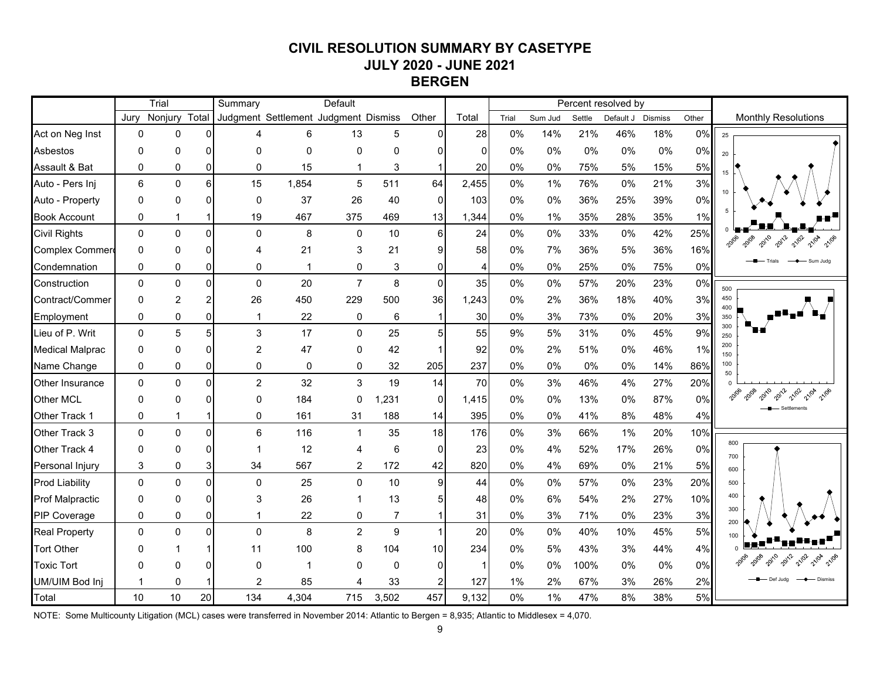# **CIVIL RESOLUTION SUMMARY BY CASETYPE JULY 2020 - JUNE 2021 BERGEN**

|                        | Trial       |                |                  | Summary                              |           | Default        |                |                 |                |       |         |        | Percent resolved by |         |       |                            |
|------------------------|-------------|----------------|------------------|--------------------------------------|-----------|----------------|----------------|-----------------|----------------|-------|---------|--------|---------------------|---------|-------|----------------------------|
|                        | Jury        | Nonjury        | Total            | Judgment Settlement Judgment Dismiss |           |                |                | Other           | Total          | Trial | Sum Jud | Settle | Default J           | Dismiss | Other | <b>Monthly Resolutions</b> |
| Act on Neg Inst        | 0           | 0              | $\Omega$         | Δ                                    | 6         | 13             | 5              | $\Omega$        | 28             | 0%    | 14%     | 21%    | 46%                 | 18%     | 0%    | 25                         |
| Asbestos               | 0           | 0              | $\Omega$         | $\Omega$                             | 0         | $\Omega$       | 0              | 0               | $\Omega$       | 0%    | 0%      | 0%     | 0%                  | 0%      | 0%    | 20                         |
| Assault & Bat          | 0           | 0              | $\overline{0}$   | $\Omega$                             | 15        | 1              | 3              | -1              | 20             | 0%    | 0%      | 75%    | 5%                  | 15%     | 5%    | 15                         |
| Auto - Pers Inj        | 6           | $\mathbf 0$    | $6 \overline{6}$ | 15                                   | 1,854     | 5              | 511            | 64              | 2,455          | 0%    | 1%      | 76%    | 0%                  | 21%     | 3%    |                            |
| Auto - Property        | 0           | 0              | $\Omega$         | $\mathbf{0}$                         | 37        | 26             | 40             | $\Omega$        | 103            | 0%    | 0%      | 36%    | 25%                 | 39%     | 0%    |                            |
| <b>Book Account</b>    | 0           |                | 1                | 19                                   | 467       | 375            | 469            | 13              | 1,344          | 0%    | $1\%$   | 35%    | 28%                 | 35%     | 1%    |                            |
| <b>Civil Rights</b>    | $\Omega$    | $\mathbf{0}$   | $\mathbf 0$      | $\Omega$                             | 8         | $\Omega$       | 10             | $6 \mid$        | 24             | 0%    | 0%      | 33%    | 0%                  | 42%     | 25%   |                            |
| Complex Commer         | 0           | $\Omega$       | $\Omega$         | 4                                    | 21        | 3              | 21             | 9               | 58             | 0%    | 7%      | 36%    | 5%                  | 36%     | 16%   |                            |
| Condemnation           | 0           | 0              | $\overline{0}$   | $\Omega$                             | 1         | 0              | 3              | 0               | $\overline{4}$ | 0%    | 0%      | 25%    | 0%                  | 75%     | 0%    | Sum Jude                   |
| Construction           | $\mathbf 0$ | $\Omega$       | $\Omega$         | $\mathbf{0}$                         | 20        | $\overline{7}$ | 8              | $\mathbf{0}$    | 35             | 0%    | 0%      | 57%    | 20%                 | 23%     | 0%    | 500                        |
| Contract/Commer        | 0           | $\overline{c}$ | $\overline{2}$   | 26                                   | 450       | 229            | 500            | 36              | 1,243          | 0%    | 2%      | 36%    | 18%                 | 40%     | 3%    | 450                        |
| Employment             | 0           | 0              | $\overline{0}$   | 1                                    | 22        | $\mathbf 0$    | 6              | $\mathbf{1}$    | 30             | 0%    | 3%      | 73%    | 0%                  | 20%     | 3%    | 400<br>350                 |
| Lieu of P. Writ        | 0           | 5              | 5                | 3                                    | 17        | $\Omega$       | 25             | 5               | 55             | 9%    | 5%      | 31%    | 0%                  | 45%     | 9%    | 300<br>250                 |
| <b>Medical Malprac</b> | 0           | $\Omega$       | $\Omega$         | $\overline{2}$                       | 47        | 0              | 42             |                 | 92             | 0%    | 2%      | 51%    | 0%                  | 46%     | 1%    | 200<br>150                 |
| Name Change            | 0           | 0              | $\overline{0}$   | 0                                    | $\pmb{0}$ | 0              | 32             | 205             | 237            | 0%    | 0%      | 0%     | 0%                  | 14%     | 86%   | 100<br>50                  |
| Other Insurance        | $\Omega$    | $\Omega$       | $\Omega$         | $\overline{2}$                       | 32        | 3              | 19             | 14              | 70             | 0%    | 3%      | 46%    | 4%                  | 27%     | 20%   |                            |
| Other MCL              | 0           | 0              | $\Omega$         | $\mathbf{0}$                         | 184       | 0              | ,231           | $\overline{0}$  | 1,415          | 0%    | 0%      | 13%    | 0%                  | 87%     | 0%    | 21/02                      |
| Other Track 1          | 0           |                | 1                | 0                                    | 161       | 31             | 188            | 14              | 395            | 0%    | 0%      | 41%    | 8%                  | 48%     | 4%    |                            |
| Other Track 3          | 0           | $\Omega$       | $\Omega$         | 6                                    | 116       | $\overline{1}$ | 35             | 18              | 176            | 0%    | 3%      | 66%    | 1%                  | 20%     | 10%   |                            |
| Other Track 4          | 0           | 0              | $\Omega$         | 1                                    | 12        | 4              | 6              | $\Omega$        | 23             | 0%    | 4%      | 52%    | 17%                 | 26%     | 0%    | 800<br>700                 |
| Personal Injury        | 3           | 0              | 3 <sup>1</sup>   | 34                                   | 567       | 2              | 172            | 42              | 820            | 0%    | 4%      | 69%    | 0%                  | 21%     | 5%    | 600                        |
| <b>Prod Liability</b>  | $\Omega$    | $\Omega$       | $\Omega$         | $\Omega$                             | 25        | $\Omega$       | 10             | 9               | 44             | 0%    | $0\%$   | 57%    | 0%                  | 23%     | 20%   | 500                        |
| Prof Malpractic        | 0           | 0              | $\Omega$         | 3                                    | 26        |                | 13             | 5               | 48             | 0%    | 6%      | 54%    | 2%                  | 27%     | 10%   | 400                        |
| PIP Coverage           | 0           | $\Omega$       | $\overline{0}$   | 1                                    | 22        | 0              | $\overline{7}$ |                 | 31             | 0%    | 3%      | 71%    | 0%                  | 23%     | 3%    | 300<br>200                 |
| <b>Real Property</b>   | 0           | $\Omega$       | $\Omega$         | $\Omega$                             | 8         | $\overline{2}$ | 9              |                 | 20             | 0%    | 0%      | 40%    | 10%                 | 45%     | 5%    | 100                        |
| <b>Tort Other</b>      | O           |                | -1               | 11                                   | 100       | 8              | 104            | 10 <sup>1</sup> | 234            | 0%    | 5%      | 43%    | 3%                  | 44%     | 4%    |                            |
| <b>Toxic Tort</b>      | ŋ           | U              | $\Omega$         | $\Omega$                             | -1        | $\Omega$       | 0              | $\Omega$        | $\overline{1}$ | 0%    | 0%      | 100%   | 0%                  | 0%      | 0%    | 21/04                      |
| <b>UM/UIM Bod Inj</b>  | 1           | 0              |                  | $\overline{2}$                       | 85        | 4              | 33             |                 | 127            | 1%    | 2%      | 67%    | 3%                  | 26%     | 2%    |                            |
| Total                  | 10          | 10             | 20               | 134                                  | 4,304     | 715            | 3,502          | 457             | 9,132          | 0%    | 1%      | 47%    | 8%                  | 38%     | 5%    |                            |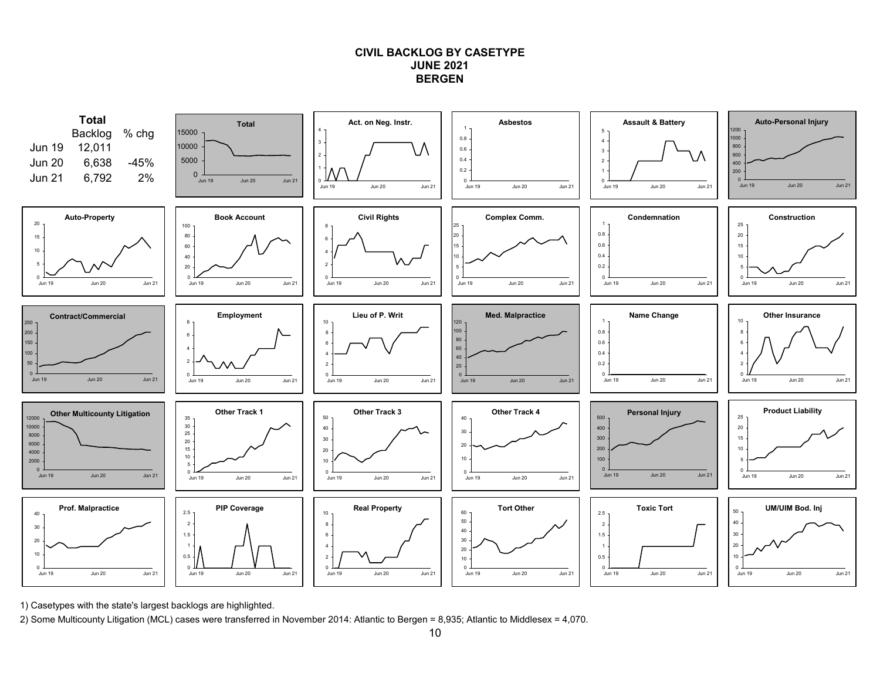### **CIVIL BACKLOG BY CASETYPEJUNE 2021BERGEN**



1) Casetypes with the state's largest backlogs are highlighted.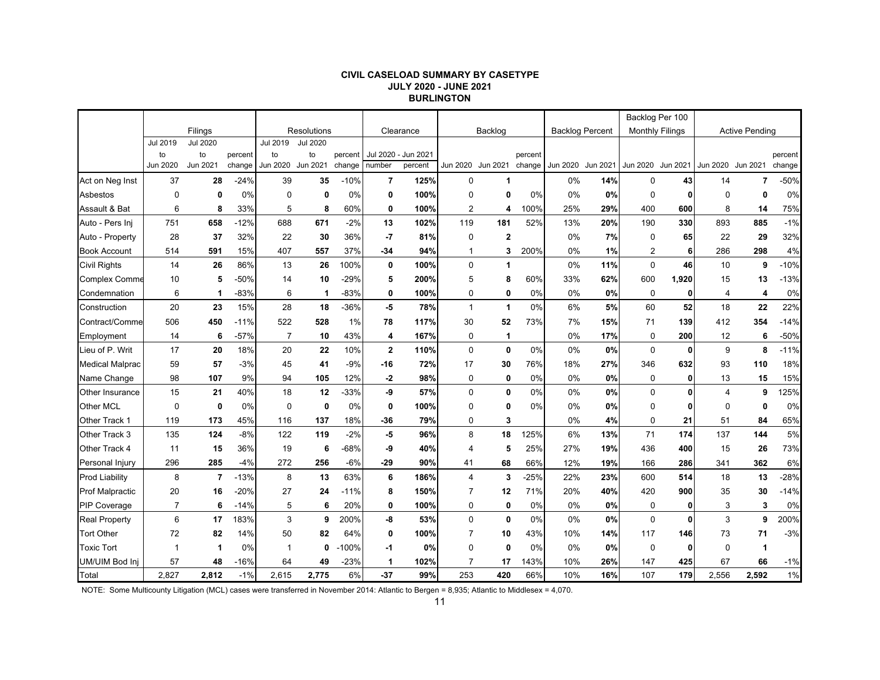#### **CIVIL CASELOAD SUMMARY BY CASETYPE JULY 2020 - JUNE 2021 BURLINGTON**

|                        |                |                 |         |                |                 |         |             |           |                |              |         |                        |                   | Backlog Per 100        |              |                   |                       |         |
|------------------------|----------------|-----------------|---------|----------------|-----------------|---------|-------------|-----------|----------------|--------------|---------|------------------------|-------------------|------------------------|--------------|-------------------|-----------------------|---------|
|                        |                | Filings         |         |                | Resolutions     |         |             | Clearance |                | Backlog      |         | <b>Backlog Percent</b> |                   | <b>Monthly Filings</b> |              |                   | <b>Active Pending</b> |         |
|                        | Jul 2019       | <b>Jul 2020</b> |         | Jul 2019       | <b>Jul 2020</b> |         |             |           |                |              |         |                        |                   |                        |              |                   |                       |         |
|                        | to             | to              | percent | to             | to              | percent | Jul 2020 -  | Jun 2021  |                |              | percent |                        |                   |                        |              |                   |                       | percent |
|                        | Jun 2020       | Jun 2021        | change  | Jun 2020       | Jun 2021        | change  | number      | percent   | Jun 2020       | Jun 2021     | change  |                        | Jun 2020 Jun 2021 | Jun 2020 Jun 2021      |              | Jun 2020 Jun 2021 |                       | change  |
| Act on Neg Inst        | 37             | 28              | $-24%$  | 39             | 35              | $-10%$  | 7           | 125%      | $\mathbf 0$    | 1            |         | 0%                     | 14%               | $\mathbf 0$            | 43           | 14                | 7                     | $-50%$  |
| Asbestos               | $\mathbf 0$    | 0               | 0%      | $\Omega$       | 0               | 0%      | 0           | 100%      | $\mathbf 0$    | 0            | 0%      | 0%                     | 0%                | $\mathbf 0$            | 0            | $\mathbf 0$       | $\mathbf{0}$          | 0%      |
| Assault & Bat          | 6              | 8               | 33%     | 5              | 8               | 60%     | 0           | 100%      | $\overline{2}$ | 4            | 100%    | 25%                    | 29%               | 400                    | 600          | 8                 | 14                    | 75%     |
| Auto - Pers Inj        | 751            | 658             | $-12%$  | 688            | 671             | $-2%$   | 13          | 102%      | 119            | 181          | 52%     | 13%                    | 20%               | 190                    | 330          | 893               | 885                   | $-1%$   |
| Auto - Property        | 28             | 37              | 32%     | 22             | 30              | 36%     | $-7$        | 81%       | $\mathbf 0$    | $\mathbf 2$  |         | 0%                     | 7%                | 0                      | 65           | 22                | 29                    | 32%     |
| <b>Book Account</b>    | 514            | 591             | 15%     | 407            | 557             | 37%     | $-34$       | 94%       | $\mathbf{1}$   | 3            | 200%    | 0%                     | 1%                | $\overline{2}$         | 6            | 286               | 298                   | 4%      |
| <b>Civil Rights</b>    | 14             | 26              | 86%     | 13             | 26              | 100%    | 0           | 100%      | $\mathbf 0$    | 1            |         | 0%                     | 11%               | $\mathbf 0$            | 46           | 10                | 9                     | $-10%$  |
| <b>Complex Comme</b>   | 10             | 5               | $-50%$  | 14             | 10              | $-29%$  | 5           | 200%      | 5              | 8            | 60%     | 33%                    | 62%               | 600                    | 1,920        | 15                | 13                    | $-13%$  |
| Condemnation           | 6              | -1              | $-83%$  | 6              | 1               | $-83%$  | 0           | 100%      | 0              | 0            | 0%      | 0%                     | 0%                | 0                      | $\mathbf{0}$ | $\overline{4}$    | 4                     | 0%      |
| Construction           | 20             | 23              | 15%     | 28             | 18              | $-36%$  | $-5$        | 78%       | $\mathbf{1}$   | $\mathbf{1}$ | 0%      | 6%                     | 5%                | 60                     | 52           | 18                | 22                    | 22%     |
| Contract/Comme         | 506            | 450             | $-11%$  | 522            | 528             | 1%      | 78          | 117%      | 30             | 52           | 73%     | 7%                     | 15%               | 71                     | 139          | 412               | 354                   | $-14%$  |
| Employment             | 14             | 6               | $-57%$  | $\overline{7}$ | 10              | 43%     | 4           | 167%      | 0              | $\mathbf{1}$ |         | 0%                     | 17%               | 0                      | 200          | 12                | 6                     | $-50%$  |
| Lieu of P. Writ        | 17             | 20              | 18%     | 20             | 22              | 10%     | $\mathbf 2$ | 110%      | $\mathbf 0$    | $\mathbf 0$  | 0%      | 0%                     | 0%                | 0                      | 0            | 9                 | 8                     | $-11%$  |
| <b>Medical Malprac</b> | 59             | 57              | $-3%$   | 45             | 41              | $-9%$   | $-16$       | 72%       | 17             | 30           | 76%     | 18%                    | 27%               | 346                    | 632          | 93                | 110                   | 18%     |
| Name Change            | 98             | 107             | 9%      | 94             | 105             | 12%     | $-2$        | 98%       | $\mathbf 0$    | $\mathbf 0$  | 0%      | 0%                     | 0%                | $\mathbf 0$            | 0            | 13                | 15                    | 15%     |
| Other Insurance        | 15             | 21              | 40%     | 18             | 12              | $-33%$  | -9          | 57%       | $\mathbf 0$    | $\mathbf 0$  | 0%      | 0%                     | 0%                | $\mathbf 0$            | $\bf{0}$     | $\overline{4}$    | 9                     | 125%    |
| Other MCL              | $\mathbf 0$    | $\mathbf 0$     | 0%      | $\mathbf 0$    | $\mathbf 0$     | 0%      | 0           | 100%      | 0              | 0            | 0%      | 0%                     | 0%                | 0                      | ŋ            | 0                 | 0                     | 0%      |
| Other Track 1          | 119            | 173             | 45%     | 116            | 137             | 18%     | -36         | 79%       | 0              | 3            |         | 0%                     | 4%                | $\mathbf 0$            | 21           | 51                | 84                    | 65%     |
| Other Track 3          | 135            | 124             | $-8%$   | 122            | 119             | $-2%$   | -5          | 96%       | 8              | 18           | 125%    | 6%                     | 13%               | 71                     | 174          | 137               | 144                   | 5%      |
| Other Track 4          | 11             | 15              | 36%     | 19             | 6               | $-68%$  | -9          | 40%       | $\overline{4}$ | 5            | 25%     | 27%                    | 19%               | 436                    | 400          | 15                | 26                    | 73%     |
| Personal Injury        | 296            | 285             | $-4%$   | 272            | 256             | $-6%$   | $-29$       | 90%       | 41             | 68           | 66%     | 12%                    | 19%               | 166                    | 286          | 341               | 362                   | 6%      |
| <b>Prod Liability</b>  | 8              | $\overline{7}$  | $-13%$  | 8              | 13              | 63%     | 6           | 186%      | $\overline{4}$ | 3            | 25%     | 22%                    | 23%               | 600                    | 514          | 18                | 13                    | $-28%$  |
| <b>Prof Malpractic</b> | 20             | 16              | $-20%$  | 27             | 24              | $-11%$  | 8           | 150%      | $\overline{7}$ | 12           | 71%     | 20%                    | 40%               | 420                    | 900          | 35                | 30                    | $-14%$  |
| <b>PIP Coverage</b>    | $\overline{7}$ | 6               | $-14%$  | 5              | 6               | 20%     | 0           | 100%      | 0              | 0            | 0%      | 0%                     | 0%                | 0                      | $\mathbf{0}$ | 3                 | 3                     | 0%      |
| <b>Real Property</b>   | 6              | 17              | 183%    | 3              | 9               | 200%    | -8          | 53%       | $\Omega$       | $\mathbf{0}$ | 0%      | 0%                     | 0%                | $\Omega$               | $\mathbf{0}$ | 3                 | 9                     | 200%    |
| <b>Tort Other</b>      | 72             | 82              | 14%     | 50             | 82              | 64%     | 0           | 100%      | 7              | 10           | 43%     | 10%                    | 14%               | 117                    | 146          | 73                | 71                    | $-3%$   |
| <b>Toxic Tort</b>      | 1              | 1               | 0%      |                | $\mathbf 0$     | $-100%$ | -1          | 0%        | $\Omega$       | $\mathbf 0$  | 0%      | 0%                     | 0%                | $\mathbf 0$            | 0            | $\mathbf 0$       | 1                     |         |
| UM/UIM Bod Inj         | 57             | 48              | $-16%$  | 64             | 49              | $-23%$  | 1           | 102%      | 7              | 17           | 143%    | 10%                    | 26%               | 147                    | 425          | 67                | 66                    | $-1%$   |
| Total                  | 2,827          | 2.812           | $-1%$   | 2,615          | 2,775           | 6%      | $-37$       | 99%       | 253            | 420          | 66%     | 10%                    | 16%               | 107                    | 179          | 2,556             | 2.592                 | 1%      |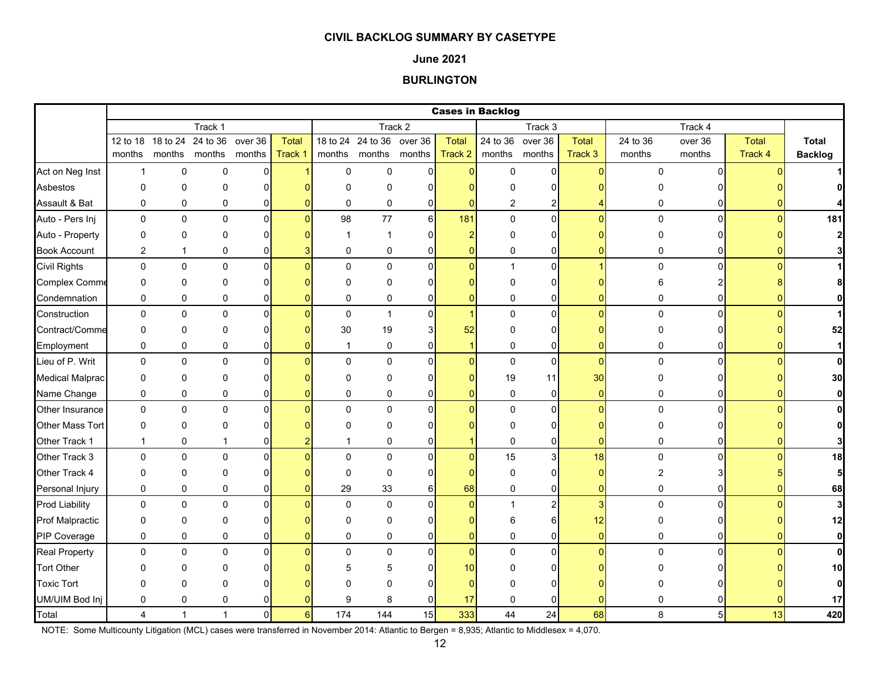### **June 2021**

### **BURLINGTON**

|                        |                |              |                            |                |              |              |                           |                |                | <b>Cases in Backlog</b> |                         |                |          |                |                 |                |
|------------------------|----------------|--------------|----------------------------|----------------|--------------|--------------|---------------------------|----------------|----------------|-------------------------|-------------------------|----------------|----------|----------------|-----------------|----------------|
|                        |                |              | Track 1                    |                |              |              |                           | Track 2        |                |                         | Track 3                 |                |          | Track 4        |                 |                |
|                        |                |              | 12 to 18 18 to 24 24 to 36 | over 36        | <b>Total</b> |              | 18 to 24 24 to 36 over 36 |                | <b>Total</b>   |                         | 24 to 36 over 36        | <b>Total</b>   | 24 to 36 | over 36        | Total           | Total          |
|                        | months         |              | months months              | months         | Track 1      |              | months months months      |                | Track 2        |                         | months months           | Track 3        | months   | months         | Track 4         | <b>Backlog</b> |
| Act on Neg Inst        | $\mathbf{1}$   | 0            | $\pmb{0}$                  | 0              |              | $\mathbf 0$  | 0                         | $\Omega$       | $\Omega$       | 0                       | $\overline{0}$          | $\Omega$       | 0        | $\Omega$       |                 |                |
| Asbestos               | $\Omega$       | 0            | 0                          | $\Omega$       |              | $\Omega$     | 0                         | n              |                | ŋ                       | $\Omega$                |                |          |                |                 |                |
| Assault & Bat          | 0              | 0            | $\pmb{0}$                  | 0              |              | $\mathbf 0$  | 0                         | $\overline{0}$ | $\Omega$       | 2                       | $\overline{2}$          |                | 0        |                |                 |                |
| Auto - Pers Inj        | $\mathbf 0$    | 0            | $\mathbf 0$                | $\overline{0}$ | $\Omega$     | 98           | 77                        | $6\vert$       | 181            | $\mathbf 0$             | $\overline{0}$          | $\Omega$       | 0        | $\Omega$       |                 | 181            |
| Auto - Property        | 0              | 0            | 0                          | 0              |              | -1           | 1                         | 0              |                | 0                       | 0                       |                | 0        |                |                 | 2              |
| <b>Book Account</b>    | $\overline{2}$ | $\mathbf{1}$ | 0                          | 0              |              | $\mathbf 0$  | 0                         | $\overline{0}$ | $\Omega$       | 0                       | 0                       |                | 0        |                |                 |                |
| <b>Civil Rights</b>    | 0              | 0            | 0                          | $\mathbf{0}$   | n            | $\Omega$     | 0                         | $\Omega$       | $\Omega$       | $\mathbf{1}$            | $\overline{0}$          |                | 0        | $\Omega$       |                 |                |
| Complex Comme          | 0              | 0            | $\Omega$                   | $\Omega$       |              | $\Omega$     | 0                         | <sup>0</sup>   |                | $\Omega$                | $\mathbf 0$             |                | 6        |                |                 |                |
| Condemnation           | $\mathbf 0$    | 0            | $\mathbf 0$                | 0              |              | $\mathbf 0$  | 0                         | 0              | $\Omega$       | 0                       | 0                       |                | 0        | 0              |                 |                |
| Construction           | 0              | 0            | $\pmb{0}$                  | 0              |              | $\mathbf 0$  | $\mathbf{1}$              | $\Omega$       | $\mathbf{1}$   | $\pmb{0}$               | $\pmb{0}$               | $\Omega$       | 0        | $\Omega$       |                 |                |
| Contract/Comme         | 0              | 0            | 0                          | $\Omega$       |              | 30           | 19                        |                | 52             | 0                       | 0                       |                | 0        |                |                 | 52             |
| Employment             | 0              | 0            | 0                          | 0              |              | $\mathbf{1}$ | 0                         | 0              |                | 0                       | 0                       | 0              | 0        |                |                 |                |
| Lieu of P. Writ        | 0              | $\pmb{0}$    | $\mathbf 0$                | $\mathbf{0}$   |              | $\Omega$     | 0                         | $\Omega$       | $\Omega$       | $\mathsf 0$             | $\pmb{0}$               | $\Omega$       | 0        | $\Omega$       |                 | $\mathbf{0}$   |
| <b>Medical Malprac</b> | 0              | $\Omega$     | 0                          | $\Omega$       |              | $\Omega$     | 0                         | $\Omega$       |                | 19                      | 11                      | 30             | 0        |                |                 | 30             |
| Name Change            | 0              | 0            | 0                          | 0              |              | 0            | 0                         | $\overline{0}$ | $\Omega$       | $\pmb{0}$               | $\pmb{0}$               | $\overline{0}$ | 0        | 0              |                 | 0              |
| Other Insurance        | 0              | 0            | $\mathbf 0$                | $\mathbf{0}$   |              | $\mathbf{0}$ | 0                         | $\Omega$       | $\Omega$       | 0                       | $\mathbf 0$             | $\Omega$       | 0        | $\Omega$       |                 | $\mathbf{0}$   |
| Other Mass Tort        | 0              | 0            | 0                          | 0              |              | $\Omega$     | 0                         |                |                | $\Omega$                | 0                       |                | 0        |                |                 | 0              |
| Other Track 1          | $\mathbf{1}$   | 0            | 1                          | 0              |              |              | 0                         | $\Omega$       |                | 0                       | 0                       | O              | 0        |                |                 |                |
| Other Track 3          | $\mathbf 0$    | 0            | $\Omega$                   | $\Omega$       |              | $\Omega$     | 0                         | $\Omega$       | $\Omega$       | 15                      | 3                       | 18             | 0        | U              |                 | 18             |
| Other Track 4          | $\mathbf 0$    | 0            | $\mathbf 0$                | $\Omega$       |              | $\Omega$     | 0                         | $\Omega$       |                | 0                       | 0                       |                | 2        |                |                 | 5              |
| Personal Injury        | 0              | 0            | 0                          | 0              |              | 29           | 33                        | 6              | 68             | 0                       | 0                       | $\mathbf 0$    | 0        | 0              |                 | 68             |
| <b>Prod Liability</b>  | 0              | 0            | $\pmb{0}$                  | $\mathbf 0$    |              | $\mathbf 0$  | 0                         | $\Omega$       | $\mathbf{0}$   | $\mathbf{1}$            | $\overline{\mathbf{c}}$ | 3              | 0        | U              |                 | 3              |
| <b>Prof Malpractic</b> | 0              | 0            | 0                          | 0              |              | $\Omega$     | 0                         |                |                | 6                       | 6                       | 12             | 0        | ი              |                 | 12             |
| PIP Coverage           | $\mathbf 0$    | 0            | $\mathbf 0$                | 0              |              | $\mathbf 0$  | 0                         | 0              | $\Omega$       | 0                       | 0                       | $\overline{0}$ | 0        | 0              |                 | 0              |
| <b>Real Property</b>   | 0              | 0            | 0                          | $\Omega$       |              | $\Omega$     | 0                         | $\Omega$       | $\overline{0}$ | 0                       | $\pmb{0}$               | $\Omega$       | 0        | U              |                 | $\bf{0}$       |
| <b>Tort Other</b>      | <sup>0</sup>   | 0            | 0                          |                |              | 5            | 5                         |                | 10             | n                       | $\Omega$                |                |          |                |                 | 10             |
| <b>Toxic Tort</b>      | $\Omega$       | 0            | $\Omega$                   |                |              |              | 0                         |                |                | ∩                       | O                       |                |          |                |                 | 0              |
| UM/UIM Bod Inj         | $\mathbf 0$    | 0            | 0                          |                |              | 9            | 8                         | $\overline{0}$ | 17             | 0                       | 0                       |                | 0        |                |                 | 17             |
| Total                  | 4              | $\mathbf{1}$ | $\mathbf{1}$               | $\mathbf 0$    | $6 \mid$     | 174          | 144                       | 15             | 333            | 44                      | 24                      | 68             | 8        | 5 <sup>1</sup> | 13 <sup>1</sup> | 420            |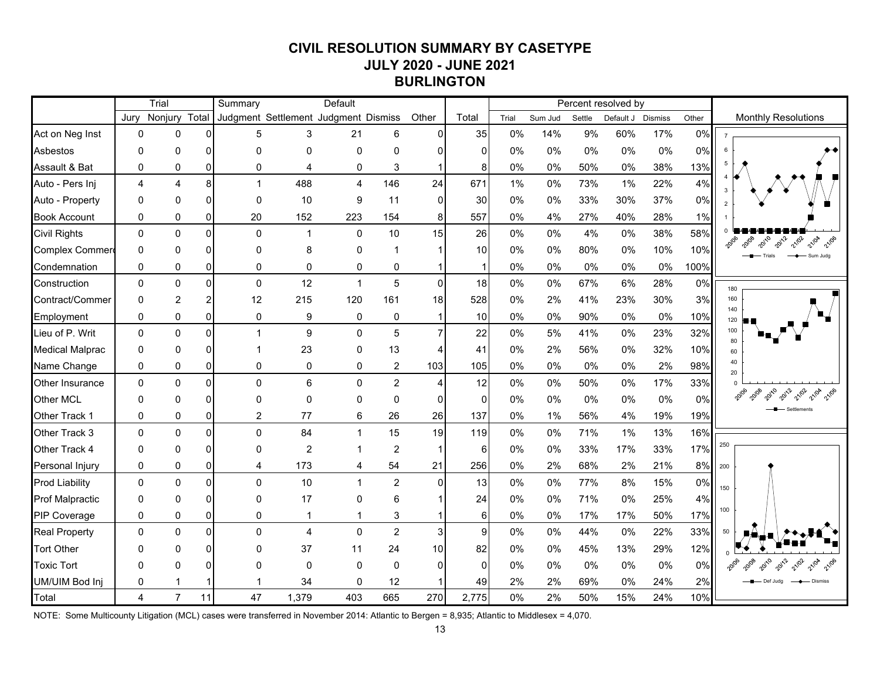# **CIVIL RESOLUTION SUMMARY BY CASETYPE JULY 2020 - JUNE 2021 BURLINGTON**

|                        |                | Trial          |          | Summary                              |                | Default        |                |                 |                 |       |         |        | Percent resolved by |                |       |                                                     |
|------------------------|----------------|----------------|----------|--------------------------------------|----------------|----------------|----------------|-----------------|-----------------|-------|---------|--------|---------------------|----------------|-------|-----------------------------------------------------|
|                        | Jurv           | Nonjury        | Total    | Judgment Settlement Judgment Dismiss |                |                |                | Other           | Total           | Trial | Sum Jud | Settle | Default J           | <b>Dismiss</b> | Other | <b>Monthly Resolutions</b>                          |
| Act on Neg Inst        | $\mathbf 0$    | $\mathbf 0$    | 0        | 5                                    | 3              | 21             | 6              | $\Omega$        | 35              | 0%    | 14%     | 9%     | 60%                 | 17%            | 0%    |                                                     |
| Asbestos               | $\mathbf{0}$   | 0              | 0        | $\mathbf{0}$                         | 0              | 0              | $\mathbf 0$    |                 | $\Omega$        | 0%    | 0%      | 0%     | 0%                  | 0%             | 0%    |                                                     |
| Assault & Bat          | $\mathbf 0$    | 0              | 0        | 0                                    | 4              | 0              | 3              |                 | 8               | 0%    | 0%      | 50%    | 0%                  | 38%            | 13%   |                                                     |
| Auto - Pers Inj        | $\overline{4}$ | $\overline{4}$ | 8        | $\mathbf{1}$                         | 488            | $\overline{4}$ | 146            | 24              | 671             | 1%    | 0%      | 73%    | 1%                  | 22%            | 4%    |                                                     |
| Auto - Property        | $\Omega$       | $\Omega$       |          | $\Omega$                             | 10             | 9              | 11             | $\Omega$        | 30              | 0%    | 0%      | 33%    | 30%                 | 37%            | 0%    |                                                     |
| <b>Book Account</b>    | 0              | 0              | 0        | 20                                   | 152            | 223            | 154            | 8               | 557             | 0%    | 4%      | 27%    | 40%                 | 28%            | 1%    |                                                     |
| Civil Rights           | $\Omega$       | 0              | $\Omega$ | $\mathbf{0}$                         | -1             | $\Omega$       | 10             | 15              | 26              | 0%    | 0%      | 4%     | 0%                  | 38%            | 58%   |                                                     |
| <b>Complex Commer</b>  | $\Omega$       | $\Omega$       |          | ŋ                                    | 8              | $\mathbf{0}$   |                |                 | 10 <sup>1</sup> | 0%    | 0%      | 80%    | 0%                  | 10%            | 10%   | 2012<br>21/02<br>2010<br>21/04<br>21/06<br>Sum Jude |
| Condemnation           | 0              | 0              | 0        | $\Omega$                             | 0              | 0              | 0              |                 |                 | 0%    | 0%      | 0%     | 0%                  | 0%             | 100%  |                                                     |
| Construction           | $\mathbf 0$    | $\mathbf{0}$   | 0        | $\Omega$                             | 12             | $\mathbf{1}$   | 5              | $\overline{0}$  | 18              | 0%    | 0%      | 67%    | 6%                  | 28%            | 0%    | 180                                                 |
| Contract/Commer        | $\mathbf 0$    | $\overline{2}$ |          | 12                                   | 215            | 120            | 161            | 18              | 528             | 0%    | 2%      | 41%    | 23%                 | 30%            | 3%    | 160                                                 |
| Employment             | 0              | $\Omega$       | 0        | $\mathbf 0$                          | 9              | 0              | $\mathbf 0$    |                 | 10              | 0%    | 0%      | 90%    | 0%                  | 0%             | 10%   | 140<br>120                                          |
| Lieu of P. Writ        | $\Omega$       | $\Omega$       | $\Omega$ |                                      | 9              | $\Omega$       | 5              | $\overline{7}$  | 22              | 0%    | 5%      | 41%    | 0%                  | 23%            | 32%   | 100                                                 |
| <b>Medical Malprac</b> | $\Omega$       | 0              |          |                                      | 23             | $\mathbf{0}$   | 13             |                 | 41              | 0%    | 2%      | 56%    | 0%                  | 32%            | 10%   | 80<br>60                                            |
| Name Change            | 0              | 0              | 0        | 0                                    | 0              | 0              | 2              | 103             | 105             | 0%    | 0%      | 0%     | 0%                  | 2%             | 98%   | 40                                                  |
| <b>Other Insurance</b> | $\Omega$       | $\Omega$       | $\Omega$ | $\Omega$                             | 6              | $\Omega$       | $\overline{c}$ | 4               | 12              | 0%    | 0%      | 50%    | 0%                  | 17%            | 33%   |                                                     |
| <b>Other MCL</b>       | $\Omega$       | $\mathbf{0}$   | O        | O                                    | 0              | $\mathbf{0}$   | $\Omega$       | 0               | $\Omega$        | 0%    | 0%      | 0%     | 0%                  | 0%             | 0%    |                                                     |
| Other Track 1          | 0              | 0              | 0        | $\overline{c}$                       | 77             | 6              | 26             | 26              | 137             | 0%    | 1%      | 56%    | 4%                  | 19%            | 19%   |                                                     |
| Other Track 3          | $\mathbf 0$    | $\pmb{0}$      | $\Omega$ | $\mathbf 0$                          | 84             | $\mathbf 1$    | 15             | 19              | 119             | $0\%$ | 0%      | 71%    | 1%                  | 13%            | 16%   |                                                     |
| Other Track 4          | $\Omega$       | $\Omega$       | $\Omega$ | $\Omega$                             | $\overline{c}$ | 1              | $\overline{c}$ |                 | 6               | 0%    | 0%      | 33%    | 17%                 | 33%            | 17%   | 250                                                 |
| Personal Injury        | 0              | 0              | 0        | $\overline{4}$                       | 173            | 4              | 54             | 21              | 256             | 0%    | 2%      | 68%    | 2%                  | 21%            | 8%    | 200                                                 |
| <b>Prod Liability</b>  | $\mathbf{0}$   | $\Omega$       | $\Omega$ | $\mathbf{0}$                         | 10             | 1              | $\overline{2}$ | $\Omega$        | 13              | 0%    | 0%      | 77%    | 8%                  | 15%            | 0%    | 150                                                 |
| <b>Prof Malpractic</b> | $\Omega$       | $\Omega$       |          | $\Omega$                             | 17             | $\mathbf{0}$   | 6              |                 | 24              | 0%    | 0%      | 71%    | 0%                  | 25%            | 4%    |                                                     |
| <b>PIP Coverage</b>    | 0              | 0              | 0        | 0                                    | -1             |                | 3              |                 | $6 \mid$        | 0%    | 0%      | 17%    | 17%                 | 50%            | 17%   | 100                                                 |
| <b>Real Property</b>   | $\Omega$       | $\Omega$       | $\Omega$ | $\Omega$                             | $\overline{4}$ | $\Omega$       | $\overline{2}$ | 3               | $\overline{9}$  | 0%    | 0%      | 44%    | 0%                  | 22%            | 33%   | 50                                                  |
| <b>Tort Other</b>      | $\Omega$       | $\Omega$       |          | U                                    | 37             | 11             | 24             | 10 <sup>1</sup> | 82              | 0%    | 0%      | 45%    | 13%                 | 29%            | 12%   |                                                     |
| <b>Toxic Tort</b>      | $\Omega$       | 0              |          | $\Omega$                             | 0              | 0              | 0              | $\Omega$        | $\Omega$        | 0%    | 0%      | 0%     | 0%                  | 0%             | 0%    | 21/02<br>2010<br>2012<br>21/04                      |
| UM/UIM Bod Inj         | 0              |                |          |                                      | 34             | $\Omega$       | 12             |                 | 49              | 2%    | 2%      | 69%    | 0%                  | 24%            | 2%    | Def Juda                                            |
| Total                  | $\overline{4}$ | $\overline{7}$ | 11       | 47                                   | 1,379          | 403            | 665            | 270             | 2,775           | 0%    | 2%      | 50%    | 15%                 | 24%            | 10%   |                                                     |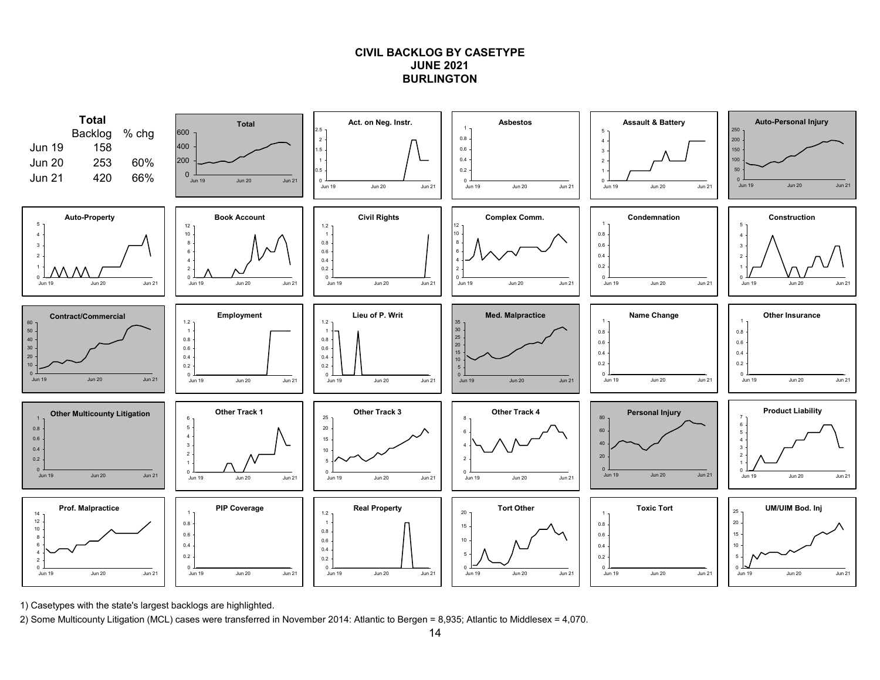### **CIVIL BACKLOG BY CASETYPEJUNE 2021BURLINGTON**



1) Casetypes with the state's largest backlogs are highlighted.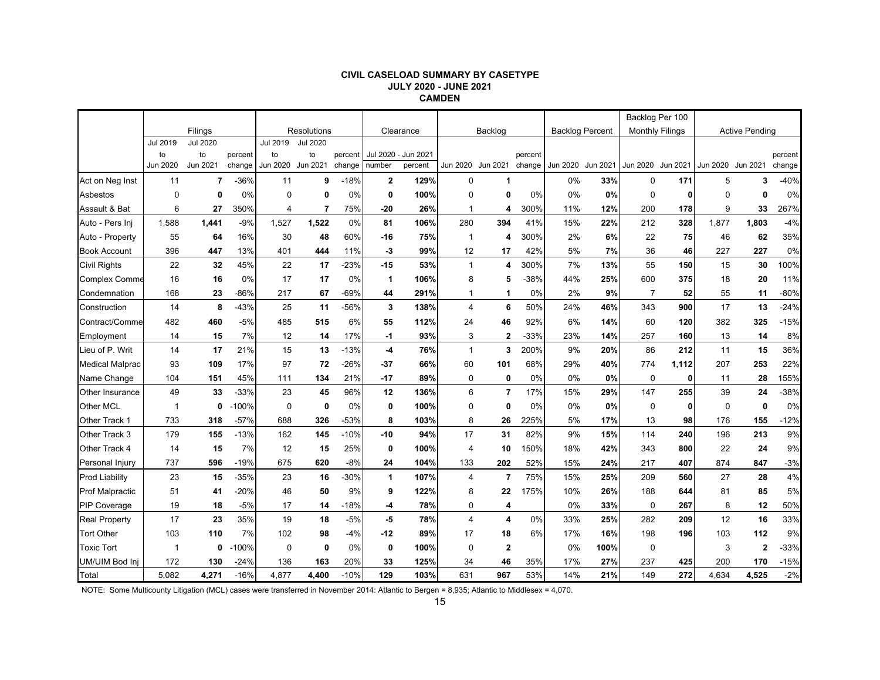#### **CIVIL CASELOAD SUMMARY BY CASETYPE JULY 2020 - JUNE 2021 CAMDEN**

|                        |             |                 |         |          |                    |         |              |                     |                |                         |         |                   |                        | Backlog Per 100        |       |             |                       |         |
|------------------------|-------------|-----------------|---------|----------|--------------------|---------|--------------|---------------------|----------------|-------------------------|---------|-------------------|------------------------|------------------------|-------|-------------|-----------------------|---------|
|                        |             | Filings         |         |          | <b>Resolutions</b> |         |              | Clearance           |                | Backlog                 |         |                   | <b>Backlog Percent</b> | <b>Monthly Filings</b> |       |             | <b>Active Pending</b> |         |
|                        | Jul 2019    | <b>Jul 2020</b> |         | Jul 2019 | <b>Jul 2020</b>    |         |              |                     |                |                         |         |                   |                        |                        |       |             |                       |         |
|                        | to          | to              | percent | to       | to                 | percent |              | Jul 2020 - Jun 2021 |                |                         | percent |                   |                        |                        |       |             |                       | percent |
|                        | Jun 2020    | Jun 2021        | change  | Jun 2020 | Jun 2021           | change  | number       | percent             |                | Jun 2020 Jun 2021       | change  | Jun 2020 Jun 2021 |                        | Jun 2020 Jun 2021      |       |             | Jun 2020 Jun 2021     | change  |
| Act on Neg Inst        | 11          | $\overline{7}$  | $-36%$  | 11       | 9                  | $-18%$  | $\mathbf{2}$ | 129%                | 0              | 1                       |         | 0%                | 33%                    | $\mathbf 0$            | 171   | 5           | 3                     | $-40%$  |
| Asbestos               | $\mathbf 0$ | 0               | 0%      | 0        | 0                  | 0%      | 0            | 100%                | $\mathbf 0$    | 0                       | 0%      | 0%                | 0%                     | $\mathbf 0$            | 0     | $\mathbf 0$ | $\mathbf{0}$          | 0%      |
| Assault & Bat          | 6           | 27              | 350%    | 4        | 7                  | 75%     | $-20$        | 26%                 | $\mathbf 1$    | 4                       | 300%    | 11%               | 12%                    | 200                    | 178   | 9           | 33                    | 267%    |
| Auto - Pers Ini        | 1,588       | 1,441           | $-9%$   | 1,527    | 1,522              | 0%      | 81           | 106%                | 280            | 394                     | 41%     | 15%               | 22%                    | 212                    | 328   | 1,877       | 1,803                 | $-4%$   |
| Auto - Property        | 55          | 64              | 16%     | 30       | 48                 | 60%     | $-16$        | 75%                 | 1              | 4                       | 300%    | 2%                | 6%                     | 22                     | 75    | 46          | 62                    | 35%     |
| <b>Book Account</b>    | 396         | 447             | 13%     | 401      | 444                | 11%     | $-3$         | 99%                 | 12             | 17                      | 42%     | 5%                | 7%                     | 36                     | 46    | 227         | 227                   | 0%      |
| <b>Civil Rights</b>    | 22          | 32              | 45%     | 22       | 17                 | $-23%$  | $-15$        | 53%                 | $\mathbf{1}$   | 4                       | 300%    | 7%                | 13%                    | 55                     | 150   | 15          | 30                    | 100%    |
| <b>Complex Comme</b>   | 16          | 16              | 0%      | 17       | 17                 | 0%      | 1            | 106%                | 8              | 5                       | -38%    | 44%               | 25%                    | 600                    | 375   | 18          | 20                    | 11%     |
| Condemnation           | 168         | 23              | $-86%$  | 217      | 67                 | $-69%$  | 44           | 291%                | $\mathbf{1}$   | 1                       | 0%      | 2%                | 9%                     | $\overline{7}$         | 52    | 55          | 11                    | $-80%$  |
| Construction           | 14          | 8               | $-43%$  | 25       | 11                 | -56%    | 3            | 138%                | $\overline{4}$ | 6                       | 50%     | 24%               | 46%                    | 343                    | 900   | 17          | 13                    | $-24%$  |
| Contract/Comme         | 482         | 460             | $-5%$   | 485      | 515                | 6%      | 55           | 112%                | 24             | 46                      | 92%     | 6%                | 14%                    | 60                     | 120   | 382         | 325                   | $-15%$  |
| Employment             | 14          | 15              | 7%      | 12       | 14                 | 17%     | -1           | 93%                 | 3              | 2                       | $-33%$  | 23%               | 14%                    | 257                    | 160   | 13          | 14                    | 8%      |
| Lieu of P. Writ        | 14          | 17              | 21%     | 15       | 13                 | $-13%$  | -4           | 76%                 | $\mathbf{1}$   | 3                       | 200%    | 9%                | 20%                    | 86                     | 212   | 11          | 15                    | 36%     |
| <b>Medical Malprac</b> | 93          | 109             | 17%     | 97       | 72                 | $-26%$  | $-37$        | 66%                 | 60             | 101                     | 68%     | 29%               | 40%                    | 774                    | 1,112 | 207         | 253                   | 22%     |
| Name Change            | 104         | 151             | 45%     | 111      | 134                | 21%     | $-17$        | 89%                 | $\mathbf 0$    | $\mathbf 0$             | 0%      | 0%                | 0%                     | $\mathbf 0$            | 0     | 11          | 28                    | 155%    |
| <b>Other Insurance</b> | 49          | 33              | $-33%$  | 23       | 45                 | 96%     | 12           | 136%                | 6              | $\overline{7}$          | 17%     | 15%               | 29%                    | 147                    | 255   | 39          | 24                    | $-38%$  |
| Other MCL              | 1           | 0               | $-100%$ | 0        | $\mathbf 0$        | 0%      | 0            | 100%                | $\mathbf 0$    | $\mathbf 0$             | 0%      | 0%                | 0%                     | 0                      | 0     | $\mathbf 0$ | 0                     | 0%      |
| Other Track 1          | 733         | 318             | $-57%$  | 688      | 326                | $-53%$  | 8            | 103%                | 8              | 26                      | 225%    | 5%                | 17%                    | 13                     | 98    | 176         | 155                   | $-12%$  |
| Other Track 3          | 179         | 155             | $-13%$  | 162      | 145                | $-10%$  | $-10$        | 94%                 | 17             | 31                      | 82%     | 9%                | 15%                    | 114                    | 240   | 196         | 213                   | 9%      |
| Other Track 4          | 14          | 15              | 7%      | 12       | 15                 | 25%     | 0            | 100%                | $\overline{4}$ | 10                      | 150%    | 18%               | 42%                    | 343                    | 800   | 22          | 24                    | 9%      |
| Personal Injury        | 737         | 596             | $-19%$  | 675      | 620                | $-8%$   | 24           | 104%                | 133            | 202                     | 52%     | 15%               | 24%                    | 217                    | 407   | 874         | 847                   | $-3%$   |
| <b>Prod Liability</b>  | 23          | 15              | $-35%$  | 23       | 16                 | $-30%$  | $\mathbf{1}$ | 107%                | $\overline{4}$ | $\overline{7}$          | 75%     | 15%               | 25%                    | 209                    | 560   | 27          | 28                    | 4%      |
| <b>Prof Malpractic</b> | 51          | 41              | $-20%$  | 46       | 50                 | 9%      | 9            | 122%                | 8              | 22                      | 175%    | 10%               | 26%                    | 188                    | 644   | 81          | 85                    | 5%      |
| <b>PIP Coverage</b>    | 19          | 18              | $-5%$   | 17       | 14                 | $-18%$  | -4           | 78%                 | 0              | 4                       |         | 0%                | 33%                    | 0                      | 267   | 8           | 12                    | 50%     |
| <b>Real Property</b>   | 17          | 23              | 35%     | 19       | 18                 | $-5%$   | -5           | 78%                 | $\overline{4}$ | $\overline{\mathbf{4}}$ | 0%      | 33%               | 25%                    | 282                    | 209   | 12          | 16                    | 33%     |
| <b>Tort Other</b>      | 103         | 110             | 7%      | 102      | 98                 | $-4%$   | $-12$        | 89%                 | 17             | 18                      | 6%      | 17%               | 16%                    | 198                    | 196   | 103         | 112                   | 9%      |
| <b>Toxic Tort</b>      | 1           | 0               | $-100%$ | 0        | 0                  | 0%      | 0            | 100%                | $\mathbf 0$    | $\bf 2$                 |         | 0%                | 100%                   | $\mathbf 0$            |       | 3           | $\mathbf{2}$          | $-33%$  |
| UM/UIM Bod Inj         | 172         | 130             | $-24%$  | 136      | 163                | 20%     | 33           | 125%                | 34             | 46                      | 35%     | 17%               | 27%                    | 237                    | 425   | 200         | 170                   | $-15%$  |
| Total                  | 5,082       | 4,271           | $-16%$  | 4,877    | 4.400              | $-10%$  | 129          | 103%                | 631            | 967                     | 53%     | 14%               | 21%                    | 149                    | 272   | 4.634       | 4,525                 | $-2%$   |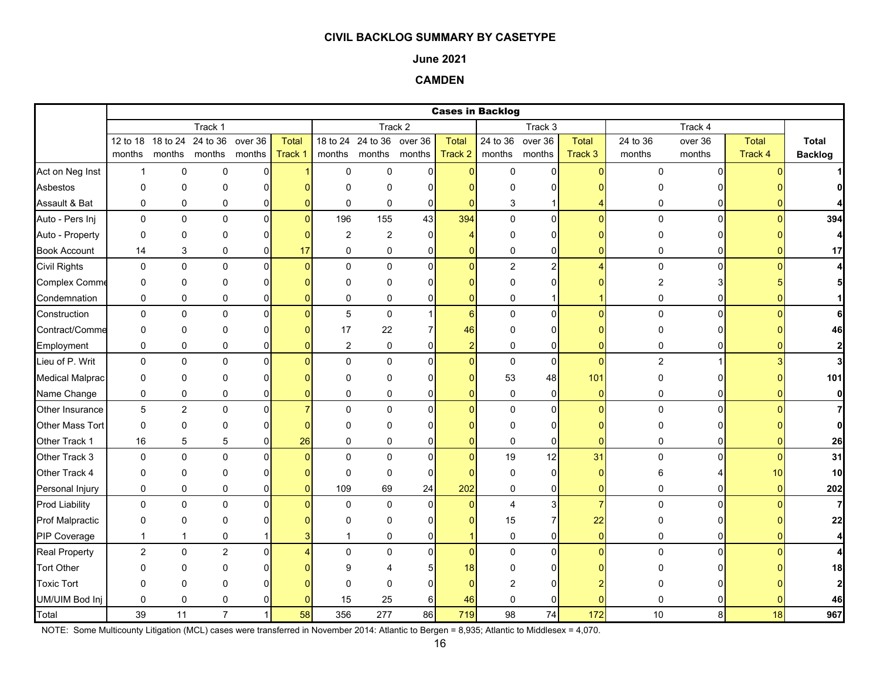#### **June 2021**

## **CAMDEN**

|                        |                |                            |                |                |          |                |                           |                |                | <b>Cases in Backlog</b> |                         |                |                  |                |              |                         |
|------------------------|----------------|----------------------------|----------------|----------------|----------|----------------|---------------------------|----------------|----------------|-------------------------|-------------------------|----------------|------------------|----------------|--------------|-------------------------|
|                        |                |                            | Track 1        |                |          |                |                           | Track 2        |                |                         | Track 3                 |                |                  | Track 4        |              |                         |
|                        |                | 12 to 18 18 to 24 24 to 36 |                | over 36        | Total    |                | 18 to 24 24 to 36 over 36 |                | <b>Total</b>   | 24 to 36                | over 36                 | Total          | 24 to 36         | over 36        | <b>Total</b> | Total                   |
|                        | months         |                            | months months  | months         | Track 1  |                | months months months      |                | Track 2        | months                  | months                  | Track 3        | months           | months         | Track 4      | <b>Backlog</b>          |
| Act on Neg Inst        | $\mathbf{1}$   | $\mathbf 0$                | 0              | 0              |          | $\mathbf 0$    | $\mathbf 0$               | $\Omega$       | $\overline{0}$ | 0                       | $\overline{0}$          | $\Omega$       | 0                | $\Omega$       |              |                         |
| Asbestos               | 0              | $\mathbf 0$                | 0              | $\Omega$       |          | $\Omega$       | 0                         | ∩              | n              | O                       | 0                       |                | O                |                |              |                         |
| Assault & Bat          | 0              | $\pmb{0}$                  | 0              | 0              |          | $\mathbf 0$    | $\mathbf 0$               | $\mathbf 0$    | $\Omega$       | 3                       |                         |                | 0                | $\overline{0}$ |              |                         |
| Auto - Pers Inj        | 0              | $\mathbf 0$                | $\pmb{0}$      | $\overline{0}$ | $\Omega$ | 196            | 155                       | 43             | 394            | $\pmb{0}$               | $\overline{0}$          | $\overline{0}$ | $\mathbf 0$      | $\mathsf{o}$   | $\Omega$     | 394                     |
| Auto - Property        | 0              | $\mathbf 0$                | 0              | 0              |          | $\overline{c}$ | 2                         | $\Omega$       | 4              | 0                       | 0                       |                | 0                |                |              | $\overline{4}$          |
| <b>Book Account</b>    | 14             | 3                          | 0              | $\Omega$       | 17       | $\mathbf 0$    | $\mathbf 0$               | $\mathbf{0}$   | 0              | 0                       | 0                       |                | 0                | 0              |              | 17                      |
| <b>Civil Rights</b>    | $\mathbf 0$    | $\pmb{0}$                  | 0              | $\Omega$       | O        | $\Omega$       | $\mathbf 0$               | $\Omega$       | $\Omega$       | $\overline{c}$          | $\overline{\mathbf{c}}$ |                | $\pmb{0}$        | $\Omega$       |              | 4                       |
| <b>Complex Comme</b>   | 0              | $\mathbf 0$                | 0              | 0              |          | $\mathbf 0$    | 0                         | 0              | 0              | $\mathbf 0$             | 0                       |                | $\overline{2}$   |                |              |                         |
| Condemnation           | 0              | $\mathbf 0$                | 0              | 0              |          | 0              | 0                         | 0              | $\mathbf 0$    | 0                       |                         |                | 0                | 01             |              |                         |
| Construction           | 0              | $\pmb{0}$                  | $\pmb{0}$      | 0              |          | $\overline{5}$ | $\mathsf 0$               | 1              | 6              | 0                       | $\pmb{0}$               | $\Omega$       | $\pmb{0}$        | $\overline{0}$ |              | 6                       |
| Contract/Comme         | 0              | $\mathbf 0$                | $\Omega$       | $\Omega$       |          | 17             | 22                        |                | 46             | $\mathbf 0$             | 0                       |                | $\Omega$         | 0              |              | 46                      |
| Employment             | 0              | $\mathbf 0$                | 0              | 0              |          | 2              | 0                         | 0              | $\overline{2}$ | 0                       | $\overline{0}$          |                | 0                | 01             |              | $\mathbf{2}$            |
| Lieu of P. Writ        | 0              | $\mathbf 0$                | $\mathbf 0$    | $\mathbf{0}$   |          | $\mathbf{0}$   | $\mathbf 0$               | $\Omega$       | $\overline{0}$ | $\pmb{0}$               | $\pmb{0}$               | $\Omega$       | $\boldsymbol{2}$ |                |              | $\overline{\mathbf{3}}$ |
| <b>Medical Malprac</b> | 0              | $\mathbf 0$                | 0              | 0              |          | $\Omega$       | 0                         | ŋ              | 0              | 53                      | 48                      | 101            | 0                | 0l             |              | 101                     |
| Name Change            | 0              | 0                          | 0              | 0              |          | $\mathbf 0$    | 0                         | $\mathbf{0}$   | $\overline{0}$ | $\pmb{0}$               | $\pmb{0}$               | $\overline{0}$ | 0                | $\overline{0}$ | $\Omega$     | $\mathbf{0}$            |
| Other Insurance        | 5              | $\boldsymbol{2}$           | $\mathbf 0$    | $\Omega$       |          | $\Omega$       | $\mathbf 0$               | $\Omega$       | $\overline{0}$ | $\pmb{0}$               | $\mathbf 0$             | $\Omega$       | $\mathbf 0$      | $\Omega$       |              | $\overline{7}$          |
| <b>Other Mass Tort</b> | $\mathbf 0$    | $\mathbf 0$                | 0              | 0              |          | $\Omega$       | 0                         | ŋ              |                | 0                       | 0                       |                | 0                | ΩI             |              | $\mathbf{0}$            |
| Other Track 1          | 16             | 5                          | 5              | 0              | 26       | $\mathbf 0$    | $\mathbf 0$               | 0              | 0              | 0                       | 0                       | 0              | 0                | 0              |              | 26                      |
| Other Track 3          | $\mathbf 0$    | $\pmb{0}$                  | 0              | $\Omega$       |          | $\Omega$       | $\mathbf 0$               | $\Omega$       | $\Omega$       | 19                      | 12                      | 31             | $\mathbf 0$      | $\Omega$       |              | 31                      |
| Other Track 4          | 0              | $\mathbf 0$                | 0              | $\Omega$       |          | $\mathbf 0$    | 0                         | $\mathbf 0$    | $\Omega$       | 0                       | 0                       | O              | 6                |                | 10           | 10                      |
| Personal Injury        | 0              | $\mathbf 0$                | 0              | 0              |          | 109            | 69                        | 24             | 202            | 0                       | $\pmb{0}$               | $\overline{0}$ | 0                | 01             | $\Omega$     | 202                     |
| <b>Prod Liability</b>  | 0              | $\pmb{0}$                  | 0              | $\Omega$       |          | $\mathbf 0$    | 0                         | $\Omega$       | $\overline{0}$ | 4                       | 3                       | $\overline{7}$ | 0                | $\Omega$       | $\Omega$     | $\overline{7}$          |
| <b>Prof Malpractic</b> | 0              | $\mathbf 0$                | 0              | $\Omega$       |          | $\Omega$       | $\Omega$                  | $\Omega$       | $\Omega$       | 15                      | $\overline{7}$          | 22             | 0                |                |              | 22                      |
| PIP Coverage           | $\mathbf{1}$   | 1                          | $\mathbf 0$    |                |          |                | 0                         | 0              | 1              | $\pmb{0}$               | 0                       | $\overline{0}$ | 0                | 01             |              | $\overline{4}$          |
| <b>Real Property</b>   | $\overline{c}$ | $\pmb{0}$                  | $\overline{c}$ | $\mathbf 0$    |          | $\Omega$       | 0                         | $\overline{0}$ | $\overline{0}$ | $\mathbf 0$             | $\overline{0}$          | $\Omega$       | 0                | $\Omega$       |              | $\overline{4}$          |
| <b>Tort Other</b>      | 0              | $\mathbf 0$                | 0              | O              |          | 9              | Δ                         |                | 18             | O                       | 0                       |                |                  |                |              | 18                      |
| <b>Toxic Tort</b>      | 0              | $\mathbf 0$                | $\Omega$       |                |          | ∩              | 0                         | ŋ              | $\Omega$       | 2                       | O                       |                |                  |                |              | $\mathbf{2}$            |
| UM/UIM Bod Inj         | 0              | $\mathbf 0$                | 0              |                |          | 15             | 25                        | 6              | 46             | $\mathbf 0$             | 0                       |                | 0                |                |              | 46                      |
| Total                  | 39             | 11                         | $\overline{7}$ | $\mathbf{1}$   | 58       | 356            | 277                       | 86             | 719            | 98                      | 74                      | 172            | 10               | 8 <sup>1</sup> | 18           | 967                     |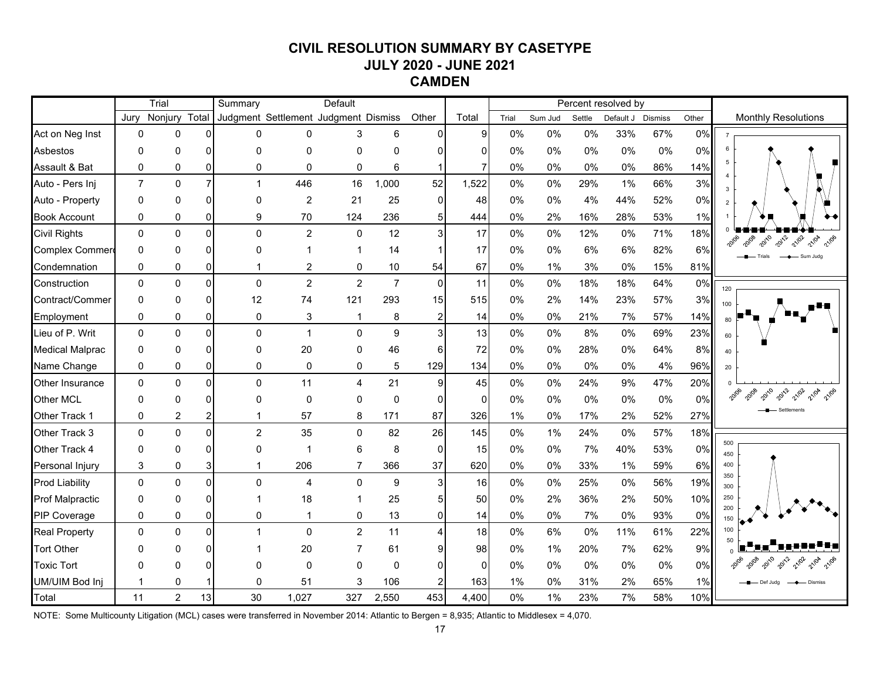# **CIVIL RESOLUTION SUMMARY BY CASETYPE JULY 2020 - JUNE 2021 CAMDEN**

|                        |                | Trial          |                | Summary                              |                | Default        |                |                |                |       |         |        | Percent resolved by |                |       |                                         |
|------------------------|----------------|----------------|----------------|--------------------------------------|----------------|----------------|----------------|----------------|----------------|-------|---------|--------|---------------------|----------------|-------|-----------------------------------------|
|                        | Jurv           | Nonjury        | Total          | Judgment Settlement Judgment Dismiss |                |                |                | Other          | Total          | Trial | Sum Jud | Settle | Default J           | <b>Dismiss</b> | Other | <b>Monthly Resolutions</b>              |
| Act on Neg Inst        | $\Omega$       | 0              | $\Omega$       | 0                                    | 0              | 3              | 6              | $\mathbf{0}$   | 9              | 0%    | 0%      | 0%     | 33%                 | 67%            | 0%    | $\overline{7}$                          |
| Asbestos               | $\Omega$       | 0              | $\Omega$       | $\Omega$                             | $\Omega$       | $\Omega$       | $\Omega$       | C              | $\Omega$       | $0\%$ | 0%      | 0%     | 0%                  | 0%             | 0%    | -6                                      |
| Assault & Bat          | 0              | 0              | 0              | $\Omega$                             | 0              | 0              | 6              |                | $\overline{7}$ | 0%    | 0%      | 0%     | 0%                  | 86%            | 14%   | 5                                       |
| Auto - Pers Inj        | $\overline{7}$ | $\mathbf{0}$   | $\overline{7}$ | 1                                    | 446            | 16             | 1,000          | 52             | 1,522          | 0%    | 0%      | 29%    | 1%                  | 66%            | 3%    | $\overline{3}$                          |
| Auto - Property        | $\Omega$       | 0              | $\Omega$       | 0                                    | 2              | 21             | 25             | $\mathbf{0}$   | 48             | 0%    | 0%      | 4%     | 44%                 | 52%            | 0%    | $\overline{2}$                          |
| <b>Book Account</b>    | 0              | 0              | $\overline{0}$ | 9                                    | 70             | 124            | 236            | 5              | 444            | $0\%$ | 2%      | 16%    | 28%                 | 53%            | 1%    |                                         |
| <b>Civil Rights</b>    | $\Omega$       | $\Omega$       | $\mathbf{0}$   | $\Omega$                             | 2              | $\mathbf{0}$   | 12             | 3              | 17             | 0%    | 0%      | 12%    | 0%                  | 71%            | 18%   | 2010<br>2012<br>21/02<br>20108<br>21/04 |
| Complex Commer         | $\Omega$       | 0              | $\Omega$       | 0                                    |                |                | 14             |                | 17             | $0\%$ | 0%      | 6%     | 6%                  | 82%            | 6%    | - Sum Judg                              |
| Condemnation           | 0              | 0              | $\overline{0}$ | 1                                    | 2              | 0              | 10             | 54             | 67             | $0\%$ | 1%      | 3%     | 0%                  | 15%            | 81%   |                                         |
| Construction           | $\mathbf{0}$   | $\Omega$       | $\mathbf{0}$   | $\Omega$                             | $\overline{2}$ | $\overline{2}$ | $\overline{7}$ | $\mathbf{0}$   | 11             | 0%    | 0%      | 18%    | 18%                 | 64%            | 0%    | 120                                     |
| Contract/Commer        | $\Omega$       | 0              | $\Omega$       | 12                                   | 74             | 121            | 293            | 15             | 515            | 0%    | 2%      | 14%    | 23%                 | 57%            | 3%    | 100                                     |
| Employment             | 0              | 0              | $\mathbf 0$    | 0                                    | 3              |                | 8              | $\overline{2}$ | 14             | 0%    | 0%      | 21%    | 7%                  | 57%            | 14%   | <b>RN</b>                               |
| Lieu of P. Writ        | $\Omega$       | $\Omega$       | $\Omega$       | $\Omega$                             | $\mathbf{1}$   | $\mathbf{0}$   | 9              | 3              | 13             | $0\%$ | 0%      | 8%     | 0%                  | 69%            | 23%   | 60                                      |
| <b>Medical Malprac</b> | $\Omega$       | 0              | $\Omega$       | 0                                    | 20             | $\Omega$       | 46             | 6              | 72             | 0%    | 0%      | 28%    | 0%                  | 64%            | 8%    | 40                                      |
| Name Change            | 0              | 0              | $\mathbf 0$    | 0                                    | 0              | 0              | 5              | 129            | 134            | $0\%$ | 0%      | 0%     | 0%                  | 4%             | 96%   | 20                                      |
| Other Insurance        | $\Omega$       | $\mathbf{0}$   | $\Omega$       | $\Omega$                             | 11             | 4              | 21             | 9              | 45             | 0%    | 0%      | 24%    | 9%                  | 47%            | 20%   |                                         |
| Other MCL              | $\Omega$       | 0              | $\Omega$       | 0                                    | $\Omega$       | $\Omega$       | $\Omega$       | $\Omega$       | $\mathbf{0}$   | 0%    | 0%      | $0\%$  | 0%                  | 0%             | 0%    | 2010<br>2012<br>21/02                   |
| Other Track 1          | 0              | 2              | $\overline{a}$ | 1                                    | 57             | 8              | 171            | 87             | 326            | 1%    | 0%      | 17%    | 2%                  | 52%            | 27%   |                                         |
| Other Track 3          | $\Omega$       | $\Omega$       | $\mathbf{0}$   | $\overline{2}$                       | 35             | $\Omega$       | 82             | 26             | 145            | 0%    | 1%      | 24%    | 0%                  | 57%            | 18%   |                                         |
| Other Track 4          | $\Omega$       | 0              | $\Omega$       | 0                                    | -1             | 6              | 8              | $\mathbf{0}$   | 15             | 0%    | 0%      | 7%     | 40%                 | 53%            | 0%    | 500<br>450                              |
| Personal Injury        | 3              | 0              | 3              | 1                                    | 206            |                | 366            | 37             | 620            | 0%    | 0%      | 33%    | $1\%$               | 59%            | 6%    | 400                                     |
| <b>Prod Liability</b>  | $\mathbf{0}$   | $\Omega$       | $\Omega$       | $\Omega$                             | $\overline{4}$ | $\Omega$       | 9              | 3              | 16             | 0%    | 0%      | 25%    | 0%                  | 56%            | 19%   | 350<br>300                              |
| <b>Prof Malpractic</b> | $\Omega$       | 0              | $\Omega$       | 1                                    | 18             |                | 25             | 5              | 50             | $0\%$ | 2%      | 36%    | 2%                  | 50%            | 10%   | 250                                     |
| <b>PIP Coverage</b>    | 0              | 0              | $\mathbf{0}$   | 0                                    | 1              | 0              | 13             | $\mathbf{0}$   | 14             | 0%    | 0%      | 7%     | 0%                  | 93%            | 0%    | 200<br>150                              |
| <b>Real Property</b>   | $\mathbf{0}$   | $\Omega$       | $\Omega$       | 1                                    | $\Omega$       | $\overline{2}$ | 11             | Δ              | 18             | 0%    | 6%      | 0%     | 11%                 | 61%            | 22%   | 100                                     |
| <b>Tort Other</b>      | ∩              | ი              | $\Omega$       |                                      | 20             |                | 61             | g              | 98             | 0%    | 1%      | 20%    | 7%                  | 62%            | 9%    |                                         |
| <b>Toxic Tort</b>      | ∩              | 0              | $\Omega$       | $\Omega$                             | 0              | $\Omega$       | 0              | $\Omega$       | $\Omega$       | $0\%$ | 0%      | 0%     | 0%                  | 0%             | 0%    | 2012<br>21/04                           |
| UM/UIM Bod Inj         | 1              | 0              |                | $\mathbf{0}$                         | 51             | 3              | 106            |                | 163            | $1\%$ | $0\%$   | 31%    | 2%                  | 65%            | 1%    | - Def Judg<br>- Dismiss                 |
| Total                  | 11             | $\overline{2}$ | 13             | 30                                   | 1,027          | 327            | 2,550          | 453            | 4,400          | 0%    | 1%      | 23%    | 7%                  | 58%            | 10%   |                                         |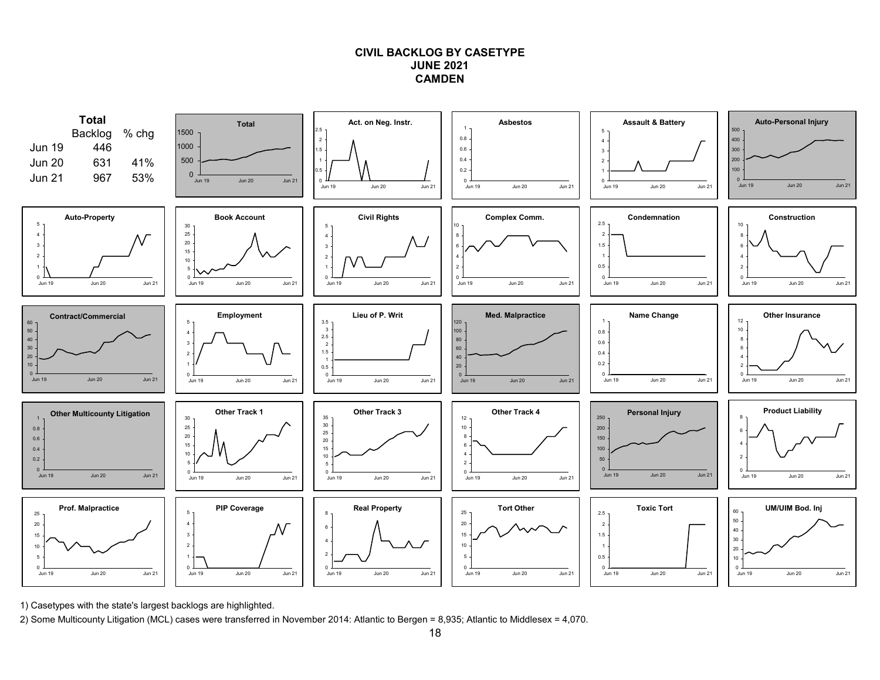### **CIVIL BACKLOG BY CASETYPEJUNE 2021CAMDEN**



1) Casetypes with the state's largest backlogs are highlighted.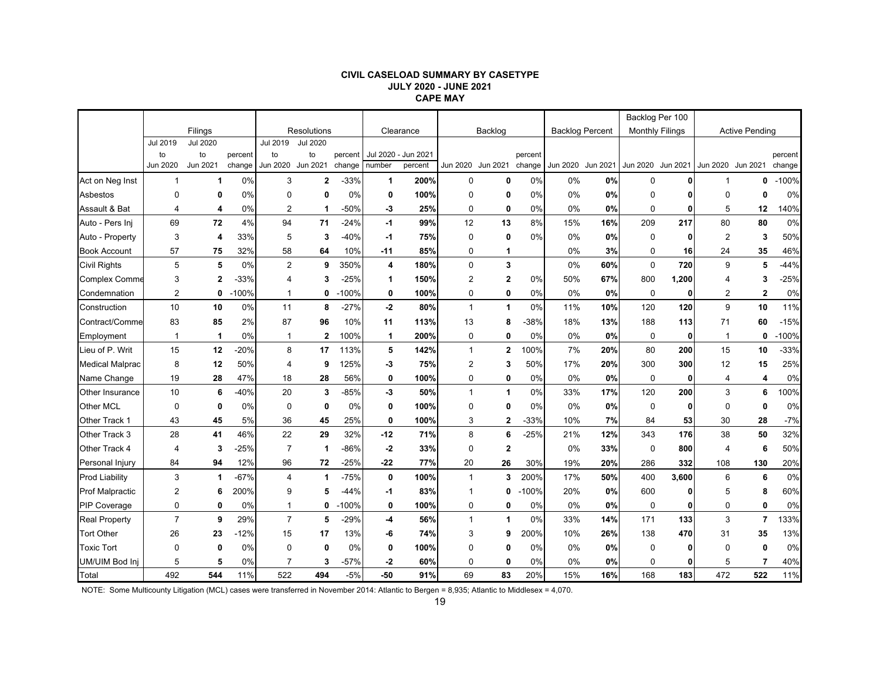#### **CIVIL CASELOAD SUMMARY BY CASETYPE JULY 2020 - JUNE 2021 CAPE MAY**

|                        |                |                 |         |                |                    |         |            |           |                |                      |         |     |                        | Backlog Per 100        |            |                   |                       |         |
|------------------------|----------------|-----------------|---------|----------------|--------------------|---------|------------|-----------|----------------|----------------------|---------|-----|------------------------|------------------------|------------|-------------------|-----------------------|---------|
|                        |                | Filings         |         |                | <b>Resolutions</b> |         |            | Clearance |                | Backlog              |         |     | <b>Backlog Percent</b> | <b>Monthly Filings</b> |            |                   | <b>Active Pending</b> |         |
|                        | Jul 2019       | <b>Jul 2020</b> |         | Jul 2019       | <b>Jul 2020</b>    |         |            |           |                |                      |         |     |                        |                        |            |                   |                       |         |
|                        | to             | to              | percent | to             | to                 | percent | Jul 2020 - | Jun 2021  |                |                      | percent |     |                        |                        |            |                   |                       | percent |
|                        | Jun 2020       | Jun 2021        | change  | Jun 2020       | Jun 2021           | change  | number     | percent   |                | Jun 2020 Jun 2021    | change  |     | Jun 2020 Jun 2021      | Jun 2020 Jun 2021      |            | Jun 2020 Jun 2021 |                       | change  |
| Act on Neg Inst        | 1              | $\mathbf 1$     | 0%      | 3              | $\overline{2}$     | $-33%$  | 1          | 200%      | 0              | $\mathbf 0$          | 0%      | 0%  | 0%                     | 0                      |            |                   | 0                     | $-100%$ |
| Asbestos               | 0              | 0               | 0%      | 0              | 0                  | 0%      | 0          | 100%      | $\mathbf 0$    | 0                    | 0%      | 0%  | 0%                     | 0                      |            | $\mathbf 0$       | 0                     | 0%      |
| Assault & Bat          | $\overline{4}$ | 4               | 0%      | $\overline{2}$ | $\mathbf 1$        | $-50%$  | -3         | 25%       | $\mathbf 0$    | $\mathbf 0$          | 0%      | 0%  | 0%                     | $\mathbf 0$            | 0          | 5                 | 12                    | 140%    |
| Auto - Pers Inj        | 69             | 72              | 4%      | 94             | 71                 | $-24%$  | -1         | 99%       | 12             | 13                   | 8%      | 15% | 16%                    | 209                    | 217        | 80                | 80                    | 0%      |
| Auto - Property        | 3              | 4               | 33%     | 5              | 3                  | $-40%$  | -1         | 75%       | $\mathbf 0$    | 0                    | 0%      | 0%  | 0%                     | 0                      | 0          | $\overline{2}$    | 3                     | 50%     |
| <b>Book Account</b>    | 57             | 75              | 32%     | 58             | 64                 | 10%     | $-11$      | 85%       | 0              | 1                    |         | 0%  | 3%                     | 0                      | 16         | 24                | 35                    | 46%     |
| <b>Civil Rights</b>    | 5              | 5               | 0%      | $\overline{2}$ | 9                  | 350%    | 4          | 180%      | $\pmb{0}$      | 3                    |         | 0%  | 60%                    | $\mathbf 0$            | 720        | 9                 | 5                     | $-44%$  |
| <b>Complex Comme</b>   | 3              | $\mathbf{2}$    | $-33%$  | 4              | 3                  | $-25%$  | 1          | 150%      | $\overline{2}$ | $\overline{2}$       | 0%      | 50% | 67%                    | 800                    | 1,200      | $\Delta$          | 3                     | $-25%$  |
| Condemnation           | $\overline{2}$ | $\mathbf 0$     | $-100%$ | 1              | 0                  | $-100%$ | 0          | 100%      | 0              | 0                    | 0%      | 0%  | 0%                     | $\mathbf 0$            | 0          | $\overline{2}$    | $\overline{2}$        | 0%      |
| Construction           | 10             | 10              | 0%      | 11             | 8                  | $-27%$  | $-2$       | 80%       | $\mathbf{1}$   | $\mathbf{1}$         | 0%      | 11% | 10%                    | 120                    | 120        | 9                 | 10                    | 11%     |
| Contract/Comme         | 83             | 85              | 2%      | 87             | 96                 | 10%     | 11         | 113%      | 13             | 8                    | -38%    | 18% | 13%                    | 188                    | 113        | 71                | 60                    | $-15%$  |
| Employment             | $\mathbf 1$    | 1               | 0%      | 1              | $\overline{2}$     | 100%    | 1          | 200%      | $\pmb{0}$      | 0                    | 0%      | 0%  | 0%                     | $\mathbf 0$            | 0          | 1                 | 0                     | $-100%$ |
| Lieu of P. Writ        | 15             | 12              | $-20%$  | 8              | 17                 | 113%    | 5          | 142%      | $\mathbf{1}$   | $\mathbf{2}$         | 00%     | 7%  | 20%                    | 80                     | <b>200</b> | 15                | 10                    | $-33%$  |
| <b>Medical Malprac</b> | 8              | 12              | 50%     | 4              | 9                  | 125%    | -3         | 75%       | $\overline{2}$ | 3                    | 50%     | 17% | 20%                    | 300                    | 300        | 12                | 15                    | 25%     |
| Name Change            | 19             | 28              | 47%     | 18             | 28                 | 56%     | 0          | 100%      | 0              | $\mathbf 0$          | 0%      | 0%  | 0%                     | 0                      | 0          | $\overline{4}$    | 4                     | 0%      |
| <b>Other Insurance</b> | 10             | 6               | $-40%$  | 20             | 3                  | $-85%$  | -3         | 50%       | $\mathbf{1}$   | $\blacktriangleleft$ | 0%      | 33% | 17%                    | 120                    | 200        | 3                 | 6                     | 100%    |
| Other MCL              | 0              | $\mathbf 0$     | 0%      | $\mathbf 0$    | $\mathbf 0$        | 0%      | 0          | 100%      | $\mathbf 0$    | $\mathbf 0$          | 0%      | 0%  | 0%                     | $\mathbf 0$            | 0          | $\Omega$          | $\mathbf{0}$          | 0%      |
| Other Track 1          | 43             | 45              | 5%      | 36             | 45                 | 25%     | 0          | 100%      | 3              | 2                    | $-33%$  | 10% | 7%                     | 84                     | 53         | 30                | 28                    | $-7%$   |
| Other Track 3          | 28             | 41              | 46%     | 22             | 29                 | 32%     | $-12$      | 71%       | 8              | 6                    | $-25%$  | 21% | 12%                    | 343                    | 176        | 38                | 50                    | 32%     |
| Other Track 4          | 4              | 3               | $-25%$  | $\overline{7}$ | -1                 | $-86%$  | $-2$       | 33%       | 0              | $\mathbf 2$          |         | 0%  | 33%                    | 0                      | 800        | $\overline{4}$    | 6                     | 50%     |
| Personal Injury        | 84             | 94              | 12%     | 96             | 72                 | $-25%$  | $-22$      | 77%       | 20             | 26                   | 30%     | 19% | 20%                    | 286                    | 332        | 108               | 130                   | 20%     |
| <b>Prod Liability</b>  | 3              | 1               | $-67%$  | 4              | $\mathbf 1$        | $-75%$  | 0          | 100%      | $\mathbf{1}$   | 3                    | 200%    | 17% | 50%                    | 400                    | 3,600      | 6                 | 6                     | 0%      |
| <b>Prof Malpractic</b> | 2              | 6               | 200%    | 9              | 5                  | $-44%$  | -1         | 83%       | $\mathbf{1}$   | 0                    | $-100%$ | 20% | 0%                     | 600                    | 0          | 5                 | 8                     | 60%     |
| <b>PIP Coverage</b>    | 0              | 0               | 0%      | 1              | 0                  | $-100%$ | 0          | 100%      | 0              | 0                    | 0%      | 0%  | 0%                     | 0                      | 0          | $\mathbf 0$       | 0                     | 0%      |
| <b>Real Property</b>   | $\overline{7}$ | 9               | 29%     | $\overline{7}$ | 5                  | $-29%$  | $-4$       | 56%       | $\mathbf{1}$   | $\blacktriangleleft$ | 0%      | 33% | 14%                    | 171                    | 133        | 3                 | $\overline{7}$        | 133%    |
| <b>Tort Other</b>      | 26             | 23              | $-12%$  | 15             | 17                 | 13%     | -6         | 74%       | 3              | 9                    | 200%    | 10% | 26%                    | 138                    | 470        | 31                | 35                    | 13%     |
| <b>Toxic Tort</b>      | $\Omega$       | $\mathbf 0$     | 0%      | 0              | $\mathbf 0$        | 0%      | 0          | 100%      | $\Omega$       | 0                    | 0%      | 0%  | 0%                     | $\mathbf 0$            | 0          | 0                 | $\mathbf{0}$          | 0%      |
| UM/UIM Bod Inj         | 5              | 5               | 0%      |                | 3                  | $-57%$  | -2         | 60%       | 0              | 0                    | 0%      | 0%  | 0%                     | 0                      | 0          | 5                 | 7                     | 40%     |
| Total                  | 492            | 544             | 11%     | 522            | 494                | $-5%$   | -50        | 91%       | 69             | 83                   | 20%     | 15% | 16%                    | 168                    | 183        | 472               | 522                   | 11%     |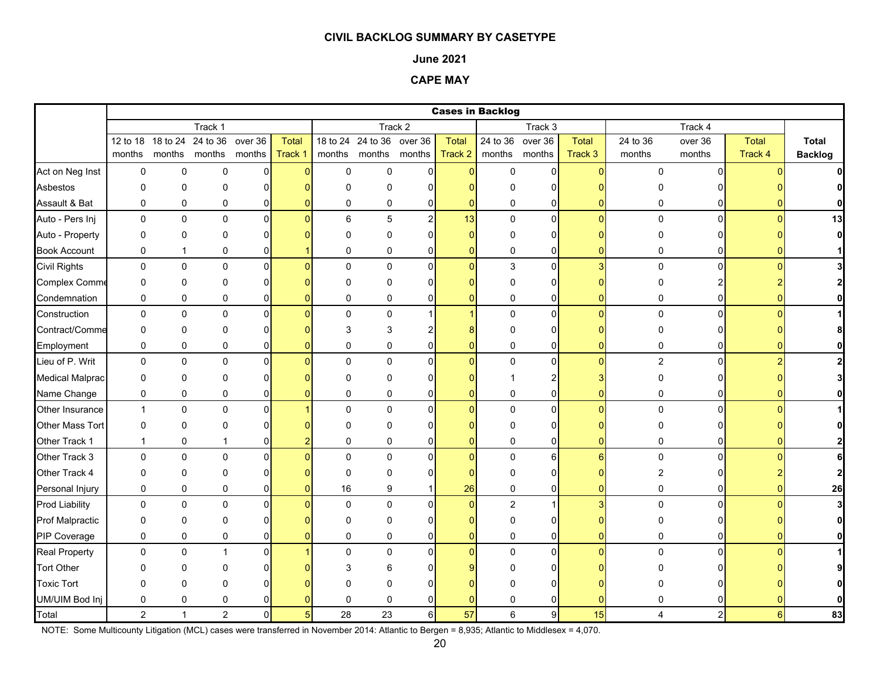#### **June 2021**

### **CAPE MAY**

|                        |                |              |                      |                |                |              |                           |                |                | <b>Cases in Backlog</b> |                  |                    |                |                |              |                |
|------------------------|----------------|--------------|----------------------|----------------|----------------|--------------|---------------------------|----------------|----------------|-------------------------|------------------|--------------------|----------------|----------------|--------------|----------------|
|                        |                |              | Track 1              |                |                |              |                           | Track 2        |                |                         | Track 3          |                    |                | Track 4        |              |                |
|                        | 12 to 18       | 18 to 24     | 24 to 36             | over 36        | <b>Total</b>   |              | 18 to 24 24 to 36 over 36 |                | <b>Total</b>   |                         | 24 to 36 over 36 | Total              | 24 to 36       | over 36        | <b>Total</b> | Total          |
|                        | months         |              | months months months |                | Track 1        |              | months months months      |                | Track 2        | months months           |                  | Track <sub>3</sub> | months         | months         | Track 4      | <b>Backlog</b> |
| Act on Neg Inst        | $\pmb{0}$      | $\pmb{0}$    | $\mathbf 0$          | $\overline{0}$ | $\Omega$       | $\mathsf 0$  | 0                         | $\Omega$       | $\Omega$       | 0                       | $\mathbf 0$      | $\mathbf{0}$       | $\Omega$       | $\mathbf{0}$   |              |                |
| Asbestos               | $\Omega$       | $\mathbf 0$  | $\mathbf{0}$         | $\Omega$       |                | $\Omega$     | 0                         |                |                | O                       | 0                |                    | n              |                |              |                |
| Assault & Bat          | 0              | 0            | 0                    | $\overline{0}$ |                | 0            | 0                         | $\Omega$       |                | 0                       | 0                |                    | 0              | 0              |              | $\mathbf{0}$   |
| Auto - Pers Inj        | 0              | $\mathbf 0$  | $\mathbf 0$          | $\Omega$       | $\Omega$       | 6            | 5                         | 2 <sup>1</sup> | 13             | $\mathbf 0$             | $\overline{0}$   | $\Omega$           | $\Omega$       | $\Omega$       |              | 13             |
| Auto - Property        | 0              | $\mathbf 0$  | $\mathbf{0}$         | $\Omega$       |                | $\Omega$     | 0                         | n              |                | O                       | 0                |                    | 0              |                |              | $\mathbf 0$    |
| <b>Book Account</b>    | $\mathbf 0$    | $\mathbf{1}$ | 0                    | $\Omega$       |                | $\mathbf 0$  | 0                         | $\mathbf{0}$   |                | 0                       | 0                | 0                  | 0              |                |              |                |
| <b>Civil Rights</b>    | 0              | $\pmb{0}$    | $\pmb{0}$            | $\Omega$       | n              | $\mathbf{0}$ | 0                         | $\Omega$       | $\Omega$       | 3                       | $\mathbf 0$      | 3 <sup>l</sup>     | $\mathbf 0$    | $\Omega$       |              |                |
| Complex Comme          | 0              | 0            | 0                    | $\Omega$       |                | $\Omega$     | 0                         | 0              |                | $\Omega$                | $\Omega$         |                    | $\Omega$       |                |              |                |
| Condemnation           | 0              | 0            | 0                    | $\overline{0}$ |                | 0            | 0                         | 0              |                | 0                       | 0                | ŋ                  | 0              | 0              |              |                |
| Construction           | 0              | $\pmb{0}$    | $\pmb{0}$            | $\mathbf 0$    |                | $\mathbf 0$  | 0                         |                |                | $\pmb{0}$               | $\pmb{0}$        | $\Omega$           | 0              | $\Omega$       |              |                |
| Contract/Comme         | $\mathbf 0$    | $\mathbf 0$  | $\Omega$             | $\Omega$       |                | 3            | 3                         |                |                | $\Omega$                | $\Omega$         |                    | O              |                |              |                |
| Employment             | 0              | $\pmb{0}$    | 0                    | $\Omega$       |                | $\mathbf{0}$ | 0                         | 0              |                | 0                       | 0                |                    | 0              |                |              |                |
| Lieu of P. Writ        | 0              | $\pmb{0}$    | $\pmb{0}$            | $\Omega$       |                | $\mathbf{0}$ | $\mathbf 0$               | $\Omega$       | $\Omega$       | $\mathbf 0$             | $\pmb{0}$        | O                  | $\overline{2}$ | $\Omega$       |              |                |
| <b>Medical Malprac</b> | 0              | $\mathbf 0$  | $\mathbf{0}$         | $\Omega$       |                | $\Omega$     | 0                         | n              |                |                         | 2                |                    | 0              |                |              |                |
| Name Change            | 0              | $\pmb{0}$    | 0                    | $\overline{0}$ |                | 0            | 0                         | $\Omega$       |                | 0                       | $\pmb{0}$        |                    | 0              | 0              |              |                |
| Other Insurance        | $\mathbf{1}$   | $\mathbf 0$  | $\mathbf 0$          | $\Omega$       |                | $\mathbf{0}$ | $\mathbf 0$               | $\Omega$       | $\Omega$       | 0                       | $\mathbf 0$      | O                  | $\mathbf 0$    | $\Omega$       |              |                |
| Other Mass Tort        | 0              | $\pmb{0}$    | $\mathbf{0}$         | $\Omega$       |                | $\Omega$     | 0                         |                |                | $\Omega$                | 0                |                    | 0              |                |              |                |
| Other Track 1          | $\mathbf{1}$   | $\pmb{0}$    | 1                    | $\overline{0}$ |                | $\mathbf 0$  | 0                         | $\Omega$       |                | 0                       | $\pmb{0}$        | ŋ                  | 0              |                |              |                |
| Other Track 3          | $\Omega$       | $\pmb{0}$    | $\Omega$             | $\Omega$       |                | $\Omega$     | $\mathbf 0$               | 0              | $\Omega$       | $\mathbf 0$             | 6                | 6                  | $\Omega$       | 0              |              | 6              |
| Other Track 4          | 0              | 0            | 0                    | 0              |                | $\Omega$     | 0                         | n              |                | 0                       | 0                |                    | 2              |                |              | $\mathbf 2$    |
| Personal Injury        | 0              | $\pmb{0}$    | $\pmb{0}$            | $\overline{0}$ |                | 16           | 9                         |                | 26             | $\pmb{0}$               | $\pmb{0}$        | 0                  | 0              |                |              | 26             |
| <b>Prod Liability</b>  | 0              | $\pmb{0}$    | $\pmb{0}$            | $\mathbf 0$    |                | $\mathbf 0$  | 0                         | <sup>n</sup>   | $\mathbf{0}$   | $\overline{c}$          | $\overline{1}$   |                    | 0              | $\Omega$       |              | 3              |
| <b>Prof Malpractic</b> | 0              | $\pmb{0}$    | 0                    | $\Omega$       |                | $\Omega$     | 0                         | n              |                | $\Omega$                | 0                |                    | 0              |                |              | $\mathbf{0}$   |
| PIP Coverage           | $\mathbf 0$    | $\mathbf 0$  | $\mathbf 0$          | $\Omega$       |                | $\mathbf{0}$ | 0                         | 0              | 0              | 0                       | 0                | O                  | $\mathbf 0$    | 0              |              | $\bf{0}$       |
| <b>Real Property</b>   | $\pmb{0}$      | $\pmb{0}$    | $\overline{1}$       | $\overline{0}$ |                | $\mathbf{0}$ | 0                         | $\Omega$       | $\overline{0}$ | $\mathbf 0$             | $\mathbf 0$      | $\Omega$           | $\mathbf{0}$   | $\Omega$       |              |                |
| <b>Tort Other</b>      | O              | $\mathbf{0}$ | ∩                    | 0              |                | 3            | 6                         |                |                |                         | $\Omega$         |                    |                |                |              |                |
| <b>Toxic Tort</b>      | $\Omega$       | $\mathbf 0$  | $\mathbf{0}$         | U              |                | n            | 0                         |                |                |                         | U                |                    |                |                |              |                |
| UM/UIM Bod Inj         | 0              | 0            | 0                    | $\Omega$       |                | $\Omega$     | 0                         |                |                | 0                       | 0                |                    | 0              |                |              |                |
| Total                  | $\overline{2}$ | $\mathbf{1}$ | $\overline{2}$       | $\Omega$       | 5 <sub>1</sub> | 28           | 23                        | 6              | 57             | 6                       | $\overline{9}$   | 15                 | 4              | $\overline{2}$ |              | 83             |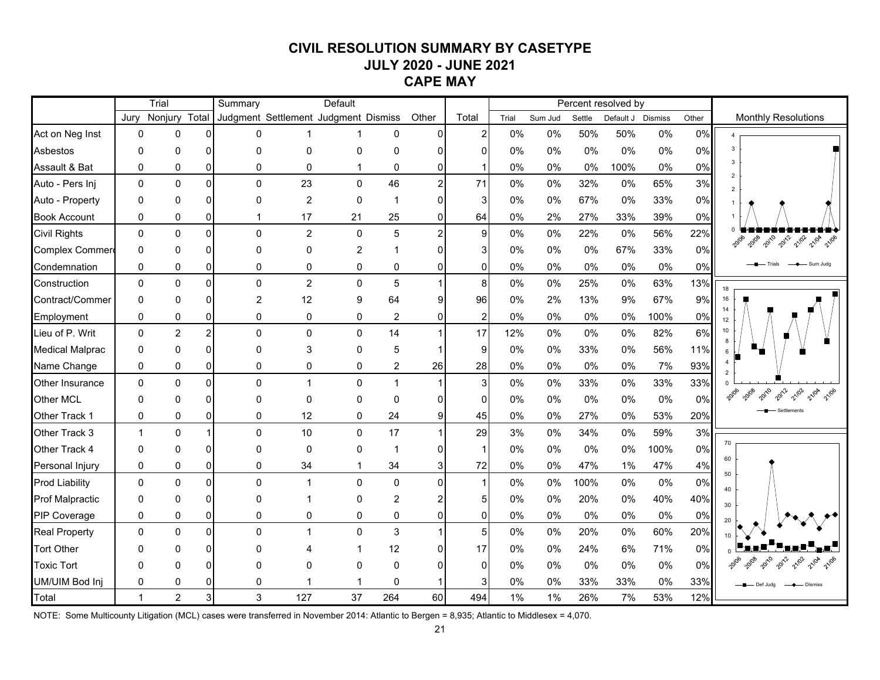# **CIVIL RESOLUTION SUMMARY BY CASETYPE JULY 2020 - JUNE 2021 CAPE MAY**

|                        |              | Trial          |                | Summary                              |                | Default  |                |                |                |       |         |        | Percent resolved by |         |       |                                         |
|------------------------|--------------|----------------|----------------|--------------------------------------|----------------|----------|----------------|----------------|----------------|-------|---------|--------|---------------------|---------|-------|-----------------------------------------|
|                        | Jury         | Nonjury        | Total          | Judgment Settlement Judgment Dismiss |                |          |                | Other          | Total          | Trial | Sum Jud | Settle | Default J           | Dismiss | Other | <b>Monthly Resolutions</b>              |
| Act on Neg Inst        | $\mathbf 0$  | 0              | $\Omega$       | U                                    |                |          | 0              | $\Omega$       |                | 0%    | 0%      | 50%    | 50%                 | 0%      | 0%    |                                         |
| <b>Asbestos</b>        | $\Omega$     | 0              | ∩              | $\Omega$                             | $\mathbf{0}$   | 0        | $\Omega$       |                |                | 0%    | 0%      | 0%     | 0%                  | 0%      | 0%    | 3                                       |
| Assault & Bat          | $\mathbf{0}$ | 0              | 0              | $\Omega$                             | $\mathbf{0}$   | 1        | 0              |                |                | 0%    | 0%      | 0%     | 100%                | 0%      | 0%    | 3                                       |
| Auto - Pers Inj        | $\mathbf{0}$ | $\Omega$       | $\Omega$       | $\Omega$                             | 23             | 0        | 46             | $\overline{2}$ | 71             | 0%    | 0%      | 32%    | 0%                  | 65%     | 3%    |                                         |
| Auto - Property        | $\mathbf{0}$ | 0              | 0              | U                                    | $\overline{2}$ | 0        | $\mathbf 1$    | 0              |                | 0%    | 0%      | 67%    | 0%                  | 33%     | 0%    |                                         |
| <b>Book Account</b>    | 0            | 0              | 0              |                                      | 17             | 21       | 25             | 0              | 64             | 0%    | 2%      | 27%    | 33%                 | 39%     | 0%    |                                         |
| <b>Civil Rights</b>    | $\Omega$     | $\Omega$       | $\Omega$       | $\Omega$                             | $\overline{c}$ | $\Omega$ | 5              | $\overline{2}$ | 9              | 0%    | 0%      | 22%    | 0%                  | 56%     | 22%   | 2012<br>20108<br>2010<br>21/02<br>21/04 |
| Complex Commer         | 0            | $\Omega$       | ∩              |                                      | 0              | 2        |                |                |                | 0%    | 0%      | 0%     | 67%                 | 33%     | 0%    |                                         |
| Condemnation           | 0            | 0              | 0              | 0                                    | 0              | 0        | 0              |                | 0              | 0%    | 0%      | 0%     | $0\%$               | 0%      | 0%    | Sum Juda<br>Trials                      |
| Construction           | 0            | 0              | $\mathbf 0$    | $\Omega$                             | $\overline{c}$ | 0        | 5              |                | 8              | 0%    | 0%      | 25%    | 0%                  | 63%     | 13%   | 18                                      |
| Contract/Commer        | 0            | 0              | $\Omega$       | $\overline{2}$                       | 12             | 9        | 64             | 9              | 96             | 0%    | 2%      | 13%    | 9%                  | 67%     | 9%    | 16                                      |
| Employment             | 0            | 0              | 0              | 0                                    | $\mathbf 0$    | 0        | 2              | $\overline{0}$ | $\overline{2}$ | 0%    | 0%      | 0%     | $0\%$               | 100%    | 0%    | 12                                      |
| Lieu of P. Writ        | $\mathbf 0$  | $\overline{c}$ | $\overline{2}$ | $\Omega$                             | $\mathbf 0$    | 0        | 14             |                | 17             | 12%   | 0%      | 0%     | 0%                  | 82%     | 6%    | 10 <sub>1</sub>                         |
| <b>Medical Malprac</b> | 0            | 0              |                | $\Omega$                             | 3              | 0        | 5              |                | 9              | 0%    | 0%      | 33%    | $0\%$               | 56%     | 11%   | $6^{\circ}$                             |
| Name Change            | 0            | 0              | 0              | 0                                    | 0              | 0        | $\overline{c}$ | 26             | 28             | 0%    | 0%      | 0%     | 0%                  | 7%      | 93%   |                                         |
| <b>Other Insurance</b> | $\mathbf 0$  | $\mathbf 0$    | $\Omega$       | $\Omega$                             | $\mathbf{1}$   | 0        | $\mathbf{1}$   |                | 3              | 0%    | 0%      | 33%    | 0%                  | 33%     | 33%   |                                         |
| Other MCL              | $\Omega$     | 0              | ∩              | n                                    | $\mathbf 0$    | 0        | $\mathbf 0$    |                | $\Omega$       | 0%    | 0%      | $0\%$  | 0%                  | 0%      | 0%    | 2010<br>2012<br>21/02<br>20108<br>21/04 |
| Other Track 1          | 0            | 0              | 0              | 0                                    | 12             | 0        | 24             | $9 \mid$       | 45             | 0%    | 0%      | 27%    | 0%                  | 53%     | 20%   | Settlements                             |
| Other Track 3          | $\mathbf{1}$ | $\mathbf{0}$   |                | $\Omega$                             | 10             | 0        | 17             |                | 29             | 3%    | 0%      | 34%    | 0%                  | 59%     | 3%    |                                         |
| Other Track 4          | 0            | 0              | O              |                                      | $\mathbf 0$    | 0        | $\mathbf 1$    | 0              |                | 0%    | 0%      | 0%     | 0%                  | 100%    | 0%    | 70                                      |
| Personal Injury        | $\pmb{0}$    | 0              | 0              | 0                                    | 34             | 1        | 34             | 3              | 72             | 0%    | 0%      | 47%    | 1%                  | 47%     | 4%    | 60<br>50                                |
| <b>Prod Liability</b>  | $\Omega$     | 0              | $\Omega$       | $\Omega$                             | $\mathbf{1}$   | 0        | $\Omega$       | $\Omega$       |                | 0%    | 0%      | 100%   | 0%                  | 0%      | 0%    | 40                                      |
| <b>Prof Malpractic</b> | 0            | 0              | ŋ              | U                                    |                | 0        | $\overline{c}$ |                |                | 0%    | 0%      | 20%    | 0%                  | 40%     | 40%   | 30                                      |
| <b>PIP Coverage</b>    | 0            | 0              | 0              | 0                                    | 0              | 0        | 0              | 0              | $\mathbf{0}$   | 0%    | 0%      | 0%     | $0\%$               | 0%      | 0%    | 20                                      |
| <b>Real Property</b>   | $\mathbf 0$  | 0              | $\Omega$       | $\Omega$                             | $\mathbf{1}$   | 0        | 3              |                | 5              | 0%    | 0%      | 20%    | $0\%$               | 60%     | 20%   |                                         |
| <b>Tort Other</b>      | O            | ი              |                |                                      |                |          | 12             |                | 17             | 0%    | 0%      | 24%    | 6%                  | 71%     | 0%    |                                         |
| <b>Toxic Tort</b>      | O            | n              |                |                                      | $\Omega$       | U        | O              |                | O              | 0%    | 0%      | $0\%$  | $0\%$               | 0%      | 0%    |                                         |
| UM/UIM Bod Inj         | 0            | 0              |                | 0                                    |                |          | 0              |                |                | 0%    | 0%      | 33%    | 33%                 | 0%      | 33%   | Def Juda<br>- Dismiss                   |
| Total                  | $\mathbf{1}$ | $\overline{2}$ |                | 3                                    | 127            | 37       | 264            | 60             | 494            | 1%    | 1%      | 26%    | 7%                  | 53%     | 12%   |                                         |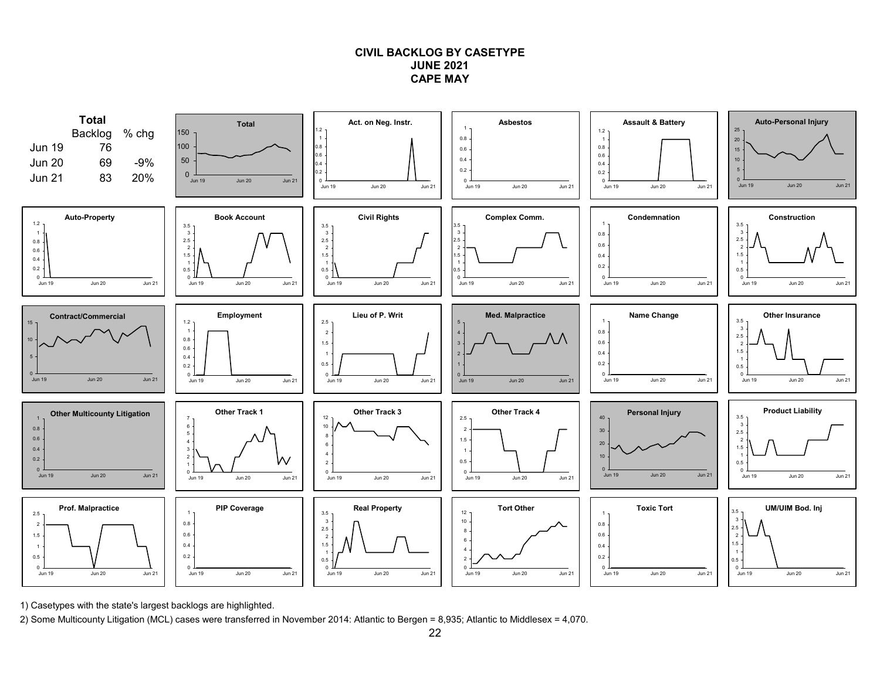### **CIVIL BACKLOG BY CASETYPEJUNE 2021CAPE MAY**



1) Casetypes with the state's largest backlogs are highlighted.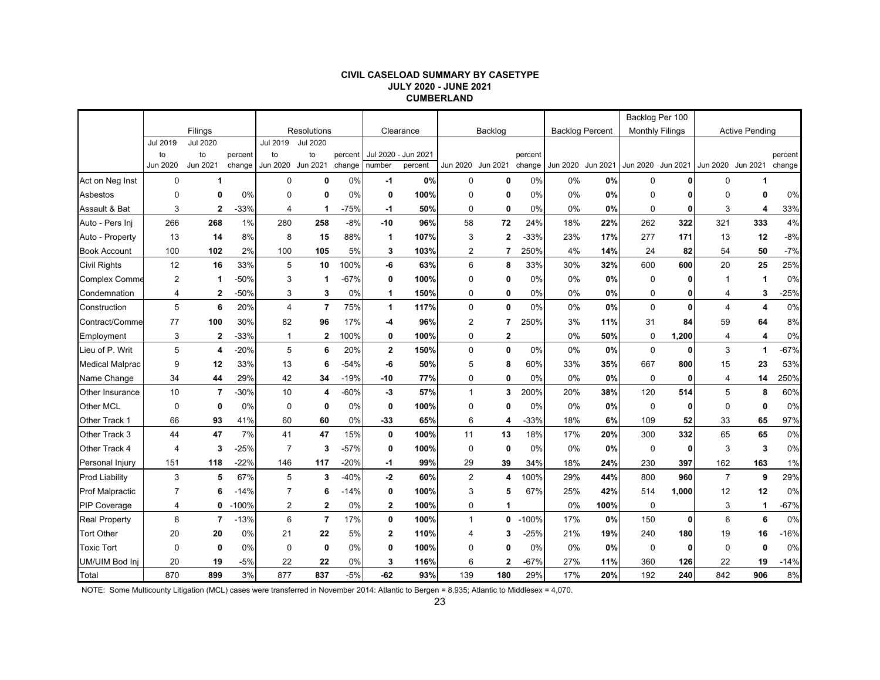#### **CIVIL CASELOAD SUMMARY BY CASETYPE JULY 2020 - JUNE 2021 CUMBERLAND**

|                        |                 |                 |         |                |                 |         |              |           |                |                |         |                        |      | Backlog Per 100                     |              |                   |                       |         |
|------------------------|-----------------|-----------------|---------|----------------|-----------------|---------|--------------|-----------|----------------|----------------|---------|------------------------|------|-------------------------------------|--------------|-------------------|-----------------------|---------|
|                        |                 | Filings         |         |                | Resolutions     |         |              | Clearance |                | Backlog        |         | <b>Backlog Percent</b> |      | <b>Monthly Filings</b>              |              |                   | <b>Active Pending</b> |         |
|                        | <b>Jul 2019</b> | <b>Jul 2020</b> |         | Jul 2019       | <b>Jul 2020</b> |         |              |           |                |                |         |                        |      |                                     |              |                   |                       |         |
|                        | to              | to<br>Jun 2021  | percent | to<br>Jun 2020 | to<br>Jun 2021  | percent | Jul 2020 -   | Jun 2021  |                |                | percent |                        |      |                                     |              |                   |                       | percent |
|                        | Jun 2020        |                 | change  |                |                 | change  | number       | percent   | Jun 2020       | Jun 2021       | change  |                        |      | Jun 2020 Jun 2021 Jun 2020 Jun 2021 |              | Jun 2020 Jun 2021 |                       | change  |
| Act on Neg Inst        | 0               | 1               |         | $\Omega$       | 0               | 0%      | -1           | 0%        | $\mathbf 0$    | $\mathbf 0$    | 0%      | 0%                     | 0%   | 0                                   |              | 0                 | 1                     |         |
| Asbestos               | $\mathbf 0$     | 0               | 0%      | $\Omega$       | 0               | 0%      | 0            | 100%      | 0              | 0              | 0%      | 0%                     | 0%   | 0                                   |              | $\mathbf 0$       | 0                     | 0%      |
| Assault & Bat          | 3               | $\mathbf{2}$    | $-33%$  | 4              | $\mathbf 1$     | $-75%$  | $-1$         | 50%       | 0              | $\mathbf 0$    | 0%      | 0%                     | 0%   | $\mathbf 0$                         | 0            | 3                 | 4                     | 33%     |
| Auto - Pers Inj        | 266             | 268             | 1%      | 280            | 258             | $-8%$   | $-10$        | 96%       | 58             | 72             | 24%     | 18%                    | 22%  | 262                                 | 322          | 321               | 333                   | 4%      |
| Auto - Property        | 13              | 14              | 8%      | 8              | 15              | 88%     | 1            | 107%      | 3              | $\overline{2}$ | -33%    | 23%                    | 17%  | 277                                 | 171          | 13                | 12                    | $-8%$   |
| <b>Book Account</b>    | 100             | 102             | 2%      | 100            | 105             | 5%      | 3            | 103%      | 2              | 7              | 250%    | 4%                     | 14%  | 24                                  | 82           | 54                | 50                    | $-7%$   |
| <b>Civil Rights</b>    | 12              | 16              | 33%     | 5              | 10              | 100%    | -6           | 63%       | 6              | 8              | 33%     | 30%                    | 32%  | 600                                 | 600          | 20                | 25                    | 25%     |
| Complex Comme          | $\overline{2}$  | $\mathbf 1$     | $-50%$  | 3              | -1              | $-67%$  | 0            | 100%      | $\Omega$       | 0              | 0%      | 0%                     | 0%   | 0                                   | 0            | -1                | 1                     | 0%      |
| Condemnation           | 4               | $\mathbf{2}$    | -50%    | 3              | 3               | 0%      | 1            | 150%      | 0              | 0              | 0%      | 0%                     | 0%   | 0                                   | 0            | 4                 | 3                     | $-25%$  |
| Construction           | 5               | 6               | 20%     | $\overline{4}$ | $\overline{7}$  | 75%     | $\mathbf{1}$ | 117%      | $\mathbf 0$    | $\mathbf 0$    | 0%      | 0%                     | 0%   | $\mathbf 0$                         | $\mathbf{0}$ | $\overline{4}$    | 4                     | 0%      |
| Contract/Comme         | 77              | 100             | 30%     | 82             | 96              | 17%     | -4           | 96%       | $\overline{2}$ | $\overline{7}$ | 250%    | 3%                     | 11%  | 31                                  | 84           | 59                | 64                    | $8\%$   |
| Employment             | 3               | $\mathbf{2}$    | $-33%$  | 1              | $\overline{2}$  | 100%    | 0            | 100%      | $\mathbf 0$    | $\overline{2}$ |         | 0%                     | 50%  | $\mathbf 0$                         | 1,200        | $\overline{4}$    | 4                     | 0%      |
| Lieu of P. Writ        | 5               | 4               | $-20%$  | 5              | 6               | 20%     | $\mathbf 2$  | 150%      | $\mathbf 0$    | $\mathbf 0$    | 0%      | 0%                     | 0%   | $\mathbf 0$                         | 0            | 3                 | 1                     | $-67%$  |
| <b>Medical Malprac</b> | 9               | 12              | 33%     | 13             | 6               | $-54%$  | -6           | 50%       | 5              | 8              | 60%     | 33%                    | 35%  | 667                                 | 800          | 15                | 23                    | 53%     |
| Name Change            | 34              | 44              | 29%     | 42             | 34              | $-19%$  | -10          | 77%       | 0              | $\mathbf 0$    | 0%      | 0%                     | 0%   | 0                                   | 0            | $\overline{4}$    | 14                    | 250%    |
| Other Insurance        | 10              | $\overline{7}$  | $-30%$  | 10             | 4               | $-60%$  | $-3$         | 57%       | $\mathbf{1}$   | 3              | 200%    | 20%                    | 38%  | 120                                 | 514          | 5                 | 8                     | 60%     |
| Other MCL              | $\mathbf 0$     | $\mathbf 0$     | 0%      | $\Omega$       | $\mathbf 0$     | 0%      | 0            | 100%      | $\mathbf 0$    | $\mathbf{0}$   | 0%      | 0%                     | 0%   | $\Omega$                            | 0            | $\Omega$          | $\mathbf{0}$          | 0%      |
| Other Track 1          | 66              | 93              | 41%     | 60             | 60              | 0%      | $-33$        | 65%       | 6              | 4              | -33%    | 18%                    | 6%   | 109                                 | 52           | 33                | 65                    | 97%     |
| Other Track 3          | 44              | 47              | 7%      | 41             | 47              | 15%     | 0            | 100%      | 11             | 13             | 18%     | 17%                    | 20%  | 300                                 | 332          | 65                | 65                    | 0%      |
| Other Track 4          | 4               | 3               | $-25%$  | $\overline{7}$ | 3               | $-57%$  | 0            | 100%      | 0              | 0              | 0%      | 0%                     | 0%   | 0                                   | 0            | 3                 | 3                     | 0%      |
| Personal Injury        | 151             | 118             | $-22%$  | 146            | 117             | $-20%$  | $-1$         | 99%       | 29             | 39             | 34%     | 18%                    | 24%  | 230                                 | 397          | 162               | 163                   | 1%      |
| <b>Prod Liability</b>  | 3               | 5               | 67%     | 5              | 3               | $-40%$  | $-2$         | 60%       | $\overline{2}$ | 4              | 100%    | 29%                    | 44%  | 800                                 | 960          | $\overline{7}$    | 9                     | 29%     |
| <b>Prof Malpractic</b> | $\overline{7}$  | 6               | $-14%$  | $\overline{7}$ | 6               | $-14%$  | 0            | 100%      | 3              | 5              | 67%     | 25%                    | 42%  | 514                                 | 1,000        | 12                | 12                    | 0%      |
| <b>PIP Coverage</b>    | 4               | 0               | $-100%$ | 2              | $\mathbf{2}$    | 0%      | 2            | 100%      | 0              | 1              |         | 0%                     | 100% | 0                                   |              | 3                 | 1                     | $-67%$  |
| <b>Real Property</b>   | 8               | $\overline{7}$  | $-13%$  | 6              | $\overline{7}$  | 17%     | 0            | 100%      | $\mathbf{1}$   | 0              | $-100%$ | 17%                    | 0%   | 150                                 | $\mathbf{0}$ | 6                 | 6                     | 0%      |
| <b>Tort Other</b>      | 20              | 20              | 0%      | 21             | 22              | 5%      | $\mathbf 2$  | 110%      | 4              | 3              | $-25%$  | 21%                    | 19%  | 240                                 | 180          | 19                | 16                    | $-16%$  |
| <b>Toxic Tort</b>      | $\mathbf 0$     | $\mathbf 0$     | 0%      | $\mathbf 0$    | 0               | 0%      | 0            | 100%      | $\Omega$       | $\mathbf{0}$   | 0%      | 0%                     | 0%   | 0                                   | 0            | $\mathbf 0$       | $\mathbf{0}$          | 0%      |
| UM/UIM Bod Inj         | 20              | 19              | $-5%$   | 22             | 22              | 0%      | 3            | 116%      | 6              | 2              | $-67%$  | 27%                    | 11%  | 360                                 | 126          | 22                | 19                    | $-14%$  |
| Total                  | 870             | 899             | 3%      | 877            | 837             | $-5%$   | -62          | 93%       | 139            | 180            | 29%     | 17%                    | 20%  | 192                                 | 240          | 842               | 906                   | 8%      |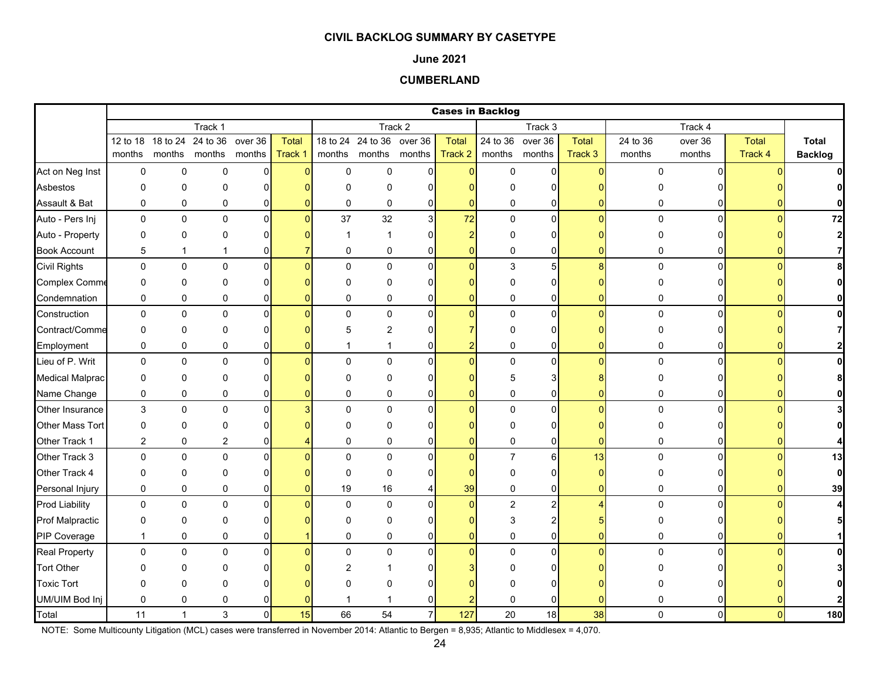### **June 2021**

### **CUMBERLAND**

|                        |                |              |                                    |                |              |              |                           |                |                | <b>Cases in Backlog</b> |                  |                |             |          |              |                |
|------------------------|----------------|--------------|------------------------------------|----------------|--------------|--------------|---------------------------|----------------|----------------|-------------------------|------------------|----------------|-------------|----------|--------------|----------------|
|                        |                |              | Track 1                            |                |              |              |                           | Track 2        |                |                         | Track 3          |                |             | Track 4  |              |                |
|                        |                |              | 12 to 18 18 to 24 24 to 36 over 36 |                | <b>Total</b> |              | 18 to 24 24 to 36 over 36 |                | <b>Total</b>   |                         | 24 to 36 over 36 | <b>Total</b>   | 24 to 36    | over 36  | <b>Total</b> | <b>Total</b>   |
|                        | months         |              | months months months               |                | Track 1      |              | months months months      |                | Track 2        |                         | months months    | Track 3        | months      | months   | Track 4      | <b>Backlog</b> |
| Act on Neg Inst        | 0              | 0            | $\mathbf 0$                        | $\mathbf 0$    |              | $\pmb{0}$    | $\mathbf 0$               | $\overline{0}$ | $\mathbf{0}$   | 0                       | $\mathbf{0}$     | $\Omega$       | $\Omega$    | $\Omega$ |              | $\mathbf{0}$   |
| Asbestos               | 0              | 0            | $\Omega$                           | 0              |              | $\Omega$     | $\Omega$                  | n              |                | n                       | 0                |                |             |          |              |                |
| Assault & Bat          | 0              | 0            | 0                                  | 0              |              | 0            | 0                         | 0              | $\mathbf{0}$   | 0                       | 0                |                | 0           |          |              |                |
| Auto - Pers Inj        | $\mathbf 0$    | 0            | 0                                  | $\overline{0}$ |              | 37           | 32                        | 3 <sup>1</sup> | 72             | $\mathbf 0$             | $\mathbf{0}$     | $\Omega$       | $\Omega$    | $\Omega$ |              | 72             |
| Auto - Property        | 0              | 0            | $\Omega$                           | 0              |              | -1           |                           | $\Omega$       | $\overline{2}$ | n                       | $\Omega$         |                |             |          |              | $\mathbf{2}$   |
| <b>Book Account</b>    | 5              | $\mathbf{1}$ | 1                                  | 0              |              | $\mathbf{0}$ | $\mathbf 0$               | $\mathbf 0$    | $\overline{0}$ | 0                       | 0                | U              | 0           |          |              |                |
| <b>Civil Rights</b>    | $\mathbf 0$    | 0            | $\pmb{0}$                          | 0              |              | $\Omega$     | $\Omega$                  | $\Omega$       | $\Omega$       | 3                       | 5                | 8              | $\pmb{0}$   | $\Omega$ |              |                |
| Complex Comme          | 0              | 0            | $\Omega$                           | 0              |              | $\Omega$     | 0                         | $\Omega$       | n              | N                       | 0                |                |             |          |              |                |
| Condemnation           | 0              | 0            | 0                                  | 0              |              | 0            | $\mathbf 0$               | $\mathbf 0$    | $\Omega$       | 0                       | $\overline{0}$   | ŋ              | 0           | 0        |              |                |
| Construction           | 0              | 0            | $\mathbf 0$                        | 0              |              | $\Omega$     | $\pmb{0}$                 | $\Omega$       | $\mathbf{0}$   | $\mathbf 0$             | $\mathbf{0}$     | O              | $\mathbf 0$ | $\Omega$ |              |                |
| Contract/Comme         | 0              | 0            | 0                                  | 0              |              | 5            | 2                         | O              |                | $\Omega$                | 0                |                |             |          |              |                |
| Employment             | 0              | 0            | 0                                  | 0              |              |              |                           | 0              | 2              | 0                       | 0                |                | 0           |          |              |                |
| Lieu of P. Writ        | 0              | 0            | $\pmb{0}$                          | 0              |              | $\Omega$     | $\mathbf 0$               | $\Omega$       | $\Omega$       | 0                       | $\overline{0}$   |                | $\pmb{0}$   | $\Omega$ |              |                |
| <b>Medical Malprac</b> | 0              | $\Omega$     | $\Omega$                           | 0              |              | n            | O                         | $\Omega$       |                | 5                       | 3                |                |             |          |              |                |
| Name Change            | 0              | 0            | 0                                  | 0              |              | $\mathbf 0$  | 0                         | 0              | $\Omega$       | 0                       | $\overline{0}$   | 0              | 0           | 0        |              |                |
| Other Insurance        | 3              | 0            | $\mathbf 0$                        | $\mathbf 0$    |              | $\Omega$     | $\mathbf 0$               | $\Omega$       | $\Omega$       | $\mathbf 0$             | $\overline{0}$   | n              | $\Omega$    | $\Omega$ |              |                |
| <b>Other Mass Tort</b> | 0              | 0            | $\Omega$                           | 0              |              | O            | 0                         |                |                | $\Omega$                | 0                |                |             |          |              |                |
| Other Track 1          | $\overline{2}$ | 0            | 2                                  | 0              |              | $\Omega$     | $\mathbf 0$               | 0              | 0              | 0                       | 0                | ŋ              | 0           |          |              |                |
| Other Track 3          | $\mathbf 0$    | 0            | $\pmb{0}$                          | 0              |              | $\Omega$     | $\Omega$                  | $\Omega$       | $\Omega$       | $\overline{7}$          | $6 \mid$         | 13             | $\mathbf 0$ | 0        |              | 13             |
| Other Track 4          | 0              | 0            | 0                                  | 0              |              | $\Omega$     | $\mathbf 0$               | $\Omega$       | O              | 0                       | 0                | n              | O           |          |              | $\mathbf{0}$   |
| Personal Injury        | $\mathbf 0$    | 0            | $\mathbf 0$                        | $\overline{0}$ |              | 19           | 16                        | 4              | 39             | 0                       | $\overline{0}$   | $\overline{0}$ | 0           |          |              | 39             |
| <b>Prod Liability</b>  | 0              | 0            | 0                                  | $\pmb{0}$      |              | $\mathbf 0$  | 0                         | $\Omega$       | $\mathbf{0}$   | $\overline{a}$          | $\overline{a}$   |                | $\mathbf 0$ | $\Omega$ |              |                |
| <b>Prof Malpractic</b> | 0              | 0            | 0                                  | 0              |              | $\Omega$     | 0                         | O              | O              | 3                       | 2                |                |             |          |              |                |
| PIP Coverage           | $\overline{1}$ | 0            | $\mathbf 0$                        | 0              |              | $\Omega$     | $\mathbf 0$               | $\Omega$       | $\Omega$       | $\mathbf 0$             | $\mathbf{0}$     |                | $\Omega$    |          |              |                |
| <b>Real Property</b>   | 0              | 0            | $\pmb{0}$                          | $\mathbf 0$    |              | $\mathbf{0}$ | 0                         | $\Omega$       | $\mathbf{0}$   | $\overline{0}$          | $\mathsf{O}$     | n              | $\Omega$    | $\Omega$ |              |                |
| <b>Tort Other</b>      | O              | 0            | O                                  | ŋ              |              | 2            |                           |                |                |                         | $\Omega$         |                |             |          |              |                |
| <b>Toxic Tort</b>      | U              | 0            | $\Omega$                           |                |              |              | U                         | ∩              |                |                         | U                |                |             |          |              |                |
| UM/UIM Bod Inj         | 0              | 0            | 0                                  |                |              |              |                           | $\Omega$       |                | $\Omega$                | 0                |                |             |          |              |                |
| Total                  | 11             | $\mathbf{1}$ | 3                                  | $\mathbf 0$    | 15           | 66           | 54                        | $\overline{7}$ | 127            | 20                      | 18               | 38             | $\Omega$    | $\Omega$ |              | 180            |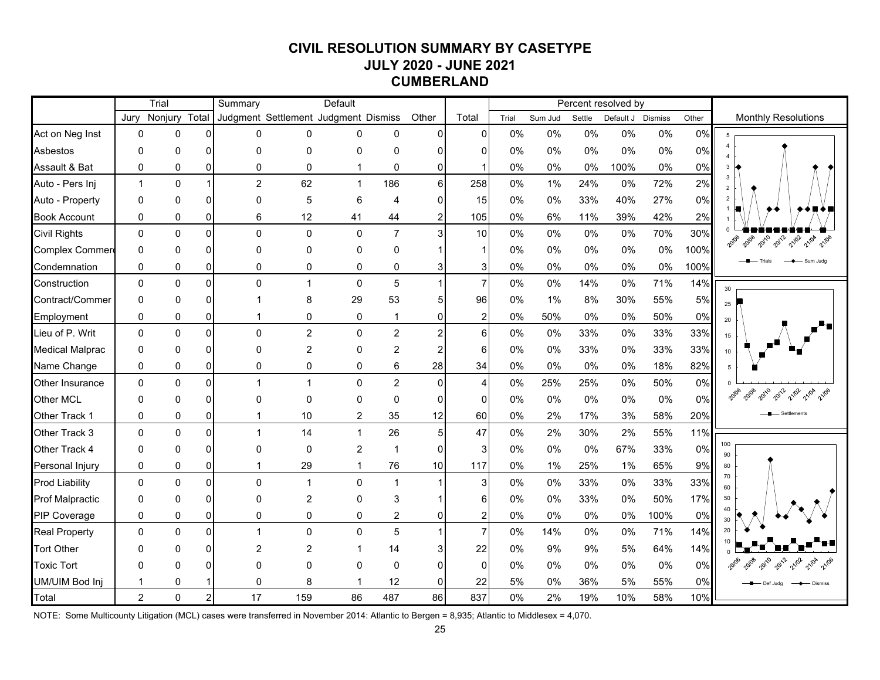# **CIVIL RESOLUTION SUMMARY BY CASETYPE JULY 2020 - JUNE 2021 CUMBERLAND**

|                        |                | Trial        |                | Summary                              |                | Default        |                         |                |                |       |         |        | Percent resolved by |         |       |                               |
|------------------------|----------------|--------------|----------------|--------------------------------------|----------------|----------------|-------------------------|----------------|----------------|-------|---------|--------|---------------------|---------|-------|-------------------------------|
|                        | Jury           | Nonjury      | Total          | Judgment Settlement Judgment Dismiss |                |                |                         | Other          | Total          | Trial | Sum Jud | Settle | Default J           | Dismiss | Other | <b>Monthly Resolutions</b>    |
| Act on Neg Inst        | $\mathbf{0}$   | 0            | $\Omega$       | 0                                    | 0              | $\Omega$       | 0                       | 0              | $\mathbf{0}$   | 0%    | 0%      | 0%     | 0%                  | 0%      | 0%    | -5                            |
| Asbestos               | $\Omega$       | 0            | $\Omega$       | $\Omega$                             | $\mathbf 0$    | 0              | $\Omega$                | ი              |                | 0%    | 0%      | 0%     | 0%                  | 0%      | 0%    |                               |
| Assault & Bat          | $\mathbf 0$    | $\mathbf 0$  | $\Omega$       | $\Omega$                             | 0              | $\mathbf{1}$   | 0                       | 0              |                | 0%    | 0%      | 0%     | 100%                | 0%      | 0%    |                               |
| Auto - Pers Inj        | $\mathbf{1}$   | $\mathbf 0$  |                | $\overline{2}$                       | 62             | $\mathbf{1}$   | 186                     | 6 <sup>1</sup> | 258            | $0\%$ | 1%      | 24%    | 0%                  | 72%     | 2%    | $\mathbf{3}$<br>$\mathcal{P}$ |
| Auto - Property        | $\mathbf{0}$   | 0            | $\Omega$       | $\Omega$                             | 5              | 6              | $\overline{4}$          | O              | 15             | 0%    | 0%      | 33%    | 40%                 | 27%     | 0%    | $\overline{2}$                |
| <b>Book Account</b>    | 0              | 0            | $\Omega$       | 6                                    | 12             | 41             | 44                      | 2              | 105            | 0%    | 6%      | 11%    | 39%                 | 42%     | 2%    |                               |
| <b>Civil Rights</b>    | $\mathbf 0$    | $\mathbf 0$  | $\Omega$       | $\Omega$                             | $\mathbf 0$    | $\mathbf 0$    | $\overline{7}$          | 3              | 10             | 0%    | 0%      | 0%     | 0%                  | 70%     | 30%   | 2012<br>2010<br>21/02         |
| Complex Commer         | $\mathbf 0$    | $\Omega$     | $\Omega$       | $\Omega$                             | 0              | $\mathbf 0$    | 0                       |                |                | 0%    | 0%      | 0%     | 0%                  | 0%      | 100%  |                               |
| Condemnation           | 0              | 0            | $\overline{0}$ | 0                                    | 0              | 0              | 0                       | 3              | 3              | 0%    | 0%      | 0%     | 0%                  | 0%      | 100%  |                               |
| Construction           | $\mathbf{0}$   | $\mathbf{0}$ | $\Omega$       | $\Omega$                             | $\mathbf{1}$   | $\mathbf{0}$   | 5                       |                | $\overline{7}$ | 0%    | 0%      | 14%    | 0%                  | 71%     | 14%   | 30                            |
| Contract/Commer        | $\Omega$       | $\Omega$     | $\Omega$       |                                      | 8              | 29             | 53                      | 5              | 96             | 0%    | 1%      | 8%     | 30%                 | 55%     | 5%    | 25                            |
| Employment             | $\mathbf 0$    | 0            | $\overline{0}$ |                                      | 0              | 0              | $\overline{1}$          | 0              | $\overline{2}$ | 0%    | 50%     | 0%     | 0%                  | 50%     | 0%    | 20                            |
| Lieu of P. Writ        | $\Omega$       | $\Omega$     | $\Omega$       | $\Omega$                             | $\overline{2}$ | $\Omega$       | $\overline{2}$          | $\overline{2}$ | 6              | 0%    | 0%      | 33%    | 0%                  | 33%     | 33%   | 15                            |
| <b>Medical Malprac</b> | $\Omega$       | 0            | $\Omega$       | $\Omega$                             | $\overline{2}$ | 0              | $\overline{2}$          |                | 6              | 0%    | 0%      | 33%    | 0%                  | 33%     | 33%   | 10 <sup>1</sup>               |
| Name Change            | $\mathbf{0}$   | 0            | $\Omega$       | 0                                    | 0              | 0              | 6                       | 28             | 34             | 0%    | 0%      | 0%     | 0%                  | 18%     | 82%   |                               |
| Other Insurance        | $\mathbf{0}$   | $\Omega$     | $\Omega$       |                                      | $\mathbf{1}$   | $\Omega$       | $\overline{c}$          | $\mathbf{0}$   | 4              | 0%    | 25%     | 25%    | 0%                  | 50%     | 0%    |                               |
| <b>Other MCL</b>       | $\Omega$       | O            | $\Omega$       | $\Omega$                             | 0              | $\mathbf{0}$   | $\Omega$                | 0              | $\Omega$       | 0%    | 0%      | 0%     | 0%                  | 0%      | 0%    | 2012<br>21/02<br>2010         |
| Other Track 1          | 0              | 0            | $\Omega$       | 1                                    | 10             | $\overline{2}$ | 35                      | 12             | 60             | 0%    | 2%      | 17%    | 3%                  | 58%     | 20%   |                               |
| Other Track 3          | $\Omega$       | $\Omega$     | $\Omega$       | $\mathbf{1}$                         | 14             | $\mathbf{1}$   | 26                      | 5              | 47             | 0%    | 2%      | 30%    | 2%                  | 55%     | 11%   |                               |
| Other Track 4          | $\Omega$       | 0            | $\Omega$       | $\Omega$                             | 0              | $\overline{c}$ | $\overline{\mathbf{1}}$ | 0              | 3              | 0%    | 0%      | 0%     | 67%                 | 33%     | 0%    | 100<br>90                     |
| Personal Injury        | $\mathbf 0$    | 0            | $\overline{0}$ | 1                                    | 29             | $\mathbf{1}$   | 76                      | 10             | 117            | 0%    | 1%      | 25%    | 1%                  | 65%     | 9%    | 80                            |
| <b>Prod Liability</b>  | $\mathbf{0}$   | $\mathbf 0$  | $\Omega$       | $\Omega$                             | $\mathbf{1}$   | 0              | $\overline{1}$          |                | 3              | 0%    | 0%      | 33%    | $0\%$               | 33%     | 33%   | 70<br>60                      |
| <b>Prof Malpractic</b> | 0              | $\Omega$     | $\Omega$       | $\Omega$                             | $\overline{c}$ | 0              | 3                       |                |                | 0%    | 0%      | 33%    | 0%                  | 50%     | 17%   | 50                            |
| PIP Coverage           | $\mathbf 0$    | $\mathbf 0$  | $\overline{0}$ | $\mathbf 0$                          | 0              | 0              | $\overline{c}$          | 0              |                | 0%    | 0%      | 0%     | 0%                  | 100%    | 0%    |                               |
| <b>Real Property</b>   | $\mathbf 0$    | $\mathbf 0$  | $\Omega$       | 1                                    | 0              | 0              | 5                       |                | $\overline{7}$ | 0%    | 14%     | 0%     | 0%                  | 71%     | 14%   | 20                            |
| <b>Tort Other</b>      | $\Omega$       | $\Omega$     | $\Omega$       | $\overline{2}$                       | 2              |                | 14                      |                | 22             | 0%    | 9%      | 9%     | 5%                  | 64%     | 14%   |                               |
| <b>Toxic Tort</b>      | O              | O            | $\Omega$       | U                                    | 0              | $\Omega$       | $\Omega$                |                | $\Omega$       | 0%    | 0%      | 0%     | 0%                  | 0%      | 0%    |                               |
| UM/UIM Bod Inj         | $\mathbf 1$    | 0            | 1              | $\Omega$                             | 8              | -1             | 12                      | 0              | 22             | 5%    | 0%      | 36%    | 5%                  | 55%     | 0%    | Def.Judg                      |
| Total                  | $\overline{2}$ | $\mathbf 0$  | $\overline{2}$ | 17                                   | 159            | 86             | 487                     | 86             | 837            | 0%    | 2%      | 19%    | 10%                 | 58%     | 10%   |                               |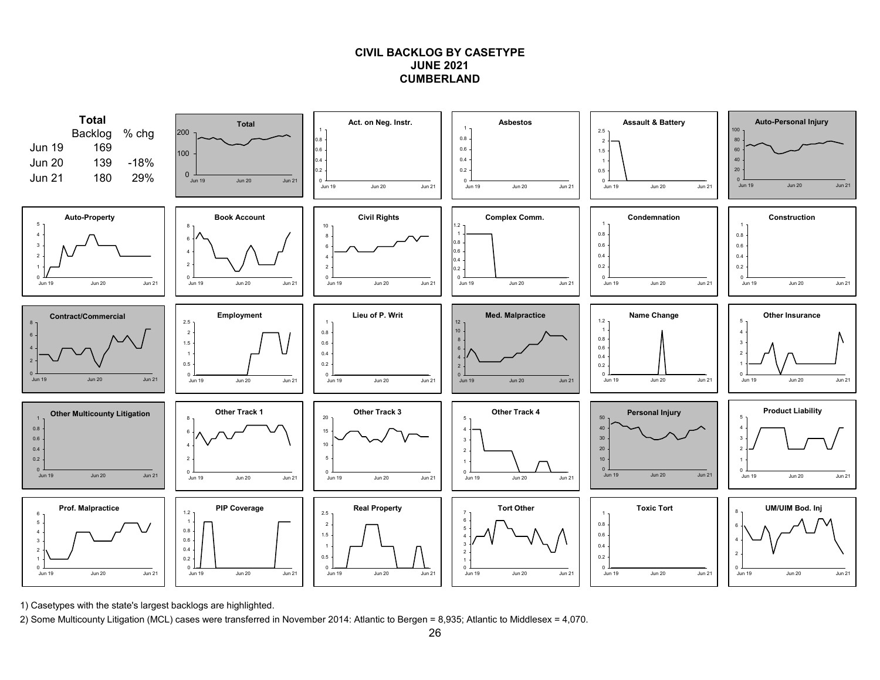### **CIVIL BACKLOG BY CASETYPEJUNE 2021CUMBERLAND**



1) Casetypes with the state's largest backlogs are highlighted.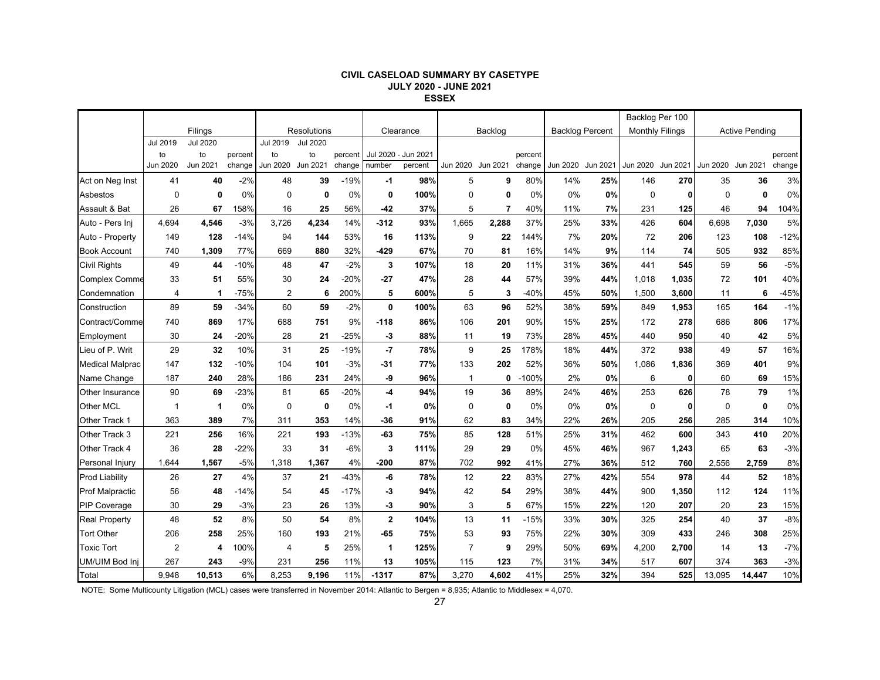#### **CIVIL CASELOAD SUMMARY BY CASETYPE JULY 2020 - JUNE 2021 ESSEX**

|                        |                |                 |         |                |                 |         |             |                     |                   |             |         |                        |          | Backlog Per 100        |       |                   |                       |         |
|------------------------|----------------|-----------------|---------|----------------|-----------------|---------|-------------|---------------------|-------------------|-------------|---------|------------------------|----------|------------------------|-------|-------------------|-----------------------|---------|
|                        |                | Filings         |         |                | Resolutions     |         |             | Clearance           |                   | Backlog     |         | <b>Backlog Percent</b> |          | <b>Monthly Filings</b> |       |                   | <b>Active Pending</b> |         |
|                        | Jul 2019       | <b>Jul 2020</b> |         | Jul 2019       | <b>Jul 2020</b> |         |             |                     |                   |             |         |                        |          |                        |       |                   |                       |         |
|                        | to             | to              | percent | to             | to              | percent |             | Jul 2020 - Jun 2021 |                   |             | percent |                        |          |                        |       |                   |                       | percent |
|                        | Jun 2020       | Jun 2021        | change  | Jun 2020       | Jun 2021        | change  | number      | percent             | Jun 2020 Jun 2021 |             | change  | Jun 2020               | Jun 2021 | Jun 2020 Jun 2021      |       | Jun 2020 Jun 2021 |                       | change  |
| Act on Neg Inst        | 41             | 40              | $-2%$   | 48             | 39              | $-19%$  | -1          | 98%                 | 5                 | 9           | 80%     | 14%                    | 25%      | 146                    | 270   | 35                | 36                    | 3%      |
| Asbestos               | $\mathbf 0$    | 0               | 0%      | $\Omega$       | 0               | 0%      | 0           | 100%                | $\mathbf 0$       | $\mathbf 0$ | 0%      | 0%                     | 0%       | $\mathbf 0$            | 0     | $\Omega$          | $\mathbf{0}$          | 0%      |
| Assault & Bat          | 26             | 67              | 158%    | 16             | 25              | 56%     | $-42$       | 37%                 | 5                 | 7           | 40%     | 11%                    | 7%       | 231                    | 125   | 46                | 94                    | 104%    |
| Auto - Pers Ini        | 4,694          | 4,546           | $-3%$   | 3,726          | 4,234           | 14%     | $-312$      | 93%                 | 1,665             | 2,288       | 37%     | 25%                    | 33%      | 426                    | 604   | 6,698             | 7,030                 | 5%      |
| Auto - Property        | 149            | 128             | $-14%$  | 94             | 144             | 53%     | 16          | 113%                | 9                 | 22          | 144%    | 7%                     | 20%      | 72                     | 206   | 123               | 108                   | $-12%$  |
| <b>Book Account</b>    | 740            | 1,309           | 77%     | 669            | 880             | 32%     | $-429$      | 67%                 | 70                | 81          | 16%     | 14%                    | 9%       | 114                    | 74    | 505               | 932                   | 85%     |
| <b>Civil Rights</b>    | 49             | 44              | $-10%$  | 48             | 47              | $-2%$   | 3           | 107%                | 18                | 20          | 11%     | 31%                    | 36%      | 441                    | 545   | 59                | 56                    | $-5%$   |
| <b>Complex Comme</b>   | 33             | 51              | 55%     | 30             | 24              | $-20%$  | $-27$       | 47%                 | 28                | 44          | 57%     | 39%                    | 44%      | 1,018                  | 1,035 | 72                | 101                   | 40%     |
| Condemnation           | 4              | 1               | $-75%$  | $\overline{2}$ | 6               | 200%    | 5           | 600%                | 5                 | 3           | $-40%$  | 45%                    | 50%      | 1,500                  | 3,600 | 11                | 6                     | $-45%$  |
| Construction           | 89             | 59              | $-34%$  | 60             | 59              | $-2%$   | 0           | 100%                | 63                | 96          | 52%     | 38%                    | 59%      | 849                    | 1,953 | 165               | 164                   | $-1%$   |
| Contract/Comme         | 740            | 869             | 17%     | 688            | 751             | 9%      | $-118$      | 86%                 | 106               | 201         | 90%     | 15%                    | 25%      | 172                    | 278   | 686               | 806                   | 17%     |
| Employment             | 30             | 24              | $-20%$  | 28             | 21              | $-25%$  | -3          | 88%                 | 11                | 19          | 73%     | 28%                    | 45%      | 440                    | 950   | 40                | 42                    | 5%      |
| Lieu of P. Writ        | 29             | 32              | 10%     | 31             | 25              | $-19%$  | -7          | 78%                 | 9                 | 25          | 178%    | 18%                    | 44%      | 372                    | 938   | 49                | 57                    | 16%     |
| <b>Medical Malprac</b> | 147            | 132             | $-10%$  | 104            | 101             | $-3%$   | -31         | 77%                 | 133               | 202         | 52%     | 36%                    | 50%      | 1,086                  | 1.836 | 369               | 401                   | 9%      |
| Name Change            | 187            | 240             | 28%     | 186            | 231             | 24%     | -9          | 96%                 | $\mathbf{1}$      | 0           | $-100%$ | 2%                     | 0%       | 6                      | 0     | 60                | 69                    | 15%     |
| Other Insurance        | 90             | 69              | $-23%$  | 81             | 65              | $-20%$  | $-4$        | 94%                 | 19                | 36          | 89%     | 24%                    | 46%      | 253                    | 626   | 78                | 79                    | 1%      |
| Other MCL              | $\mathbf{1}$   | $\mathbf 1$     | 0%      | 0              | 0               | 0%      | -1          | 0%                  | $\mathbf 0$       | 0           | 0%      | 0%                     | 0%       | $\mathbf 0$            | 0     | 0                 | $\mathbf{0}$          | 0%      |
| Other Track 1          | 363            | 389             | 7%      | 311            | 353             | 14%     | -36         | 91%                 | 62                | 83          | 34%     | 22%                    | 26%      | 205                    | 256   | 285               | 314                   | 10%     |
| Other Track 3          | 221            | 256             | 16%     | 221            | 193             | $-13%$  | $-63$       | 75%                 | 85                | 128         | 51%     | 25%                    | 31%      | 462                    | 600   | 343               | 410                   | 20%     |
| Other Track 4          | 36             | 28              | $-22%$  | 33             | 31              | $-6%$   | 3           | 111%                | 29                | 29          | 0%      | 45%                    | 46%      | 967                    | 1,243 | 65                | 63                    | $-3%$   |
| Personal Injury        | 1,644          | 1,567           | $-5%$   | 1,318          | 1,367           | 4%      | $-200$      | 87%                 | 702               | 992         | 41%     | 27%                    | 36%      | 512                    | 760   | 2,556             | 2,759                 | 8%      |
| <b>Prod Liability</b>  | 26             | 27              | 4%      | 37             | 21              | $-43%$  | -6          | 78%                 | 12                | 22          | 83%     | 27%                    | 42%      | 554                    | 978   | 44                | 52                    | 18%     |
| <b>Prof Malpractic</b> | 56             | 48              | -14%    | 54             | 45              | $-17%$  | -3          | 94%                 | 42                | 54          | 29%     | 38%                    | 44%      | 900                    | 1,350 | 112               | 124                   | 11%     |
| <b>PIP Coverage</b>    | 30             | 29              | $-3%$   | 23             | 26              | 13%     | -3          | 90%                 | 3                 | 5           | 67%     | 15%                    | 22%      | 120                    | 207   | 20                | 23                    | 15%     |
| <b>Real Property</b>   | 48             | 52              | 8%      | 50             | 54              | 8%      | $\mathbf 2$ | 104%                | 13                | 11          | $-15%$  | 33%                    | 30%      | 325                    | 254   | 40                | 37                    | $-8%$   |
| <b>Tort Other</b>      | 206            | 258             | 25%     | 160            | 193             | 21%     | $-65$       | 75%                 | 53                | 93          | 75%     | 22%                    | 30%      | 309                    | 433   | 246               | 308                   | 25%     |
| <b>Toxic Tort</b>      | $\overline{2}$ | 4               | 100%    | 4              | 5               | 25%     | 1           | 125%                | $\overline{7}$    | 9           | 29%     | 50%                    | 69%      | 4,200                  | 2,700 | 14                | 13                    | $-7%$   |
| UM/UIM Bod Inj         | 267            | 243             | $-9%$   | 231            | 256             | 11%     | 13          | 105%                | 115               | 123         | 7%      | 31%                    | 34%      | 517                    | 607   | 374               | 363                   | $-3%$   |
| Total                  | 9,948          | 10,513          | 6%      | 8,253          | 9.196           | 11%     | $-1317$     | 87%                 | 3,270             | 4,602       | 41%     | 25%                    | 32%      | 394                    | 525   | 13,095            | 14,447                | 10%     |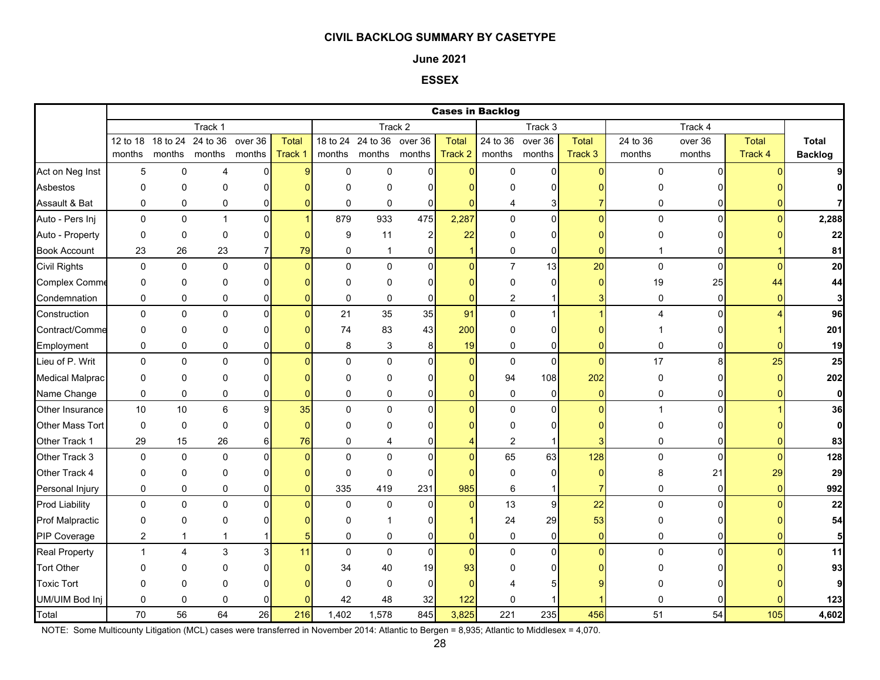#### **June 2021**

### **ESSEX**

|                        |                |                   |              |                |                    |              |                  |                |                | <b>Cases in Backlog</b> |                |                |              |                |              |                         |
|------------------------|----------------|-------------------|--------------|----------------|--------------------|--------------|------------------|----------------|----------------|-------------------------|----------------|----------------|--------------|----------------|--------------|-------------------------|
|                        |                |                   | Track 1      |                |                    |              |                  | Track 2        |                |                         | Track 3        |                |              | Track 4        |              |                         |
|                        |                | 12 to 18 18 to 24 | 24 to 36     | over 36        | <b>Total</b>       | 18 to 24     | 24 to 36 over 36 |                | <b>Total</b>   | 24 to 36                | over 36        | <b>Total</b>   | 24 to 36     | over 36        | <b>Total</b> | <b>Total</b>            |
|                        | months         | months            | months       | months         | Track <sup>+</sup> | months       | months months    |                | Track 2        | months                  | months         | Track 3        | months       | months         | Track 4      | <b>Backlog</b>          |
| Act on Neg Inst        | 5              | 0                 | 4            | 0              | a                  | $\mathbf 0$  | $\mathbf 0$      | $\Omega$       | $\Omega$       | 0                       | $\Omega$       | $\Omega$       | $\Omega$     | $\Omega$       |              |                         |
| Asbestos               | 0              | 0                 | 0            | 0              |                    | $\Omega$     | 0                | $\Omega$       | n              | 0                       | 0              |                |              |                |              | 0                       |
| Assault & Bat          | 0              | 0                 | 0            | 0              |                    | 0            | 0                | $\Omega$       | $\mathbf{0}$   | 4                       | 3              |                | 0            | 0              |              | 7                       |
| Auto - Pers Inj        | $\mathbf 0$    | 0                 | 1            | $\pmb{0}$      |                    | 879          | 933              | 475            | 2,287          | 0                       | $\overline{0}$ | $\overline{0}$ | 0            | $\Omega$       | $\Omega$     | 2,288                   |
| Auto - Property        | $\mathbf 0$    | 0                 | $\mathbf{0}$ | 0              |                    | 9            | 11               | $\overline{2}$ | 22             | 0                       | 0              |                | 0            |                |              | 22                      |
| <b>Book Account</b>    | 23             | 26                | 23           | $\overline{7}$ | 79                 | 0            | $\mathbf{1}$     | 0              | $\mathbf{1}$   | 0                       | $\pmb{0}$      | $\mathbf{0}$   |              | $\overline{0}$ |              | 81                      |
| <b>Civil Rights</b>    | $\mathsf 0$    | 0                 | $\mathbf 0$  | $\mathbf{0}$   | $\Omega$           | $\mathbf{0}$ | $\Omega$         | $\Omega$       | $\overline{0}$ | $\overline{7}$          | 13             | 20             | $\pmb{0}$    | $\overline{0}$ | $\Omega$     | 20                      |
| <b>Complex Comme</b>   | 0              | 0                 | $\Omega$     | 0              |                    | $\Omega$     | $\mathbf 0$      | $\Omega$       | $\Omega$       | 0                       | $\Omega$       | $\overline{0}$ | 19           | 25             | 44           | 44                      |
| Condemnation           | $\mathbf 0$    | 0                 | 0            | 0              |                    | $\pmb{0}$    | $\pmb{0}$        | $\mathbf 0$    | $\overline{0}$ | $\overline{c}$          |                | 3              | 0            | $\overline{0}$ | O            | $\overline{\mathbf{3}}$ |
| Construction           | 0              | 0                 | $\mathbf 0$  | $\pmb{0}$      |                    | 21           | 35               | 35             | 91             | 0                       | 1              |                | 4            | $\Omega$       |              | 96                      |
| Contract/Comme         | 0              | 0                 | 0            | 0              |                    | 74           | 83               | 43             | 200            | 0                       | $\overline{0}$ |                |              |                |              | 201                     |
| Employment             | $\mathbf 0$    | 0                 | 0            | 0              |                    | 8            | 3                | 8              | 19             | 0                       | 0              | $\Omega$       | 0            | ΩI             |              | 19                      |
| Lieu of P. Writ        | 0              | 0                 | $\mathbf 0$  | $\mathbf 0$    |                    | $\Omega$     | $\mathsf 0$      | $\mathbf{0}$   | $\Omega$       | $\pmb{0}$               | $\pmb{0}$      | $\Omega$       | 17           | 8 <sup>1</sup> | 25           | 25                      |
| <b>Medical Malprac</b> | $\Omega$       | $\Omega$          | 0            | 0              |                    | $\Omega$     | $\mathbf{0}$     | $\Omega$       | $\Omega$       | 94                      | 108            | 202            | 0            | n              | O            | 202                     |
| Name Change            | $\mathbf 0$    | 0                 | 0            | 0              |                    | 0            | 0                | $\overline{0}$ | $\Omega$       | 0                       | $\overline{0}$ | $\overline{0}$ | 0            | $\overline{0}$ | $\Omega$     | $\mathbf{0}$            |
| Other Insurance        | 10             | 10                | 6            | 9              | 35                 | $\Omega$     | $\Omega$         | $\Omega$       | $\Omega$       | $\mathbf 0$             | $\Omega$       | $\Omega$       | $\mathbf{1}$ | $\Omega$       |              | 36                      |
| Other Mass Tort        | 0              | 0                 | $\Omega$     | 0              | $\Omega$           | $\Omega$     | $\mathbf 0$      | U              |                | 0                       | 0              |                | 0            |                |              | $\mathbf{0}$            |
| Other Track 1          | 29             | 15                | 26           | 6              | 76                 | $\mathbf 0$  | 4                | 0              | 4              | $\overline{c}$          |                |                | 0            | $\Omega$       |              | 83                      |
| Other Track 3          | $\mathbf 0$    | 0                 | $\mathbf 0$  | 0              |                    | $\Omega$     | $\mathsf 0$      | $\Omega$       | $\overline{0}$ | 65                      | 63             | 128            | $\pmb{0}$    | $\Omega$       |              | 128                     |
| Other Track 4          | 0              | 0                 | $\Omega$     | 0              |                    | $\mathbf 0$  | $\mathbf 0$      | $\Omega$       | $\Omega$       | $\mathbf 0$             | 0              | $\Omega$       | 8            | 21             | 29           | 29                      |
| Personal Injury        | 0              | 0                 | 0            | 0              |                    | 335          | 419              | 231            | 985            | 6                       | $\mathbf{1}$   | 7              | 0            | $\overline{0}$ | $\Omega$     | 992                     |
| <b>Prod Liability</b>  | $\mathbf 0$    | 0                 | $\mathbf 0$  | $\mathbf 0$    |                    | $\mathbf 0$  | $\mathbf 0$      | $\mathbf 0$    | $\overline{0}$ | 13                      | 9              | 22             | $\pmb{0}$    | $\Omega$       | $\Omega$     | 22                      |
| <b>Prof Malpractic</b> | 0              | 0                 | 0            | 0              |                    | $\mathbf 0$  |                  | O              |                | 24                      | 29             | 53             | 0            |                |              | 54                      |
| PIP Coverage           | $\overline{c}$ | $\mathbf{1}$      | 1            |                |                    | $\mathbf 0$  | $\pmb{0}$        | $\Omega$       | $\overline{0}$ | $\pmb{0}$               | $\mathbf 0$    | $\overline{0}$ | 0            | $\Omega$       |              | 5                       |
| <b>Real Property</b>   | $\overline{1}$ | $\overline{4}$    | 3            | 3              | 11                 | $\Omega$     | $\Omega$         | $\mathbf 0$    | $\overline{0}$ | 0                       | $\overline{0}$ | $\Omega$       | $\Omega$     | $\Omega$       |              | 11                      |
| <b>Tort Other</b>      | $\Omega$       | 0                 | 0            | 0              |                    | 34           | 40               | 19             | 93             | O                       | 0              |                |              |                |              | 93                      |
| <b>Toxic Tort</b>      | 0              | 0                 | $\Omega$     | ŋ              |                    | $\Omega$     | $\mathbf{0}$     | $\Omega$       | $\Omega$       |                         |                |                |              |                |              | 9                       |
| UM/UIM Bod Inj         | 0              | 0                 | $\Omega$     |                |                    | 42           | 48               | 32             | 122            | 0                       |                |                |              |                |              | 123                     |
| Total                  | 70             | 56                | 64           | 26             | 216                | 1,402        | 1,578            | 845            | 3,825          | 221                     | 235            | 456            | 51           | 54             | 105          | 4,602                   |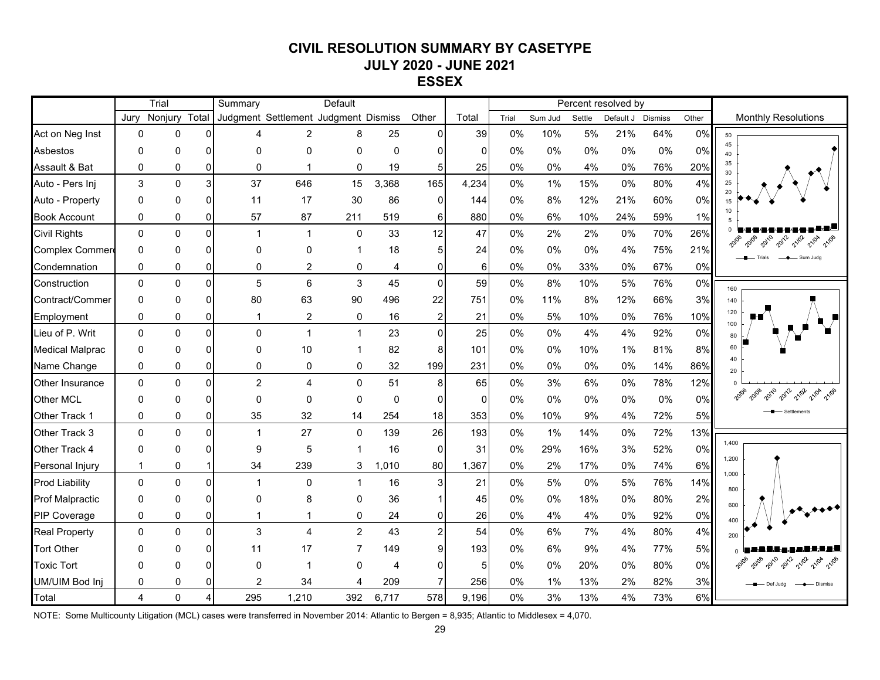# **CIVIL RESOLUTION SUMMARY BY CASETYPE JULY 2020 - JUNE 2021 ESSEX**

|                        | Trial          |              |                | Default<br>Summary                   |                         |                |       |                |          |       | Percent resolved by |        |           |                |       |                               |
|------------------------|----------------|--------------|----------------|--------------------------------------|-------------------------|----------------|-------|----------------|----------|-------|---------------------|--------|-----------|----------------|-------|-------------------------------|
|                        | Jurv           | Nonjury      | Total          | Judgment Settlement Judgment Dismiss |                         |                |       | Other          | Total    | Trial | Sum Jud             | Settle | Default J | <b>Dismiss</b> | Other | <b>Monthly Resolutions</b>    |
| Act on Neg Inst        | $\Omega$       | 0            | $\mathbf{0}$   | Δ                                    | $\overline{2}$          | 8              | 25    | $\Omega$       | 39       | 0%    | 10%                 | 5%     | 21%       | 64%            | 0%    | 50                            |
| Asbestos               | $\Omega$       | 0            | 0              | $\Omega$                             | $\Omega$                | $\Omega$       | 0     | 0              | $\Omega$ | 0%    | 0%                  | 0%     | 0%        | 0%             | 0%    | 45<br>40                      |
| Assault & Bat          | 0              | $\mathbf 0$  | $\mathbf 0$    | 0                                    | 1                       | $\mathbf 0$    | 19    | 5 <sub>l</sub> | 25       | 0%    | 0%                  | 4%     | 0%        | 76%            | 20%   | 35<br>30                      |
| Auto - Pers Inj        | 3              | $\Omega$     | $\mathbf{3}$   | 37                                   | 646                     | 15             | 3,368 | 165            | 4,234    | 0%    | 1%                  | 15%    | 0%        | 80%            | 4%    | 25<br>20                      |
| Auto - Property        | 0              | 0            | $\Omega$       | 11                                   | 17                      | 30             | 86    | $\Omega$       | 144      | 0%    | 8%                  | 12%    | 21%       | 60%            | 0%    |                               |
| <b>Book Account</b>    | 0              | $\Omega$     | 0              | 57                                   | 87                      | 211            | 519   | 6              | 880      | 0%    | 6%                  | 10%    | 24%       | 59%            | 1%    |                               |
| <b>Civil Rights</b>    | $\Omega$       | $\mathbf{0}$ | $\Omega$       | 1                                    | $\mathbf 1$             | $\mathbf{0}$   | 33    | 12             | 47       | 0%    | 2%                  | 2%     | 0%        | 70%            | 26%   | 2010<br>2012<br>21/02         |
| <b>Complex Commer</b>  | $\Omega$       | $\Omega$     | 0              | $\Omega$                             | 0                       |                | 18    | 5              | 24       | 0%    | 0%                  | 0%     | 4%        | 75%            | 21%   | Sum Jude                      |
| Condemnation           | 0              | 0            | 0              | $\Omega$                             | 2                       | 0              | 4     | 0              | 6        | 0%    | 0%                  | 33%    | 0%        | 67%            | 0%    |                               |
| Construction           | $\Omega$       | $\mathbf{0}$ | $\Omega$       | 5                                    | 6                       | 3              | 45    | $\Omega$       | 59       | 0%    | 8%                  | 10%    | 5%        | 76%            | 0%    | 160                           |
| Contract/Commer        | $\Omega$       | $\Omega$     | $\Omega$       | 80                                   | 63                      | 90             | 496   | 22             | 751      | 0%    | 11%                 | 8%     | 12%       | 66%            | 3%    | 140                           |
| Employment             | 0              | 0            | 0              | 1                                    | 2                       | 0              | 16    | $\overline{2}$ | 21       | 0%    | 5%                  | 10%    | 0%        | 76%            | 10%   | 120                           |
| Lieu of P. Writ        | $\Omega$       | $\mathbf{0}$ | $\Omega$       | 0                                    | $\mathbf{1}$            | $\overline{1}$ | 23    | $\Omega$       | 25       | 0%    | $0\%$               | 4%     | 4%        | 92%            | 0%    | 100<br>80                     |
| <b>Medical Malprac</b> | $\Omega$       | 0            | 0              | $\Omega$                             | 10                      |                | 82    | 8              | 101      | 0%    | 0%                  | 10%    | 1%        | 81%            | 8%    | 60                            |
| Name Change            | $\Omega$       | 0            | $\mathbf 0$    | 0                                    | 0                       | 0              | 32    | 199            | 231      | 0%    | $0\%$               | 0%     | 0%        | 14%            | 86%   | 40<br>20                      |
| <b>Other Insurance</b> | 0              | $\mathbf 0$  | $\mathbf{0}$   | $\overline{c}$                       | $\overline{\mathbf{4}}$ | $\mathbf 0$    | 51    | 8              | 65       | 0%    | 3%                  | 6%     | 0%        | 78%            | 12%   |                               |
| <b>Other MCL</b>       | 0              | $\Omega$     | 0              | $\Omega$                             | 0                       | 0              | 0     | $\Omega$       | $\Omega$ | 0%    | 0%                  | 0%     | 0%        | 0%             | 0%    | 21/02                         |
| Other Track 1          | 0              | 0            | 0              | 35                                   | 32                      | 14             | 254   | 18             | 353      | 0%    | 10%                 | 9%     | 4%        | 72%            | 5%    |                               |
| Other Track 3          | $\Omega$       | $\Omega$     | $\Omega$       | 1                                    | 27                      | $\mathbf{0}$   | 139   | 26             | 193      | 0%    | 1%                  | 14%    | 0%        | 72%            | 13%   |                               |
| Other Track 4          | $\Omega$       | ŋ            | 0              | 9                                    | 5                       |                | 16    | $\Omega$       | 31       | 0%    | 29%                 | 16%    | 3%        | 52%            | 0%    | 1,400                         |
| Personal Injury        | 1              | 0            | $\mathbf{1}$   | 34                                   | 239                     | 3              | 1.010 | 80             | 1,367    | 0%    | 2%                  | 17%    | 0%        | 74%            | 6%    | 1,200                         |
| <b>Prod Liability</b>  | $\Omega$       | $\mathbf{0}$ | $\Omega$       | 1                                    | 0                       | $\overline{1}$ | 16    | 3              | 21       | 0%    | 5%                  | 0%     | 5%        | 76%            | 14%   | 1,000<br>800                  |
| <b>Prof Malpractic</b> | 0              | 0            | 0              | $\Omega$                             | 8                       | $\Omega$       | 36    |                | 45       | 0%    | 0%                  | 18%    | 0%        | 80%            | 2%    | 600                           |
| <b>PIP Coverage</b>    | 0              | 0            | $\overline{0}$ | 1                                    | 1                       | 0              | 24    | 0              | 26       | 0%    | 4%                  | 4%     | 0%        | 92%            | 0%    |                               |
| <b>Real Property</b>   | $\Omega$       | $\mathbf 0$  | $\mathbf 0$    | 3                                    | 4                       | $\overline{2}$ | 43    | $\overline{2}$ | 54       | 0%    | 6%                  | 7%     | 4%        | 80%            | 4%    | 200                           |
| <b>Tort Other</b>      | $\Omega$       | $\Omega$     | $\Omega$       | 11                                   | 17                      |                | 149   | 9              | 193      | 0%    | 6%                  | 9%     | 4%        | 77%            | 5%    |                               |
| <b>Toxic Tort</b>      | O              |              | $\mathbf{0}$   | $\Omega$                             | -1                      | n              | 4     | 0              | 5        | 0%    | 0%                  | 20%    | 0%        | 80%            | 0%    | <b>20120</b><br>2012<br>21/0A |
| UM/UIM Bod Inj         | 0              | 0            | $\Omega$       | 2                                    | 34                      |                | 209   |                | 256      | 0%    | 1%                  | 13%    | 2%        | 82%            | 3%    |                               |
| Total                  | $\overline{4}$ | $\Omega$     | $\overline{A}$ | 295                                  | 1,210                   | 392            | 6,717 | 578            | 9,196    | 0%    | 3%                  | 13%    | 4%        | 73%            | 6%    |                               |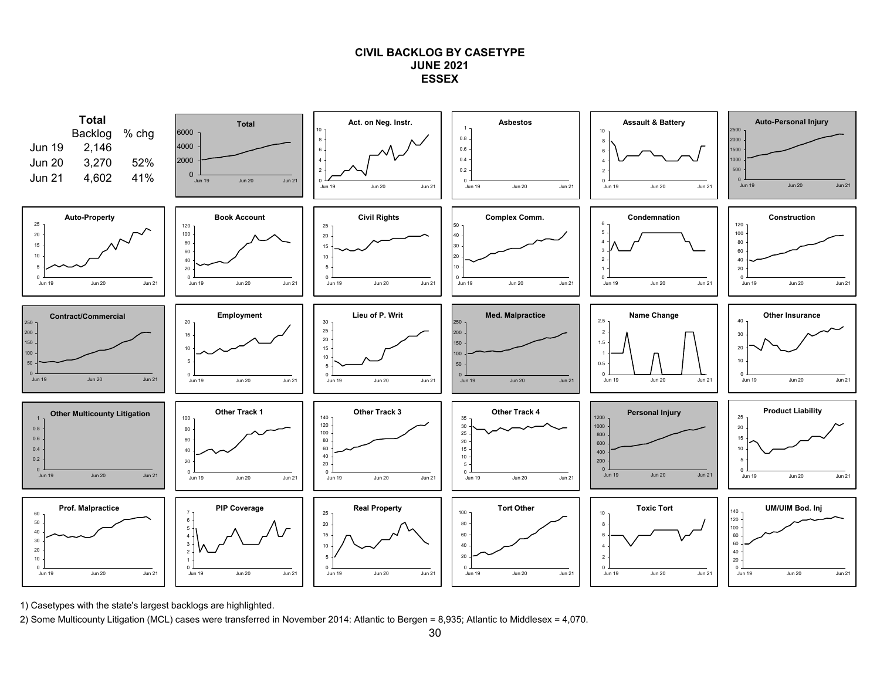#### **CIVIL BACKLOG BY CASETYPE JUNE 2021ESSEX**



1) Casetypes with the state's largest backlogs are highlighted.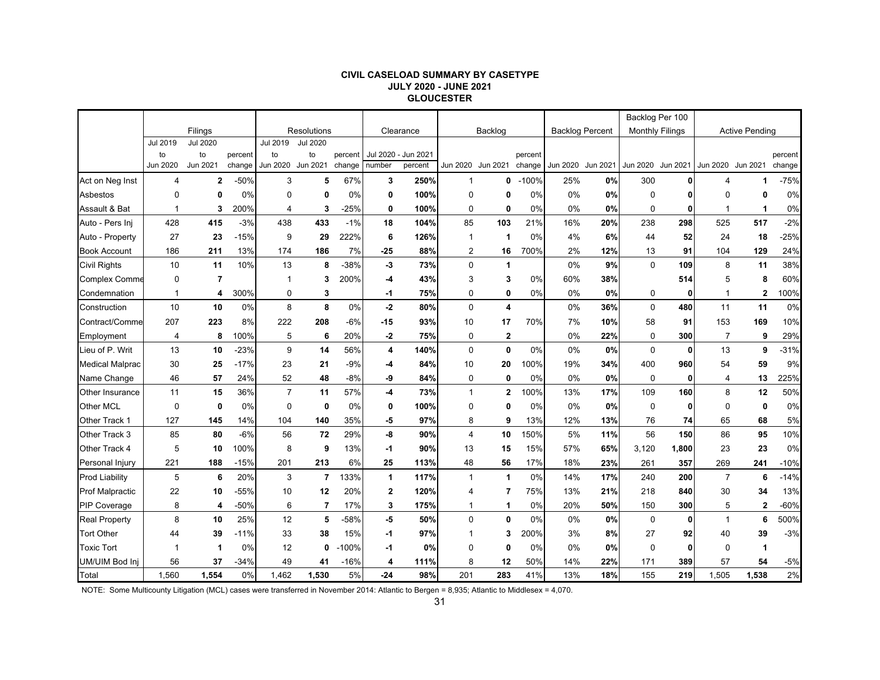#### **CIVIL CASELOAD SUMMARY BY CASETYPE JULY 2020 - JUNE 2021 GLOUCESTER**

|                        |                 |                 |         |                |                    |         |                 |          |                |              |         |                        |          | Backlog Per 100 |                        |                       |                |         |
|------------------------|-----------------|-----------------|---------|----------------|--------------------|---------|-----------------|----------|----------------|--------------|---------|------------------------|----------|-----------------|------------------------|-----------------------|----------------|---------|
|                        | Filings         |                 |         |                | <b>Resolutions</b> |         | Clearance       |          | Backlog        |              |         | <b>Backlog Percent</b> |          |                 | <b>Monthly Filings</b> | <b>Active Pending</b> |                |         |
|                        | <b>Jul 2019</b> | <b>Jul 2020</b> |         | Jul 2019       | <b>Jul 2020</b>    |         |                 |          |                |              |         |                        |          |                 |                        |                       |                |         |
|                        | to              | to              | percent | to             | to                 | percent | <b>Jul 2020</b> | Jun 2021 |                |              | percent |                        |          |                 |                        |                       |                | percent |
|                        | Jun 2020        | Jun 2021        | change  | Jun 2020       | Jun 2021           | change  | number          | percent  | Jun 2020       | Jun 2021     | change  | Jun 2020               | Jun 2021 | Jun 2020        | Jun 2021               | Jun 2020 Jun 2021     |                | change  |
| Act on Neg Inst        | 4               | $\mathbf{2}$    | $-50%$  | 3              | 5                  | 67%     | 3               | 250%     | -1             | 0            | $-100%$ | 25%                    | 0%       | 300             |                        | 4                     | 1              | $-75%$  |
| Asbestos               | $\Omega$        | $\mathbf 0$     | 0%      | $\Omega$       | $\mathbf 0$        | 0%      | 0               | 100%     | 0              | 0            | 0%      | 0%                     | 0%       | $\mathbf 0$     | ŋ                      | $\Omega$              | $\bf{0}$       | 0%      |
| Assault & Bat          | $\mathbf{1}$    | 3               | 200%    | 4              | 3                  | $-25%$  | 0               | 100%     | 0              | 0            | 0%      | 0%                     | 0%       | $\mathbf 0$     | 0                      | 1                     | 1              | 0%      |
| Auto - Pers Inj        | 428             | 415             | $-3%$   | 438            | 433                | $-1%$   | 18              | 104%     | 85             | 103          | 21%     | 16%                    | 20%      | 238             | 298                    | 525                   | 517            | $-2%$   |
| Auto - Property        | 27              | 23              | $-15%$  | 9              | 29                 | 222%    | 6               | 126%     | $\mathbf{1}$   | 1            | 0%      | 4%                     | 6%       | 44              | 52                     | 24                    | 18             | $-25%$  |
| <b>Book Account</b>    | 186             | 211             | 13%     | 174            | 186                | 7%      | $-25$           | 88%      | $\overline{2}$ | 16           | 700%    | 2%                     | 12%      | 13              | 91                     | 104                   | 129            | 24%     |
| <b>Civil Rights</b>    | 10              | 11              | 10%     | 13             | 8                  | $-38%$  | $-3$            | 73%      | $\mathbf 0$    | $\mathbf{1}$ |         | 0%                     | 9%       | $\Omega$        | 109                    | 8                     | 11             | 38%     |
| <b>Complex Comme</b>   | $\mathbf 0$     | $\overline{7}$  |         |                | 3                  | 200%    | -4              | 43%      | 3              | 3            | 0%      | 60%                    | 38%      |                 | 514                    | 5                     | 8              | 60%     |
| Condemnation           | $\mathbf{1}$    | 4               | 300%    | 0              | 3                  |         | -1              | 75%      | 0              | 0            | 0%      | 0%                     | 0%       | 0               | 0                      | 1                     | 2              | 100%    |
| Construction           | 10              | 10              | 0%      | 8              | 8                  | 0%      | $-2$            | 80%      | $\mathbf 0$    | 4            |         | 0%                     | 36%      | $\mathbf 0$     | 480                    | 11                    | 11             | 0%      |
| Contract/Comme         | 207             | 223             | 8%      | 222            | 208                | $-6%$   | -15             | 93%      | 10             | 17           | 70%     | 7%                     | 10%      | 58              | 91                     | 153                   | 169            | 10%     |
| Employment             | $\overline{4}$  | 8               | 100%    | 5              | 6                  | 20%     | $-2$            | 75%      | 0              | $\mathbf{2}$ |         | 0%                     | 22%      | $\mathbf 0$     | 300                    | $\overline{7}$        | 9              | 29%     |
| Lieu of P. Writ        | 13              | 10              | $-23%$  | 9              | 14                 | 56%     | 4               | 140%     | $\mathbf 0$    | $\mathbf 0$  | 0%      | 0%                     | 0%       | $\mathbf 0$     | 0                      | 13                    | 9              | $-31%$  |
| <b>Medical Malprac</b> | 30              | 25              | $-17%$  | 23             | 21                 | $-9%$   | -4              | 84%      | 10             | 20           | 100%    | 19%                    | 34%      | 400             | 960                    | 54                    | 59             | 9%      |
| Name Change            | 46              | 57              | 24%     | 52             | 48                 | $-8%$   | -9              | 84%      | 0              | $\mathbf 0$  | 0%      | 0%                     | 0%       | $\mathbf 0$     | 0                      | $\overline{4}$        | 13             | 225%    |
| Other Insurance        | 11              | 15              | 36%     | $\overline{7}$ | 11                 | 57%     | $-4$            | 73%      | $\mathbf{1}$   | $\mathbf 2$  | 100%    | 13%                    | 17%      | 109             | 160                    | 8                     | 12             | 50%     |
| <b>Other MCL</b>       | $\mathbf 0$     | 0               | 0%      | 0              | 0                  | 0%      | 0               | 100%     | 0              | 0            | 0%      | 0%                     | 0%       | 0               | 0                      | 0                     | 0              | 0%      |
| Other Track 1          | 127             | 145             | 14%     | 104            | 140                | 35%     | -5              | 97%      | 8              | 9            | 13%     | 12%                    | 13%      | 76              | 74                     | 65                    | 68             | 5%      |
| Other Track 3          | 85              | 80              | $-6%$   | 56             | 72                 | 29%     | -8              | 90%      | $\overline{4}$ | 10           | 150%    | 5%                     | 11%      | 56              | 150                    | 86                    | 95             | 10%     |
| Other Track 4          | 5               | 10              | 100%    | 8              | 9                  | 13%     | -1              | 90%      | 13             | 15           | 15%     | 57%                    | 65%      | 3,120           | 1,800                  | 23                    | 23             | 0%      |
| Personal Injury        | 221             | 188             | $-15%$  | 201            | 213                | 6%      | 25              | 113%     | 48             | 56           | 17%     | 18%                    | 23%      | 261             | 357                    | 269                   | 241            | $-10%$  |
| <b>Prod Liability</b>  | 5               | 6               | 20%     | 3              | $\overline{7}$     | 133%    | $\mathbf{1}$    | 117%     | $\mathbf{1}$   | $\mathbf{1}$ | 0%      | 14%                    | 17%      | 240             | 200                    | $\overline{7}$        | 6              | $-14%$  |
| <b>Prof Malpractic</b> | 22              | 10              | $-55%$  | 10             | 12                 | 20%     | $\mathbf 2$     | 120%     | 4              | 7            | 75%     | 13%                    | 21%      | 218             | 840                    | 30                    | 34             | 13%     |
| <b>PIP Coverage</b>    | 8               | 4               | -50%    | 6              | $\overline{7}$     | 17%     | 3               | 175%     | 1              | 1            | 0%      | 20%                    | 50%      | 150             | 300                    | 5                     | $\overline{2}$ | $-60%$  |
| <b>Real Property</b>   | 8               | 10              | 25%     | 12             | 5                  | $-58%$  | -5              | 50%      | $\Omega$       | $\mathbf 0$  | 0%      | 0%                     | 0%       | $\Omega$        | $\bf{0}$               | $\overline{1}$        | 6              | 500%    |
| <b>Tort Other</b>      | 44              | 39              | $-11%$  | 33             | 38                 | 15%     | -1              | 97%      | 1              | 3            | 200%    | 3%                     | 8%       | 27              | 92                     | 40                    | 39             | $-3%$   |
| <b>Toxic Tort</b>      | 1               | 1               | 0%      | 12             | $\mathbf 0$        | $-100%$ | -1              | 0%       | $\Omega$       | 0            | 0%      | 0%                     | 0%       | $\mathbf 0$     | 0                      | $\Omega$              | 1              |         |
| UM/UIM Bod Inj         | 56              | 37              | $-34%$  | 49             | 41                 | $-16%$  | 4               | 111%     | 8              | 12           | 50%     | 14%                    | 22%      | 171             | 389                    | 57                    | 54             | $-5%$   |
| Total                  | 1,560           | 1.554           | 0%      | 1,462          | 1.530              | 5%      | $-24$           | 98%      | 201            | 283          | 41%     | 13%                    | 18%      | 155             | 219                    | ,505<br>1             | 1.538          | 2%      |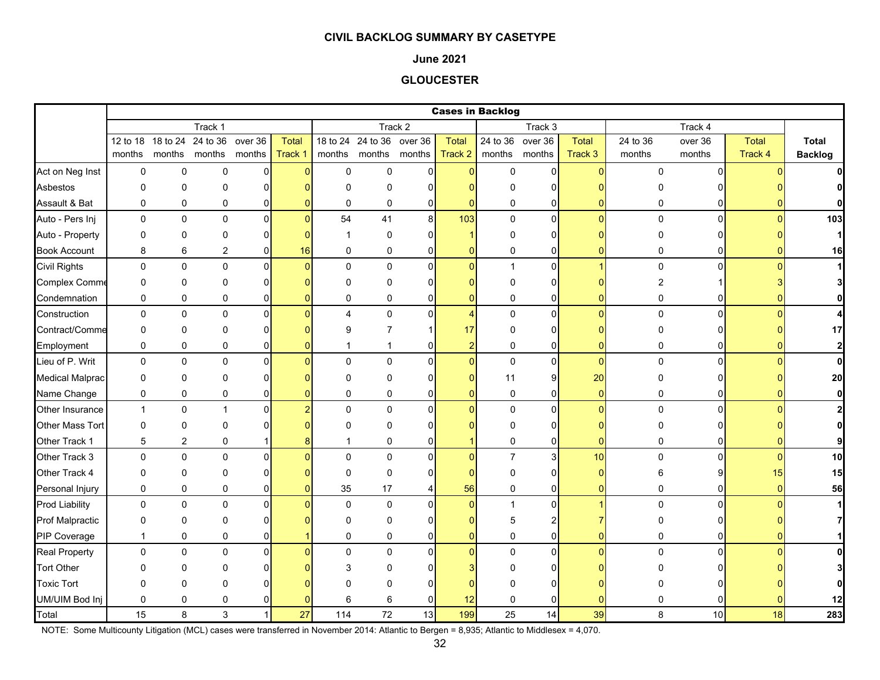#### **June 2021**

### **GLOUCESTER**

|                        |              |                |                                    |                |         |                |                           |                |                | <b>Cases in Backlog</b> |                |                |             |                 |              |                |
|------------------------|--------------|----------------|------------------------------------|----------------|---------|----------------|---------------------------|----------------|----------------|-------------------------|----------------|----------------|-------------|-----------------|--------------|----------------|
|                        |              |                | Track 1                            |                |         |                |                           | Track 2        |                |                         | Track 3        |                |             |                 |              |                |
|                        |              |                | 12 to 18 18 to 24 24 to 36 over 36 |                | Total   |                | 18 to 24 24 to 36 over 36 |                | <b>Total</b>   | 24 to 36                | over 36        | Total          | 24 to 36    | over 36         | <b>Total</b> | <b>Total</b>   |
|                        | months       |                | months months months               |                | Track 1 | months         | months months             |                | Track 2        |                         | months months  | Track 3        | months      | months          | Track 4      | <b>Backlog</b> |
| Act on Neg Inst        | 0            | 0              | $\mathbf 0$                        | $\mathbf 0$    |         | $\mathbf 0$    | $\pmb{0}$                 | $\overline{0}$ | $\mathbf{0}$   | $\mathbf 0$             | $\mathbf{0}$   | $\Omega$       | $\Omega$    | $\Omega$        |              |                |
| Asbestos               | 0            | 0              | 0                                  | 0              |         | $\Omega$       | $\Omega$                  | $\Omega$       |                | n                       | 0              |                |             |                 |              |                |
| Assault & Bat          | 0            | 0              | 0                                  | 0              |         | $\Omega$       | $\mathbf 0$               | 0              | $\Omega$       | 0                       | 0              |                | 0           | 0               |              |                |
| Auto - Pers Inj        | $\mathbf 0$  | 0              | $\mathbf 0$                        | $\overline{0}$ |         | 54             | 41                        | 8 <sup>°</sup> | 103            | 0                       | $\mathbf{0}$   | $\Omega$       | $\mathbf 0$ | $\overline{0}$  |              | 103            |
| Auto - Property        | 0            | 0              | 0                                  | 0              |         |                | $\mathbf 0$               | $\Omega$       |                | $\Omega$                | $\overline{0}$ |                |             |                 |              | $\mathbf{1}$   |
| <b>Book Account</b>    | 8            | 6              | $\boldsymbol{2}$                   | 0              | 16      | $\mathbf{0}$   | $\mathbf 0$               | 0              | 0              | 0                       | 0              |                | 0           |                 |              | 16             |
| <b>Civil Rights</b>    | $\mathbf 0$  | $\pmb{0}$      | $\pmb{0}$                          | 0              |         | $\mathbf{0}$   | $\mathbf 0$               | $\Omega$       | $\mathbf{0}$   | $\mathbf{1}$            | $\mathbf{0}$   |                | $\mathsf 0$ | $\Omega$        |              | $\mathbf{1}$   |
| <b>Complex Comme</b>   | 0            | 0              | $\Omega$                           | 0              |         | $\Omega$       | 0                         | $\Omega$       | $\Omega$       | N                       | 0              |                | 2           |                 |              |                |
| Condemnation           | 0            | 0              | 0                                  | 0              |         | $\mathbf{0}$   | 0                         | $\Omega$       | $\mathbf{0}$   | 0                       | $\mathbf 0$    | ŋ              | 0           | 0               |              |                |
| Construction           | $\mathbf 0$  | 0              | $\mathbf 0$                        | $\mathbf 0$    |         | $\overline{4}$ | 0                         | $\Omega$       | $\overline{4}$ | 0                       | $\mathbf{0}$   | $\Omega$       | $\mathbf 0$ | $\Omega$        |              |                |
| Contract/Comme         | 0            | 0              | 0                                  | 0              |         | 9              | 7                         |                | 17             | 0                       | 0              |                |             |                 |              | 17             |
| Employment             | 0            | 0              | 0                                  | 0              |         |                |                           | 0              | $\overline{2}$ | 0                       | 0              | U              | 0           |                 |              | $\mathbf{2}$   |
| Lieu of P. Writ        | $\pmb{0}$    | $\pmb{0}$      | $\mathbf 0$                        | $\mathbf 0$    |         | $\Omega$       | $\mathbf 0$               | $\Omega$       | $\overline{0}$ | $\pmb{0}$               | $\mathbf{0}$   | $\Omega$       | $\mathbf 0$ | $\Omega$        |              | $\mathbf{0}$   |
| <b>Medical Malprac</b> | 0            | 0              | $\Omega$                           | 0              |         | $\Omega$       | $\Omega$                  | $\Omega$       | $\Omega$       | 11                      | $\overline{9}$ | 20             | U           |                 |              | 20             |
| Name Change            | 0            | 0              | 0                                  | 0              |         | 0              | 0                         | 0              | $\mathbf{0}$   | 0                       | $\overline{0}$ | $\overline{0}$ | 0           | 0               |              | $\mathbf{0}$   |
| Other Insurance        | $\mathbf{1}$ | 0              | 1                                  | $\overline{0}$ |         | $\Omega$       | $\mathbf 0$               | $\Omega$       | $\mathbf{0}$   | 0                       | $\overline{0}$ | $\Omega$       | $\Omega$    | $\Omega$        |              | $\mathbf{2}$   |
| Other Mass Tort        | $\mathbf 0$  | 0              | 0                                  | 0              |         | $\Omega$       | 0                         | $\Omega$       |                | $\Omega$                | 0              |                |             |                 |              | $\Omega$       |
| Other Track 1          | 5            | $\overline{c}$ | 0                                  |                |         | 1              | 0                         | 0              |                | 0                       | 0              | ŋ              | 0           |                 |              | 9              |
| Other Track 3          | $\mathsf 0$  | 0              | $\pmb{0}$                          | 0              |         | $\Omega$       | $\mathbf{0}$              | $\Omega$       | $\Omega$       | $\overline{7}$          | $\mathsf{a}$   | 10             | $\Omega$    | U               |              | 10             |
| Other Track 4          | 0            | 0              | $\Omega$                           | 0              |         | $\Omega$       | $\mathbf{0}$              | $\Omega$       |                | $\Omega$                | 0              | n              |             |                 | 15           | 15             |
| Personal Injury        | 0            | 0              | 0                                  | 0              |         | 35             | 17                        | 4              | 56             | 0                       | $\overline{0}$ | 0              | 0           | 0               |              | 56             |
| <b>Prod Liability</b>  | $\mathbf 0$  | 0              | $\mathbf 0$                        | 0              |         | $\mathbf 0$    | $\mathbf 0$               | $\Omega$       | $\mathbf{0}$   | $\overline{1}$          | $\overline{0}$ |                | $\Omega$    | $\Omega$        |              |                |
| <b>Prof Malpractic</b> | 0            | 0              | 0                                  | 0              |         | O              | 0                         | n              | O              | 5                       | 2              |                |             |                 |              |                |
| PIP Coverage           | $\mathbf{1}$ | 0              | $\mathbf 0$                        | 0              |         | $\mathbf 0$    | 0                         | $\mathbf 0$    | 0              | 0                       | $\overline{0}$ |                | 0           |                 |              |                |
| <b>Real Property</b>   | 0            | 0              | $\Omega$                           | $\Omega$       |         | $\Omega$       | $\Omega$                  | $\Omega$       | $\Omega$       | 0                       | $\mathbf{0}$   |                | $\Omega$    | $\Omega$        |              |                |
| <b>Tort Other</b>      |              | U              | ŋ                                  |                |         |                | U                         |                |                |                         | $\Omega$       |                |             |                 |              |                |
| <b>Toxic Tort</b>      | 0            | 0              | $\Omega$                           |                |         |                | $\Omega$                  | n              |                |                         | 0              |                |             |                 |              |                |
| UM/UIM Bod Inj         | 0            | 0              | $\mathbf 0$                        | 0              |         | 6              | 6                         | $\mathbf 0$    | 12             | 0                       | 0              |                |             |                 |              | 12             |
| Total                  | 15           | 8              | 3                                  | $\mathbf{1}$   | 27      | 114            | 72                        | 13             | 199            | 25                      | 14             | 39             | 8           | 10 <sup>1</sup> | 18           | 283            |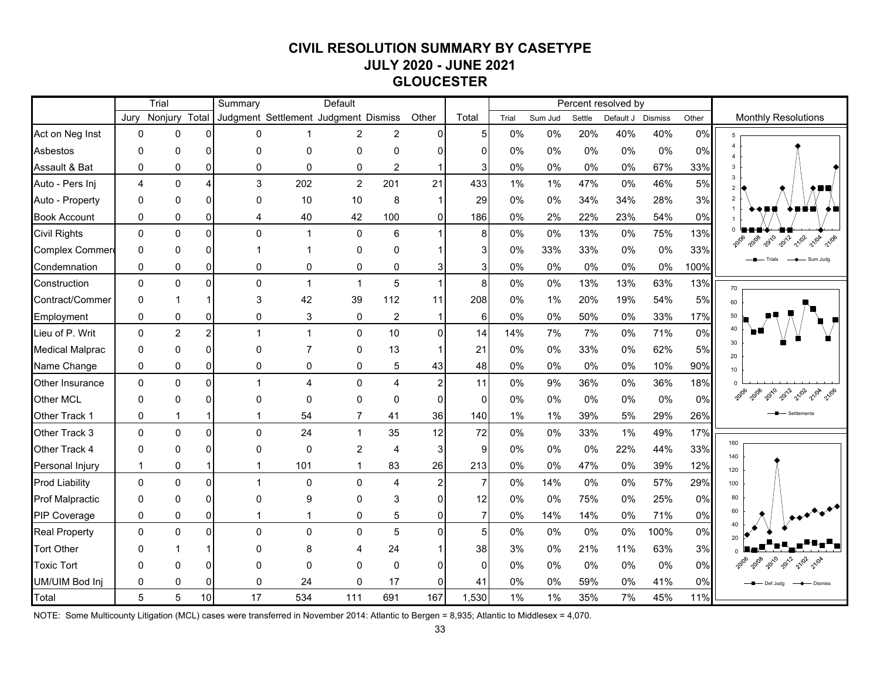# **CIVIL RESOLUTION SUMMARY BY CASETYPE JULY 2020 - JUNE 2021 GLOUCESTER**

|                        | Trial          |                |                 | Summary                              |                         | Default        |                |                |                |       | Percent resolved by |        |           |                |       |                                          |
|------------------------|----------------|----------------|-----------------|--------------------------------------|-------------------------|----------------|----------------|----------------|----------------|-------|---------------------|--------|-----------|----------------|-------|------------------------------------------|
|                        | Jury           | Nonjury        | Total           | Judgment Settlement Judgment Dismiss |                         |                |                | Other          | Total          | Trial | Sum Jud             | Settle | Default J | <b>Dismiss</b> | Other | <b>Monthly Resolutions</b>               |
| Act on Neg Inst        | $\mathbf 0$    | 0              | $\Omega$        | $\Omega$                             | 1                       | $\overline{2}$ | $\overline{c}$ | $\Omega$       | 5              | 0%    | 0%                  | 20%    | 40%       | 40%            | 0%    | 5                                        |
| Asbestos               | 0              | 0              | 0               | $\Omega$                             | 0                       | 0              | $\Omega$       | n              | $\Omega$       | 0%    | 0%                  | 0%     | 0%        | 0%             | 0%    |                                          |
| Assault & Bat          | $\mathbf{0}$   | 0              | 0               | $\Omega$                             | $\mathbf 0$             | $\mathbf 0$    | $\overline{2}$ |                | 3              | 0%    | 0%                  | 0%     | 0%        | 67%            | 33%   |                                          |
| Auto - Pers Inj        | $\overline{4}$ | $\Omega$       | 4               | 3                                    | 202                     | $\overline{c}$ | 201            | 21             | 433            | 1%    | 1%                  | 47%    | $0\%$     | 46%            | 5%    |                                          |
| Auto - Property        | $\Omega$       | 0              | 0               | $\Omega$                             | 10                      | 10             | 8              |                | 29             | 0%    | 0%                  | 34%    | 34%       | 28%            | 3%    |                                          |
| <b>Book Account</b>    | 0              | 0              | 0               | 4                                    | 40                      | 42             | 100            | $\Omega$       | 186            | 0%    | 2%                  | 22%    | 23%       | 54%            | 0%    |                                          |
| <b>Civil Rights</b>    | $\Omega$       | 0              | $\Omega$        | $\mathbf{0}$                         | $\mathbf{1}$            | $\mathbf 0$    | 6              |                | 8              | 0%    | 0%                  | 13%    | 0%        | 75%            | 13%   | 20120<br>21/02<br>2012<br>20108<br>21/04 |
| Complex Commer         | 0              | 0              | 0               |                                      | 1                       | $\Omega$       | $\Omega$       |                | 3              | 0%    | 33%                 | 33%    | 0%        | 0%             | 33%   |                                          |
| Condemnation           | 0              | 0              | 01              | 0                                    | 0                       | 0              | 0              |                | 3              | 0%    | 0%                  | $0\%$  | 0%        | 0%             | 100%  |                                          |
| Construction           | $\Omega$       | $\Omega$       | $\Omega$        | $\Omega$                             | $\mathbf{1}$            | $\overline{1}$ | 5              |                | 8              | 0%    | 0%                  | 13%    | 13%       | 63%            | 13%   | 70                                       |
| Contract/Commer        | $\mathbf{0}$   |                |                 | 3                                    | 42                      | 39             | 112            | 11             | 208            | 0%    | 1%                  | 20%    | 19%       | 54%            | 5%    | 60                                       |
| Employment             | 0              | 0              | 0               | 0                                    | 3                       | 0              | $\overline{2}$ | 1              | 6              | 0%    | 0%                  | 50%    | 0%        | 33%            | 17%   | 50                                       |
| Lieu of P. Writ        | $\Omega$       | $\overline{2}$ | $\overline{2}$  | 1                                    | $\mathbf{1}$            | $\Omega$       | 10             | $\Omega$       | 14             | 14%   | 7%                  | 7%     | 0%        | 71%            | 0%    |                                          |
| <b>Medical Malprac</b> | 0              | 0              | 0               | $\Omega$                             | $\overline{7}$          | 0              | 13             |                | 21             | 0%    | 0%                  | 33%    | 0%        | 62%            | 5%    | 30<br>20                                 |
| Name Change            | 0              | 0              | $\overline{0}$  | 0                                    | 0                       | 0              | 5              | 43             | 48             | 0%    | 0%                  | 0%     | 0%        | 10%            | 90%   | 10 <sup>10</sup>                         |
| Other Insurance        | $\Omega$       | $\Omega$       | $\Omega$        |                                      | $\overline{\mathbf{4}}$ | $\Omega$       | 4              | $\mathfrak{p}$ | 11             | 0%    | 9%                  | 36%    | 0%        | 36%            | 18%   |                                          |
| <b>Other MCL</b>       | $\Omega$       | 0              | 0               | ŋ                                    | $\Omega$                | $\Omega$       | $\Omega$       | $\Omega$       | $\Omega$       | 0%    | 0%                  | 0%     | $0\%$     | 0%             | 0%    | 21/02<br>2010<br>2012<br>21/0A           |
| Other Track 1          | 0              |                |                 |                                      | 54                      |                | 41             | 36             | 140            | 1%    | 1%                  | 39%    | 5%        | 29%            | 26%   | Settlements                              |
| Other Track 3          | $\Omega$       | $\mathbf{0}$   | $\Omega$        | $\Omega$                             | 24                      | $\mathbf{1}$   | 35             | 12             | 72             | 0%    | 0%                  | 33%    | 1%        | 49%            | 17%   |                                          |
| Other Track 4          | $\mathbf{0}$   | 0              | $\Omega$        | 0                                    | $\Omega$                | 2              | 4              | 3              | 9              | 0%    | 0%                  | 0%     | 22%       | 44%            | 33%   | 160<br>140                               |
| Personal Injury        | $\mathbf{1}$   | 0              | 1               | 1                                    | 101                     |                | 83             | 26             | 213            | 0%    | 0%                  | 47%    | $0\%$     | 39%            | 12%   | 120                                      |
| <b>Prod Liability</b>  | $\mathbf 0$    | 0              | $\Omega$        |                                      | $\mathbf 0$             | $\Omega$       | 4              | $\overline{2}$ | $\overline{7}$ | 0%    | 14%                 | 0%     | 0%        | 57%            | 29%   | 100                                      |
| Prof Malpractic        | 0              | 0              | 0               | $\Omega$                             | 9                       | $\Omega$       | 3              |                | 12             | 0%    | 0%                  | 75%    | 0%        | 25%            | 0%    | 80                                       |
| PIP Coverage           | $\mathbf 0$    | 0              | $\overline{0}$  |                                      | 1                       | 0              | 5              | 0              | $\overline{7}$ | 0%    | 14%                 | 14%    | 0%        | 71%            | 0%    | 60                                       |
| <b>Real Property</b>   | $\Omega$       | 0              | $\Omega$        | $\mathbf{0}$                         | $\mathbf 0$             | $\mathbf 0$    | 5              | $\Omega$       | 5              | 0%    | 0%                  | 0%     | 0%        | 100%           | 0%    | 40<br>20                                 |
| <b>Tort Other</b>      | $\Omega$       |                |                 |                                      | 8                       |                | 24             |                | 38             | 3%    | 0%                  | 21%    | 11%       | 63%            | 3%    |                                          |
| <b>Toxic Tort</b>      | O              | n              | U               |                                      | $\Omega$                | ∩              | $\Omega$       | n              | $\Omega$       | 0%    | 0%                  | 0%     | 0%        | 0%             | 0%    |                                          |
| <b>UM/UIM Bod Inj</b>  | 0              | 0              | 0               | 0                                    | 24                      | $\mathbf{0}$   | 17             | $\Omega$       | 41             | 0%    | 0%                  | 59%    | 0%        | 41%            | 0%    | Dismiss<br>Def Juda                      |
| Total                  | 5              | 5              | 10 <sup>1</sup> | 17                                   | 534                     | 111            | 691            | 167            | 1,530          | 1%    | 1%                  | 35%    | 7%        | 45%            | 11%   |                                          |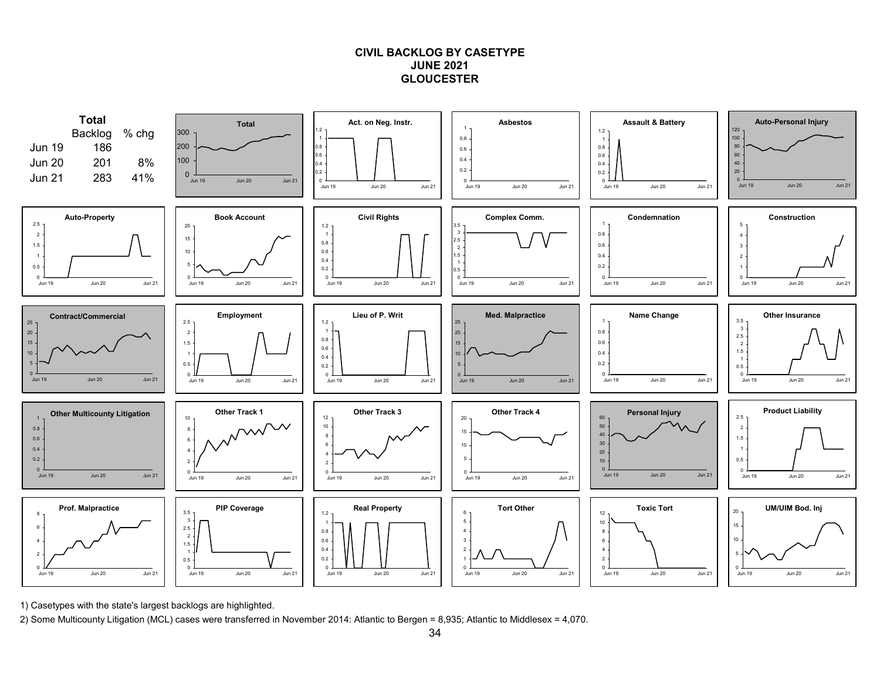# **CIVIL BACKLOG BY CASETYPE JUNE 2021GLOUCESTER**



1) Casetypes with the state's largest backlogs are highlighted.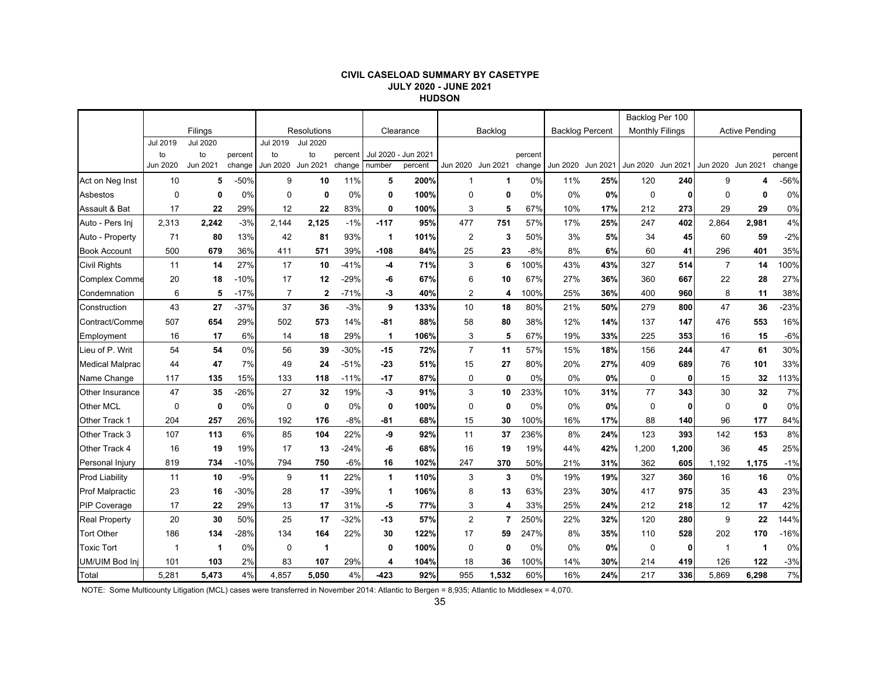#### **CIVIL CASELOAD SUMMARY BY CASETYPE JULY 2020 - JUNE 2021 HUDSON**

|                        |                |                 |         |          |                 |         |            |           |                   |                |         |                        |          | Backlog Per 100        |       |                   |                       |         |
|------------------------|----------------|-----------------|---------|----------|-----------------|---------|------------|-----------|-------------------|----------------|---------|------------------------|----------|------------------------|-------|-------------------|-----------------------|---------|
|                        |                | Filings         |         |          | Resolutions     |         |            | Clearance |                   | Backlog        |         | <b>Backlog Percent</b> |          | <b>Monthly Filings</b> |       |                   | <b>Active Pending</b> |         |
|                        | Jul 2019       | <b>Jul 2020</b> |         | Jul 2019 | <b>Jul 2020</b> |         |            |           |                   |                |         |                        |          |                        |       |                   |                       |         |
|                        | to             | to              | percent | to       | to              | percent | Jul 2020 - | Jun 2021  |                   |                | percent |                        |          |                        |       |                   |                       | percent |
|                        | Jun 2020       | Jun 2021        | change  | Jun 2020 | Jun 2021        | change  | number     | percent   | Jun 2020 Jun 2021 |                | change  | Jun 2020               | Jun 2021 | Jun 2020 Jun 2021      |       | Jun 2020 Jun 2021 |                       | change  |
| Act on Neg Inst        | 10             | 5               | $-50%$  | 9        | 10              | 11%     | 5          | 200%      | $\mathbf{1}$      | 1              | 0%      | 11%                    | 25%      | 120                    | 240   | 9                 | 4                     | $-56%$  |
| Asbestos               | $\mathbf 0$    | 0               | 0%      | $\Omega$ | 0               | 0%      | 0          | 100%      | $\mathbf 0$       | $\mathbf 0$    | 0%      | 0%                     | 0%       | $\mathbf 0$            | 0     | $\Omega$          | 0                     | 0%      |
| Assault & Bat          | 17             | 22              | 29%     | 12       | 22              | 83%     | 0          | 100%      | 3                 | 5              | 67%     | 10%                    | 17%      | 212                    | 273   | 29                | 29                    | 0%      |
| Auto - Pers Ini        | 2,313          | 2,242           | $-3%$   | 2,144    | 2,125           | $-1%$   | $-117$     | 95%       | 477               | 751            | 57%     | 17%                    | 25%      | 247                    | 402   | 2,864             | 2,981                 | 4%      |
| Auto - Property        | 71             | 80              | 13%     | 42       | 81              | 93%     | 1          | 101%      | $\overline{2}$    | 3              | 50%     | 3%                     | 5%       | 34                     | 45    | 60                | 59                    | $-2%$   |
| <b>Book Account</b>    | 500            | 679             | 36%     | 411      | 571             | 39%     | $-108$     | 84%       | 25                | 23             | $-8%$   | 8%                     | 6%       | 60                     | 41    | 296               | 401                   | 35%     |
| <b>Civil Rights</b>    | 11             | 14              | 27%     | 17       | 10              | $-41%$  | -4         | 71%       | 3                 | 6              | 100%    | 43%                    | 43%      | 327                    | 514   | $\overline{7}$    | 14                    | 100%    |
| <b>Complex Comme</b>   | 20             | 18              | $-10%$  | 17       | 12              | $-29%$  | -6         | 67%       | 6                 | 10             | 67%     | 27%                    | 36%      | 360                    | 667   | 22                | 28                    | 27%     |
| Condemnation           | 6              | 5               | $-17%$  | 7        | $\mathbf{2}$    | $-71%$  | -3         | 40%       | $\overline{2}$    | 4              | 100%    | 25%                    | 36%      | 400                    | 960   | 8                 | 11                    | 38%     |
| Construction           | 43             | 27              | $-37%$  | 37       | 36              | $-3%$   | 9          | 133%      | 10                | 18             | 80%     | 21%                    | 50%      | 279                    | 800   | 47                | 36                    | $-23%$  |
| Contract/Comme         | 507            | 654             | 29%     | 502      | 573             | 14%     | $-81$      | 88%       | 58                | 80             | 38%     | 12%                    | 14%      | 137                    | 147   | 476               | 553                   | 16%     |
| Employment             | 16             | 17              | 6%      | 14       | 18              | 29%     | 1          | 106%      | 3                 | 5              | 67%     | 19%                    | 33%      | 225                    | 353   | 16                | 15                    | $-6%$   |
| Lieu of P. Writ        | 54             | 54              | 0%      | 56       | 39              | $-30%$  | $-15$      | 72%       | $\overline{7}$    | 11             | 57%     | 15%                    | 18%      | 156                    | 244   | 47                | 61                    | 30%     |
| <b>Medical Malprac</b> | 44             | 47              | 7%      | 49       | 24              | $-51%$  | $-23$      | 51%       | 15                | 27             | 80%     | 20%                    | 27%      | 409                    | 689   | 76                | 101                   | 33%     |
| Name Change            | 117            | 135             | 15%     | 133      | 118             | $-11%$  | $-17$      | 87%       | $\mathbf 0$       | $\mathbf 0$    | 0%      | 0%                     | 0%       | $\mathbf 0$            | 0     | 15                | 32                    | 113%    |
| Other Insurance        | 47             | 35              | $-26%$  | 27       | 32              | 19%     | -3         | 91%       | 3                 | 10             | 233%    | 10%                    | 31%      | 77                     | 343   | 30                | 32                    | 7%      |
| Other MCL              | $\mathbf 0$    | 0               | 0%      | 0        | 0               | 0%      | 0          | 100%      | $\mathbf 0$       | 0              | 0%      | 0%                     | 0%       | 0                      | 0     | 0                 | $\mathbf{0}$          | 0%      |
| Other Track 1          | 204            | 257             | 26%     | 192      | 176             | $-8%$   | -81        | 68%       | 15                | 30             | 100%    | 16%                    | 17%      | 88                     | 140   | 96                | 177                   | 84%     |
| Other Track 3          | 107            | 113             | 6%      | 85       | 104             | 22%     | -9         | 92%       | 11                | 37             | 236%    | 8%                     | 24%      | 123                    | 393   | 142               | 153                   | 8%      |
| Other Track 4          | 16             | 19              | 19%     | 17       | 13              | $-24%$  | -6         | 68%       | 16                | 19             | 19%     | 44%                    | 42%      | 1,200                  | 1,200 | 36                | 45                    | 25%     |
| Personal Injury        | 819            | 734             | $-10%$  | 794      | 750             | $-6%$   | 16         | 102%      | 247               | 370            | 50%     | 21%                    | 31%      | 362                    | 605   | 1,192             | 1,175                 | $-1%$   |
| <b>Prod Liability</b>  | 11             | 10              | $-9%$   | 9        | 11              | 22%     | 1          | 110%      | 3                 | 3              | 0%      | 19%                    | 19%      | 327                    | 360   | 16                | 16                    | 0%      |
| <b>Prof Malpractic</b> | 23             | 16              | $-30%$  | 28       | 17              | -39%    | 1          | 106%      | 8                 | 13             | 63%     | 23%                    | 30%      | 417                    | 975   | 35                | 43                    | 23%     |
| <b>PIP Coverage</b>    | 17             | 22              | 29%     | 13       | 17              | 31%     | -5         | 77%       | 3                 | 4              | 33%     | 25%                    | 24%      | 212                    | 218   | 12                | 17                    | 42%     |
| <b>Real Property</b>   | 20             | 30              | 50%     | 25       | 17              | $-32%$  | $-13$      | 57%       | $\overline{2}$    | $\overline{7}$ | 250%    | 22%                    | 32%      | 120                    | 280   | 9                 | 22                    | 144%    |
| <b>Tort Other</b>      | 186            | 134             | $-28%$  | 134      | 164             | 22%     | 30         | 122%      | 17                | 59             | 247%    | 8%                     | 35%      | 110                    | 528   | 202               | 170                   | $-16%$  |
| <b>Toxic Tort</b>      | $\overline{1}$ | 1               | 0%      | 0        | $\overline{1}$  |         | 0          | 100%      | $\mathbf 0$       | $\mathbf 0$    | 0%      | 0%                     | 0%       | $\mathbf 0$            | 0     | $\mathbf 1$       | $\mathbf 1$           | 0%      |
| UM/UIM Bod Inj         | 101            | 103             | 2%      | 83       | 107             | 29%     | 4          | 104%      | 18                | 36             | 100%    | 14%                    | 30%      | 214                    | 419   | 126               | 122                   | $-3%$   |
| Total                  | 5,281          | 5,473           | 4%      | 4,857    | 5.050           | 4%      | $-423$     | 92%       | 955               | 1,532          | 60%     | 16%                    | 24%      | 217                    | 336   | 5.869             | 6.298                 | 7%      |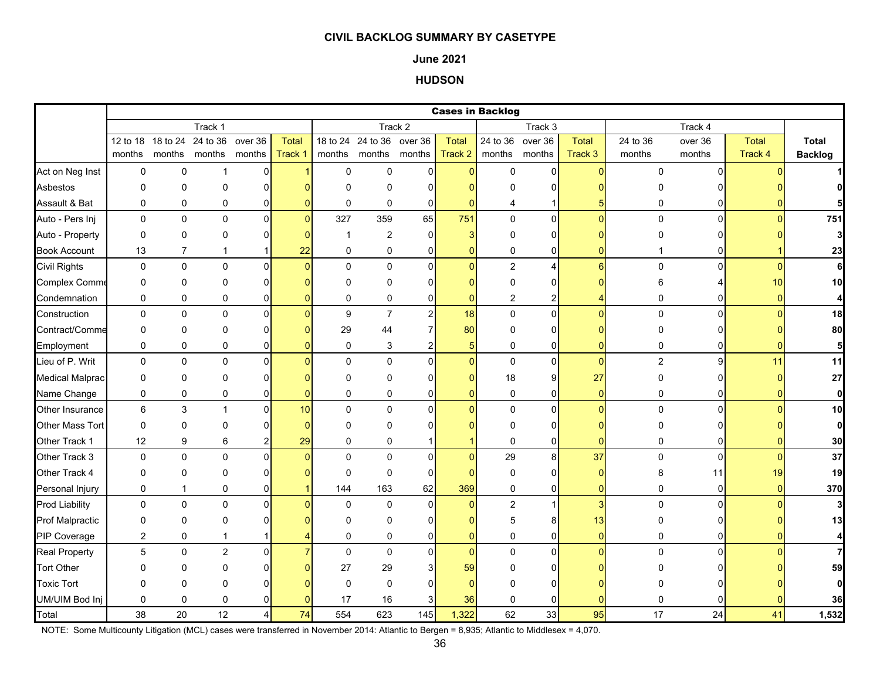#### **June 2021**

# **HUDSON**

|                        |                |                            |                |                |          |              |                           |                |                | <b>Cases in Backlog</b> |                |                  |                  |                |              |                  |
|------------------------|----------------|----------------------------|----------------|----------------|----------|--------------|---------------------------|----------------|----------------|-------------------------|----------------|------------------|------------------|----------------|--------------|------------------|
|                        |                |                            | Track 1        |                |          |              |                           | Track 2        |                |                         | Track 3        |                  |                  | Track 4        |              |                  |
|                        |                | 12 to 18 18 to 24 24 to 36 |                | over 36        | Total    |              | 18 to 24 24 to 36 over 36 |                | <b>Total</b>   | 24 to 36                | over 36        | Total            | 24 to 36         | over 36        | <b>Total</b> | <b>Total</b>     |
|                        | months         |                            | months months  | months         | Track 1  |              | months months months      |                | Track 2        | months                  | months         | Track 3          | months           | months         | Track 4      | <b>Backlog</b>   |
| Act on Neg Inst        | 0              | $\pmb{0}$                  | -1             | 0              |          | $\mathbf 0$  | 0                         | $\overline{0}$ | $\overline{0}$ | $\mathbf 0$             | 0              | $\Omega$         | 0                | $\Omega$       |              |                  |
| Asbestos               | 0              | $\mathbf 0$                | 0              | 0              |          | $\Omega$     | 0                         | ∩              | ŋ              | O                       | 0              |                  | O                |                |              | 01               |
| Assault & Bat          | 0              | $\mathbf 0$                | 0              | 0              |          | $\mathbf 0$  | 0                         | $\overline{0}$ | $\Omega$       | 4                       |                |                  | 0                | 0              |              |                  |
| Auto - Pers Inj        | 0              | $\pmb{0}$                  | $\pmb{0}$      | $\overline{0}$ | $\Omega$ | 327          | 359                       | 65             | 751            | 0                       | $\overline{0}$ | $\Omega$         | 0                | $\overline{0}$ | $\Omega$     | 751              |
| Auto - Property        | $\pmb{0}$      | $\mathbf 0$                | 0              | $\Omega$       |          | -1           | $\overline{2}$            | $\Omega$       | 3              | $\Omega$                | 0              |                  | 0                |                |              | $\mathbf{3}$     |
| <b>Book Account</b>    | 13             | $\overline{7}$             | -1             | 1              | 22       | 0            | 0                         | 0              | 0              | 0                       | 0              |                  |                  | 01             |              | 23               |
| <b>Civil Rights</b>    | 0              | $\pmb{0}$                  | $\mathbf 0$    | 0              | O        | $\Omega$     | $\mathbf 0$               | $\mathbf{0}$   | $\overline{0}$ | $\overline{c}$          | 4              | $6 \overline{6}$ | $\pmb{0}$        | $\Omega$       | $\Omega$     | 6                |
| <b>Complex Comme</b>   | 0              | 0                          | 0              | 0              |          | $\Omega$     | 0                         | $\Omega$       | O              | $\Omega$                | 0              |                  | 6                |                | 10           | 10               |
| Condemnation           | 0              | 0                          | 0              | 0              |          | 0            | 0                         | 0              | $\Omega$       | 2                       | 2              |                  | 0                | $\Omega$       | $\Omega$     | $\boldsymbol{4}$ |
| Construction           | $\mathbf 0$    | 0                          | $\pmb{0}$      | 0              |          | 9            | $\overline{7}$            | $\overline{2}$ | 18             | $\pmb{0}$               | $\pmb{0}$      | $\Omega$         | 0                | $\Omega$       |              | 18               |
| Contract/Comme         | 0              | $\mathbf 0$                | 0              | $\Omega$       |          | 29           | 44                        |                | 80             | 0                       | $\overline{0}$ |                  | 0                |                |              | 80               |
| Employment             | 0              | $\pmb{0}$                  | 0              | 0              |          | 0            | $\ensuremath{\mathsf{3}}$ |                | 5 <sub>5</sub> | 0                       | 0              |                  | 0                | ΩI             |              | 5 <sub>5</sub>   |
| Lieu of P. Writ        | 0              | $\pmb{0}$                  | $\pmb{0}$      | $\Omega$       |          | $\mathbf{0}$ | $\mathbf 0$               | $\mathbf{0}$   | $\Omega$       | $\pmb{0}$               | $\mathbf 0$    | $\overline{0}$   | $\boldsymbol{2}$ | 9              | 11           | 11               |
| <b>Medical Malprac</b> | 0              | $\mathbf 0$                | 0              | 0              |          | $\Omega$     | 0                         | $\Omega$       | 0              | 18                      | 9              | 27               | 0                |                |              | 27               |
| Name Change            | 0              | 0                          | 0              | 0              |          | 0            | 0                         | $\mathbf{0}$   | $\overline{0}$ | 0                       | 0              | $\overline{0}$   | 0                | $\overline{0}$ | $\Omega$     | $\mathbf{0}$     |
| Other Insurance        | 6              | $\mathbf{3}$               | $\overline{1}$ | $\mathbf{0}$   | 10       | $\Omega$     | $\mathbf 0$               | $\Omega$       | $\overline{0}$ | 0                       | $\mathbf 0$    | $\Omega$         | $\mathbf 0$      | $\Omega$       |              | 10               |
| <b>Other Mass Tort</b> | 0              | $\mathbf 0$                | 0              | $\Omega$       | $\Omega$ | $\Omega$     | 0                         |                |                | 0                       | 0              |                  | 0                | 0l             |              | $\mathbf{0}$     |
| Other Track 1          | 12             | 9                          | 6              | 2              | 29       | $\mathbf 0$  | 0                         |                |                | 0                       | 0              | ŋ                | 0                | 0              |              | 30               |
| Other Track 3          | 0              | $\mathbf 0$                | 0              | $\Omega$       |          | $\Omega$     | $\mathbf 0$               | $\Omega$       | $\Omega$       | 29                      | 8              | 37               | $\mathbf 0$      | $\Omega$       | $\Omega$     | 37               |
| Other Track 4          | 0              | $\mathbf 0$                | 0              | $\Omega$       |          | $\Omega$     | 0                         | $\Omega$       | n              | $\mathbf 0$             | 0              | O                | 8                | 11             | 19           | 19               |
| Personal Injury        | 0              | $\mathbf{1}$               | 0              | 0              |          | 144          | 163                       | 62             | 369            | 0                       | 0              | $\overline{0}$   | 0                | $\overline{0}$ | $\Omega$     | 370              |
| <b>Prod Liability</b>  | 0              | $\mathbf 0$                | 0              | $\mathbf{0}$   |          | $\mathbf 0$  | $\mathbf 0$               | $\Omega$       | $\overline{0}$ | $\overline{2}$          |                | 3                | 0                | $\Omega$       |              | 3                |
| <b>Prof Malpractic</b> | 0              | $\mathbf 0$                | 0              | $\Omega$       |          | $\Omega$     | 0                         | ŋ              |                | 5                       | 8              | 13               | 0                |                |              | 13               |
| PIP Coverage           | $\overline{c}$ | $\pmb{0}$                  | $\mathbf{1}$   |                |          | $\mathbf 0$  | 0                         | $\overline{0}$ | $\mathbf{0}$   | 0                       | 0              | $\overline{0}$   | 0                | 01             |              | $\overline{4}$   |
| <b>Real Property</b>   | 5              | $\pmb{0}$                  | $\overline{2}$ | $\Omega$       |          | $\mathbf{0}$ | $\mathbf 0$               | $\Omega$       | $\overline{0}$ | $\pmb{0}$               | $\mathbf 0$    | $\Omega$         | $\Omega$         | $\Omega$       |              | $\overline{7}$   |
| <b>Tort Other</b>      | U              | 0                          | 0              |                |          | 27           | 29                        |                | 59             | U                       | 0              |                  |                  |                |              | 59               |
| <b>Toxic Tort</b>      | 0              | $\mathbf 0$                | 0              |                |          | $\Omega$     | 0                         | ŋ              | $\Omega$       | O                       | 0              |                  |                  |                |              | $\mathbf{0}$     |
| UM/UIM Bod Inj         | 0              | $\mathbf 0$                | 0              |                |          | 17           | 16                        | 3              | 36             | $\mathbf 0$             | 0              |                  | 0                |                |              | 36               |
| Total                  | 38             | 20                         | 12             | 4              | 74       | 554          | 623                       | 145            | 1,322          | 62                      | 33             | 95               | 17               | 24             | 41           | 1,532            |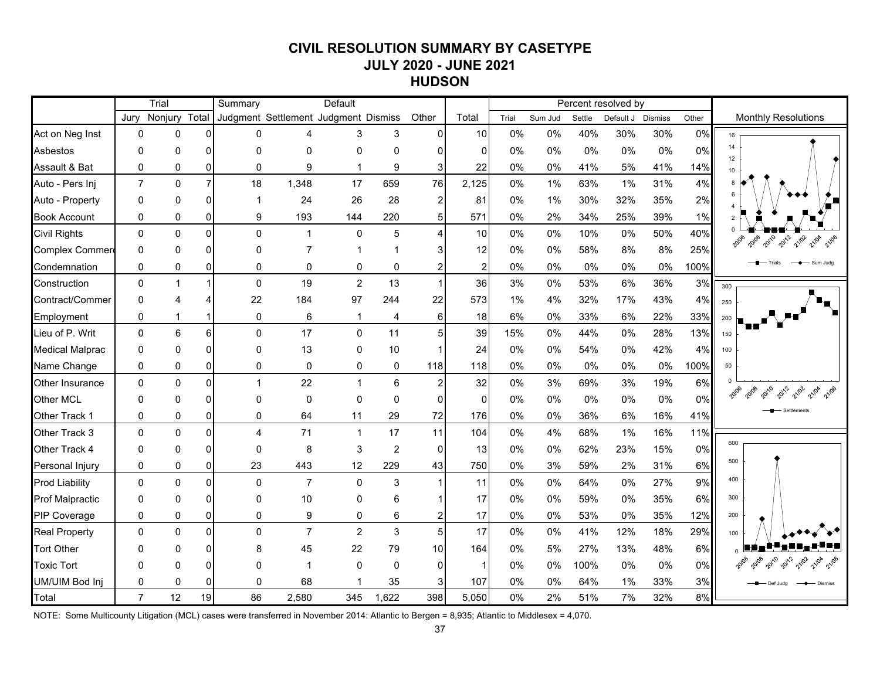# **CIVIL RESOLUTION SUMMARY BY CASETYPE JULY 2020 - JUNE 2021 HUDSON**

|                        |                | Trial        |                | Summary                              |                | Default        |                  |                |       |       |         |        | Percent resolved by |         |       |                            |
|------------------------|----------------|--------------|----------------|--------------------------------------|----------------|----------------|------------------|----------------|-------|-------|---------|--------|---------------------|---------|-------|----------------------------|
|                        | Jurv           | Nonjury      | Total          | Judgment Settlement Judgment Dismiss |                |                |                  | Other          | Total | Trial | Sum Jud | Settle | Default J           | Dismiss | Other | <b>Monthly Resolutions</b> |
| Act on Neg Inst        | 0              | 0            | $\overline{0}$ | 0                                    | 4              | 3              | 3                | $\overline{0}$ | 10    | 0%    | 0%      | 40%    | 30%                 | 30%     | 0%    | 16                         |
| <b>Asbestos</b>        | $\mathbf 0$    | $\mathbf{0}$ | $\Omega$       | $\Omega$                             | 0              | 0              | 0                | $\Omega$       | 0     | 0%    | 0%      | 0%     | 0%                  | 0%      | 0%    | 14<br>12 <sup>12</sup>     |
| Assault & Bat          | $\mathbf{0}$   | 0            | $\overline{0}$ | $\Omega$                             | 9              | $\mathbf{1}$   | 9                | 3              | 22    | 0%    | 0%      | 41%    | 5%                  | 41%     | 14%   | 10                         |
| Auto - Pers Inj        | $\overline{7}$ | $\mathbf 0$  | $\overline{7}$ | 18                                   | 1,348          | 17             | 659              | 76             | 2,125 | 0%    | 1%      | 63%    | 1%                  | 31%     | 4%    |                            |
| Auto - Property        | 0              | 0            | $\Omega$       |                                      | 24             | 26             | 28               | 2              | 81    | 0%    | $1\%$   | 30%    | 32%                 | 35%     | 2%    |                            |
| <b>Book Account</b>    | 0              | 0            | $\overline{0}$ | 9                                    | 193            | 144            | 220              | 5              | 571   | 0%    | 2%      | 34%    | 25%                 | 39%     | 1%    |                            |
| <b>Civil Rights</b>    | $\mathbf{0}$   | $\mathbf 0$  | $\overline{0}$ | $\mathbf{0}$                         | $\mathbf 1$    | $\mathbf 0$    | 5                | 4              | 10    | 0%    | 0%      | 10%    | 0%                  | 50%     | 40%   | 2010<br>2012<br>21/02      |
| Complex Commer         | $\mathbf{0}$   | $\mathbf{0}$ | $\Omega$       | $\Omega$                             | $\overline{7}$ |                |                  | 3              | 12    | 0%    | 0%      | 58%    | 8%                  | 8%      | 25%   |                            |
| Condemnation           | $\mathbf 0$    | 0            | $\overline{0}$ | 0                                    | 0              | 0              | 0                | 2              | 2     | 0%    | 0%      | 0%     | 0%                  | 0%      | 100%  | Sum Jude                   |
| Construction           | $\mathbf 0$    | $\mathbf{1}$ | $\mathbf{1}$   | $\mathbf{0}$                         | 19             | $\overline{2}$ | 13               | $\mathbf{1}$   | 36    | 3%    | 0%      | 53%    | 6%                  | 36%     | 3%    | 300                        |
| Contract/Commer        | $\Omega$       |              | 4              | 22                                   | 184            | 97             | 244              | 22             | 573   | 1%    | 4%      | 32%    | 17%                 | 43%     | 4%    | 250                        |
| Employment             | $\mathbf 0$    | 1            | $\mathbf{1}$   | $\mathbf 0$                          | 6              | $\mathbf{1}$   | 4                | 6              | 18    | 6%    | 0%      | 33%    | 6%                  | 22%     | 33%   | 200                        |
| Lieu of P. Writ        | $\mathbf 0$    | 6            | 6 <sup>1</sup> | $\Omega$                             | 17             | $\mathbf 0$    | 11               | 5              | 39    | 15%   | 0%      | 44%    | 0%                  | 28%     | 13%   | 150                        |
| <b>Medical Malprac</b> | 0              | 0            | $\Omega$       | $\Omega$                             | 13             | 0              | 10               |                | 24    | 0%    | 0%      | 54%    | $0\%$               | 42%     | 4%    | 100                        |
| Name Change            | $\mathbf 0$    | 0            | $\overline{0}$ | $\mathbf 0$                          | 0              | 0              | 0                | 118            | 118   | 0%    | 0%      | 0%     | $0\%$               | 0%      | 100%  | 50                         |
| <b>Other Insurance</b> | $\mathbf 0$    | $\mathbf{0}$ | $\overline{0}$ | 1                                    | 22             | $\mathbf{1}$   | 6                | 2              | 32    | 0%    | 3%      | 69%    | 3%                  | 19%     | 6%    |                            |
| Other MCL              | $\mathbf{0}$   | $\mathbf{0}$ | $\Omega$       | $\Omega$                             | 0              | $\mathbf{0}$   | $\mathbf{0}$     | 0              | 0     | 0%    | 0%      | 0%     | 0%                  | 0%      | 0%    | 21/02                      |
| Other Track 1          | $\mathbf 0$    | 0            | $\overline{0}$ | $\mathbf 0$                          | 64             | 11             | 29               | 72             | 176   | 0%    | 0%      | 36%    | 6%                  | 16%     | 41%   |                            |
| Other Track 3          | $\mathbf 0$    | $\mathbf 0$  | $\Omega$       | $\overline{4}$                       | 71             | $\mathbf{1}$   | 17               | 11             | 104   | 0%    | 4%      | 68%    | 1%                  | 16%     | 11%   |                            |
| Other Track 4          | 0              | $\mathbf{0}$ | $\Omega$       | 0                                    | 8              | 3              | $\boldsymbol{2}$ | $\mathbf 0$    | 13    | 0%    | 0%      | 62%    | 23%                 | 15%     | 0%    | 600                        |
| Personal Injury        | 0              | 0            | $\overline{0}$ | 23                                   | 443            | 12             | 229              | 43             | 750   | 0%    | 3%      | 59%    | 2%                  | 31%     | 6%    | 500                        |
| <b>Prod Liability</b>  | $\Omega$       | $\Omega$     | $\Omega$       | $\Omega$                             | $\overline{7}$ | $\Omega$       | 3                | $\mathbf{1}$   | 11    | 0%    | 0%      | 64%    | $0\%$               | 27%     | 9%    | 400                        |
| <b>Prof Malpractic</b> | $\Omega$       | $\Omega$     | $\Omega$       | $\Omega$                             | 10             | $\mathbf{0}$   | 6                |                | 17    | 0%    | 0%      | 59%    | 0%                  | 35%     | 6%    | 300                        |
| PIP Coverage           | $\mathbf{0}$   | $\mathbf{0}$ | $\Omega$       | $\Omega$                             | 9              | 0              | 6                | 2              | 17    | 0%    | 0%      | 53%    | 0%                  | 35%     | 12%   | 200                        |
| <b>Real Property</b>   | $\mathbf{0}$   | $\mathbf{0}$ | $\Omega$       | $\Omega$                             | $\overline{7}$ | $\overline{2}$ | 3                | 5              | 17    | 0%    | 0%      | 41%    | 12%                 | 18%     | 29%   | 100                        |
| <b>Tort Other</b>      | $\Omega$       | $\Omega$     | $\Omega$       | 8                                    | 45             | 22             | 79               | 10             | 164   | 0%    | 5%      | 27%    | 13%                 | 48%     | 6%    |                            |
| <b>Toxic Tort</b>      | $\Omega$       | O            | $\Omega$       | O                                    | $\mathbf 1$    | $\mathbf{0}$   | $\mathbf{0}$     | $\Omega$       | -1    | 0%    | 0%      | 100%   | 0%                  | 0%      | 0%    |                            |
| UM/UIM Bod Inj         | $\mathbf{0}$   | 0            | $\Omega$       | 0                                    | 68             |                | 35               | 3              | 107   | 0%    | 0%      | 64%    | 1%                  | 33%     | 3%    | Def Juda                   |
| Total                  | $\overline{7}$ | 12           | 19             | 86                                   | 2,580          | 345            | 1,622            | 398            | 5,050 | 0%    | 2%      | 51%    | 7%                  | 32%     | 8%    |                            |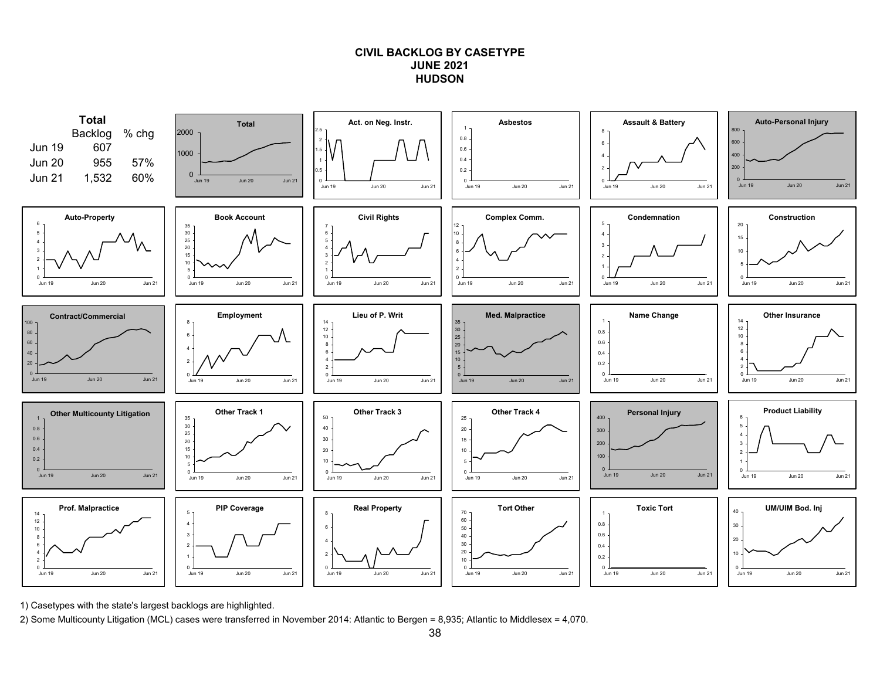## **CIVIL BACKLOG BY CASETYPEJUNE 2021HUDSON**



1) Casetypes with the state's largest backlogs are highlighted.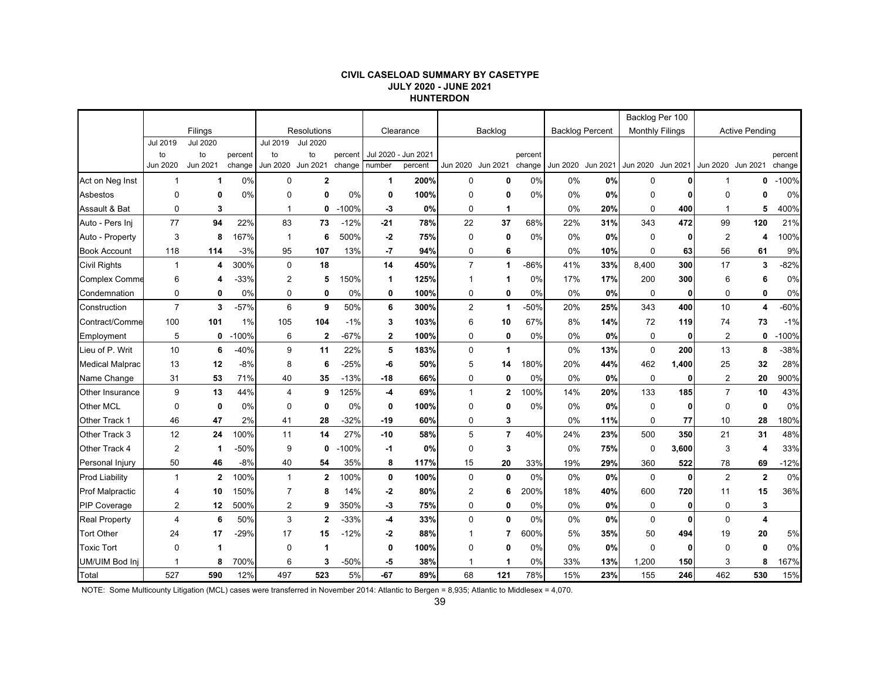#### **CIVIL CASELOAD SUMMARY BY CASETYPE JULY 2020 - JUNE 2021 HUNTERDON**

|                        |                 |                 |         |                |                 |         |              |           |                |                   |         |          |                        |                        | Backlog Per 100 |                   |                         |         |
|------------------------|-----------------|-----------------|---------|----------------|-----------------|---------|--------------|-----------|----------------|-------------------|---------|----------|------------------------|------------------------|-----------------|-------------------|-------------------------|---------|
|                        |                 | Filings         |         |                | Resolutions     |         |              | Clearance |                | Backlog           |         |          | <b>Backlog Percent</b> | <b>Monthly Filings</b> |                 |                   | <b>Active Pending</b>   |         |
|                        | <b>Jul 2019</b> | <b>Jul 2020</b> |         | Jul 2019       | <b>Jul 2020</b> |         |              |           |                |                   |         |          |                        |                        |                 |                   |                         |         |
|                        | to              | to              | percent | to             | to              | percent | Jul 2020 -   | Jun 2021  |                |                   | percent |          |                        |                        |                 |                   |                         | percent |
|                        | Jun 2020        | Jun 2021        | change  | Jun 2020       | Jun 2021        | change  | number       | percent   |                | Jun 2020 Jun 2021 | change  | Jun 2020 | Jun 2021               | Jun 2020 Jun 2021      |                 | Jun 2020 Jun 2021 |                         | change  |
| Act on Neg Inst        | $\mathbf{1}$    | $\mathbf 1$     | 0%      | $\Omega$       | $\mathbf{2}$    |         | 1            | 200%      | 0              | 0                 | 0%      | 0%       | 0%                     | 0                      |                 | 1                 | 0                       | $-100%$ |
| Asbestos               | $\mathbf 0$     | 0               | 0%      | $\Omega$       | 0               | 0%      | 0            | 100%      | $\mathbf 0$    | 0                 | 0%      | 0%       | 0%                     | $\mathbf 0$            | 0               | $\mathbf 0$       | 0                       | 0%      |
| Assault & Bat          | $\mathbf 0$     | 3               |         | 1              | 0               | $-100%$ | -3           | 0%        | $\mathbf 0$    | 1                 |         | 0%       | 20%                    | $\mathbf 0$            | 400             | $\mathbf{1}$      | 5                       | 400%    |
| Auto - Pers Inj        | 77              | 94              | 22%     | 83             | 73              | $-12%$  | $-21$        | 78%       | 22             | 37                | 68%     | 22%      | 31%                    | 343                    | 472             | 99                | 120                     | 21%     |
| Auto - Property        | 3               | 8               | 167%    | $\mathbf 1$    | 6               | 500%    | $-2$         | 75%       | 0              | 0                 | 0%      | 0%       | 0%                     | $\mathbf 0$            | 0               | $\overline{2}$    | 4                       | 100%    |
| <b>Book Account</b>    | 118             | 114             | $-3%$   | 95             | 107             | 13%     | $-7$         | 94%       | 0              | 6                 |         | 0%       | 10%                    | $\mathbf 0$            | 63              | 56                | 61                      | 9%      |
| <b>Civil Rights</b>    | $\mathbf{1}$    | 4               | 300%    | $\mathbf 0$    | 18              |         | 14           | 450%      | $\overline{7}$ | 1                 | -86%    | 41%      | 33%                    | 8,400                  | 300             | 17                | 3                       | $-82%$  |
| Complex Comme          | 6               | 4               | $-33%$  | $\overline{2}$ | 5               | 150%    | 1            | 125%      | $\mathbf{1}$   | 1                 | 0%      | 17%      | 17%                    | 200                    | 300             | 6                 | 6                       | 0%      |
| Condemnation           | $\pmb{0}$       | 0               | 0%      | 0              | 0               | 0%      | 0            | 100%      | 0              | 0                 | 0%      | 0%       | 0%                     | $\mathbf 0$            | 0               | $\mathbf 0$       | $\mathbf{0}$            | $0\%$   |
| Construction           | $\overline{7}$  | 3               | $-57%$  | 6              | 9               | 50%     | 6            | 300%      | $\overline{2}$ | $\mathbf{1}$      | -50%    | 20%      | 25%                    | 343                    | 400             | 10                | 4                       | -60%    |
| Contract/Comme         | 100             | 101             | 1%      | 105            | 104             | $-1\%$  | 3            | 103%      | 6              | 10                | 67%     | 8%       | 14%                    | 72                     | 119             | 74                | 73                      | $-1%$   |
| Employment             | 5               | 0               | $-100%$ | 6              | $\mathbf{2}$    | $-67%$  | $\mathbf{2}$ | 100%      | $\mathbf 0$    | 0                 | 0%      | 0%       | 0%                     | $\mathbf 0$            | $\mathbf{0}$    | 2                 | $\mathbf{0}$            | $-100%$ |
| Lieu of P. Writ        | 10              | 6               | $-40%$  | 9              | 11              | 22%     | 5            | 183%      | $\mathbf 0$    | 1                 |         | 0%       | 13%                    | $\mathbf 0$            | 200             | 13                | 8                       | $-38%$  |
| <b>Medical Malprac</b> | 13              | 12              | $-8%$   | 8              | 6               | $-25%$  | -6           | 50%       | 5              | 14                | 180%    | 20%      | 44%                    | 462                    | 1,400           | 25                | 32                      | 28%     |
| Name Change            | 31              | 53              | 71%     | 40             | 35              | $-13%$  | -18          | 66%       | 0              | $\mathbf 0$       | 0%      | 0%       | 0%                     | 0                      | 0               | 2                 | 20                      | 900%    |
| Other Insurance        | 9               | 13              | 44%     | $\overline{4}$ | 9               | 125%    | $-4$         | 69%       | $\mathbf{1}$   | $\mathbf{2}$      | 100%    | 14%      | 20%                    | 133                    | 185             | $\overline{7}$    | 10                      | 43%     |
| Other MCL              | $\mathbf 0$     | $\mathbf 0$     | 0%      | $\Omega$       | 0               | 0%      | 0            | 100%      | $\mathbf 0$    | $\mathbf{0}$      | 0%      | 0%       | 0%                     | $\Omega$               | 0               | $\Omega$          | $\Omega$                | 0%      |
| Other Track 1          | 46              | 47              | 2%      | 41             | 28              | $-32%$  | $-19$        | 60%       | 0              | 3                 |         | 0%       | 11%                    | $\mathbf 0$            | 77              | 10                | 28                      | 180%    |
| Other Track 3          | 12              | 24              | 100%    | 11             | 14              | 27%     | $-10$        | 58%       | 5              | $\overline{7}$    | 40%     | 24%      | 23%                    | 500                    | 350             | 21                | 31                      | 48%     |
| Other Track 4          | $\overline{2}$  | 1               | $-50%$  | 9              | 0               | $-100%$ | -1           | 0%        | 0              | 3                 |         | 0%       | 75%                    | 0                      | 3,600           | 3                 | 4                       | 33%     |
| Personal Injury        | 50              | 46              | $-8%$   | 40             | 54              | 35%     | 8            | 117%      | 15             | 20                | 33%     | 19%      | 29%                    | 360                    | 522             | 78                | 69                      | $-12%$  |
| <b>Prod Liability</b>  | $\mathbf{1}$    | $\mathbf{2}$    | 100%    | $\mathbf{1}$   | $\mathbf{2}$    | 100%    | 0            | 100%      | $\mathbf 0$    | $\mathbf{0}$      | 0%      | 0%       | 0%                     | $\mathbf 0$            | 0               | 2                 | $\mathbf{2}$            | 0%      |
| <b>Prof Malpractic</b> | 4               | 10              | 150%    | $\overline{7}$ | 8               | 14%     | $-2$         | 80%       | $\overline{2}$ | 6                 | 200%    | 18%      | 40%                    | 600                    | 720             | 11                | 15                      | 36%     |
| <b>PIP Coverage</b>    | 2               | 12              | 500%    | $\overline{2}$ | 9               | 350%    | -3           | 75%       | 0              | 0                 | 0%      | 0%       | 0%                     | 0                      | $\mathbf{0}$    | 0                 | 3                       |         |
| <b>Real Property</b>   | $\overline{4}$  | 6               | 50%     | 3              | $\overline{2}$  | $-33%$  | $-4$         | 33%       | $\Omega$       | $\mathbf{0}$      | 0%      | 0%       | 0%                     | $\Omega$               | 0               | $\Omega$          | $\overline{\mathbf{4}}$ |         |
| <b>Tort Other</b>      | 24              | 17              | $-29%$  | 17             | 15              | $-12%$  | -2           | 88%       | $\mathbf{1}$   | $\overline{7}$    | 600%    | 5%       | 35%                    | 50                     | 494             | 19                | 20                      | 5%      |
| <b>Toxic Tort</b>      | $\mathbf 0$     | 1               |         | $\mathbf 0$    | $\overline{1}$  |         | 0            | 100%      | $\mathbf 0$    | $\mathbf{0}$      | 0%      | 0%       | 0%                     | $\mathbf 0$            | $\mathbf{0}$    | $\mathbf 0$       | 0                       | 0%      |
| UM/UIM Bod Inj         | 1               | 8               | 700%    | 6              | 3               | -50%    | -5           | 38%       | 1              | 1                 | 0%      | 33%      | 13%                    | 1,200                  | 150             | 3                 | 8                       | 167%    |
| Total                  | 527             | 590             | 12%     | 497            | 523             | 5%      | -67          | 89%       | 68             | 121               | 78%     | 15%      | 23%                    | 155                    | 246             | 462               | 530                     | 15%     |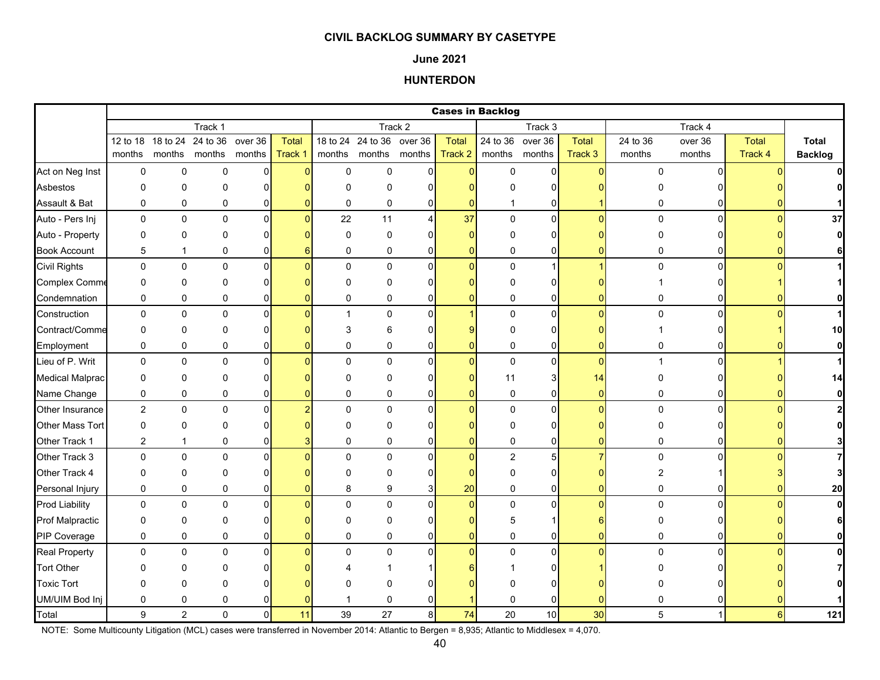### **June 2021**

# **HUNTERDON**

|                        |                |                |               |                |              |             |                           |              |                | <b>Cases in Backlog</b> |                |                |              |                |                |                |
|------------------------|----------------|----------------|---------------|----------------|--------------|-------------|---------------------------|--------------|----------------|-------------------------|----------------|----------------|--------------|----------------|----------------|----------------|
|                        |                |                | Track 1       |                |              |             |                           | Track 2      |                |                         | Track 3        |                |              | Track 4        |                |                |
|                        | 12 to 18       | 18 to 24       | 24 to 36      | over 36        | <b>Total</b> |             | 18 to 24 24 to 36 over 36 |              | <b>Total</b>   | 24 to 36 over 36        |                | <b>Total</b>   | 24 to 36     | over 36        | <b>Total</b>   | <b>Total</b>   |
|                        | months         |                | months months | months         | Track 1      |             | months months months      |              | Track 2        | months months           |                | Track 3        | months       | months         | Track 4        | <b>Backlog</b> |
| Act on Neg Inst        | 0              | $\mathbf 0$    | 0             | $\overline{0}$ | $\Omega$     | $\mathsf 0$ | $\mathbf 0$               | $\Omega$     | $\overline{0}$ | $\mathsf 0$             | $\mathbf 0$    | O              | 0            | $\Omega$       |                |                |
| Asbestos               | $\Omega$       | $\Omega$       | 0             | $\Omega$       |              | $\Omega$    | $\Omega$                  | ŋ            |                | U                       | 0              |                |              |                |                |                |
| Assault & Bat          | 0              | $\pmb{0}$      | 0             | 0              |              | 0           | 0                         | 0            | O              | -1                      | 0              |                | 0            | 01             |                |                |
| Auto - Pers Inj        | $\mathbf 0$    | $\mathbf 0$    | $\mathbf 0$   | $\Omega$       | $\Omega$     | 22          | 11                        | 4            | 37             | $\mathbf 0$             | $\overline{0}$ | $\Omega$       | $\mathbf 0$  | $\Omega$       | $\Omega$       | 37             |
| Auto - Property        | 0              | $\mathbf 0$    | 0             | $\Omega$       |              | $\mathbf 0$ | 0                         | n            | $\Omega$       | $\Omega$                | 0              |                | 0            |                |                | $\mathbf{0}$   |
| <b>Book Account</b>    | 5              | $\mathbf{1}$   | 0             | $\Omega$       |              | $\mathbf 0$ | $\mathbf 0$               | 0            | $\Omega$       | 0                       | 0              |                | 0            | O              |                | 6              |
| <b>Civil Rights</b>    | 0              | $\pmb{0}$      | $\mathbf 0$   | $\mathbf{0}$   |              | $\Omega$    | $\Omega$                  | $\Omega$     | $\Omega$       | $\mathbf{0}$            | 1              |                | $\Omega$     | $\Omega$       |                | $\mathbf{1}$   |
| Complex Comme          | 0              | $\mathbf 0$    | 0             | 0              |              | $\Omega$    | 0                         | O            |                | $\Omega$                | 0              |                |              |                |                |                |
| Condemnation           | 0              | 0              | 0             | 0              |              | 0           | 0                         | 0            | $\Omega$       | 0                       | 0              |                | 0            | ΩI             |                | $\mathbf{0}$   |
| Construction           | 0              | $\pmb{0}$      | $\pmb{0}$     | 0              |              |             | $\mathbf 0$               | $\Omega$     |                | 0                       | $\pmb{0}$      | $\Omega$       | 0            | $\Omega$       |                | $\mathbf{1}$   |
| Contract/Comme         | 0              | $\mathbf 0$    | $\Omega$      | $\Omega$       |              | 3           | 6                         | ŋ            |                | $\Omega$                | 0              |                |              |                |                | 10             |
| Employment             | 0              | $\pmb{0}$      | 0             | 0              |              | $\Omega$    | 0                         | 0            | 0              | 0                       | 0              |                | 0            | ΩI             |                | $\mathbf{0}$   |
| Lieu of P. Writ        | 0              | $\pmb{0}$      | $\pmb{0}$     | $\mathbf{0}$   |              | $\Omega$    | $\mathbf 0$               | $\Omega$     | $\Omega$       | $\pmb{0}$               | $\mathbf 0$    | $\Omega$       | $\mathbf{1}$ | $\Omega$       |                | $\mathbf{1}$   |
| <b>Medical Malprac</b> | 0              | $\Omega$       | $\Omega$      | 0              |              | $\Omega$    | 0                         | ŋ            | O              | 11                      | 3              | 14             | O            |                |                | 14             |
| Name Change            | 0              | 0              | 0             | 0              |              | 0           | 0                         | $\mathbf{0}$ | 0              | 0                       | 0              | $\overline{0}$ | 0            | $\overline{0}$ |                | $\mathbf{0}$   |
| Other Insurance        | $\overline{2}$ | $\mathbf 0$    | $\mathbf 0$   | $\mathbf{0}$   |              | $\Omega$    | $\mathbf 0$               | $\Omega$     | $\Omega$       | $\mathbf 0$             | $\mathbf 0$    | ŋ              | $\mathbf 0$  | $\Omega$       |                | $\mathbf{2}$   |
| Other Mass Tort        | 0              | $\pmb{0}$      | $\Omega$      | $\Omega$       |              | $\Omega$    | $\Omega$                  |              |                | $\Omega$                | 0              |                | O            |                |                | $\mathbf{0}$   |
| Other Track 1          | $\overline{c}$ | $\mathbf{1}$   | 0             | 0              |              | $\Omega$    | 0                         | 0            | 0              | $\mathbf 0$             | $\overline{0}$ |                | 0            |                |                |                |
| Other Track 3          | 0              | $\pmb{0}$      | $\Omega$      | $\Omega$       |              | $\Omega$    | $\Omega$                  | $\Omega$     | $\Omega$       | $\overline{2}$          | 5              |                | $\mathbf 0$  | n.             |                | 7              |
| Other Track 4          | 0              | $\pmb{0}$      | 0             | O              |              | $\Omega$    | 0                         | O            | O              | 0                       | 0              |                | 2            |                |                | 3              |
| Personal Injury        | 0              | $\pmb{0}$      | 0             | 0              |              | 8           | 9                         | 3            | 20             | 0                       | 0              | $\Omega$       | 0            | 01             |                | 20             |
| <b>Prod Liability</b>  | 0              | 0              | $\pmb{0}$     | 0              |              | $\mathbf 0$ | $\mathbf 0$               | $\Omega$     | $\overline{0}$ | 0                       | 0              | n              | 0            | $\Omega$       |                | $\mathbf{0}$   |
| <b>Prof Malpractic</b> | 0              | $\pmb{0}$      | 0             | $\Omega$       |              | $\Omega$    | $\Omega$                  | ŋ            |                | 5                       |                |                | 0            |                |                | 6              |
| PIP Coverage           | 0              | $\mathbf 0$    | 0             | 0              |              | $\Omega$    | $\mathbf 0$               | 0            | 0              | $\mathbf 0$             | 0              |                | 0            | 01             |                | $\mathbf{0}$   |
| <b>Real Property</b>   | 0              | $\pmb{0}$      | 0             | $\Omega$       |              | $\Omega$    | 0                         | $\Omega$     | $\Omega$       | $\mathbf{0}$            | $\overline{0}$ | $\Omega$       | $\mathbf 0$  | $\Omega$       |                | $\mathbf{0}$   |
| <b>Tort Other</b>      | O              | $\mathbf{0}$   | ∩             |                |              |             |                           |              |                |                         | 0              |                |              |                |                |                |
| <b>Toxic Tort</b>      | 0              | $\mathbf 0$    | 0             |                |              |             | U                         |              |                |                         | ŋ              |                |              |                |                |                |
| UM/UIM Bod Inj         | 0              | 0              | 0             |                |              |             | 0                         |              |                | $\mathbf 0$             | 0              |                |              |                |                |                |
| Total                  | 9              | $\overline{2}$ | $\Omega$      | $\Omega$       | 11           | 39          | 27                        | 8            | 74             | 20                      | 10             | 30             | 5            |                | 6 <sup>1</sup> | 121            |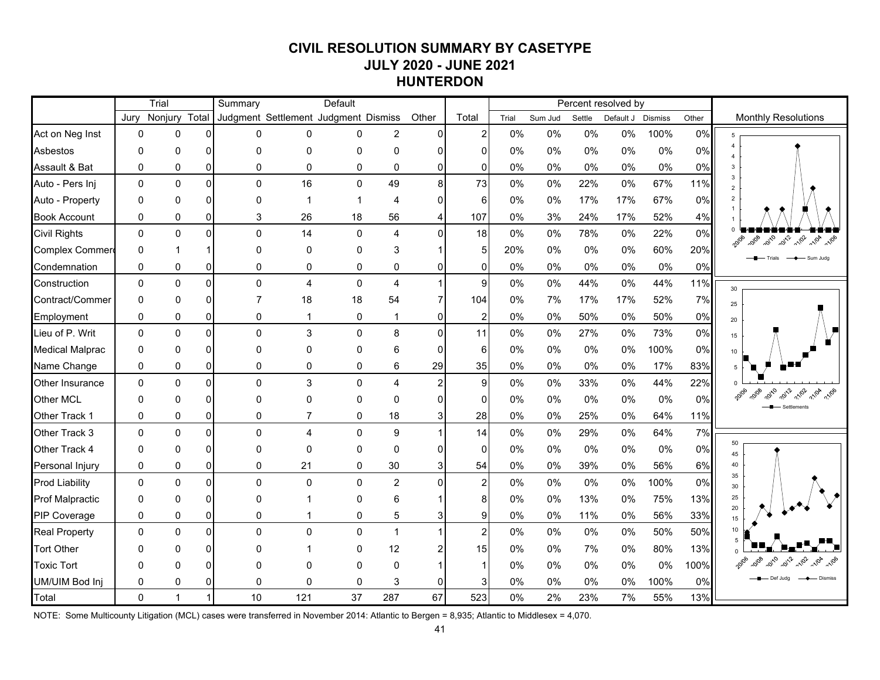# **CIVIL RESOLUTION SUMMARY BY CASETYPE JULY 2020 - JUNE 2021 HUNTERDON**

|                        |              | Trial        |                | Summary                              |                | Default                 |                |          |                |       |         |        | Percent resolved by |      |       |                                      |
|------------------------|--------------|--------------|----------------|--------------------------------------|----------------|-------------------------|----------------|----------|----------------|-------|---------|--------|---------------------|------|-------|--------------------------------------|
|                        | Jury         | Nonjury      | Total          | Judgment Settlement Judgment Dismiss |                |                         |                | Other    | Total          | Trial | Sum Jud | Settle | Default J Dismiss   |      | Other | <b>Monthly Resolutions</b>           |
| Act on Neg Inst        | $\mathbf 0$  | $\mathbf 0$  | $\Omega$       | 0                                    | 0              | 0                       | $\overline{c}$ | 0        | $\overline{a}$ | 0%    | 0%      | 0%     | $0\%$               | 100% | 0%    | 5                                    |
| Asbestos               | $\mathbf{0}$ | $\mathbf 0$  | $\Omega$       | 0                                    | 0              | 0                       | 0              | O        | ∩              | 0%    | $0\%$   | 0%     | 0%                  | 0%   | 0%    | $\overline{4}$<br>$\overline{4}$     |
| Assault & Bat          | $\mathbf 0$  | $\mathbf 0$  | $\overline{0}$ | 0                                    | 0              | 0                       | $\mathbf 0$    | 0        | $\Omega$       | 0%    | 0%      | 0%     | 0%                  | 0%   | 0%    | 3                                    |
| Auto - Pers Inj        | $\Omega$     | $\Omega$     | $\Omega$       | $\Omega$                             | 16             | 0                       | 49             | 8        | 73             | 0%    | 0%      | 22%    | 0%                  | 67%  | 11%   | 3<br>$\overline{2}$                  |
| Auto - Property        | $\mathbf{0}$ | $\Omega$     | $\Omega$       | $\Omega$                             | $\mathbf 1$    | $\overline{\mathbf{1}}$ | 4              | n        | 6              | 0%    | 0%      | 17%    | 17%                 | 67%  | 0%    | $\overline{2}$<br>$\overline{1}$     |
| <b>Book Account</b>    | 0            | 0            | $\Omega$       | 3                                    | 26             | 18                      | 56             |          | 107            | 0%    | 3%      | 24%    | 17%                 | 52%  | 4%    |                                      |
| Civil Rights           | $\mathbf{0}$ | $\mathbf 0$  | $\Omega$       | $\Omega$                             | 14             | 0                       | $\overline{4}$ | 0        | 18             | 0%    | 0%      | 78%    | 0%                  | 22%  | 0%    | 10108 1010 1012 1102 1104            |
| Complex Commer         | 0            |              |                | $\Omega$                             | 0              | $\mathbf{0}$            | 3              |          | 5              | 20%   | 0%      | 0%     | 0%                  | 60%  | 20%   | Trials<br>- Sum Judo                 |
| Condemnation           | $\mathbf 0$  | 0            | $\overline{0}$ | 0                                    | 0              | 0                       | 0              | 0        | $\mathbf{0}$   | 0%    | 0%      | 0%     | 0%                  | 0%   | 0%    |                                      |
| Construction           | $\mathbf 0$  | $\mathbf{0}$ | $\overline{0}$ | $\Omega$                             | 4              | $\mathbf 0$             | $\overline{4}$ |          | 9              | 0%    | 0%      | 44%    | 0%                  | 44%  | 11%   | 30                                   |
| Contract/Commer        | $\Omega$     | 0            | $\Omega$       | 7                                    | 18             | 18                      | 54             |          | 104            | 0%    | 7%      | 17%    | 17%                 | 52%  | 7%    | 25                                   |
| Employment             | $\mathbf 0$  | 0            | $\overline{0}$ | 0                                    | 1              | 0                       | $\overline{1}$ | 0        | $\overline{2}$ | 0%    | 0%      | 50%    | 0%                  | 50%  | 0%    | $20\,$                               |
| Lieu of P. Writ        | $\Omega$     | $\Omega$     | $\Omega$       | $\Omega$                             | 3              | $\mathbf 0$             | 8              | $\Omega$ | 11             | 0%    | 0%      | 27%    | 0%                  | 73%  | 0%    | 15                                   |
| <b>Medical Malprac</b> | $\Omega$     | 0            | $\Omega$       | $\Omega$                             | $\Omega$       | $\mathbf{0}$            | 6              | 0        | 6              | 0%    | 0%      | 0%     | 0%                  | 100% | 0%    | 10                                   |
| Name Change            | $\mathbf{0}$ | 0            | $\overline{0}$ | 0                                    | 0              | 0                       | 6              | 29       | 35             | 0%    | 0%      | 0%     | 0%                  | 17%  | 83%   | 5 <sup>5</sup>                       |
| Other Insurance        | $\mathbf{0}$ | $\Omega$     | $\Omega$       | $\Omega$                             | 3              | $\mathbf 0$             | 4              | 2        | 9              | 0%    | 0%      | 33%    | 0%                  | 44%  | 22%   |                                      |
| <b>Other MCL</b>       | $\Omega$     | $\Omega$     | $\Omega$       | $\Omega$                             | 0              | $\mathbf{0}$            | $\Omega$       | 0        | $\Omega$       | 0%    | 0%      | 0%     | 0%                  | 0%   | 0%    | 2012<br>2010                         |
| Other Track 1          | 0            | 0            | $\overline{0}$ | 0                                    | $\overline{7}$ | 0                       | 18             | 3        | 28             | 0%    | $0\%$   | 25%    | 0%                  | 64%  | 11%   |                                      |
| Other Track 3          | $\mathbf 0$  | $\mathbf 0$  | $\Omega$       | $\mathbf 0$                          | 4              | 0                       | $9\,$          |          | 14             | 0%    | 0%      | 29%    | 0%                  | 64%  | 7%    |                                      |
| Other Track 4          | $\Omega$     | $\Omega$     | $\Omega$       | $\Omega$                             | 0              | $\mathbf{0}$            | $\Omega$       | 0        | $\Omega$       | 0%    | 0%      | 0%     | 0%                  | 0%   | 0%    | 50<br>45                             |
| Personal Injury        | 0            | 0            | $\overline{0}$ | 0                                    | 21             | 0                       | 30             | 3        | 54             | 0%    | 0%      | 39%    | 0%                  | 56%  | 6%    | 40                                   |
| <b>Prod Liability</b>  | $\Omega$     | $\Omega$     | $\Omega$       | $\Omega$                             | 0              | 0                       | $\overline{2}$ | 0        | $\overline{2}$ | 0%    | 0%      | 0%     | 0%                  | 100% | 0%    | 35<br>30                             |
| <b>Prof Malpractic</b> | $\mathbf{0}$ | 0            | $\Omega$       | $\Omega$                             | 1              | $\mathbf{0}$            | 6              |          | 8              | 0%    | 0%      | 13%    | 0%                  | 75%  | 13%   | 25                                   |
| <b>PIP Coverage</b>    | $\mathbf 0$  | 0            | $\overline{0}$ | 0                                    | 1              | 0                       | 5              | 3        | 9              | 0%    | 0%      | 11%    | 0%                  | 56%  | 33%   | 20<br>15                             |
| <b>Real Property</b>   | $\mathbf{0}$ | $\mathbf{0}$ | $\Omega$       | $\Omega$                             | 0              | $\mathbf 0$             | $\mathbf{1}$   | 1        | $\overline{c}$ | 0%    | 0%      | 0%     | $0\%$               | 50%  | 50%   | 10                                   |
| <b>Tort Other</b>      | $\Omega$     | $\Omega$     | $\Omega$       | 0                                    | 1              | $\mathbf{0}$            | 12             |          | 15             | 0%    | 0%      | 7%     | 0%                  | 80%  | 13%   |                                      |
| <b>Toxic Tort</b>      | 0            | 0            | $\Omega$       | 0                                    | 0              | $\mathbf{0}$            | 0              |          |                | 0%    | 0%      | 0%     | 0%                  | 0%   | 100%  | -0110<br>$-20^{12}$<br>9108<br>- 402 |
| UM/UIM Bod Inj         | 0            | 0            | $\Omega$       | $\Omega$                             | 0              | 0                       | 3              | 0        | 3              | 0%    | 0%      | 0%     | 0%                  | 100% | 0%    | Def.luda                             |
| Total                  | $\Omega$     | $\mathbf{1}$ | 1              | 10                                   | 121            | 37                      | 287            | 67       | 523            | 0%    | 2%      | 23%    | 7%                  | 55%  | 13%   |                                      |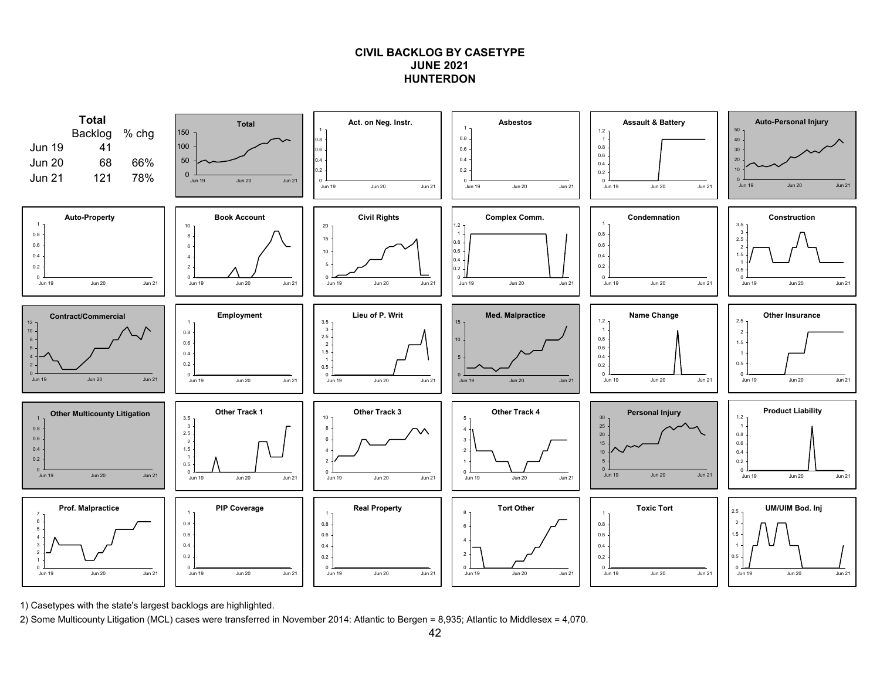# **CIVIL BACKLOG BY CASETYPEJUNE 2021HUNTERDON**



1) Casetypes with the state's largest backlogs are highlighted.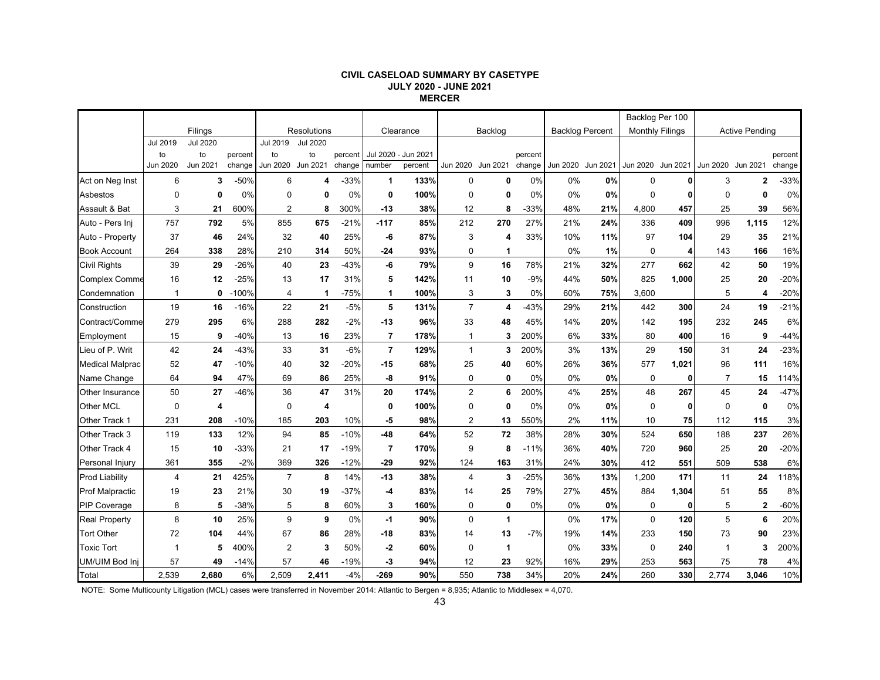#### **CIVIL CASELOAD SUMMARY BY CASETYPE JULY 2020 - JUNE 2021 MERCER**

|                        |                |                 |         |                |                    |         |                |                     |                   |                         |         |          |                        | Backlog Per 100        |              |                   |                       |         |
|------------------------|----------------|-----------------|---------|----------------|--------------------|---------|----------------|---------------------|-------------------|-------------------------|---------|----------|------------------------|------------------------|--------------|-------------------|-----------------------|---------|
|                        |                | Filings         |         |                | Resolutions        |         |                | Clearance           |                   | Backlog                 |         |          | <b>Backlog Percent</b> | <b>Monthly Filings</b> |              |                   | <b>Active Pending</b> |         |
|                        | Jul 2019       | <b>Jul 2020</b> |         | Jul 2019       | <b>Jul 2020</b>    |         |                |                     |                   |                         |         |          |                        |                        |              |                   |                       |         |
|                        | to             | to              | percent | to             | to                 | percent |                | Jul 2020 - Jun 2021 |                   |                         | percent |          |                        |                        |              |                   |                       | percent |
|                        | Jun 2020       | Jun 2021        | change  | Jun 2020       | Jun 2021           | change  | number         | percent             | Jun 2020 Jun 2021 |                         | change  | Jun 2020 | Jun 2021               | Jun 2020 Jun 2021      |              | Jun 2020 Jun 2021 |                       | change  |
| Act on Neg Inst        | 6              | 3               | $-50%$  | 6              | Δ                  | $-33%$  | 1              | 133%                | 0                 | 0                       | 0%      | 0%       | 0%                     | 0                      |              | 3                 | $\mathbf{2}$          | $-33%$  |
| Asbestos               | $\mathbf 0$    | 0               | 0%      | $\Omega$       | 0                  | 0%      | 0              | 100%                | $\mathbf 0$       | 0                       | 0%      | 0%       | 0%                     | $\mathbf 0$            | 0            | $\mathbf 0$       | 0                     | 0%      |
| Assault & Bat          | 3              | 21              | 600%    | $\overline{2}$ | 8                  | 300%    | $-13$          | 38%                 | 12                | 8                       | $-33%$  | 48%      | 21%                    | 4,800                  | 457          | 25                | 39                    | 56%     |
| Auto - Pers Ini        | 757            | 792             | 5%      | 855            | 675                | $-21%$  | $-117$         | 85%                 | 212               | 270                     | 27%     | 21%      | 24%                    | 336                    | 409          | 996               | 1,115                 | 12%     |
| Auto - Property        | 37             | 46              | 24%     | 32             | 40                 | 25%     | -6             | 87%                 | 3                 | 4                       | 33%     | 10%      | 11%                    | 97                     | 104          | 29                | 35                    | 21%     |
| <b>Book Account</b>    | 264            | 338             | 28%     | 210            | 314                | 50%     | -24            | 93%                 | 0                 | 1                       |         | 0%       | 1%                     | $\mathbf 0$            | 4            | 143               | 166                   | 16%     |
| <b>Civil Rights</b>    | 39             | 29              | $-26%$  | 40             | 23                 | $-43%$  | -6             | 79%                 | 9                 | 16                      | 78%     | 21%      | 32%                    | 277                    | 662          | 42                | 50                    | 19%     |
| <b>Complex Comme</b>   | 16             | 12              | $-25%$  | 13             | 17                 | 31%     | 5              | 142%                | 11                | 10                      | $-9%$   | 44%      | 50%                    | 825                    | 1,000        | 25                | 20                    | $-20%$  |
| Condemnation           | $\mathbf{1}$   | 0               | $-100%$ | 4              | $\mathbf 1$        | $-75%$  | 1              | 100%                | 3                 | 3                       | 0%      | 60%      | 75%                    | 3,600                  |              | 5                 | 4                     | $-20%$  |
| Construction           | 19             | 16              | $-16%$  | 22             | 21                 | $-5%$   | 5              | 131%                | $\overline{7}$    | $\overline{\mathbf{4}}$ | -43%    | 29%      | 21%                    | 442                    | 300          | 24                | 19                    | $-21%$  |
| Contract/Comme         | 279            | 295             | 6%      | 288            | 282                | $-2%$   | $-13$          | 96%                 | 33                | 48                      | 45%     | 14%      | 20%                    | 142                    | 195          | 232               | 245                   | 6%      |
| Employment             | 15             | 9               | $-40%$  | 13             | 16                 | 23%     | $\overline{7}$ | 178%                | $\mathbf 1$       | 3                       | 200%    | 6%       | 33%                    | 80                     | 400          | 16                | 9                     | $-44%$  |
| Lieu of P. Writ        | 42             | 24              | $-43%$  | 33             | 31                 | $-6%$   | $\overline{7}$ | 129%                | $\mathbf{1}$      | 3                       | 200%    | 3%       | 13%                    | 29                     | 150          | 31                | 24                    | $-23%$  |
| <b>Medical Malprac</b> | 52             | 47              | $-10%$  | 40             | 32                 | $-20%$  | -15            | 68%                 | 25                | 40                      | 60%     | 26%      | 36%                    | 577                    | 1,021        | 96                | 111                   | 16%     |
| Name Change            | 64             | 94              | 47%     | 69             | 86                 | 25%     | -8             | 91%                 | $\mathbf 0$       | $\mathbf{0}$            | 0%      | 0%       | 0%                     | $\mathbf 0$            | $\mathbf{0}$ | $\overline{7}$    | 15                    | 114%    |
| Other Insurance        | 50             | 27              | $-46%$  | 36             | 47                 | 31%     | 20             | 174%                | 2                 | 6                       | 200%    | 4%       | 25%                    | 48                     | 267          | 45                | 24                    | $-47%$  |
| Other MCL              | $\mathbf 0$    | 4               |         | 0              | $\overline{\bf 4}$ |         | 0              | 100%                | $\mathbf 0$       | 0                       | 0%      | $0\%$    | 0%                     | 0                      | 0            | 0                 | $\mathbf 0$           | 0%      |
| Other Track 1          | 231            | 208             | $-10%$  | 185            | 203                | 10%     | -5             | 98%                 | 2                 | 13                      | 550%    | 2%       | 11%                    | 10                     | 75           | 112               | 115                   | 3%      |
| Other Track 3          | 119            | 133             | 12%     | 94             | 85                 | $-10%$  | $-48$          | 64%                 | 52                | 72                      | 38%     | 28%      | 30%                    | 524                    | 650          | 188               | 237                   | 26%     |
| Other Track 4          | 15             | 10              | $-33%$  | 21             | 17                 | $-19%$  | $\overline{7}$ | 170%                | 9                 | 8                       | $-11%$  | 36%      | 40%                    | 720                    | 960          | 25                | 20                    | $-20%$  |
| Personal Injury        | 361            | 355             | $-2%$   | 369            | 326                | $-12%$  | $-29$          | 92%                 | 124               | 163                     | 31%     | 24%      | 30%                    | 412                    | 551          | 509               | 538                   | 6%      |
| <b>Prod Liability</b>  | $\overline{4}$ | 21              | 425%    | $\overline{7}$ | 8                  | 14%     | $-13$          | 38%                 | $\overline{4}$    | 3                       | $-25%$  | 36%      | 13%                    | 1,200                  | 171          | 11                | 24                    | 118%    |
| <b>Prof Malpractic</b> | 19             | 23              | 21%     | 30             | 19                 | $-37%$  | -4             | 83%                 | 14                | 25                      | 79%     | 27%      | 45%                    | 884                    | 1,304        | 51                | 55                    | 8%      |
| <b>PIP Coverage</b>    | 8              | 5               | -38%    | 5              | 8                  | 60%     | 3              | 160%                | 0                 | 0                       | 0%      | $0\%$    | 0%                     | 0                      | $\mathbf{0}$ | 5                 | 2                     | $-60%$  |
| <b>Real Property</b>   | 8              | 10              | 25%     | 9              | 9                  | 0%      | $-1$           | 90%                 | $\Omega$          | $\mathbf{1}$            |         | 0%       | 17%                    | $\Omega$               | 120          | 5                 | 6                     | 20%     |
| <b>Tort Other</b>      | 72             | 104             | 44%     | 67             | 86                 | 28%     | -18            | 83%                 | 14                | 13                      | $-7%$   | 19%      | 14%                    | 233                    | 150          | 73                | 90                    | 23%     |
| <b>Toxic Tort</b>      | 1              | 5               | 400%    | $\overline{2}$ | 3                  | 50%     | $-2$           | 60%                 | $\mathbf 0$       | $\mathbf{1}$            |         | 0%       | 33%                    | 0                      | 240          | 1                 | 3                     | 200%    |
| UM/UIM Bod Inj         | 57             | 49              | $-14%$  | 57             | 46                 | $-19%$  | -3             | 94%                 | 12                | 23                      | 92%     | 16%      | 29%                    | 253                    | 563          | 75                | 78                    | 4%      |
| Total                  | 2,539          | 2,680           | 6%      | 2.509          | 2.411              | $-4%$   | $-269$         | 90%                 | 550               | 738                     | 34%     | 20%      | 24%                    | 260                    | 330          | 2.774             | 3.046                 | 10%     |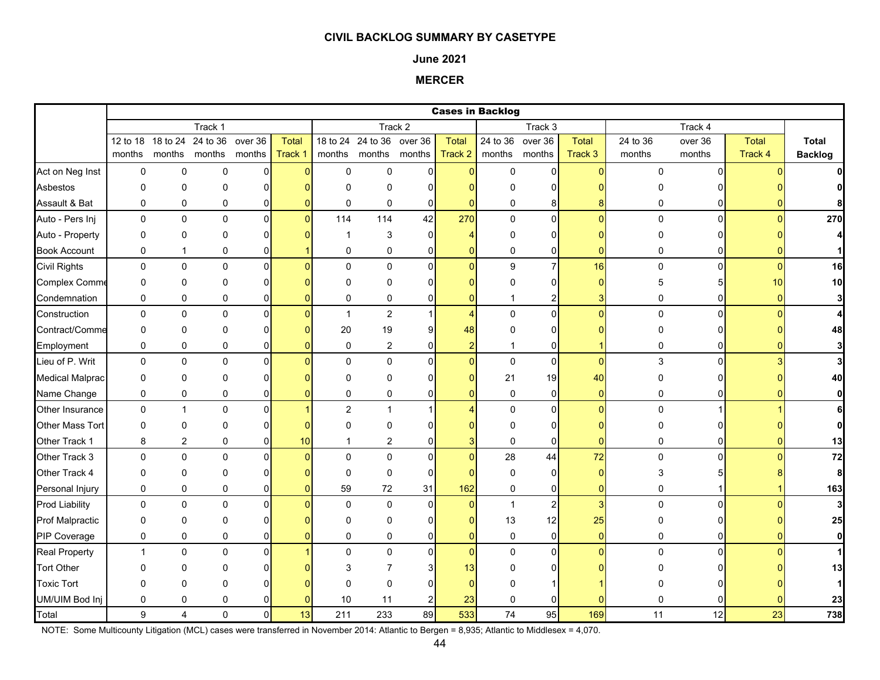#### **June 2021**

**MERCER**

|                        |                |                             |                    |                   |                  |                |                                    |                   | <b>Cases in Backlog</b> |                  |                         |                         |                    |                   |                         |                                |
|------------------------|----------------|-----------------------------|--------------------|-------------------|------------------|----------------|------------------------------------|-------------------|-------------------------|------------------|-------------------------|-------------------------|--------------------|-------------------|-------------------------|--------------------------------|
|                        |                |                             | Track 1            |                   |                  |                |                                    | Track 2           |                         |                  | Track 3                 |                         |                    | Track 4           |                         |                                |
|                        | months         | 12 to 18 18 to 24<br>months | 24 to 36<br>months | over 36<br>months | Total<br>Track 1 |                | 18 to 24 24 to 36<br>months months | over 36<br>months | <b>Total</b><br>Track 2 | 24 to 36 over 36 | months months           | <b>Total</b><br>Track 3 | 24 to 36<br>months | over 36<br>months | <b>Total</b><br>Track 4 | <b>Total</b><br><b>Backlog</b> |
|                        |                |                             |                    |                   |                  |                |                                    |                   |                         |                  |                         |                         |                    |                   |                         |                                |
| Act on Neg Inst        | $\mathbf 0$    | $\mathbf 0$                 | $\mathbf 0$        | 0                 | $\Omega$         | $\mathbf{0}$   | $\mathbf 0$                        | $\Omega$          | $\Omega$                | $\mathbf{0}$     | $\Omega$                | O                       | $\Omega$           | $\Omega$          |                         |                                |
| Asbestos               | $\mathbf 0$    | 0                           | $\mathbf 0$        | $\Omega$          |                  | 0              | 0                                  | $\Omega$          |                         | $\Omega$         | $\Omega$                |                         | O                  |                   |                         |                                |
| Assault & Bat          | 0              | 0                           | 0                  | 0                 |                  | 0              | $\mathbf 0$                        | 0                 | 0                       | $\mathbf 0$      | 8                       |                         | $\mathbf 0$        |                   |                         |                                |
| Auto - Pers Inj        | $\mathbf 0$    | $\mathbf 0$                 | $\mathbf 0$        | $\overline{0}$    | $\Omega$         | 114            | 114                                | 42                | 270                     | $\mathbf 0$      | $\overline{0}$          | $\Omega$                | $\mathbf 0$        | $\mathbf{0}$      | n                       | 270                            |
| Auto - Property        | $\mathbf 0$    | 0                           | 0                  | $\overline{0}$    |                  | 1              | 3                                  | 0                 | 4                       | $\mathbf 0$      | 0                       |                         | 0                  |                   |                         |                                |
| <b>Book Account</b>    | 0              | $\mathbf{1}$                | 0                  | 0                 |                  | 0              | 0                                  | 0                 | 0                       | $\mathbf 0$      | $\overline{0}$          |                         | 0                  |                   |                         |                                |
| <b>Civil Rights</b>    | $\mathbf 0$    | $\mathbf 0$                 | $\mathbf 0$        | $\Omega$          |                  | $\Omega$       | $\mathbf 0$                        | $\mathbf{0}$      | $\Omega$                | 9                | $\overline{7}$          | 16                      | 0                  | $\Omega$          | $\Omega$                | 16                             |
| <b>Complex Comme</b>   | $\mathbf 0$    | 0                           | $\mathbf 0$        | $\overline{0}$    |                  | $\Omega$       | $\Omega$                           | $\Omega$          |                         | $\Omega$         | $\overline{0}$          | O                       | 5                  | 5                 | 10                      | 10                             |
| Condemnation           | $\pmb{0}$      | $\pmb{0}$                   | 0                  | 0                 |                  | 0              | 0                                  | $\mathbf 0$       | 0                       |                  | $\overline{2}$          |                         | 0                  | 01                |                         |                                |
| Construction           | $\mathbf 0$    | $\mathbf 0$                 | $\mathbf 0$        | $\overline{0}$    |                  | 1              | $\overline{c}$                     | -1                | $\overline{4}$          | $\mathbf 0$      | $\mathbf{0}$            | $\Omega$                | $\mathbf 0$        | $\mathbf{0}$      |                         |                                |
| Contract/Comme         | $\mathbf 0$    | 0                           | 0                  | 0                 |                  | 20             | 19                                 | 9                 | 48                      | $\mathbf 0$      | $\overline{0}$          |                         | 0                  | 0                 |                         | 48                             |
| Employment             | 0              | 0                           | 0                  | 0                 |                  | 0              | $\overline{2}$                     | 0                 | $\overline{2}$          | 1                | 0                       |                         | 0                  | 0                 |                         |                                |
| Lieu of P. Writ        | $\mathbf 0$    | $\Omega$                    | $\mathbf 0$        | $\Omega$          |                  | $\Omega$       | $\mathbf 0$                        | $\Omega$          | $\Omega$                | $\pmb{0}$        | $\mathbf{0}$            | $\Omega$                | 3                  | $\Omega$          |                         |                                |
| <b>Medical Malprac</b> | $\mathbf 0$    | 0                           | 0                  | 01                |                  | 0              | $\Omega$                           | $\Omega$          |                         | 21               | 19                      | 40                      | $\Omega$           |                   |                         |                                |
| Name Change            | $\pmb{0}$      | $\pmb{0}$                   | 0                  | 0                 |                  | 0              | 0                                  | 0                 | $\overline{0}$          | $\pmb{0}$        | $\mathbf 0$             | $\overline{0}$          | 0                  | 01                |                         |                                |
| <b>Other Insurance</b> | $\mathbf 0$    | $\mathbf{1}$                | $\mathbf 0$        | $\overline{0}$    |                  | $\overline{2}$ | $\mathbf{1}$                       |                   | Δ                       | $\pmb{0}$        | $\mathbf{0}$            | $\Omega$                | $\mathbf 0$        |                   |                         |                                |
| Other Mass Tort        | $\mathbf 0$    | 0                           | 0                  | 0                 |                  | $\Omega$       | 0                                  | n                 |                         | 0                | 0                       |                         | 0                  | <sup>0</sup>      |                         |                                |
| Other Track 1          | 8              | $\overline{\mathbf{c}}$     | 0                  | 0                 | 10               | 1              | $\overline{c}$                     | $\mathbf 0$       | 3                       | $\pmb{0}$        | $\mathbf{0}$            | $\Omega$                | 0                  | 0                 |                         | 13                             |
| Other Track 3          | $\mathbf 0$    | $\mathbf 0$                 | $\mathbf 0$        | $\overline{0}$    |                  | $\Omega$       | $\mathbf 0$                        | $\mathbf 0$       | $\overline{0}$          | 28               | 44                      | 72                      | 0                  | 0                 |                         | 72                             |
| Other Track 4          | $\mathbf 0$    | 0                           | $\mathbf{0}$       | $\Omega$          |                  | 0              | $\mathbf 0$                        | $\Omega$          | n                       | $\pmb{0}$        | 0                       | O                       | 3                  |                   |                         | 8                              |
| Personal Injury        | $\pmb{0}$      | $\pmb{0}$                   | 0                  | $\overline{0}$    |                  | 59             | $72\,$                             | 31                | 162                     | $\pmb{0}$        | $\overline{0}$          | 0                       | 0                  |                   |                         | 163                            |
| <b>Prod Liability</b>  | $\pmb{0}$      | 0                           | $\mathbf 0$        | $\overline{0}$    |                  | 0              | 0                                  | $\mathbf 0$       | $\overline{0}$          | $\mathbf{1}$     | $\overline{\mathbf{c}}$ | 3                       | 0                  | $\Omega$          |                         |                                |
| <b>Prof Malpractic</b> | $\mathbf 0$    | 0                           | $\mathbf{0}$       | $\Omega$          |                  | $\Omega$       | 0                                  | $\Omega$          | n                       | 13               | 12                      | 25                      | O                  | <sup>0</sup>      |                         | 25                             |
| PIP Coverage           | $\pmb{0}$      | 0                           | 0                  | 0                 |                  | 0              | $\pmb{0}$                          | 0                 | $\overline{0}$          | $\pmb{0}$        | $\mathbf 0$             | $\mathbf{0}$            | 0                  | 0                 |                         |                                |
| <b>Real Property</b>   | $\overline{1}$ | $\mathbf 0$                 | $\mathbf 0$        | $\overline{0}$    |                  | $\mathbf{0}$   | 0                                  | $\mathbf 0$       | $\overline{0}$          | $\pmb{0}$        | $\overline{0}$          | $\Omega$                | $\Omega$           | $\Omega$          |                         |                                |
| <b>Tort Other</b>      | $\Omega$       | 0                           | O                  | n                 |                  | 3              |                                    | 3                 | 13                      | $\Omega$         | ი                       |                         |                    |                   |                         | 13                             |
| <b>Toxic Tort</b>      | $\mathbf 0$    | 0                           | 0                  |                   |                  | $\Omega$       | $\Omega$                           |                   | ŋ                       | $\Omega$         |                         |                         |                    |                   |                         |                                |
| UM/UIM Bod Inj         | 0              | 0                           | 0                  | 0                 |                  | 10             | 11                                 | $\overline{c}$    | 23                      | $\pmb{0}$        |                         |                         | O                  |                   |                         | 23                             |
| Total                  | 9              | 4                           | $\mathbf 0$        | $\mathsf{O}$      | 13               | 211            | 233                                | 89                | 533                     | 74               | 95                      | 169                     | 11                 | 12                | 23                      | 738                            |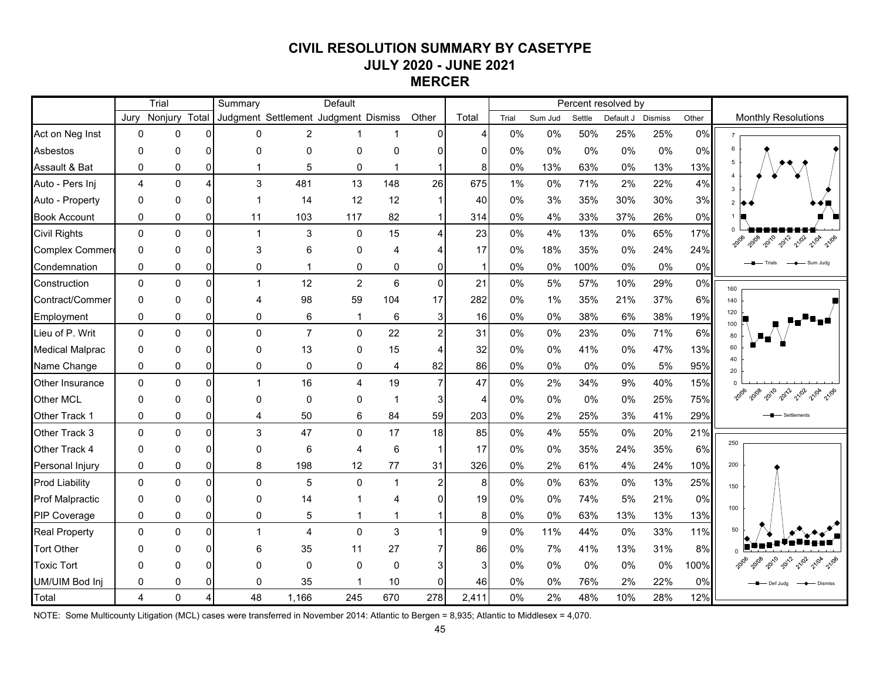# **CIVIL RESOLUTION SUMMARY BY CASETYPE JULY 2020 - JUNE 2021 MERCER**

|                        |                | Trial        |                | Summary      |                | Default                              |              |                |                 |       |         |        | Percent resolved by |                |       |                                         |
|------------------------|----------------|--------------|----------------|--------------|----------------|--------------------------------------|--------------|----------------|-----------------|-------|---------|--------|---------------------|----------------|-------|-----------------------------------------|
|                        | Jurv           | Nonjury      | Total          |              |                | Judgment Settlement Judgment Dismiss |              | Other          | Total           | Trial | Sum Jud | Settle | Default J           | <b>Dismiss</b> | Other | <b>Monthly Resolutions</b>              |
| Act on Neg Inst        | 0              | 0            | $\Omega$       | 0            | $\overline{2}$ |                                      |              | 0              | 4               | 0%    | 0%      | 50%    | 25%                 | 25%            | 0%    |                                         |
| <b>Asbestos</b>        | $\Omega$       | $\mathbf{0}$ | $\Omega$       | 0            | 0              | $\mathbf{0}$                         | 0            | n              | 0               | 0%    | 0%      | 0%     | 0%                  | 0%             | 0%    | 6                                       |
| Assault & Bat          | $\mathbf{0}$   | 0            | $\Omega$       |              | 5              | 0                                    | 1            |                | 8               | 0%    | 13%     | 63%    | 0%                  | 13%            | 13%   | 5                                       |
| Auto - Pers Inj        | 4              | $\mathbf{0}$ | $\overline{4}$ | 3            | 481            | 13                                   | 148          | 26             | 675             | 1%    | 0%      | 71%    | 2%                  | 22%            | 4%    | 3                                       |
| Auto - Property        | $\mathbf{0}$   | $\Omega$     | $\Omega$       |              | 14             | 12                                   | 12           | $\mathbf{1}$   | 40              | 0%    | 3%      | 35%    | 30%                 | 30%            | 3%    | $\overline{2}$                          |
| <b>Book Account</b>    | 0              | 0            | $\overline{0}$ | 11           | 103            | 117                                  | 82           | 1              | 314             | 0%    | 4%      | 33%    | 37%                 | 26%            | 0%    |                                         |
| <b>Civil Rights</b>    | $\mathbf{0}$   | $\mathbf{0}$ | $\overline{0}$ | 1            | 3              | $\mathbf 0$                          | 15           | 4              | 23              | 0%    | 4%      | 13%    | 0%                  | 65%            | 17%   | 2012<br>2010<br>20108<br>21/02<br>21/04 |
| <b>Complex Commer</b>  | $\mathbf{0}$   | $\mathbf{0}$ | $\Omega$       | 3            | 6              | $\mathbf{0}$                         | 4            |                | 17              | 0%    | 18%     | 35%    | $0\%$               | 24%            | 24%   |                                         |
| Condemnation           | 0              | 0            | $\overline{0}$ | 0            | 1              | 0                                    | 0            | 0              | $\mathbf{1}$    | 0%    | 0%      | 100%   | $0\%$               | $0\%$          | 0%    |                                         |
| Construction           | $\mathbf{0}$   | $\mathbf{0}$ | $\Omega$       | $\mathbf{1}$ | 12             | $\overline{2}$                       | 6            | $\mathbf 0$    | 21              | 0%    | 5%      | 57%    | 10%                 | 29%            | 0%    | 160                                     |
| Contract/Commer        | $\Omega$       | $\Omega$     | $\Omega$       | Δ            | 98             | 59                                   | 104          | 17             | 282             | 0%    | 1%      | 35%    | 21%                 | 37%            | 6%    | 140                                     |
| Employment             | $\mathbf 0$    | 0            | $\overline{0}$ | 0            | 6              | $\mathbf{1}$                         | 6            | 3              | 16 <sup>1</sup> | 0%    | 0%      | 38%    | 6%                  | 38%            | 19%   | 120<br>100                              |
| Lieu of P. Writ        | $\mathbf{0}$   | $\mathbf{0}$ | $\Omega$       | $\Omega$     | $\overline{7}$ | $\mathbf 0$                          | 22           | $\overline{a}$ | 31              | 0%    | 0%      | 23%    | 0%                  | 71%            | 6%    | 80                                      |
| <b>Medical Malprac</b> | $\Omega$       | $\Omega$     | $\Omega$       | $\Omega$     | 13             | 0                                    | 15           | 4              | 32              | 0%    | 0%      | 41%    | 0%                  | 47%            | 13%   | 60                                      |
| Name Change            | $\mathbf{0}$   | 0            | $\overline{0}$ | 0            | 0              | 0                                    | 4            | 82             | 86              | 0%    | 0%      | 0%     | $0\%$               | 5%             | 95%   | 40<br>20                                |
| Other Insurance        | $\mathbf{0}$   | $\mathbf{0}$ | $\Omega$       |              | 16             | 4                                    | 19           | $\overline{7}$ | 47              | 0%    | 2%      | 34%    | 9%                  | 40%            | 15%   |                                         |
| Other MCL              | $\Omega$       | $\mathbf{0}$ | $\Omega$       | $\Omega$     | 0              | $\mathbf{0}$                         | 1            | 3              | 4               | 0%    | 0%      | 0%     | 0%                  | 25%            | 75%   | 2010<br>2012<br>21/02                   |
| Other Track 1          | $\mathbf{0}$   | $\Omega$     | $\Omega$       | 4            | 50             | 6                                    | 84           | 59             | 203             | 0%    | 2%      | 25%    | 3%                  | 41%            | 29%   |                                         |
| Other Track 3          | $\mathbf{0}$   | $\mathbf{0}$ | $\Omega$       | 3            | 47             | 0                                    | 17           | 18             | 85              | 0%    | 4%      | 55%    | $0\%$               | 20%            | 21%   |                                         |
| Other Track 4          | $\mathbf{0}$   | $\mathbf{0}$ | $\Omega$       | 0            | 6              | 4                                    | 6            | $\mathbf 1$    | 17              | 0%    | 0%      | 35%    | 24%                 | 35%            | 6%    | 250                                     |
| Personal Injury        | $\mathbf 0$    | 0            | $\overline{0}$ | 8            | 198            | 12                                   | 77           | 31             | 326             | 0%    | 2%      | 61%    | 4%                  | 24%            | 10%   | 200                                     |
| <b>Prod Liability</b>  | $\mathbf{0}$   | $\mathbf{0}$ | $\Omega$       | $\Omega$     | 5              | $\mathbf 0$                          | $\mathbf{1}$ | $\overline{a}$ | 8 <sup>1</sup>  | 0%    | 0%      | 63%    | $0\%$               | 13%            | 25%   | 150                                     |
| <b>Prof Malpractic</b> | $\Omega$       | $\Omega$     | $\Omega$       | $\Omega$     | 14             |                                      | 4            | 0              | 19              | 0%    | 0%      | 74%    | 5%                  | 21%            | 0%    |                                         |
| PIP Coverage           | $\mathbf 0$    | 0            | $\overline{0}$ | 0            | 5              | $\mathbf{1}$                         | 1            |                | 8               | 0%    | 0%      | 63%    | 13%                 | 13%            | 13%   | 100                                     |
| <b>Real Property</b>   | $\Omega$       | $\mathbf{0}$ | $\Omega$       | 1            | 4              | $\mathbf{0}$                         | 3            | 1              | 9               | 0%    | 11%     | 44%    | 0%                  | 33%            | 11%   | 50                                      |
| <b>Tort Other</b>      | $\Omega$       | $\Omega$     | $\Omega$       | 6            | 35             | 11                                   | 27           |                | 86              | 0%    | 7%      | 41%    | 13%                 | 31%            | 8%    |                                         |
| <b>Toxic Tort</b>      | $\Omega$       | O            | $\Omega$       | O            | 0              | $\mathbf{0}$                         | $\Omega$     |                | 3               | 0%    | 0%      | 0%     | 0%                  | 0%             | 100%  |                                         |
| UM/UIM Bod Inj         | 0              | 0            | $\Omega$       | 0            | 35             |                                      | 10           | 0              | 46              | 0%    | 0%      | 76%    | 2%                  | 22%            | 0%    | Def Juda<br>Dismiss                     |
| Total                  | $\overline{4}$ | $\mathbf{0}$ | 4              | 48           | 1,166          | 245                                  | 670          | 278            | 2,411           | 0%    | 2%      | 48%    | 10%                 | 28%            | 12%   |                                         |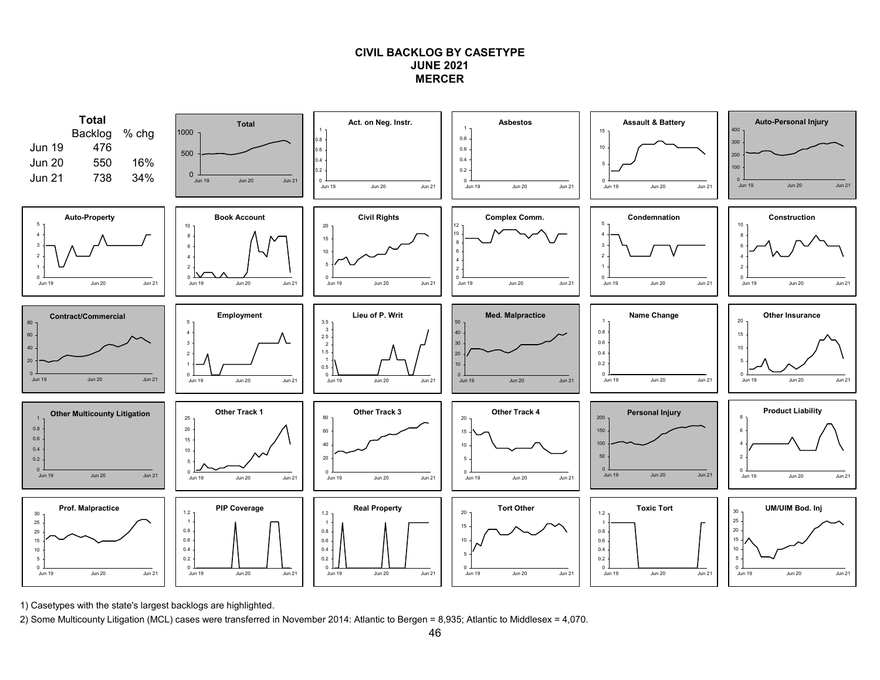## **CIVIL BACKLOG BY CASETYPEJUNE 2021MERCER**



1) Casetypes with the state's largest backlogs are highlighted.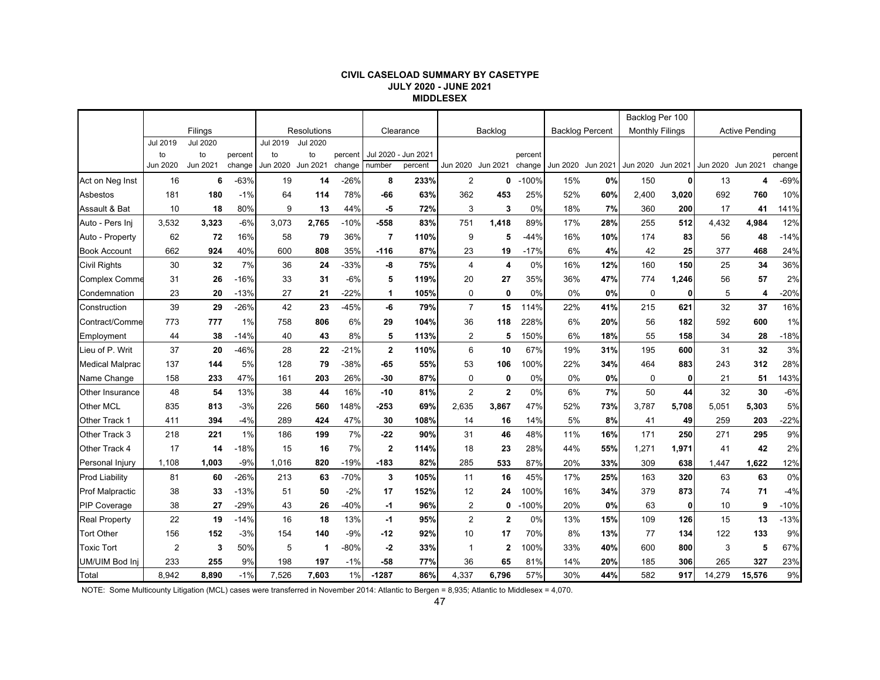#### **CIVIL CASELOAD SUMMARY BY CASETYPE JULY 2020 - JUNE 2021 MIDDLESEX**

|                        |          |                 |         |          |                    |         |                |           |                   |                |         |                        |          | Backlog Per 100        |          |          |                       |         |
|------------------------|----------|-----------------|---------|----------|--------------------|---------|----------------|-----------|-------------------|----------------|---------|------------------------|----------|------------------------|----------|----------|-----------------------|---------|
|                        |          | Filings         |         |          | <b>Resolutions</b> |         |                | Clearance |                   | Backlog        |         | <b>Backlog Percent</b> |          | <b>Monthly Filings</b> |          |          | <b>Active Pending</b> |         |
|                        | Jul 2019 | <b>Jul 2020</b> |         | Jul 2019 | <b>Jul 2020</b>    |         |                |           |                   |                |         |                        |          |                        |          |          |                       |         |
|                        | to       | to              | percent | to       | to                 | percent | Jul 2020 -     | Jun 2021  |                   |                | percent |                        |          |                        |          |          |                       | percent |
|                        | Jun 2020 | Jun 2021        | change  | Jun 2020 | Jun 2021           | change  | number         | percent   | Jun 2020 Jun 2021 |                | change  | Jun 2020               | Jun 2021 | Jun 2020               | Jun 2021 | Jun 2020 | Jun 2021              | change  |
| Act on Neg Inst        | 16       | 6               | $-63%$  | 19       | 14                 | $-26%$  | 8              | 233%      | $\overline{2}$    | 0              | $-100%$ | 15%                    | 0%       | 150                    | $\bf{0}$ | 13       | 4                     | $-69%$  |
| Asbestos               | 181      | 180             | $-1%$   | 64       | 114                | 78%     | -66            | 63%       | 362               | 453            | 25%     | 52%                    | 60%      | 2,400                  | 3,020    | 692      | 760                   | 10%     |
| Assault & Bat          | 10       | 18              | 80%     | 9        | 13                 | 44%     | -5             | 72%       | 3                 | 3              | 0%      | 18%                    | 7%       | 360                    | 200      | 17       | 41                    | 141%    |
| Auto - Pers Ini        | 3,532    | 3,323           | $-6%$   | 3,073    | 2,765              | $-10%$  | $-558$         | 83%       | 751               | 1,418          | 89%     | 17%                    | 28%      | 255                    | 512      | 4,432    | 4,984                 | 12%     |
| Auto - Property        | 62       | 72              | 16%     | 58       | 79                 | 36%     | $\overline{7}$ | 110%      | 9                 | 5              | $-44%$  | 16%                    | 10%      | 174                    | 83       | 56       | 48                    | $-14%$  |
| <b>Book Account</b>    | 662      | 924             | 40%     | 600      | 808                | 35%     | $-116$         | 87%       | 23                | 19             | $-17%$  | 6%                     | 4%       | 42                     | 25       | 377      | 468                   | 24%     |
| <b>Civil Rights</b>    | 30       | 32              | 7%      | 36       | 24                 | $-33%$  | -8             | 75%       | $\overline{4}$    | 4              | 0%      | 16%                    | 12%      | 160                    | 150      | 25       | 34                    | 36%     |
| <b>Complex Comme</b>   | 31       | 26              | $-16%$  | 33       | 31                 | $-6%$   | 5              | 119%      | 20                | 27             | 35%     | 36%                    | 47%      | 774                    | 1,246    | 56       | 57                    | 2%      |
| Condemnation           | 23       | 20              | $-13%$  | 27       | 21                 | $-22%$  | 1              | 105%      | $\mathbf 0$       | 0              | 0%      | 0%                     | 0%       | 0                      | 0        | 5        | 4                     | $-20%$  |
| Construction           | 39       | 29              | $-26%$  | 42       | 23                 | $-45%$  | -6             | 79%       | $\overline{7}$    | 15             | 114%    | 22%                    | 41%      | 215                    | 621      | 32       | 37                    | 16%     |
| Contract/Comme         | 773      | 777             | 1%      | 758      | 806                | 6%      | 29             | 104%      | 36                | 118            | 228%    | 6%                     | 20%      | 56                     | 182      | 592      | 600                   | 1%      |
| Employment             | 44       | 38              | $-14%$  | 40       | 43                 | 8%      | 5              | 113%      | $\overline{2}$    | 5              | 150%    | 6%                     | 18%      | 55                     | 158      | 34       | 28                    | $-18%$  |
| Lieu of P. Writ        | 37       | 20              | $-46%$  | 28       | 22                 | $-21%$  | $\mathbf 2$    | 110%      | 6                 | 10             | 67%     | 19%                    | 31%      | 195                    | 600      | 31       | 32                    | 3%      |
| <b>Medical Malprac</b> | 137      | 144             | 5%      | 128      | 79                 | $-38%$  | -65            | 55%       | 53                | 106            | 100%    | 22%                    | 34%      | 464                    | 883      | 243      | 312                   | 28%     |
| Name Change            | 158      | 233             | 47%     | 161      | 203                | 26%     | $-30$          | 87%       | $\mathbf 0$       | 0              | 0%      | 0%                     | 0%       | $\mathbf 0$            | 0        | 21       | 51                    | 143%    |
| Other Insurance        | 48       | 54              | 13%     | 38       | 44                 | 16%     | $-10$          | 81%       | $\overline{2}$    | $\overline{2}$ | 0%      | 6%                     | 7%       | 50                     | 44       | 32       | 30                    | $-6%$   |
| Other MCL              | 835      | 813             | $-3%$   | 226      | 560                | 148%    | $-253$         | 69%       | 2,635             | 3,867          | 47%     | 52%                    | 73%      | 3,787                  | 5,708    | 5,051    | 5,303                 | 5%      |
| Other Track 1          | 411      | 394             | $-4%$   | 289      | 424                | 47%     | 30             | 108%      | 14                | 16             | 14%     | 5%                     | 8%       | 41                     | 49       | 259      | 203                   | $-22%$  |
| Other Track 3          | 218      | 221             | 1%      | 186      | 199                | 7%      | $-22$          | 90%       | 31                | 46             | 48%     | 11%                    | 16%      | 171                    | 250      | 271      | 295                   | 9%      |
| Other Track 4          | 17       | 14              | $-18%$  | 15       | 16                 | 7%      | $\overline{2}$ | 114%      | 18                | 23             | 28%     | 44%                    | 55%      | 1,271                  | 1,971    | 41       | 42                    | 2%      |
| Personal Injury        | 1,108    | 1,003           | $-9%$   | 1,016    | 820                | $-19%$  | $-183$         | 82%       | 285               | 533            | 87%     | 20%                    | 33%      | 309                    | 638      | 1,447    | 1,622                 | 12%     |
| <b>Prod Liability</b>  | 81       | 60              | $-26%$  | 213      | 63                 | $-70%$  | 3              | 105%      | 11                | 16             | 45%     | 17%                    | 25%      | 163                    | 320      | 63       | 63                    | 0%      |
| <b>Prof Malpractic</b> | 38       | 33              | $-13%$  | 51       | 50                 | $-2%$   | 17             | 152%      | 12                | 24             | 100%    | 16%                    | 34%      | 379                    | 873      | 74       | 71                    | $-4%$   |
| <b>PIP Coverage</b>    | 38       | 27              | $-29%$  | 43       | 26                 | $-40%$  | -1             | 96%       | 2                 | 0              | $-100%$ | 20%                    | 0%       | 63                     | 0        | 10       | 9                     | $-10%$  |
| <b>Real Property</b>   | 22       | 19              | $-14%$  | 16       | 18                 | 13%     | $-1$           | 95%       | $\overline{2}$    | $\overline{2}$ | 0%      | 13%                    | 15%      | 109                    | 126      | 15       | 13                    | $-13%$  |
| <b>Tort Other</b>      | 156      | 152             | $-3%$   | 154      | 140                | $-9%$   | $-12$          | 92%       | 10                | 17             | 70%     | 8%                     | 13%      | 77                     | 134      | 122      | 133                   | 9%      |
| <b>Toxic Tort</b>      | 2        | 3               | 50%     | 5        | $\mathbf 1$        | -80%    | $-2$           | 33%       | 1                 | $\mathbf{2}$   | 100%    | 33%                    | 40%      | 600                    | 800      | 3        | 5                     | 67%     |
| UM/UIM Bod Inj         | 233      | 255             | 9%      | 198      | 197                | $-1%$   | $-58$          | 77%       | 36                | 65             | 81%     | 14%                    | 20%      | 185                    | 306      | 265      | 327                   | 23%     |
| Total                  | 8,942    | 8.890           | $-1%$   | 7,526    | 7.603              | 1%      | $-1287$        | 86%       | 4,337             | 6,796          | 57%     | 30%                    | 44%      | 582                    | 917      | 14,279   | 15,576                | 9%      |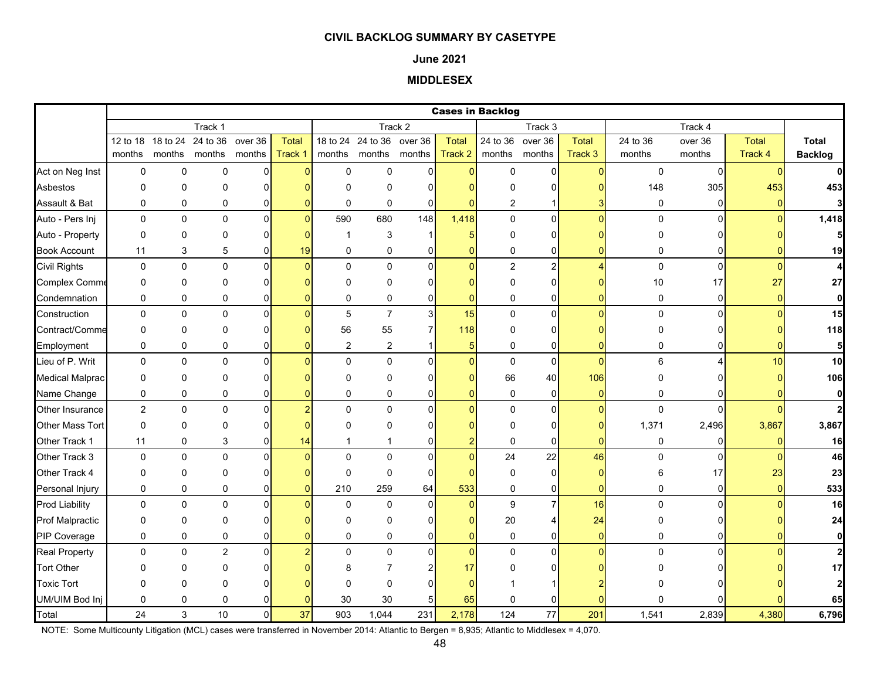#### **June 2021**

# **MIDDLESEX**

|                        |                |                   |             |              |              |                |                           |                |                 | <b>Cases in Backlog</b> |                |                |              |                |              |                         |
|------------------------|----------------|-------------------|-------------|--------------|--------------|----------------|---------------------------|----------------|-----------------|-------------------------|----------------|----------------|--------------|----------------|--------------|-------------------------|
|                        |                |                   | Track 1     |              |              |                |                           | Track 2        |                 |                         | Track 3        |                |              | Track 4        |              |                         |
|                        |                | 12 to 18 18 to 24 | 24 to 36    | over 36      | <b>Total</b> |                | 18 to 24 24 to 36 over 36 |                | <b>Total</b>    | 24 to 36                | over 36        | <b>Total</b>   | 24 to 36     | over 36        | <b>Total</b> | Total                   |
|                        | months         | months            | months      | months       | Track 1      | months         |                           | months months  | Track 2         | months                  | months         | Track 3        | months       | months         | Track 4      | <b>Backlog</b>          |
| Act on Neg Inst        | $\mathbf 0$    | $\mathbf 0$       | 0           | 0            | n            | $\mathbf 0$    | $\mathbf 0$               | $\Omega$       | $\Omega$        | $\mathbf 0$             | $\Omega$       | $\Omega$       | $\mathbf 0$  | $\Omega$       | $\Omega$     | $\mathbf{0}$            |
| Asbestos               | 0              | 0                 | 0           | 0            |              | $\Omega$       | $\mathbf 0$               | $\Omega$       | n               | 0                       | 0              |                | 148          | 305            | 453          | 453                     |
| Assault & Bat          | 0              | 0                 | 0           | 0            |              | 0              | $\mathbf 0$               | $\Omega$       | $\mathbf{0}$    | $\overline{2}$          |                |                | 0            | $\overline{0}$ | $\Omega$     | $\overline{\mathbf{3}}$ |
| Auto - Pers Inj        | $\mathbf 0$    | 0                 | $\mathbf 0$ | $\pmb{0}$    | $\Omega$     | 590            | 680                       | 148            | 1,418           | 0                       | $\overline{0}$ | $\overline{0}$ | $\mathbf 0$  | $\Omega$       | $\Omega$     | 1,418                   |
| Auto - Property        | 0              | 0                 | 0           | 0            |              | -1             | 3                         | -1             | 5               | 0                       | 0              |                | 0            |                |              | 5                       |
| <b>Book Account</b>    | 11             | 3                 | 5           | 0            | 19           | 0              | 0                         | 0              | $\mathbf{0}$    | 0                       | 0              | 0              | 0            | $\Omega$       |              | 19                      |
| <b>Civil Rights</b>    | 0              | 0                 | $\mathbf 0$ | $\mathbf{0}$ | O            | $\mathbf{0}$   | $\Omega$                  | $\Omega$       | $\overline{0}$  | $\overline{a}$          | $\mathbf{2}$   | 4              | $\pmb{0}$    | $\overline{0}$ | $\Omega$     | 4                       |
| <b>Complex Comme</b>   | 0              | 0                 | $\Omega$    | 0            |              | $\mathbf 0$    | 0                         | n              | $\Omega$        | 0                       | $\overline{0}$ |                | 10           | 17             | 27           | 27                      |
| Condemnation           | 0              | 0                 | 0           | 0            |              | 0              | 0                         | $\Omega$       | $\overline{0}$  | 0                       | 0              | $\Omega$       | 0            | $\overline{0}$ | $\Omega$     | $\mathbf{0}$            |
| Construction           | 0              | 0                 | $\mathbf 0$ | $\pmb{0}$    |              | $\sqrt{5}$     | $\overline{7}$            | 3              | 15              | 0                       | $\overline{0}$ | $\Omega$       | 0            | $\Omega$       |              | 15                      |
| Contract/Comme         | 0              | 0                 | 0           | 0            |              | 56             | 55                        | 7              | 118             | 0                       | $\overline{0}$ |                | 0            |                |              | 118                     |
| Employment             | 0              | 0                 | 0           | 0            |              | $\overline{2}$ | $\sqrt{2}$                |                | $5\overline{)}$ | 0                       | $\overline{0}$ | $\Omega$       | 0            | ΩI             |              | 5 <sub>l</sub>          |
| Lieu of P. Writ        | 0              | 0                 | $\mathbf 0$ | $\mathbf 0$  |              | $\Omega$       | $\mathsf 0$               | $\Omega$       | $\overline{0}$  | $\pmb{0}$               | $\mathbf 0$    | $\Omega$       | $\,6\,$      | 4              | 10           | 10                      |
| <b>Medical Malprac</b> | 0              | $\Omega$          | $\Omega$    | 0            |              | $\Omega$       | $\mathbf{0}$              | O              | $\Omega$        | 66                      | 40             | 106            | 0            |                |              | 106                     |
| Name Change            | 0              | 0                 | 0           | 0            |              | 0              | 0                         | $\overline{0}$ | $\Omega$        | 0                       | $\overline{0}$ | $\overline{0}$ | 0            | 0              | O            | $\mathbf{0}$            |
| Other Insurance        | $\overline{2}$ | 0                 | $\Omega$    | 0            |              | $\Omega$       | $\Omega$                  | $\Omega$       | $\Omega$        | $\mathbf 0$             | $\overline{0}$ | $\Omega$       | $\mathbf{0}$ | $\Omega$       |              | $\overline{2}$          |
| Other Mass Tort        | $\pmb{0}$      | 0                 | 0           | 0            |              | $\Omega$       | 0                         | U              |                 | 0                       | 0              |                | 1,371        | 2,496          | 3,867        | 3,867                   |
| Other Track 1          | 11             | 0                 | 3           | 0            | 14           |                |                           | 0              | 2               | 0                       | 0              | $\Omega$       | 0            | $\Omega$       |              | 16                      |
| Other Track 3          | $\mathbf 0$    | 0                 | $\mathbf 0$ | 0            |              | $\Omega$       | $\mathbf 0$               | $\Omega$       | $\overline{0}$  | 24                      | 22             | 46             | 0            | $\Omega$       |              | 46                      |
| Other Track 4          | 0              | 0                 | $\Omega$    | 0            |              | $\mathbf 0$    | $\mathbf 0$               | $\Omega$       | $\Omega$        | $\mathbf 0$             | 0              | $\Omega$       | 6            | 17             | 23           | 23                      |
| Personal Injury        | 0              | 0                 | 0           | 0            |              | 210            | 259                       | 64             | 533             | $\pmb{0}$               | $\overline{0}$ | $\overline{0}$ | 0            | $\overline{0}$ | $\Omega$     | 533                     |
| <b>Prod Liability</b>  | $\mathbf 0$    | 0                 | $\mathbf 0$ | $\mathbf 0$  |              | $\mathbf 0$    | $\mathbf 0$               | $\Omega$       | $\overline{0}$  | 9                       | $\overline{7}$ | 16             | $\pmb{0}$    | $\Omega$       | $\Omega$     | 16                      |
| <b>Prof Malpractic</b> | 0              | 0                 | 0           | 0            |              | $\mathbf 0$    | 0                         | O              | $\mathbf{0}$    | 20                      | 4              | 24             | 0            |                |              | 24                      |
| PIP Coverage           | $\mathbf 0$    | 0                 | $\mathbf 0$ | 0            |              | $\mathbf 0$    | $\mathbf 0$               | $\Omega$       | $\overline{0}$  | $\pmb{0}$               | 0              | $\overline{0}$ | 0            | $\Omega$       |              | $\mathbf{0}$            |
| <b>Real Property</b>   | $\mathbf{0}$   | $\Omega$          | 2           | $\Omega$     |              | $\Omega$       | $\Omega$                  | $\Omega$       | $\overline{0}$  | 0                       | $\overline{0}$ | $\Omega$       | $\Omega$     | $\Omega$       |              | $\mathbf{2}$            |
| <b>Tort Other</b>      | 0              | 0                 | 0           | 0            |              | 8              | 7                         |                | 17              | O                       | 0              |                |              |                |              | 17                      |
| <b>Toxic Tort</b>      | $\Omega$       | $\Omega$          | $\Omega$    |              |              | $\Omega$       | $\Omega$                  | U              | $\Omega$        |                         |                |                |              |                |              | $\mathbf{2}$            |
| UM/UIM Bod Inj         | 0              | 0                 | 0           | 0            |              | 30             | 30                        | 5              | 65              | 0                       | 0              |                |              |                |              | 65                      |
| Total                  | 24             | 3                 | 10          | $\mathbf 0$  | 37           | 903            | 1,044                     | 231            | 2,178           | 124                     | 77             | 201            | 1,541        | 2,839          | 4,380        | 6,796                   |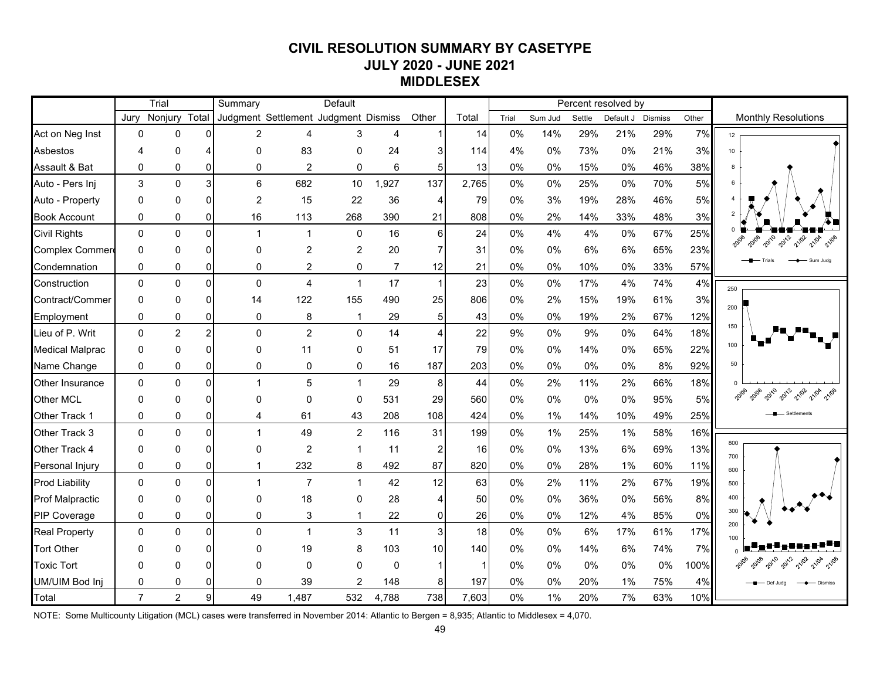# **CIVIL RESOLUTION SUMMARY BY CASETYPE JULY 2020 - JUNE 2021 MIDDLESEX**

|                        |                | Trial          |                | Summary        |                        | Default                              |                |                |              |       |         |        | Percent resolved by |                |       |                                              |
|------------------------|----------------|----------------|----------------|----------------|------------------------|--------------------------------------|----------------|----------------|--------------|-------|---------|--------|---------------------|----------------|-------|----------------------------------------------|
|                        | Jurv           | Nonjury Total  |                |                |                        | Judgment Settlement Judgment Dismiss |                | Other          | Total        | Trial | Sum Jud | Settle | Default J           | <b>Dismiss</b> | Other | <b>Monthly Resolutions</b>                   |
| Act on Neg Inst        | $\Omega$       | $\mathbf{0}$   | 0              | $\overline{2}$ | $\boldsymbol{\Lambda}$ | 3                                    | $\overline{4}$ |                | 14           | 0%    | 14%     | 29%    | 21%                 | 29%            | 7%    | 12                                           |
| Asbestos               | Δ              | 0              |                | $\mathbf{0}$   | 83                     | $\pmb{0}$                            | 24             | 3              | 114          | 4%    | 0%      | 73%    | 0%                  | 21%            | 3%    | 10                                           |
| Assault & Bat          | 0              | $\pmb{0}$      | $\mathbf{0}$   | $\pmb{0}$      | $\overline{c}$         | $\pmb{0}$                            | $\,6\,$        | $\overline{5}$ | 13           | 0%    | 0%      | 15%    | $0\%$               | 46%            | 38%   |                                              |
| Auto - Pers Inj        | 3              | $\Omega$       | $\overline{3}$ | 6              | 682                    | 10                                   | 1,927          | 137            | 2,765        | 0%    | 0%      | 25%    | 0%                  | 70%            | 5%    |                                              |
| Auto - Property        | $\Omega$       | $\Omega$       | $\Omega$       | $\overline{2}$ | 15                     | 22                                   | 36             | $\overline{4}$ | 79           | 0%    | 3%      | 19%    | 28%                 | 46%            | 5%    |                                              |
| <b>Book Account</b>    | 0              | 0              | $\Omega$       | 16             | 113                    | 268                                  | 390            | 21             | 808          | 0%    | 2%      | 14%    | 33%                 | 48%            | 3%    |                                              |
| <b>Civil Rights</b>    | $\Omega$       | $\Omega$       | $\Omega$       | $\overline{1}$ | $\overline{1}$         | $\mathbf 0$                          | 16             | 6 <sup>1</sup> | 24           | 0%    | 4%      | 4%     | $0\%$               | 67%            | 25%   | 2010<br>2012<br>21/02<br>21/04               |
| Complex Commer         | $\Omega$       | 0              | $\Omega$       | 0              | $\overline{2}$         | $\overline{c}$                       | 20             | $\overline{7}$ | 31           | 0%    | 0%      | 6%     | 6%                  | 65%            | 23%   |                                              |
| Condemnation           | 0              | 0              | $\Omega$       | 0              | $\overline{2}$         | 0                                    | $\overline{7}$ | 12             | 21           | 0%    | 0%      | 10%    | 0%                  | 33%            | 57%   | Sum Juda                                     |
| Construction           | $\Omega$       | $\Omega$       | $\Omega$       | $\pmb{0}$      | $\overline{4}$         | $\mathbf{1}$                         | 17             | $\mathbf{1}$   | 23           | 0%    | 0%      | 17%    | 4%                  | 74%            | 4%    | 250                                          |
| Contract/Commer        | $\Omega$       | $\mathbf 0$    | $\Omega$       | 14             | 122                    | 155                                  | 490            | 25             | 806          | 0%    | 2%      | 15%    | 19%                 | 61%            | 3%    | 200                                          |
| Employment             | $\Omega$       | 0              | $\Omega$       | 0              | $\bf8$                 | 1                                    | 29             | 5 <sub>5</sub> | 43           | 0%    | 0%      | 19%    | 2%                  | 67%            | 12%   |                                              |
| Lieu of P. Writ        | $\Omega$       | $\overline{2}$ | $\overline{2}$ | $\Omega$       | $\overline{2}$         | $\Omega$                             | 14             | $\overline{4}$ | 22           | 9%    | 0%      | 9%     | 0%                  | 64%            | 18%   | 150                                          |
| <b>Medical Malprac</b> | $\Omega$       | $\Omega$       | 0              | $\mathbf{0}$   | 11                     | $\Omega$                             | 51             | 17             | 79           | $0\%$ | 0%      | 14%    | 0%                  | 65%            | 22%   | 100                                          |
| Name Change            | 0              | 0              | $\Omega$       | $\mathbf 0$    | 0                      | $\mathbf 0$                          | 16             | 187            | 203          | 0%    | 0%      | 0%     | 0%                  | 8%             | 92%   | 50                                           |
| Other Insurance        | $\Omega$       | $\Omega$       | 0              | 1              | 5                      | $\mathbf{1}$                         | 29             | $\bf 8$        | 44           | 0%    | 2%      | 11%    | 2%                  | 66%            | 18%   |                                              |
| <b>Other MCL</b>       | $\Omega$       | $\mathbf{0}$   | $\Omega$       | $\mathbf{0}$   | $\Omega$               | $\pmb{0}$                            | 531            | 29             | 560          | 0%    | $0\%$   | 0%     | $0\%$               | 95%            | 5%    | <b>2010</b><br><b>Roll</b><br>21/02<br>21/04 |
| Other Track 1          | 0              | 0              | $\Omega$       | 4              | 61                     | 43                                   | 208            | 108            | 424          | 0%    | $1\%$   | 14%    | 10%                 | 49%            | 25%   |                                              |
| Other Track 3          | $\Omega$       | $\Omega$       | $\Omega$       | $\overline{1}$ | 49                     | $\overline{c}$                       | 116            | 31             | 199          | 0%    | 1%      | 25%    | 1%                  | 58%            | 16%   |                                              |
| Other Track 4          | $\Omega$       | 0              | $\Omega$       | 0              | $\overline{c}$         | 1                                    | 11             | $\overline{2}$ | 16           | 0%    | 0%      | 13%    | 6%                  | 69%            | 13%   | 800<br>700                                   |
| Personal Injury        | 0              | 0              | $\Omega$       | $\overline{1}$ | 232                    | 8                                    | 492            | 87             | 820          | $0\%$ | 0%      | 28%    | $1\%$               | 60%            | 11%   | 600                                          |
| <b>Prod Liability</b>  | $\Omega$       | $\Omega$       | $\Omega$       | $\overline{1}$ | $\overline{7}$         | $\mathbf{1}$                         | 42             | 12             | 63           | 0%    | 2%      | 11%    | 2%                  | 67%            | 19%   | 500                                          |
| <b>Prof Malpractic</b> | $\Omega$       | $\Omega$       | 0              | $\mathbf{0}$   | 18                     | $\mathbf 0$                          | 28             | $\overline{A}$ | 50           | 0%    | 0%      | 36%    | 0%                  | 56%            | 8%    | 400                                          |
| <b>PIP Coverage</b>    | 0              | 0              | $\Omega$       | $\mathbf 0$    | 3                      | 1                                    | 22             | $\overline{0}$ | 26           | 0%    | 0%      | 12%    | 4%                  | 85%            | 0%    | 300<br>200                                   |
| <b>Real Property</b>   | $\Omega$       | $\Omega$       | $\Omega$       | $\Omega$       | $\mathbf{1}$           | $\mathbf{3}$                         | 11             | $\overline{3}$ | 18           | 0%    | $0\%$   | 6%     | 17%                 | 61%            | 17%   |                                              |
| <b>Tort Other</b>      | ∩              | $\Omega$       | $\Omega$       | $\Omega$       | 19                     | 8                                    | 103            | 10             | 140          | 0%    | 0%      | 14%    | 6%                  | 74%            | 7%    |                                              |
| <b>Toxic Tort</b>      | $\Omega$       | $\Omega$       | 0              | 0              | $\mathbf 0$            | $\mathbf 0$                          | $\mathbf 0$    | $\mathbf{1}$   | $\mathbf{1}$ | 0%    | 0%      | 0%     | 0%                  | 0%             | 100%  | 2010<br>2012<br>21/02                        |
| UM/UIM Bod Inj         | 0              | $\mathbf 0$    | <sup>n</sup>   | $\mathbf 0$    | 39                     | 2                                    | 148            | 8              | 197          | 0%    | 0%      | 20%    | 1%                  | 75%            | 4%    | Def Juda                                     |
| Total                  | $\overline{7}$ | $\overline{2}$ | 9 <sub>l</sub> | 49             | 1,487                  | 532                                  | 4,788          | 738            | 7,603        | 0%    | 1%      | 20%    | 7%                  | 63%            | 10%   |                                              |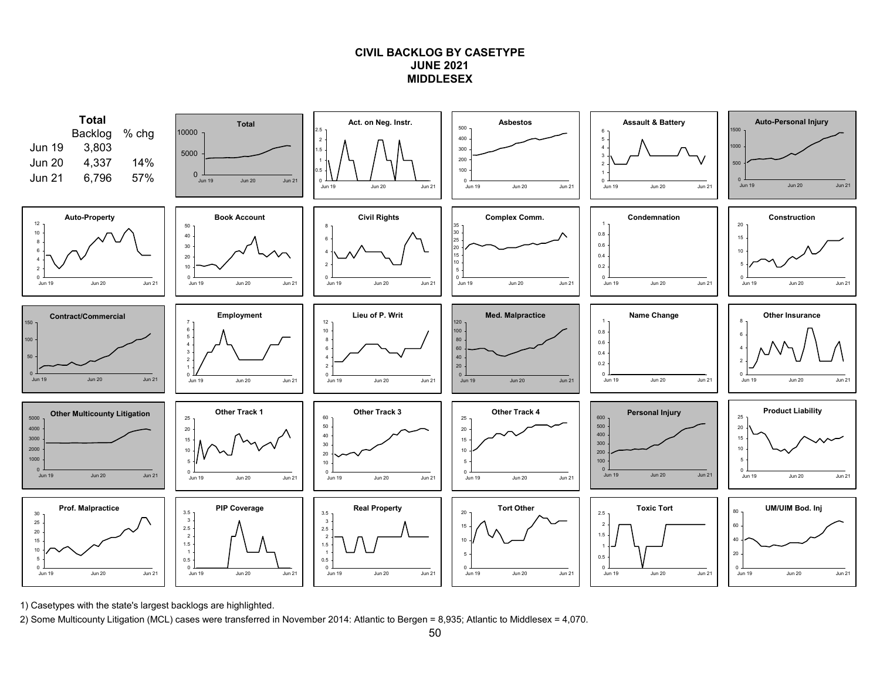## **CIVIL BACKLOG BY CASETYPEJUNE 2021MIDDLESEX**



1) Casetypes with the state's largest backlogs are highlighted.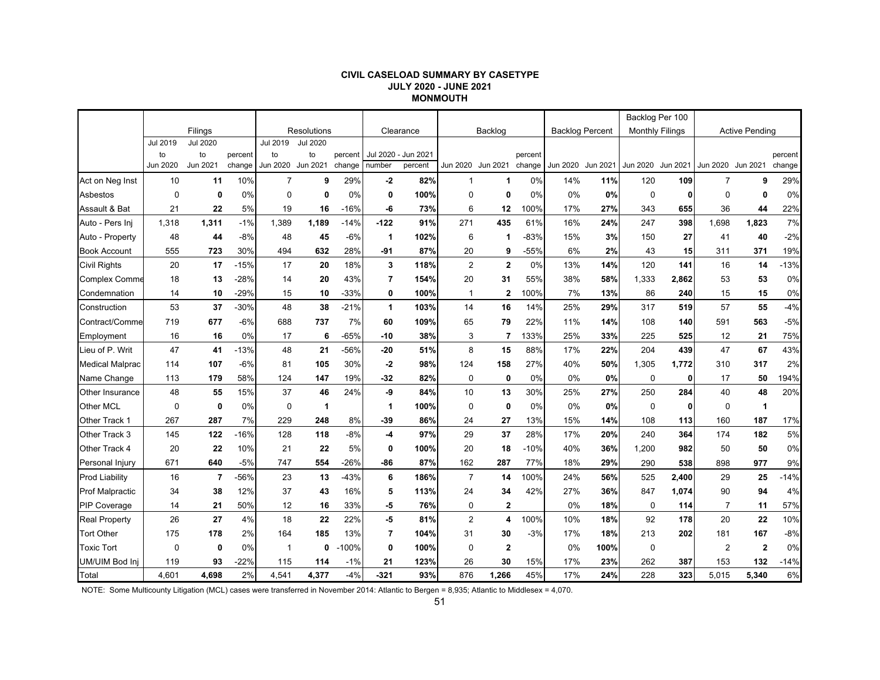#### **CIVIL CASELOAD SUMMARY BY CASETYPE JULY 2020 - JUNE 2021 MONMOUTH**

|                        |             |                 |         |              |                    |         |                      |           |                |                |         |                        |          | Backlog Per 100        |          |                |                       |         |
|------------------------|-------------|-----------------|---------|--------------|--------------------|---------|----------------------|-----------|----------------|----------------|---------|------------------------|----------|------------------------|----------|----------------|-----------------------|---------|
|                        |             | Filings         |         |              | <b>Resolutions</b> |         |                      | Clearance |                | Backlog        |         | <b>Backlog Percent</b> |          | <b>Monthly Filings</b> |          |                | <b>Active Pending</b> |         |
|                        | Jul 2019    | <b>Jul 2020</b> |         | Jul 2019     | <b>Jul 2020</b>    |         |                      |           |                |                |         |                        |          |                        |          |                |                       |         |
|                        | to          | to              | percent | to           | to                 | percent | <b>Jul 2020</b>      | Jun 2021  |                |                | percent |                        |          |                        |          |                |                       | percent |
|                        | Jun 2020    | Jun 2021        | change  | Jun 2020     | Jun 2021           | change  | number               | percent   | Jun 2020       | Jun 2021       | change  | Jun 2020               | Jun 2021 | Jun 2020               | Jun 2021 | Jun 2020       | Jun 2021              | change  |
| Act on Neg Inst        | 10          | 11              | 10%     | 7            | 9                  | 29%     | $-2$                 | 82%       | $\mathbf 1$    | 1              | 0%      | 14%                    | 11%      | 120                    | 109      | $\overline{7}$ | 9                     | 29%     |
| Asbestos               | $\mathbf 0$ | 0               | 0%      | $\Omega$     | $\mathbf 0$        | 0%      | 0                    | 100%      | $\mathbf 0$    | 0              | 0%      | 0%                     | 0%       | $\mathbf 0$            | O        | $\Omega$       | 0                     | 0%      |
| Assault & Bat          | 21          | 22              | 5%      | 19           | 16                 | $-16%$  | -6                   | 73%       | 6              | 12             | 100%    | 17%                    | 27%      | 343                    | 655      | 36             | 44                    | 22%     |
| Auto - Pers Ini        | 1,318       | 1,311           | $-1%$   | 1,389        | 1,189              | $-14%$  | $-122$               | 91%       | 271            | 435            | 61%     | 16%                    | 24%      | 247                    | 398      | 1,698          | 1,823                 | 7%      |
| Auto - Property        | 48          | 44              | $-8%$   | 48           | 45                 | $-6%$   | 1                    | 102%      | 6              | 1              | $-83%$  | 15%                    | 3%       | 150                    | 27       | 41             | 40                    | $-2%$   |
| <b>Book Account</b>    | 555         | 723             | 30%     | 494          | 632                | 28%     | $-91$                | 87%       | 20             | 9              | $-55%$  | 6%                     | 2%       | 43                     | 15       | 311            | 371                   | 19%     |
| <b>Civil Rights</b>    | 20          | 17              | $-15%$  | 17           | 20                 | 18%     | 3                    | 118%      | $\overline{2}$ | $\mathbf{2}$   | 0%      | 13%                    | 14%      | 120                    | 141      | 16             | 14                    | $-13%$  |
| <b>Complex Comme</b>   | 18          | 13              | $-28%$  | 14           | 20                 | 43%     | 7                    | 154%      | 20             | 31             | 55%     | 38%                    | 58%      | 1,333                  | 2,862    | 53             | 53                    | 0%      |
| Condemnation           | 14          | 10              | $-29%$  | 15           | 10                 | $-33%$  | 0                    | 100%      | $\mathbf 1$    | $\mathbf{2}$   | 100%    | 7%                     | 13%      | 86                     | 240      | 15             | 15                    | 0%      |
| Construction           | 53          | 37              | $-30%$  | 48           | 38                 | $-21%$  | $\blacktriangleleft$ | 103%      | 14             | 16             | 14%     | 25%                    | 29%      | 317                    | 519      | 57             | 55                    | $-4%$   |
| Contract/Comme         | 719         | 677             | $-6%$   | 688          | 737                | 7%      | 60                   | 109%      | 65             | 79             | 22%     | 11%                    | 14%      | 108                    | 140      | 591            | 563                   | $-5%$   |
| Employment             | 16          | 16              | 0%      | 17           | 6                  | $-65%$  | -10                  | 38%       | 3              | $\overline{7}$ | 133%    | 25%                    | 33%      | 225                    | 525      | 12             | 21                    | 75%     |
| Lieu of P. Writ        | 47          | 41              | $-13%$  | 48           | 21                 | -56%    | $-20$                | 51%       | 8              | 15             | 88%     | 17%                    | 22%      | 204                    | 439      | 47             | 67                    | 43%     |
| <b>Medical Malprac</b> | 114         | 107             | $-6%$   | 81           | 105                | 30%     | $-2$                 | 98%       | 124            | 158            | 27%     | 40%                    | 50%      | 1,305                  | 1,772    | 310            | 317                   | 2%      |
| Name Change            | 113         | 179             | 58%     | 124          | 147                | 19%     | $-32$                | 82%       | $\mathbf 0$    | 0              | 0%      | 0%                     | 0%       | $\mathbf 0$            | 0        | 17             | 50                    | 194%    |
| Other Insurance        | 48          | 55              | 15%     | 37           | 46                 | 24%     | -9                   | 84%       | 10             | 13             | 30%     | 25%                    | 27%      | 250                    | 284      | 40             | 48                    | 20%     |
| Other MCL              | $\mathbf 0$ | $\mathbf 0$     | 0%      | 0            | $\mathbf 1$        |         | 1                    | 100%      | $\mathbf 0$    | $\mathbf 0$    | 0%      | 0%                     | 0%       | 0                      |          | 0              | $\mathbf 1$           |         |
| Other Track 1          | 267         | 287             | 7%      | 229          | 248                | 8%      | $-39$                | 86%       | 24             | 27             | 13%     | 15%                    | 14%      | 108                    | 113      | 160            | 187                   | 17%     |
| Other Track 3          | 145         | 122             | $-16%$  | 128          | 118                | $-8%$   | $-4$                 | 97%       | 29             | 37             | 28%     | 17%                    | 20%      | 240                    | 364      | 174            | 182                   | 5%      |
| Other Track 4          | 20          | 22              | 10%     | 21           | 22                 | 5%      | 0                    | 100%      | 20             | 18             | $-10%$  | 40%                    | 36%      | 1,200                  | 982      | 50             | 50                    | 0%      |
| Personal Injury        | 671         | 640             | $-5%$   | 747          | 554                | $-26%$  | $-86$                | 87%       | 162            | 287            | 77%     | 18%                    | 29%      | 290                    | 538      | 898            | 977                   | 9%      |
| <b>Prod Liability</b>  | 16          | $\overline{7}$  | -56%    | 23           | 13                 | $-43%$  | 6                    | 186%      | $\overline{7}$ | 14             | 100%    | 24%                    | 56%      | 525                    | 2,400    | 29             | 25                    | $-14%$  |
| <b>Prof Malpractic</b> | 34          | 38              | 12%     | 37           | 43                 | 16%     | 5                    | 113%      | 24             | 34             | 42%     | 27%                    | 36%      | 847                    | 1,074    | 90             | 94                    | 4%      |
| <b>PIP Coverage</b>    | 14          | 21              | 50%     | 12           | 16                 | 33%     | -5                   | 76%       | 0              | $\mathbf{2}$   |         | $0\%$                  | 18%      | 0                      | 114      | 7              | 11                    | 57%     |
| <b>Real Property</b>   | 26          | 27              | 4%      | 18           | 22                 | 22%     | -5                   | 81%       | $\overline{2}$ | 4              | 100%    | 10%                    | 18%      | 92                     | 178      | 20             | 22                    | 10%     |
| <b>Tort Other</b>      | 175         | 178             | 2%      | 164          | 185                | 13%     | $\overline{7}$       | 104%      | 31             | 30             | $-3%$   | 17%                    | 18%      | 213                    | 202      | 181            | 167                   | $-8%$   |
| <b>Toxic Tort</b>      | $\mathbf 0$ | $\mathbf 0$     | 0%      | $\mathbf{1}$ | 0                  | $-100%$ | 0                    | 100%      | $\mathbf 0$    | $\mathbf 2$    |         | 0%                     | 100%     | 0                      |          | 2              | $\overline{2}$        | 0%      |
| UM/UIM Bod Inj         | 119         | 93              | $-22%$  | 115          | 114                | $-1%$   | 21                   | 123%      | 26             | 30             | 15%     | 17%                    | 23%      | 262                    | 387      | 153            | 132                   | $-14%$  |
| Total                  | 4.601       | 4.698           | 2%      | 4,541        | 4,377              | $-4%$   | -321                 | 93%       | 876            | 1.266          | 45%     | 17%                    | 24%      | 228                    | 323      | 5.015          | 5.340                 | 6%      |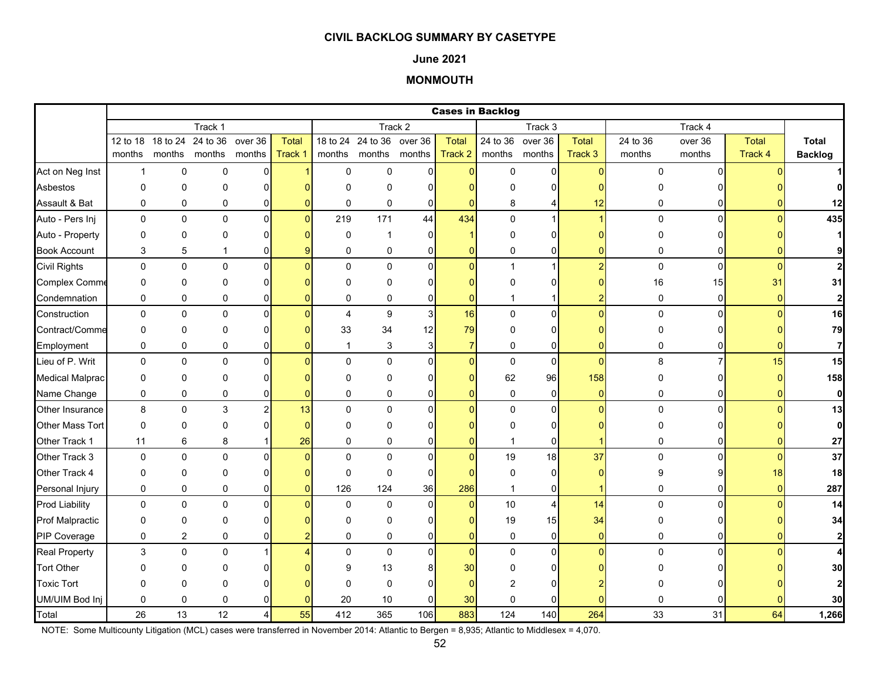#### **June 2021**

# **MONMOUTH**

|                        |              |                            |              |                |                |                |                           |                |                | <b>Cases in Backlog</b> |                |                |          |                |          |                         |
|------------------------|--------------|----------------------------|--------------|----------------|----------------|----------------|---------------------------|----------------|----------------|-------------------------|----------------|----------------|----------|----------------|----------|-------------------------|
|                        |              |                            | Track 1      |                |                |                |                           | Track 2        |                |                         | Track 3        |                |          | Track 4        |          |                         |
|                        |              | 12 to 18 18 to 24 24 to 36 |              | over 36        | <b>Total</b>   |                | 18 to 24 24 to 36 over 36 |                | <b>Total</b>   | 24 to 36 over 36        |                | <b>Total</b>   | 24 to 36 | over 36        | Total    | Total                   |
|                        | months       | months months              |              | months         | Track 1        |                | months months months      |                | Track 2        | months months           |                | Track 3        | months   | months         | Track 4  | <b>Backlog</b>          |
| Act on Neg Inst        | $\mathbf{1}$ | 0                          | $\pmb{0}$    | 0              |                | $\mathbf 0$    | 0                         | $\Omega$       | $\Omega$       | 0                       | $\overline{0}$ | $\mathbf{0}$   | 0        | $\Omega$       |          |                         |
| Asbestos               | $\Omega$     | $\Omega$                   | 0            | $\Omega$       |                | $\Omega$       | $\Omega$                  | <sup>0</sup>   |                | O                       | $\Omega$       |                |          |                |          |                         |
| Assault & Bat          | 0            | 0                          | $\pmb{0}$    | 0              |                | $\mathbf 0$    | 0                         | $\overline{0}$ | $\Omega$       | 8                       | 4              | 12             | 0        |                |          | 12                      |
| Auto - Pers Inj        | $\mathbf 0$  | 0                          | $\mathbf 0$  | $\overline{0}$ | $\Omega$       | 219            | 171                       | 44             | 434            | $\mathbf 0$             | $\mathbf{1}$   |                | 0        | $\Omega$       | $\Omega$ | 435                     |
| Auto - Property        | 0            | 0                          | 0            | 0              |                | $\mathbf 0$    | 1                         | $\Omega$       |                | 0                       | 0              |                | 0        |                |          |                         |
| <b>Book Account</b>    | 3            | 5                          | 1            | 0              |                | $\mathbf 0$    | 0                         | $\overline{0}$ | $\Omega$       | 0                       | 0              |                | 0        | 0              |          | 9                       |
| <b>Civil Rights</b>    | 0            | 0                          | 0            | $\mathbf{0}$   | n              | $\Omega$       | $\Omega$                  | $\Omega$       | $\Omega$       | $\mathbf{1}$            | $\mathbf{1}$   | $\overline{2}$ | 0        | $\Omega$       | $\Omega$ | $\overline{2}$          |
| <b>Complex Comme</b>   | 0            | 0                          | 0            | 0              |                | $\Omega$       | 0                         | $\Omega$       | $\Omega$       | $\Omega$                | 0              |                | 16       | 15             | 31       | 31                      |
| Condemnation           | $\mathbf 0$  | 0                          | $\mathbf 0$  | 0              |                | $\mathbf 0$    | $\mathbf 0$               | $\overline{0}$ | $\Omega$       | 1                       | 1              |                | 0        | $\overline{0}$ |          | $\mathbf 2$             |
| Construction           | 0            | 0                          | $\pmb{0}$    | $\mathbf 0$    |                | $\overline{4}$ | 9                         | $\overline{3}$ | 16             | $\pmb{0}$               | $\pmb{0}$      | $\Omega$       | 0        | $\Omega$       |          | 16                      |
| Contract/Comme         | 0            | 0                          | 0            | $\Omega$       |                | 33             | 34                        | 12             | 79             | 0                       | 0              |                | 0        |                |          | 79                      |
| Employment             | 0            | 0                          | 0            | 0              |                | $\mathbf{1}$   | 3                         | 3              | $\overline{7}$ | 0                       | 0              | O              | 0        |                |          | 7                       |
| Lieu of P. Writ        | $\mathbf 0$  | $\mathbf 0$                | $\mathbf 0$  | $\mathbf{0}$   |                | $\Omega$       | 0                         | $\Omega$       | $\Omega$       | $\pmb{0}$               | $\pmb{0}$      | $\Omega$       | 8        | 7              | 15       | 15                      |
| <b>Medical Malprac</b> | $\Omega$     | $\Omega$                   | 0            | $\Omega$       |                | $\Omega$       | 0                         | $\Omega$       | $\Omega$       | 62                      | 96             | 158            | 0        |                | n        | 158                     |
| Name Change            | 0            | 0                          | 0            | 0              |                | 0              | 0                         | $\overline{0}$ | $\Omega$       | $\pmb{0}$               | $\pmb{0}$      | $\overline{0}$ | 0        | 0              |          | $\bf{0}$                |
| Other Insurance        | 8            | 0                          | $\mathbf{3}$ | $\overline{c}$ | 13             | $\mathbf{0}$   | $\mathbf 0$               | $\Omega$       | $\Omega$       | 0                       | $\mathbf 0$    | $\Omega$       | 0        | $\Omega$       |          | 13                      |
| Other Mass Tort        | $\mathbf 0$  | 0                          | 0            | $\Omega$       | $\Omega$       | $\Omega$       | 0                         |                |                | $\Omega$                | 0              |                | 0        |                |          | 0                       |
| Other Track 1          | 11           | 6                          | 8            |                | 26             | $\mathbf 0$    | 0                         | $\Omega$       |                | $\mathbf{1}$            | 0              |                | 0        |                |          | 27                      |
| Other Track 3          | 0            | $\Omega$                   | $\Omega$     | $\Omega$       |                | $\Omega$       | $\mathbf 0$               | $\Omega$       | $\Omega$       | 19                      | 18             | 37             | 0        | $\Omega$       | n        | 37                      |
| Other Track 4          | 0            | 0                          | 0            | $\Omega$       |                | $\mathbf 0$    | 0                         | $\Omega$       |                | 0                       | $\pmb{0}$      |                | 9        |                | 18       | 18                      |
| Personal Injury        | 0            | 0                          | 0            | 0              | $\overline{0}$ | 126            | 124                       | 36             | 286            | 1                       | 0              | 1              | 0        | 01             | $\Omega$ | 287                     |
| <b>Prod Liability</b>  | 0            | 0                          | 0            | $\mathbf 0$    |                | $\mathbf 0$    | 0                         | $\Omega$       | $\pmb{0}$      | 10                      | 4              | 14             | 0        | U              |          | 14                      |
| <b>Prof Malpractic</b> | 0            | 0                          | 0            | $\Omega$       |                | $\Omega$       | 0                         | 0              |                | 19                      | 15             | 34             | 0        | ი              |          | 34                      |
| PIP Coverage           | 0            | $\overline{c}$             | $\mathbf 0$  | 0              |                | $\mathbf 0$    | 0                         | $\Omega$       | $\Omega$       | 0                       | 0              | $\overline{0}$ | 0        | 0              |          | $\overline{\mathbf{c}}$ |
| <b>Real Property</b>   | 3            | 0                          | 0            |                |                | $\Omega$       | $\mathbf 0$               | $\Omega$       | $\overline{0}$ | $\mathsf 0$             | $\pmb{0}$      | $\Omega$       | 0        | $\Omega$       |          |                         |
| <b>Tort Other</b>      | <sup>0</sup> | 0                          | O            |                |                | g              | 13                        |                | 30             | ŋ                       | $\Omega$       |                |          |                |          | 30                      |
| <b>Toxic Tort</b>      | $\Omega$     | 0                          | $\Omega$     |                |                | $\Omega$       | 0                         |                | $\Omega$       |                         | O              |                |          |                |          | 2                       |
| UM/UIM Bod Inj         | 0            | 0                          | 0            |                |                | 20             | 10                        | $\Omega$       | 30             | $\Omega$                | $\Omega$       |                | 0        |                |          | 30                      |
| Total                  | 26           | 13                         | 12           | 4              | 55             | 412            | 365                       | 106            | 883            | 124                     | 140            | 264            | 33       | 31             | 64       | 1,266                   |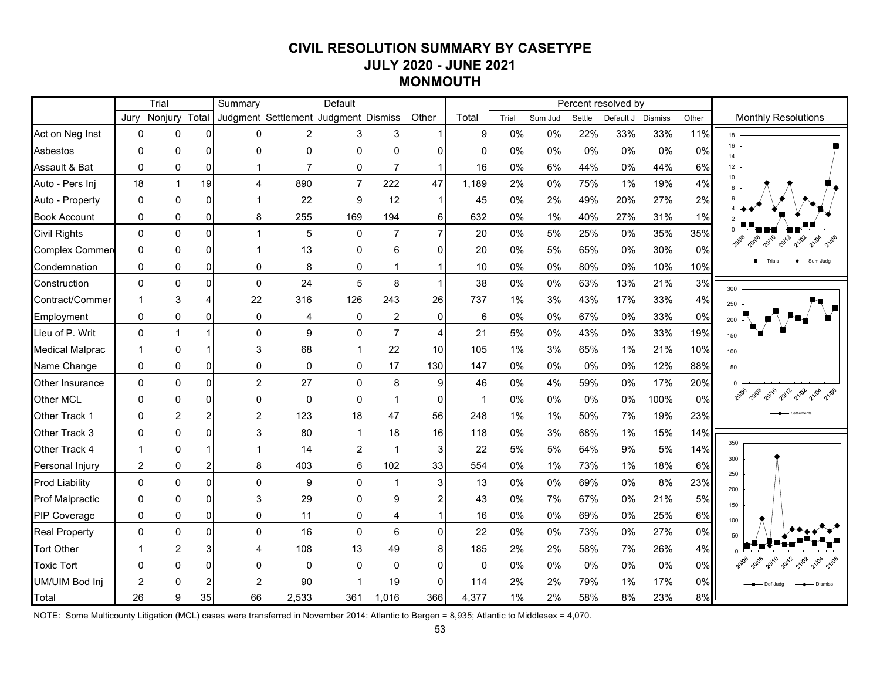# **CIVIL RESOLUTION SUMMARY BY CASETYPE JULY 2020 - JUNE 2021 MONMOUTH**

|                        |                | Trial          |                | Summary                              |                | Default        |                |                 |              |       |         |        | Percent resolved by |                |       |                            |
|------------------------|----------------|----------------|----------------|--------------------------------------|----------------|----------------|----------------|-----------------|--------------|-------|---------|--------|---------------------|----------------|-------|----------------------------|
|                        | Jurv           | Nonjury        | Total          | Judgment Settlement Judgment Dismiss |                |                |                | Other           | Total        | Trial | Sum Jud | Settle | Default J           | <b>Dismiss</b> | Other | <b>Monthly Resolutions</b> |
| Act on Neg Inst        | $\mathbf 0$    | $\Omega$       | $\overline{0}$ | 0                                    | $\overline{2}$ | 3              | 3              |                 | 9            | 0%    | 0%      | 22%    | 33%                 | 33%            | 11%   | 18                         |
| Asbestos               | $\mathbf{0}$   | 0              | $\Omega$       | 0                                    | $\mathbf 0$    | $\mathbf 0$    | 0              |                 | 0            | 0%    | 0%      | 0%     | 0%                  | $0\%$          | 0%    | 16<br>14                   |
| Assault & Bat          | $\mathbf{0}$   | 0              | $\overline{0}$ |                                      | $\overline{7}$ | 0              | $\overline{7}$ | 1               | 16           | 0%    | 6%      | 44%    | 0%                  | 44%            | 6%    | 12                         |
| Auto - Pers Inj        | 18             | $\mathbf{1}$   | 19             | $\overline{\mathbf{4}}$              | 890            | $\overline{7}$ | 222            | 47              | 1,189        | 2%    | 0%      | 75%    | 1%                  | 19%            | 4%    | 10                         |
| Auto - Property        | $\mathbf{0}$   | $\Omega$       | $\Omega$       |                                      | 22             | 9              | 12             | 1               | 45           | $0\%$ | 2%      | 49%    | 20%                 | 27%            | 2%    |                            |
| <b>Book Account</b>    | $\mathbf{0}$   | 0              | $\Omega$       | 8                                    | 255            | 169            | 194            | 6               | 632          | 0%    | $1\%$   | 40%    | 27%                 | 31%            | 1%    |                            |
| <b>Civil Rights</b>    | $\mathbf{0}$   | $\mathbf{0}$   | $\Omega$       |                                      | 5              | 0              | $\overline{7}$ | $\overline{7}$  | 20           | $0\%$ | 5%      | 25%    | $0\%$               | 35%            | 35%   | 2010<br>2012<br>21/02      |
| <b>Complex Commer</b>  | $\mathbf{0}$   | $\Omega$       | $\Omega$       |                                      | 13             | $\Omega$       | 6              | 0               | 20           | 0%    | 5%      | 65%    | $0\%$               | 30%            | 0%    |                            |
| Condemnation           | $\mathbf{0}$   | 0              | $\Omega$       | 0                                    | 8              | $\mathbf{0}$   | 1              |                 | 10           | 0%    | 0%      | 80%    | 0%                  | 10%            | 10%   |                            |
| Construction           | 0              | $\mathbf{0}$   | $\Omega$       | $\mathbf{0}$                         | 24             | 5              | 8              | $\mathbf{1}$    | 38           | 0%    | 0%      | 63%    | 13%                 | 21%            | 3%    | 300                        |
| Contract/Commer        | $\overline{1}$ | 3              |                | 22                                   | 316            | 126            | 243            | 26              | 737          | 1%    | 3%      | 43%    | 17%                 | 33%            | 4%    | 250                        |
| Employment             | 0              | 0              | $\Omega$       | 0                                    | 4              | 0              | 2              | $\overline{0}$  | 6            | 0%    | 0%      | 67%    | 0%                  | 33%            | 0%    | 200                        |
| Lieu of P. Writ        | $\Omega$       | 1              |                | $\Omega$                             | 9              | $\mathbf 0$    | $\overline{7}$ | $\overline{4}$  | 21           | 5%    | 0%      | 43%    | $0\%$               | 33%            | 19%   | 150                        |
| <b>Medical Malprac</b> | -1             | $\Omega$       |                | 3                                    | 68             | 1              | 22             | 10 <sup>1</sup> | 105          | 1%    | 3%      | 65%    | 1%                  | 21%            | 10%   | 100                        |
| Name Change            | 0              | 0              | $\overline{0}$ | 0                                    | $\mathbf 0$    | 0              | 17             | 130             | 147          | $0\%$ | 0%      | 0%     | 0%                  | 12%            | 88%   | 50                         |
| Other Insurance        | $\mathbf{0}$   | $\Omega$       | $\Omega$       | $\overline{2}$                       | 27             | $\Omega$       | 8              | 9               | 46           | 0%    | 4%      | 59%    | 0%                  | 17%            | 20%   |                            |
| <b>Other MCL</b>       | 0              | $\Omega$       | ΩI             | 0                                    | $\mathbf{0}$   | $\Omega$       | 1              | $\Omega$        | $\mathbf{1}$ | 0%    | 0%      | 0%     | 0%                  | 100%           | 0%    |                            |
| Other Track 1          | 0              | 2              | $\overline{2}$ | $\overline{2}$                       | 123            | 18             | 47             | 56              | 248          | 1%    | $1\%$   | 50%    | 7%                  | 19%            | 23%   |                            |
| Other Track 3          | 0              | $\Omega$       | $\Omega$       | 3                                    | 80             | $\mathbf{1}$   | 18             | 16              | 118          | 0%    | 3%      | 68%    | 1%                  | 15%            | 14%   |                            |
| Other Track 4          | 1              | $\Omega$       |                |                                      | 14             | $\overline{c}$ | $\mathbf{1}$   | 3               | 22           | 5%    | 5%      | 64%    | 9%                  | 5%             | 14%   | 350                        |
| Personal Injury        | $\overline{2}$ | 0              | $\overline{2}$ | 8                                    | 403            | 6              | 102            | 33              | 554          | 0%    | 1%      | 73%    | 1%                  | 18%            | 6%    | 300                        |
| <b>Prod Liability</b>  | $\Omega$       | $\mathbf 0$    | $\Omega$       | $\Omega$                             | 9              | $\Omega$       | $\mathbf{1}$   | $\overline{3}$  | 13           | 0%    | 0%      | 69%    | 0%                  | 8%             | 23%   | 250<br>200                 |
| <b>Prof Malpractic</b> | 0              | $\Omega$       | 0              | 3                                    | 29             | $\mathbf{0}$   | 9              |                 | 43           | 0%    | 7%      | 67%    | 0%                  | 21%            | 5%    | 150                        |
| PIP Coverage           | 0              | 0              | $\Omega$       | 0                                    | 11             | $\mathbf 0$    | 4              |                 | 16           | $0\%$ | 0%      | 69%    | 0%                  | 25%            | 6%    | 100                        |
| <b>Real Property</b>   | $\mathbf{0}$   | $\Omega$       | $\Omega$       | $\Omega$                             | 16             | $\Omega$       | 6              | $\Omega$        | 22           | 0%    | 0%      | 73%    | 0%                  | 27%            | 0%    |                            |
| <b>Tort Other</b>      |                | $\overline{2}$ |                | Δ                                    | 108            | 13             | 49             | 8               | 185          | 2%    | 2%      | 58%    | 7%                  | 26%            | 4%    |                            |
| <b>Toxic Tort</b>      | O              | 0              | 0              | 0                                    | $\mathbf 0$    | 0              | 0              | $\Omega$        | $\Omega$     | 0%    | 0%      | 0%     | 0%                  | 0%             | 0%    |                            |
| UM/UIM Bod Inj         | $\overline{2}$ | 0              | 2              | 2                                    | 90             | 1              | 19             | $\Omega$        | 114          | 2%    | 2%      | 79%    | 1%                  | 17%            | 0%    |                            |
| Total                  | 26             | 9              | 35             | 66                                   | 2,533          | 361            | 1,016          | 366             | 4,377        | 1%    | 2%      | 58%    | 8%                  | 23%            | 8%    |                            |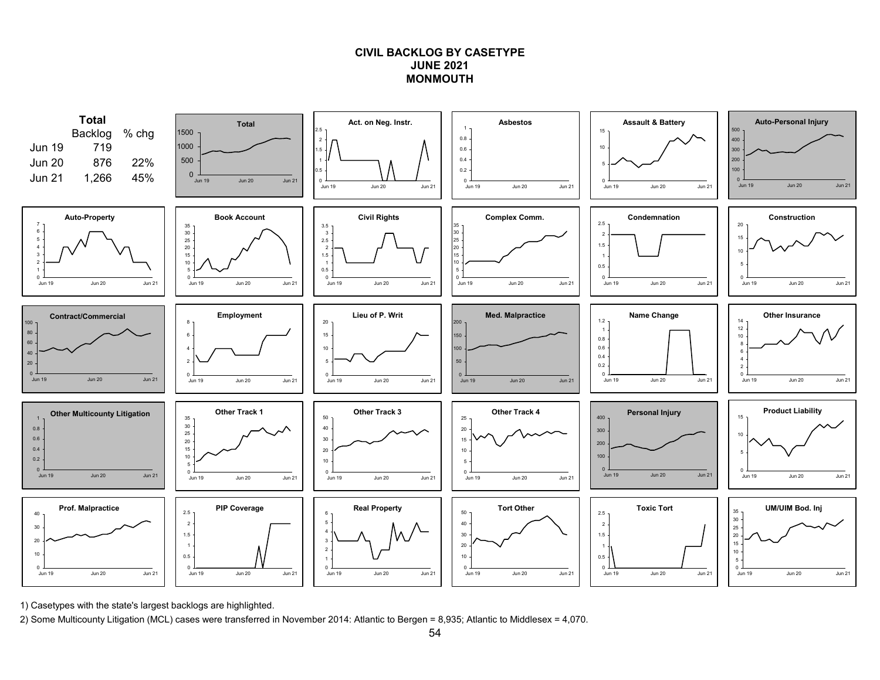## **CIVIL BACKLOG BY CASETYPEJUNE 2021MONMOUTH**



1) Casetypes with the state's largest backlogs are highlighted.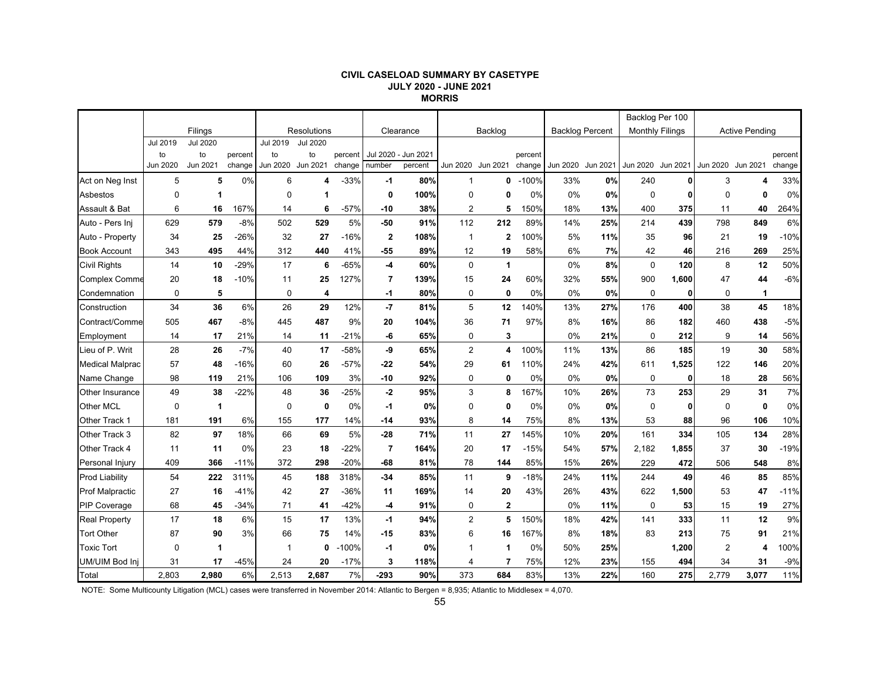#### **CIVIL CASELOAD SUMMARY BY CASETYPE JULY 2020 - JUNE 2021 MORRIS**

|                        |             |                 |         |          |                    |         |                         |                     |                |                   |         |                        |          | Backlog Per 100        |              |                |                       |         |
|------------------------|-------------|-----------------|---------|----------|--------------------|---------|-------------------------|---------------------|----------------|-------------------|---------|------------------------|----------|------------------------|--------------|----------------|-----------------------|---------|
|                        |             | Filings         |         |          | <b>Resolutions</b> |         |                         | Clearance           |                | Backlog           |         | <b>Backlog Percent</b> |          | <b>Monthly Filings</b> |              |                | <b>Active Pending</b> |         |
|                        | Jul 2019    | <b>Jul 2020</b> |         | Jul 2019 | <b>Jul 2020</b>    |         |                         |                     |                |                   |         |                        |          |                        |              |                |                       |         |
|                        | to          | to              | percent | to       | to                 | percent |                         | Jul 2020 - Jun 2021 |                |                   | percent |                        |          |                        |              |                |                       | percent |
|                        | Jun 2020    | Jun 2021        | change  | Jun 2020 | Jun 2021           | change  | number                  | percent             |                | Jun 2020 Jun 2021 | change  | <b>Jun 2020</b>        | Jun 2021 | Jun 2020 Jun 2021      |              |                | Jun 2020 Jun 2021     | change  |
| Act on Neg Inst        | 5           | 5               | 0%      | 6        | Δ                  | $-33%$  | -1                      | 80%                 | $\mathbf{1}$   | 0                 | $-100%$ | 33%                    | 0%       | 240                    |              | 3              | 4                     | 33%     |
| Asbestos               | 0           | 1               |         | 0        |                    |         | 0                       | 100%                | $\mathbf 0$    | 0                 | 0%      | 0%                     | 0%       | $\mathbf 0$            |              | $\Omega$       | $\mathbf{0}$          | 0%      |
| Assault & Bat          | 6           | 16              | 167%    | 14       | 6                  | $-57%$  | $-10$                   | 38%                 | $\overline{2}$ | 5                 | 150%    | 18%                    | 13%      | 400                    | 375          | 11             | 40                    | 264%    |
| Auto - Pers Ini        | 629         | 579             | $-8%$   | 502      | 529                | 5%      | $-50$                   | 91%                 | 112            | 212               | 89%     | 14%                    | 25%      | 214                    | 439          | 798            | 849                   | 6%      |
| Auto - Property        | 34          | 25              | $-26%$  | 32       | 27                 | $-16%$  | $\mathbf 2$             | 108%                | $\mathbf{1}$   | $\overline{2}$    | 100%    | 5%                     | 11%      | 35                     | 96           | 21             | 19                    | $-10%$  |
| <b>Book Account</b>    | 343         | 495             | 44%     | 312      | 440                | 41%     | $-55$                   | 89%                 | 12             | 19                | 58%     | 6%                     | 7%       | 42                     | 46           | 216            | 269                   | 25%     |
| <b>Civil Rights</b>    | 14          | 10              | $-29%$  | 17       | 6                  | $-65%$  | -4                      | 60%                 | $\pmb{0}$      | $\overline{1}$    |         | 0%                     | 8%       | $\mathbf 0$            | 120          | 8              | 12                    | 50%     |
| <b>Complex Comme</b>   | 20          | 18              | $-10%$  | 11       | 25                 | 127%    | $\overline{\mathbf{r}}$ | 139%                | 15             | 24                | 60%     | 32%                    | 55%      | 900                    | 1,600        | 47             | 44                    | $-6%$   |
| Condemnation           | $\mathbf 0$ | 5               |         | 0        | 4                  |         | -1                      | 80%                 | $\mathbf 0$    | $\mathbf 0$       | 0%      | 0%                     | 0%       | 0                      | $\mathbf{0}$ | 0              | 1                     |         |
| Construction           | 34          | 36              | 6%      | 26       | 29                 | 12%     | -7                      | 81%                 | 5              | 12                | 140%    | 13%                    | 27%      | 176                    | 400          | 38             | 45                    | 18%     |
| Contract/Comme         | 505         | 467             | $-8%$   | 445      | 487                | 9%      | 20                      | 104%                | 36             | 71                | 97%     | 8%                     | 16%      | 86                     | 182          | 460            | 438                   | $-5%$   |
| Employment             | 14          | 17              | 21%     | 14       | 11                 | $-21%$  | -6                      | 65%                 | 0              | 3                 |         | 0%                     | 21%      | $\mathbf 0$            | 212          | 9              | 14                    | 56%     |
| Lieu of P. Writ        | 28          | 26              | $-7%$   | 40       | 17                 | -58%    | -9                      | 65%                 | $\overline{2}$ | 4                 | 100%    | 11%                    | 13%      | 86                     | 185          | 19             | 30                    | 58%     |
| <b>Medical Malprac</b> | 57          | 48              | $-16%$  | 60       | 26                 | $-57%$  | $-22$                   | 54%                 | 29             | 61                | 110%    | 24%                    | 42%      | 611                    | 1,525        | 122            | 146                   | 20%     |
| Name Change            | 98          | 119             | 21%     | 106      | 109                | 3%      | $-10$                   | 92%                 | $\mathbf 0$    | $\mathbf 0$       | 0%      | 0%                     | 0%       | $\mathbf 0$            | 0            | 18             | 28                    | 56%     |
| Other Insurance        | 49          | 38              | $-22%$  | 48       | 36                 | $-25%$  | $-2$                    | 95%                 | 3              | 8                 | 167%    | 10%                    | 26%      | 73                     | 253          | 29             | 31                    | 7%      |
| Other MCL              | 0           | 1               |         | 0        | $\mathbf 0$        | 0%      | -1                      | 0%                  | 0              | 0                 | 0%      | 0%                     | 0%       | $\mathbf 0$            | 0            | $\mathbf 0$    | 0                     | 0%      |
| Other Track 1          | 181         | 191             | 6%      | 155      | 177                | 14%     | -14                     | 93%                 | 8              | 14                | 75%     | 8%                     | 13%      | 53                     | 88           | 96             | 106                   | 10%     |
| Other Track 3          | 82          | 97              | 18%     | 66       | 69                 | 5%      | $-28$                   | 71%                 | 11             | 27                | 145%    | 10%                    | 20%      | 161                    | 334          | 105            | 134                   | 28%     |
| Other Track 4          | 11          | 11              | 0%      | 23       | 18                 | $-22%$  | $\overline{7}$          | 164%                | 20             | 17                | $-15%$  | 54%                    | 57%      | 2,182                  | 1,855        | 37             | 30                    | $-19%$  |
| Personal Injury        | 409         | 366             | $-11%$  | 372      | 298                | $-20%$  | $-68$                   | 81%                 | 78             | 144               | 85%     | 15%                    | 26%      | 229                    | 472          | 506            | 548                   | 8%      |
| <b>Prod Liability</b>  | 54          | 222             | 311%    | 45       | 188                | 318%    | $-34$                   | 85%                 | 11             | 9                 | $-18%$  | 24%                    | 11%      | 244                    | 49           | 46             | 85                    | 85%     |
| <b>Prof Malpractic</b> | 27          | 16              | $-41%$  | 42       | 27                 | $-36%$  | 11                      | 169%                | 14             | 20                | 43%     | 26%                    | 43%      | 622                    | 1,500        | 53             | 47                    | $-11%$  |
| <b>PIP Coverage</b>    | 68          | 45              | $-34%$  | 71       | 41                 | $-42%$  | -4                      | 91%                 | 0              | $\mathbf{2}$      |         | 0%                     | 11%      | 0                      | 53           | 15             | 19                    | 27%     |
| <b>Real Property</b>   | 17          | 18              | 6%      | 15       | 17                 | 13%     | $-1$                    | 94%                 | $\overline{2}$ | 5                 | 150%    | 18%                    | 42%      | 141                    | 333          | 11             | 12                    | 9%      |
| <b>Tort Other</b>      | 87          | 90              | 3%      | 66       | 75                 | 14%     | -15                     | 83%                 | 6              | 16                | 167%    | 8%                     | 18%      | 83                     | 213          | 75             | 91                    | 21%     |
| <b>Toxic Tort</b>      | $\mathbf 0$ | 1               |         | -1       | 0                  | $-100%$ | $-1$                    | 0%                  | 1              | 1                 | 0%      | 50%                    | 25%      |                        | 1,200        | $\overline{2}$ | 4                     | 100%    |
| UM/UIM Bod Inj         | 31          | 17              | $-45%$  | 24       | 20                 | $-17%$  | 3                       | 118%                | $\overline{4}$ | 7                 | 75%     | 12%                    | 23%      | 155                    | 494          | 34             | 31                    | $-9%$   |
| Total                  | 2,803       | 2.980           | 6%      | 2,513    | 2,687              | 7%      | $-293$                  | 90%                 | 373            | 684               | 83%     | 13%                    | 22%      | 160                    | 275          | 2,779          | 3.077                 | 11%     |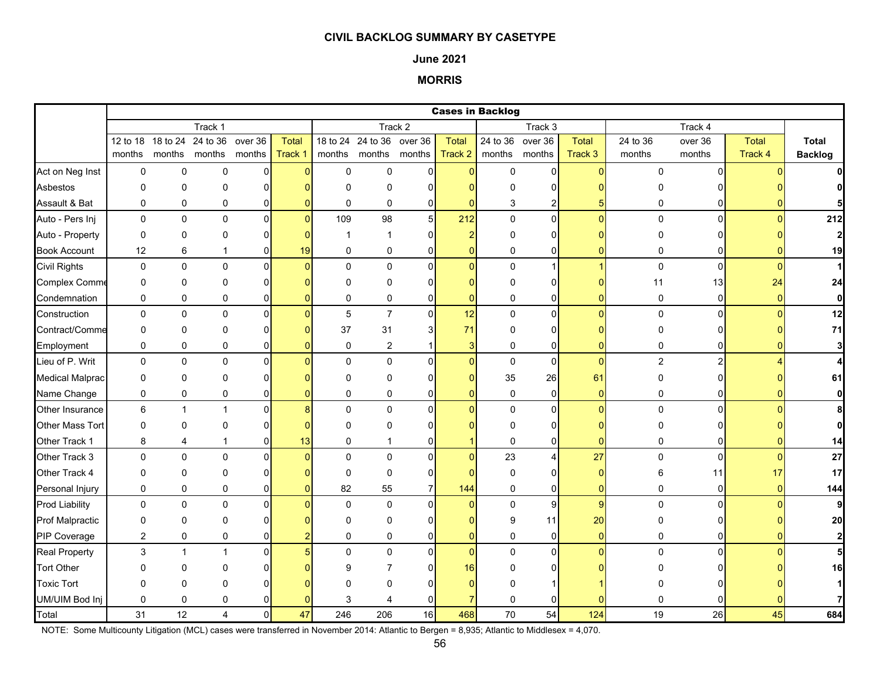### **June 2021**

# **MORRIS**

|                        |                |              |               |                |          |             |                           |                |                | <b>Cases in Backlog</b> |                  |                 |                |                |              |                |
|------------------------|----------------|--------------|---------------|----------------|----------|-------------|---------------------------|----------------|----------------|-------------------------|------------------|-----------------|----------------|----------------|--------------|----------------|
|                        |                |              | Track 1       |                |          |             |                           | Track 2        |                |                         | Track 3          |                 |                | Track 4        |              |                |
|                        | 12 to 18       | 18 to 24     | 24 to 36      | over 36        | Total    |             | 18 to 24 24 to 36 over 36 |                | <b>Total</b>   |                         | 24 to 36 over 36 | Total           | 24 to 36       | over 36        | <b>Total</b> | <b>Total</b>   |
|                        | months         |              | months months | months         | Track 1  |             | months months months      |                | Track 2        | months months           |                  | Track 3         | months         | months         | Track 4      | <b>Backlog</b> |
| Act on Neg Inst        | 0              | $\mathbf 0$  | 0             | $\overline{0}$ | $\Omega$ | $\mathsf 0$ | $\mathbf 0$               | $\overline{0}$ | $\overline{0}$ | $\mathsf 0$             | $\mathbf 0$      | $\overline{0}$  | 0              | $\Omega$       |              | $\mathbf{0}$   |
| Asbestos               | 0              | $\Omega$     | 0             | $\Omega$       |          | $\Omega$    | $\Omega$                  | ŋ              | n              | O                       | 0                |                 |                |                |              | 0              |
| Assault & Bat          | 0              | 0            | 0             | 0              |          | 0           | 0                         | $\mathbf{0}$   | $\Omega$       | 3                       | 2                |                 | 0              | 0              |              |                |
| Auto - Pers Inj        | $\mathbf 0$    | $\mathbf 0$  | $\mathbf 0$   | $\overline{0}$ | $\Omega$ | 109         | 98                        | 5 <sup>1</sup> | 212            | $\mathbf 0$             | $\overline{0}$   | $\Omega$        | $\mathbf 0$    | $\Omega$       | $\Omega$     | 212            |
| Auto - Property        | 0              | $\mathbf 0$  | 0             | $\Omega$       |          | -1          | 1                         | $\Omega$       | $\overline{2}$ | $\Omega$                | 0                |                 | 0              |                |              | $\mathbf{2}$   |
| <b>Book Account</b>    | 12             | 6            | 1             | 0              | 19       | $\mathbf 0$ | 0                         | $\mathbf{0}$   | 0              | 0                       | 0                |                 | 0              | 0              |              | 19             |
| <b>Civil Rights</b>    | 0              | $\mathbf 0$  | $\mathbf 0$   | $\mathbf{0}$   | O        | $\Omega$    | $\mathbf 0$               | $\Omega$       | $\overline{0}$ | $\pmb{0}$               | $\mathbf{1}$     |                 | $\mathbf 0$    | $\overline{0}$ | $\Omega$     | $\mathbf{1}$   |
| <b>Complex Comme</b>   | 0              | 0            | 0             | 0              |          | 0           | 0                         | $\Omega$       | O              | $\Omega$                | $\overline{0}$   |                 | 11             | 13             | 24           | 24             |
| Condemnation           | 0              | $\pmb{0}$    | 0             | 0              |          | $\mathbf 0$ | 0                         | 0              | $\overline{0}$ | 0                       | 0                | ŋ               | 0              | $\overline{0}$ | $\Omega$     | $\mathbf{0}$   |
| Construction           | 0              | $\mathbf 0$  | $\mathbf 0$   | $\Omega$       |          | 5           | $\overline{7}$            | $\mathbf{0}$   | 12             | $\mathbf 0$             | $\pmb{0}$        | $\Omega$        | $\mathbf 0$    | $\Omega$       |              | 12             |
| Contract/Comme         | 0              | 0            | $\mathbf 0$   | 0              |          | 37          | 31                        | 3              | 71             | 0                       | 0                |                 | 0              |                |              | 71             |
| Employment             | 0              | $\mathbf 0$  | 0             | 0              |          | $\mathbf 0$ | $\overline{2}$            |                | 3              | $\mathbf 0$             | $\overline{0}$   | ŋ               | 0              | 01             |              | 3 <sup>1</sup> |
| Lieu of P. Writ        | 0              | $\pmb{0}$    | $\pmb{0}$     | $\Omega$       |          | $\Omega$    | $\mathbf 0$               | $\Omega$       | $\Omega$       | $\pmb{0}$               | $\pmb{0}$        | $\Omega$        | $\overline{2}$ | 2 <sub>l</sub> |              | 4              |
| <b>Medical Malprac</b> | 0              | $\mathbf 0$  | 0             | 0              |          | $\Omega$    | $\Omega$                  | $\Omega$       | $\Omega$       | 35                      | 26               | 61              | 0              | $\Omega$       |              | 61             |
| Name Change            | 0              | $\pmb{0}$    | $\pmb{0}$     | 0              |          | $\mathbf 0$ | 0                         | $\Omega$       | $\Omega$       | 0                       | $\mathbf 0$      | $\Omega$        | 0              | 0              | $\Omega$     | $\mathbf{0}$   |
| Other Insurance        | 6              | $\mathbf{1}$ | $\mathbf{1}$  | $\mathbf 0$    |          | $\Omega$    | $\mathbf 0$               | $\Omega$       | $\overline{0}$ | 0                       | $\pmb{0}$        | $\Omega$        | 0              | $\overline{0}$ |              | 8              |
| Other Mass Tort        | 0              | $\pmb{0}$    | 0             | $\Omega$       |          | $\Omega$    | 0                         |                |                | 0                       | 0                |                 | 0              | ΩI             |              | $\mathbf{0}$   |
| Other Track 1          | 8              | 4            | -1            | 0              | 13       | 0           | 1                         | 0              |                | 0                       | $\overline{0}$   | ŋ               | 0              | ΩI             |              | 14             |
| Other Track 3          | 0              | $\pmb{0}$    | 0             | $\Omega$       |          | $\Omega$    | $\mathbf 0$               | $\Omega$       | $\overline{0}$ | 23                      | 4                | 27              | 0              | $\Omega$       | $\Omega$     | 27             |
| Other Track 4          | 0              | $\mathbf 0$  | $\Omega$      | $\Omega$       |          | $\Omega$    | $\mathbf 0$               | $\Omega$       | n              | $\mathbf 0$             | 0                | $\Omega$        | 6              | 11             | 17           | 17             |
| Personal Injury        | 0              | $\mathbf 0$  | 0             | 0              |          | 82          | 55                        | $\overline{7}$ | 144            | 0                       | $\overline{0}$   | $\overline{0}$  | 0              | $\overline{0}$ | $\Omega$     | 144            |
| <b>Prod Liability</b>  | 0              | $\pmb{0}$    | 0             | $\mathbf 0$    |          | $\mathbf 0$ | $\mathbf 0$               | $\Omega$       | $\overline{0}$ | $\pmb{0}$               | $\boldsymbol{9}$ | 9               | $\pmb{0}$      | $\Omega$       |              | 9              |
| <b>Prof Malpractic</b> | 0              | $\mathbf 0$  | 0             | 0              |          | $\Omega$    | 0                         | ŋ              | ŋ              | 9                       | 11               | 20 <sup>°</sup> | 0              |                |              | 20             |
| PIP Coverage           | $\overline{c}$ | $\pmb{0}$    | 0             | 0              |          | $\mathbf 0$ | 0                         | 0              | $\overline{0}$ | 0                       | 0                | $\overline{0}$  | 0              | 01             |              | $\mathbf{2}$   |
| <b>Real Property</b>   | 3              | $\mathbf{1}$ | $\mathbf{1}$  | $\Omega$       |          | $\Omega$    | 0                         | $\Omega$       | $\overline{0}$ | $\pmb{0}$               | $\mathbf 0$      | $\Omega$        | $\Omega$       | $\Omega$       |              | 5 <sup>1</sup> |
| <b>Tort Other</b>      | O              | 0            | ∩             |                |          | g           |                           | ŋ              | 16             | U                       | 0                |                 |                |                |              | 16             |
| <b>Toxic Tort</b>      | 0              | $\mathbf 0$  | $\Omega$      |                |          | O           | 0                         |                |                | ŋ                       |                  |                 |                |                |              |                |
| UM/UIM Bod Inj         | 0              | $\mathbf 0$  | 0             |                |          | 3           |                           | 0              |                | $\mathbf 0$             | 0                |                 | 0              |                |              |                |
| Total                  | 31             | 12           | 4             | $\Omega$       | 47       | 246         | 206                       | 16             | 468            | 70                      | 54               | 124             | 19             | 26             | 45           | 684            |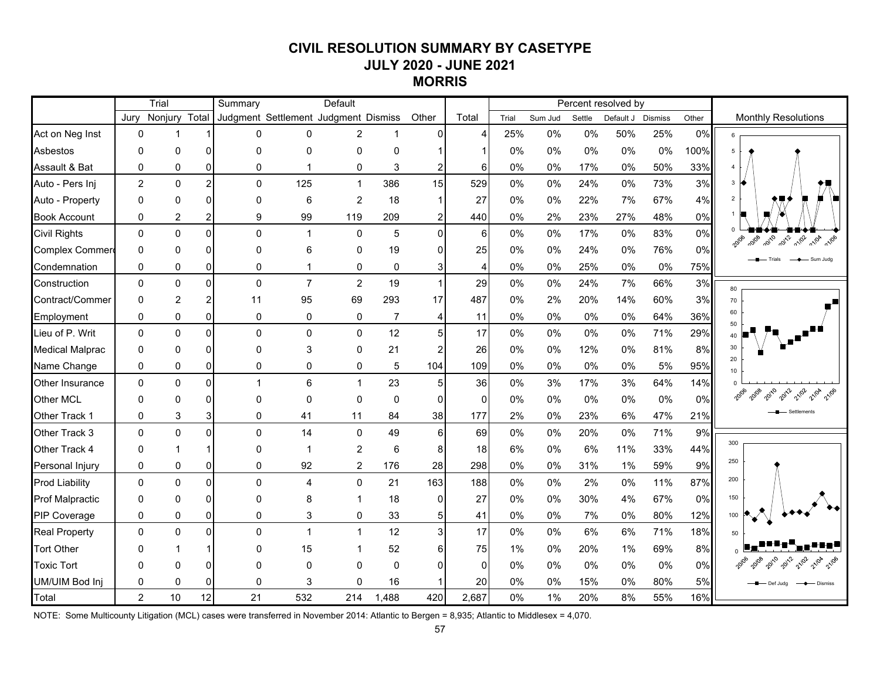# **CIVIL RESOLUTION SUMMARY BY CASETYPE JULY 2020 - JUNE 2021 MORRIS**

|                        |                | Trial          |                | Summary      |                                      | Default                 |                |                         |              |       |         |        | Percent resolved by |       |       |                                              |
|------------------------|----------------|----------------|----------------|--------------|--------------------------------------|-------------------------|----------------|-------------------------|--------------|-------|---------|--------|---------------------|-------|-------|----------------------------------------------|
|                        | Jurv           | Nonjury Total  |                |              | Judgment Settlement Judgment Dismiss |                         |                | Other                   | Total        | Trial | Sum Jud | Settle | Default J Dismiss   |       | Other | <b>Monthly Resolutions</b>                   |
| Act on Neg Inst        | $\Omega$       |                |                |              | 0<br>$\Omega$                        | $\overline{2}$          | $\mathbf{1}$   | $\overline{0}$          |              | 25%   | 0%      | $0\%$  | 50%                 | 25%   | 0%    | 6                                            |
| Asbestos               | $\Omega$       | $\Omega$       | $\Omega$       | $\Omega$     | 0                                    | 0                       | $\Omega$       | $\blacktriangleleft$    |              | $0\%$ | 0%      | $0\%$  | 0%                  | 0%    | 100%  | 5                                            |
| Assault & Bat          | $\Omega$       | 0              | $\overline{0}$ |              | $\mathbf 0$<br>$\mathbf{1}$          | 0                       | 3              | $\overline{2}$          | 6            | 0%    | 0%      | 17%    | 0%                  | 50%   | 33%   | $\overline{4}$                               |
| Auto - Pers Inj        | $\overline{2}$ | $\Omega$       | $\overline{2}$ |              | $\mathbf 0$<br>125                   | $\mathbf{1}$            | 386            | 15                      | 529          | 0%    | 0%      | 24%    | 0%                  | 73%   | 3%    | $3 \Theta$                                   |
| Auto - Property        | 0              | $\Omega$       | $\Omega$       |              | 0<br>6                               | $\overline{2}$          | 18             | $\mathbf{1}$            | 27           | $0\%$ | 0%      | 22%    | 7%                  | 67%   | 4%    | $\overline{2}$                               |
| <b>Book Account</b>    | 0              | 2              | $\overline{2}$ |              | 9<br>99                              | 119                     | 209            | $\boldsymbol{2}$        | 440          | $0\%$ | 2%      | 23%    | 27%                 | 48%   | 0%    |                                              |
| <b>Civil Rights</b>    | $\Omega$       | $\mathbf 0$    | $\Omega$       |              | $\mathbf 0$<br>$\mathbf{1}$          | 0                       | 5              | $\overline{0}$          | 6            | 0%    | $0\%$   | 17%    | 0%                  | 83%   | 0%    | 10/08 2010 2012 2102 2104 2106               |
| Complex Commer         | $\Omega$       | $\Omega$       | $\overline{0}$ | $\mathbf 0$  | 6                                    | 0                       | 19             | $\overline{0}$          | 25           | 0%    | 0%      | 24%    | $0\%$               | 76%   | 0%    |                                              |
| Condemnation           | $\Omega$       | 0              | $\overline{0}$ |              | $\pmb{0}$<br>$\mathbf{1}$            | 0                       | 0              | 3 <sup>1</sup>          | 4            | 0%    | 0%      | 25%    | 0%                  | 0%    | 75%   | $\rightarrow$ Sum Juda                       |
| Construction           | $\Omega$       | $\mathbf 0$    | $\Omega$       |              | $\mathsf 0$<br>$\overline{7}$        | $\overline{c}$          | 19             | $\mathbf{1}$            | 29           | 0%    | $0\%$   | 24%    | 7%                  | 66%   | 3%    | 80                                           |
| Contract/Commer        | $\Omega$       | $\overline{c}$ | $\overline{2}$ | 11           | 95                                   | 69                      | 293            | 17                      | 487          | 0%    | 2%      | 20%    | 14%                 | 60%   | 3%    | 70                                           |
| Employment             | 0              | 0              | $\overline{0}$ |              | 0<br>$\pmb{0}$                       | 0                       | $\overline{7}$ | $\overline{\mathbf{4}}$ | 11           | 0%    | 0%      | 0%     | 0%                  | 64%   | 36%   | 60<br>50                                     |
| Lieu of P. Writ        | $\Omega$       | $\mathbf 0$    | $\overline{0}$ |              | $\mathbf 0$<br>$\mathbf 0$           | 0                       | 12             | 5 <sup>1</sup>          | 17           | 0%    | 0%      | 0%     | $0\%$               | 71%   | 29%   |                                              |
| <b>Medical Malprac</b> | $\Omega$       | 0              | $\Omega$       | $\mathbf 0$  | 3                                    | 0                       | 21             | $\overline{c}$          | 26           | 0%    | 0%      | 12%    | 0%                  | 81%   | 8%    | 30                                           |
| Name Change            | 0              | 0              | $\overline{0}$ |              | $\pmb{0}$<br>0                       | 0                       | 5              | 104                     | 109          | 0%    | 0%      | 0%     | $0\%$               | 5%    | 95%   | 20<br>10                                     |
| Other Insurance        | $\Omega$       | $\Omega$       | $\Omega$       | $\mathbf{1}$ | $6\phantom{1}$                       | $\mathbf{1}$            | 23             | 5 <sub>l</sub>          | 36           | $0\%$ | 3%      | 17%    | 3%                  | 64%   | 14%   |                                              |
| Other MCL              | $\Omega$       | 0              | $\overline{0}$ |              | $\mathbf 0$<br>$\mathbf 0$           | 0                       | $\mathbf 0$    | $\overline{0}$          | $\mathbf 0$  | 0%    | 0%      | 0%     | $0\%$               | $0\%$ | 0%    | 21/02 21/04 21/06                            |
| Other Track 1          | 0              | 3              | 3              |              | 0<br>41                              | 11                      | 84             | 38                      | 177          | 2%    | 0%      | 23%    | 6%                  | 47%   | 21%   |                                              |
| Other Track 3          | $\Omega$       | $\mathbf 0$    | $\Omega$       |              | $\mathbf 0$<br>14                    | 0                       | 49             | $6 \mid$                | 69           | 0%    | 0%      | 20%    | $0\%$               | 71%   | 9%    |                                              |
| Other Track 4          | $\Omega$       | 1              | -1             | $\mathbf 0$  | $\mathbf{1}$                         | $\overline{\mathbf{c}}$ | 6              | 8 <sup>1</sup>          | 18           | 6%    | 0%      | 6%     | 11%                 | 33%   | 44%   | 300                                          |
| Personal Injury        | 0              | 0              | $\overline{0}$ |              | $\pmb{0}$<br>92                      | $\overline{c}$          | 176            | 28                      | 298          | $0\%$ | 0%      | 31%    | 1%                  | 59%   | 9%    | 250                                          |
| <b>Prod Liability</b>  | $\Omega$       | $\Omega$       | $\Omega$       |              | $\mathbf 0$<br>$\overline{4}$        | $\mathbf 0$             | 21             | 163                     | 188          | $0\%$ | 0%      | 2%     | $0\%$               | 11%   | 87%   | 200                                          |
| Prof Malpractic        | $\Omega$       | $\Omega$       | $\Omega$       | $\Omega$     | 8                                    | 1                       | 18             | $\Omega$                | 27           | 0%    | 0%      | 30%    | 4%                  | 67%   | 0%    | 150                                          |
| PIP Coverage           | $\Omega$       | 0              | $\overline{0}$ |              | $\mathbf 0$<br>3                     | 0                       | 33             | 5 <sub>5</sub>          | 41           | 0%    | 0%      | 7%     | $0\%$               | 80%   | 12%   | 100                                          |
| <b>Real Property</b>   | $\Omega$       | $\Omega$       | $\Omega$       |              | $\mathbf 0$<br>$\mathbf{1}$          | $\mathbf{1}$            | 12             | 3 <sup>l</sup>          | 17           | 0%    | 0%      | 6%     | 6%                  | 71%   | 18%   | 50                                           |
| <b>Tort Other</b>      | $\Omega$       |                |                |              | 15<br>$\mathbf{0}$                   | 1                       | 52             | $6 \overline{6}$        | 75           | 1%    | 0%      | 20%    | 1%                  | 69%   | 8%    |                                              |
| <b>Toxic Tort</b>      | 0              | $\Omega$       | $\overline{0}$ | $\Omega$     | $\mathbf 0$                          | 0                       | $\mathbf 0$    | $\Omega$                | $\mathbf{0}$ | $0\%$ | 0%      | 0%     | 0%                  | 0%    | 0%    |                                              |
| UM/UIM Bod Inj         | $\Omega$       | $\Omega$       | $\Omega$       |              | $\mathbf 0$<br>3                     | $\Omega$                | 16             | $\mathbf 1$             | 20           | $0\%$ | 0%      | 15%    | 0%                  | 80%   | 5%    | – Def Judg<br>- Dismiss<br>$\longrightarrow$ |
| Total                  | $\overline{2}$ | 10             | 12             | 21           | 532                                  | 214                     | 1,488          | 420                     | 2,687        | 0%    | 1%      | 20%    | 8%                  | 55%   | 16%   |                                              |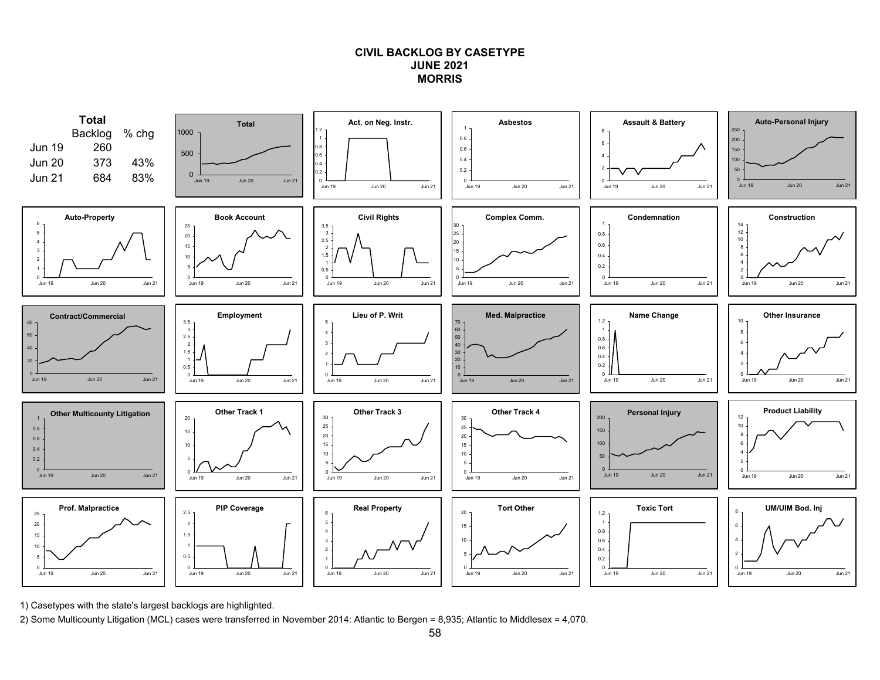## **CIVIL BACKLOG BY CASETYPEJUNE 2021MORRIS**



1) Casetypes with the state's largest backlogs are highlighted.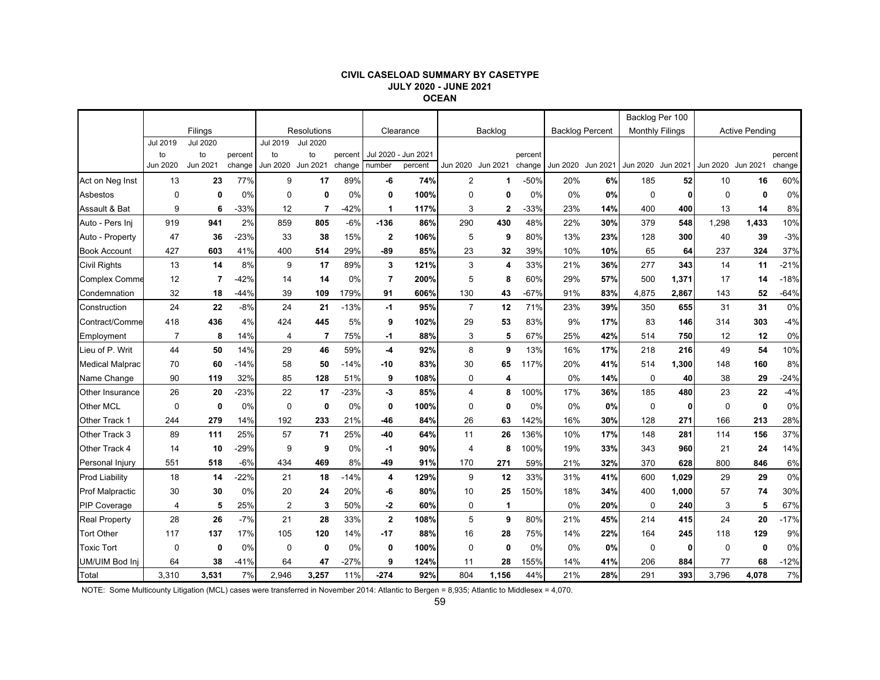#### **CIVIL CASELOAD SUMMARY BY CASETYPE JULY 2020 - JUNE 2021 OCEAN**

|                        |                |                 |         |             |                 |         |                |                     |                |                         |         |                        |          | Backlog Per 100        |       |                   |                       |         |
|------------------------|----------------|-----------------|---------|-------------|-----------------|---------|----------------|---------------------|----------------|-------------------------|---------|------------------------|----------|------------------------|-------|-------------------|-----------------------|---------|
|                        |                | Filings         |         |             | Resolutions     |         |                | Clearance           |                | Backlog                 |         | <b>Backlog Percent</b> |          | <b>Monthly Filings</b> |       |                   | <b>Active Pending</b> |         |
|                        | Jul 2019       | <b>Jul 2020</b> |         | Jul 2019    | <b>Jul 2020</b> |         |                |                     |                |                         |         |                        |          |                        |       |                   |                       |         |
|                        | to             | to              | percent | to          | to              | percent |                | Jul 2020 - Jun 2021 |                |                         | percent |                        |          |                        |       |                   |                       | percent |
|                        | Jun 2020       | Jun 2021        | change  | Jun 2020    | Jun 2021        | change  | number         | percent             |                | Jun 2020 Jun 2021       | change  | Jun 2020               | Jun 2021 | Jun 2020 Jun 2021      |       | Jun 2020 Jun 2021 |                       | change  |
| Act on Neg Inst        | 13             | 23              | 77%     | 9           | 17              | 89%     | -6             | 74%                 | $\overline{2}$ | 1                       | -50%    | 20%                    | 6%       | 185                    | 52    | 10                | 16                    | 60%     |
| Asbestos               | $\mathbf 0$    | 0               | 0%      | $\Omega$    | 0               | 0%      | 0              | 100%                | $\mathbf 0$    | 0                       | 0%      | 0%                     | 0%       | $\mathbf 0$            | 0     | $\Omega$          | 0                     | 0%      |
| Assault & Bat          | 9              | 6               | $-33%$  | 12          | 7               | $-42%$  | 1              | 117%                | 3              | $\mathbf{2}$            | $-33%$  | 23%                    | 14%      | 400                    | 400   | 13                | 14                    | 8%      |
| Auto - Pers Ini        | 919            | 941             | 2%      | 859         | 805             | $-6%$   | $-136$         | 86%                 | 290            | 430                     | 48%     | 22%                    | 30%      | 379                    | 548   | 1,298             | 1,433                 | 10%     |
| Auto - Property        | 47             | 36              | $-23%$  | 33          | 38              | 15%     | $\mathbf 2$    | 106%                | 5              | 9                       | 80%     | 13%                    | 23%      | 128                    | 300   | 40                | 39                    | $-3%$   |
| <b>Book Account</b>    | 427            | 603             | 41%     | 400         | 514             | 29%     | $-89$          | 85%                 | 23             | 32                      | 39%     | 10%                    | 10%      | 65                     | 64    | 237               | 324                   | 37%     |
| <b>Civil Rights</b>    | 13             | 14              | 8%      | 9           | 17              | 89%     | 3              | 121%                | 3              | $\overline{\mathbf{4}}$ | 33%     | 21%                    | 36%      | 277                    | 343   | 14                | 11                    | $-21%$  |
| <b>Complex Comme</b>   | 12             | $\overline{7}$  | $-42%$  | 14          | 14              | 0%      | $\overline{7}$ | 200%                | 5              | 8                       | 60%     | 29%                    | 57%      | 500                    | 1,371 | 17                | 14                    | $-18%$  |
| Condemnation           | 32             | 18              | $-44%$  | 39          | 109             | 179%    | 91             | 606%                | 130            | 43                      | $-67%$  | 91%                    | 83%      | 4,875                  | 2,867 | 143               | 52                    | $-64%$  |
| Construction           | 24             | 22              | $-8%$   | 24          | 21              | $-13%$  | -1             | 95%                 | $\overline{7}$ | 12                      | 71%     | 23%                    | 39%      | 350                    | 655   | 31                | 31                    | 0%      |
| Contract/Comme         | 418            | 436             | 4%      | 424         | 445             | 5%      | 9              | 102%                | 29             | 53                      | 83%     | 9%                     | 17%      | 83                     | 146   | 314               | 303                   | $-4%$   |
| Employment             | $\overline{7}$ | 8               | 14%     | 4           | $\overline{7}$  | 75%     | -1             | 88%                 | 3              | 5                       | 67%     | 25%                    | 42%      | 514                    | 750   | 12                | 12                    | 0%      |
| Lieu of P. Writ        | 44             | 50              | 14%     | 29          | 46              | 59%     | -4             | 92%                 | 8              | 9                       | 13%     | 16%                    | 17%      | 218                    | 216   | 49                | 54                    | 10%     |
| <b>Medical Malprac</b> | 70             | 60              | -14%    | 58          | 50              | -14%    | -10            | 83%                 | 30             | 65                      | 117%    | 20%                    | 41%      | 514                    | 1,300 | 148               | 160                   | 8%      |
| Name Change            | 90             | 119             | 32%     | 85          | 128             | 51%     | 9              | 108%                | $\mathbf 0$    | $\overline{\mathbf{4}}$ |         | 0%                     | 14%      | $\mathbf 0$            | 40    | 38                | 29                    | $-24%$  |
| Other Insurance        | 26             | 20              | $-23%$  | 22          | 17              | $-23%$  | -3             | 85%                 | $\overline{4}$ | 8                       | 100%    | 17%                    | 36%      | 185                    | 480   | 23                | 22                    | $-4%$   |
| Other MCL              | $\mathbf 0$    | $\mathbf 0$     | 0%      | 0           | 0               | 0%      | 0              | 100%                | $\mathbf 0$    | 0                       | 0%      | 0%                     | 0%       | $\mathbf 0$            | 0     | 0                 | $\mathbf{0}$          | 0%      |
| Other Track 1          | 244            | 279             | 14%     | 192         | 233             | 21%     | -46            | 84%                 | 26             | 63                      | 142%    | 16%                    | 30%      | 128                    | 271   | 166               | 213                   | 28%     |
| Other Track 3          | 89             | 111             | 25%     | 57          | 71              | 25%     | $-40$          | 64%                 | 11             | 26                      | 136%    | 10%                    | 17%      | 148                    | 281   | 114               | 156                   | 37%     |
| Other Track 4          | 14             | 10              | $-29%$  | 9           | 9               | 0%      | -1             | 90%                 | $\overline{4}$ | 8                       | 100%    | 19%                    | 33%      | 343                    | 960   | 21                | 24                    | 14%     |
| Personal Injury        | 551            | 518             | $-6%$   | 434         | 469             | 8%      | $-49$          | 91%                 | 170            | 271                     | 59%     | 21%                    | 32%      | 370                    | 628   | 800               | 846                   | 6%      |
| <b>Prod Liability</b>  | 18             | 14              | $-22%$  | 21          | 18              | $-14%$  | 4              | 129%                | 9              | 12                      | 33%     | 31%                    | 41%      | 600                    | 1,029 | 29                | 29                    | 0%      |
| <b>Prof Malpractic</b> | 30             | 30              | 0%      | 20          | 24              | 20%     | -6             | 80%                 | 10             | 25                      | 150%    | 18%                    | 34%      | 400                    | 1,000 | 57                | 74                    | 30%     |
| <b>PIP Coverage</b>    | 4              | 5               | 25%     | 2           | 3               | 50%     | -2             | 60%                 | 0              | $\mathbf{1}$            |         | $0\%$                  | 20%      | 0                      | 240   | 3                 | 5                     | 67%     |
| <b>Real Property</b>   | 28             | 26              | $-7%$   | 21          | 28              | 33%     | $\mathbf 2$    | 108%                | 5              | 9                       | 80%     | 21%                    | 45%      | 214                    | 415   | 24                | 20                    | $-17%$  |
| <b>Tort Other</b>      | 117            | 137             | 17%     | 105         | 120             | 14%     | $-17$          | 88%                 | 16             | 28                      | 75%     | 14%                    | 22%      | 164                    | 245   | 118               | 129                   | 9%      |
| <b>Toxic Tort</b>      | $\mathbf 0$    | $\mathbf 0$     | 0%      | $\mathbf 0$ | 0               | 0%      | 0              | 100%                | $\Omega$       | $\mathbf 0$             | 0%      | 0%                     | 0%       | $\mathbf 0$            | 0     | $\mathbf 0$       | 0                     | 0%      |
| UM/UIM Bod Inj         | 64             | 38              | $-41%$  | 64          | 47              | $-27%$  | 9              | 124%                | 11             | 28                      | 155%    | 14%                    | 41%      | 206                    | 884   | 77                | 68                    | $-12%$  |
| Total                  | 3,310          | 3,531           | 7%      | 2.946       | 3,257           | 11%     | $-274$         | 92%                 | 804            | 1,156                   | 44%     | 21%                    | 28%      | 291                    | 393   | 3,796             | 4.078                 | 7%      |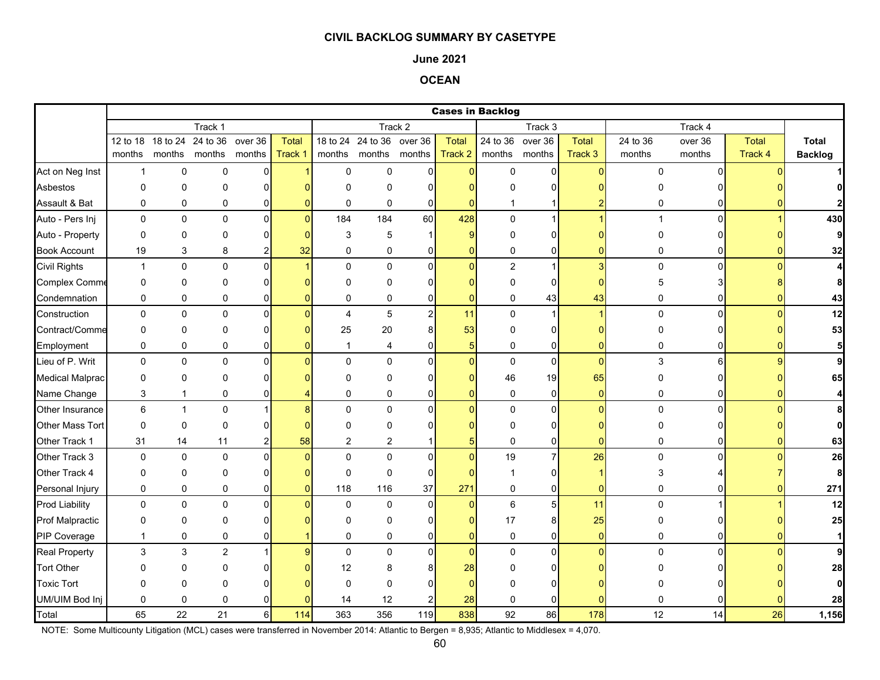### **June 2021**

# **OCEAN**

|                        |                                                                                                                         |              |                      |                |              |                |                |                |                | <b>Cases in Backlog</b> |                |                |                |                |              |                |
|------------------------|-------------------------------------------------------------------------------------------------------------------------|--------------|----------------------|----------------|--------------|----------------|----------------|----------------|----------------|-------------------------|----------------|----------------|----------------|----------------|--------------|----------------|
|                        | Track 1<br>Track 2<br>Track 3<br>12 to 18 18 to 24<br>24 to 36 over 36<br>18 to 24 24 to 36 over 36<br>24 to 36 over 36 |              |                      |                |              |                |                |                |                |                         |                |                |                | Track 4        |              |                |
|                        |                                                                                                                         |              |                      |                | <b>Total</b> |                |                |                | <b>Total</b>   |                         |                | Total          | 24 to 36       | over 36        | <b>Total</b> | <b>Total</b>   |
|                        | months                                                                                                                  |              | months months months |                | Track 1      | months         | months months  |                | Track 2        |                         | months months  | Track 3        | months         | months         | Track 4      | <b>Backlog</b> |
| Act on Neg Inst        | $\mathbf{1}$                                                                                                            | 0            | $\mathbf 0$          | $\mathbf 0$    |              | $\pmb{0}$      | $\mathbf 0$    | $\overline{0}$ | $\mathbf{0}$   | 0                       | $\mathbf{0}$   | $\Omega$       | $\Omega$       | $\Omega$       |              |                |
| Asbestos               | 0                                                                                                                       | 0            | $\Omega$             | 0              |              | $\Omega$       | 0              | $\Omega$       | n              |                         | $\Omega$       |                |                |                |              |                |
| Assault & Bat          | 0                                                                                                                       | 0            | 0                    | 0              |              | $\mathbf 0$    | 0              | $\mathbf 0$    | $\mathbf{0}$   | 1                       |                |                | 0              | 0              |              |                |
| Auto - Pers Inj        | $\mathbf 0$                                                                                                             | 0            | 0                    | $\overline{0}$ | $\Omega$     | 184            | 184            | 60             | 428            | $\mathbf 0$             | 1              |                | $\overline{1}$ | $\Omega$       |              | 430            |
| Auto - Property        | 0                                                                                                                       | 0            | $\Omega$             | 0              |              | 3              | 5              |                | 9              | 0                       | 0              |                |                |                |              | 9              |
| <b>Book Account</b>    | 19                                                                                                                      | 3            | 8                    |                | 32           | $\Omega$       | $\mathbf 0$    | $\mathbf 0$    | $\mathbf{0}$   | 0                       | 0              |                | 0              | 0              |              | 32             |
| <b>Civil Rights</b>    | $\mathbf{1}$                                                                                                            | 0            | $\Omega$             | 0              |              | $\Omega$       | $\Omega$       | $\Omega$       | $\mathbf{0}$   | $\overline{c}$          | 1              | 3              | $\pmb{0}$      | $\Omega$       |              | $\overline{4}$ |
| <b>Complex Comme</b>   | 0                                                                                                                       | 0            | $\mathbf{0}$         | 0              |              | $\Omega$       | 0              | $\Omega$       | $\Omega$       | 0                       | $\Omega$       |                | 5              |                |              | 8              |
| Condemnation           | 0                                                                                                                       | 0            | 0                    | 0              |              | $\mathbf 0$    | 0              | 0              | $\mathbf{0}$   | 0                       | 43             | 43             | 0              | 0              |              | 43             |
| Construction           | 0                                                                                                                       | 0            | $\mathbf 0$          | 0              |              | $\overline{4}$ | 5              | $\overline{2}$ | 11             | 0                       | 1              |                | $\mathbf 0$    | $\Omega$       |              | 12             |
| Contract/Comme         | 0                                                                                                                       | 0            | 0                    | $\overline{0}$ |              | 25             | 20             | 8              | 53             | 0                       | 0              |                |                |                |              | 53             |
| Employment             | 0                                                                                                                       | 0            | 0                    | 0              |              | $\mathbf{1}$   | 4              | $\mathbf{0}$   | 5              | 0                       | $\overline{0}$ | $\Omega$       | 0              |                |              | 5 <sub>5</sub> |
| Lieu of P. Writ        | $\mathbf 0$                                                                                                             | 0            | $\pmb{0}$            | 0              |              | $\Omega$       | $\mathbf 0$    | $\Omega$       | $\overline{0}$ | $\pmb{0}$               | $\overline{0}$ | $\mathbf{0}$   | $\mathfrak{S}$ | $6 \mid$       |              | 9              |
| <b>Medical Malprac</b> | $\Omega$                                                                                                                | $\Omega$     | $\Omega$             | 0              |              | $\Omega$       | $\Omega$       | $\Omega$       | $\Omega$       | 46                      | 19             | 65             |                |                |              | 65             |
| Name Change            | 3                                                                                                                       | $\mathbf{1}$ | 0                    | 0              |              | $\mathbf 0$    | 0              | $\overline{0}$ | $\mathbf{0}$   | 0                       | $\overline{0}$ | $\overline{0}$ | 0              | $\overline{0}$ |              | $\overline{4}$ |
| Other Insurance        | 6                                                                                                                       | $\mathbf{1}$ | $\mathbf 0$          |                |              | $\Omega$       | $\mathbf 0$    | $\Omega$       | $\Omega$       | $\mathbf 0$             | $\overline{0}$ | $\Omega$       | $\Omega$       | $\Omega$       |              | 8              |
| Other Mass Tort        | $\mathbf 0$                                                                                                             | 0            | $\Omega$             | 0              |              | O              | $\Omega$       |                |                | $\Omega$                | 0              |                |                |                |              | οl             |
| Other Track 1          | 31                                                                                                                      | 14           | 11                   | 2              | 58           | 2              | $\overline{2}$ |                | 5              | $\mathbf 0$             | 0              | U              | 0              |                |              | 63             |
| Other Track 3          | $\mathbf 0$                                                                                                             | 0            | $\pmb{0}$            | 0              |              | $\Omega$       | $\Omega$       | $\Omega$       | $\Omega$       | 19                      | $\overline{7}$ | 26             | $\mathbf 0$    | <sup>n</sup>   |              | 26             |
| Other Track 4          | 0                                                                                                                       | 0            | 0                    | 0              |              | $\mathbf 0$    | $\mathbf 0$    | $\Omega$       | $\Omega$       | $\overline{1}$          | 0              |                | 3              |                |              | 8              |
| Personal Injury        | $\mathbf 0$                                                                                                             | 0            | $\mathbf 0$          | $\overline{0}$ |              | 118            | 116            | 37             | 271            | 0                       | $\mathsf{O}$   | $\overline{0}$ | $\pmb{0}$      | 0              |              | 271            |
| <b>Prod Liability</b>  | 0                                                                                                                       | 0            | 0                    | $\mathbf 0$    |              | $\mathbf 0$    | 0              | $\mathbf 0$    | $\mathbf{0}$   | 6                       | 5 <sup>1</sup> | 11             | $\mathbf 0$    |                |              | 12             |
| <b>Prof Malpractic</b> | 0                                                                                                                       | 0            | 0                    | 0              |              | $\Omega$       | 0              | $\Omega$       | $\overline{0}$ | 17                      | 8 <sup>1</sup> | 25             | O              |                |              | 25             |
| PIP Coverage           | $\overline{1}$                                                                                                          | 0            | $\mathbf 0$          | 0              |              | $\Omega$       | $\mathbf 0$    | $\Omega$       | $\mathbf{0}$   | $\mathbf 0$             | 0              | $\Omega$       | $\Omega$       |                |              | $\mathbf{1}$   |
| <b>Real Property</b>   | 3                                                                                                                       | 3            | $\overline{c}$       | 1              |              | $\Omega$       | $\mathbf 0$    | $\overline{0}$ | $\mathbf{0}$   | 0                       | $\mathbf{0}$   | $\Omega$       | $\Omega$       | $\Omega$       |              | 9              |
| <b>Tort Other</b>      | O                                                                                                                       | 0            | O                    | ŋ              |              | 12             | 8              | 8              | 28             | 0                       | $\Omega$       |                |                |                |              | 28             |
| <b>Toxic Tort</b>      | U                                                                                                                       | 0            | $\Omega$             |                |              | $\Omega$       | $\Omega$       | O              | $\Omega$       | O                       | U              |                |                |                |              | οl             |
| UM/UIM Bod Inj         | 0                                                                                                                       | $\mathbf 0$  | 0                    |                |              | 14             | 12             |                | 28             | 0                       | 0              |                |                |                |              | 28             |
| Total                  | 65                                                                                                                      | 22           | 21                   | 6              | 114          | 363            | 356            | 119            | 838            | 92                      | 86             | 178            | 12             | 14             | 26           | 1,156          |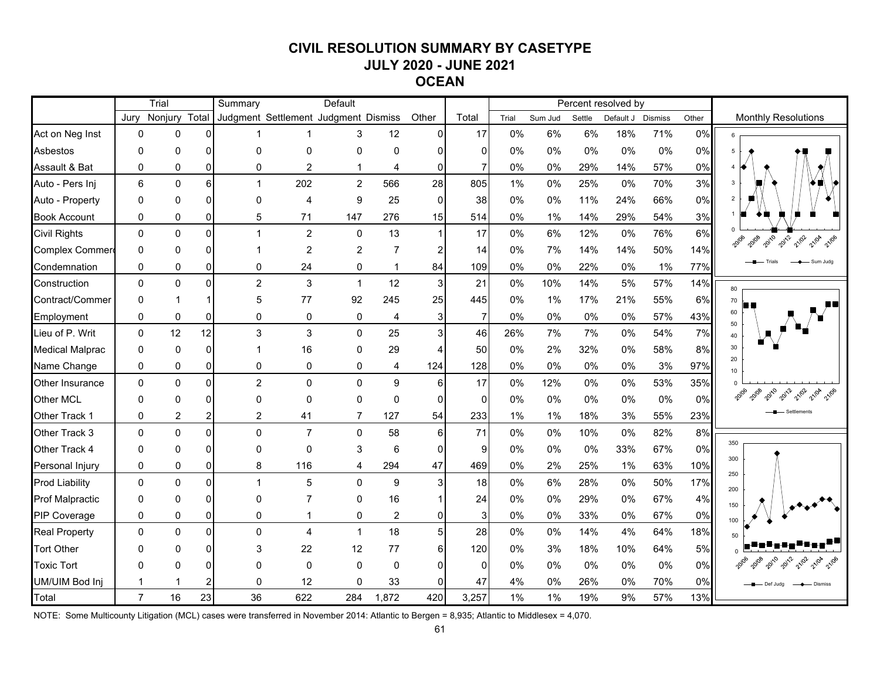# **CIVIL RESOLUTION SUMMARY BY CASETYPE JULY 2020 - JUNE 2021 OCEAN**

|                        |                | Trial         |          | Summary                              |                | Default        |                  |                         |                |       |         |        | Percent resolved by |         |       |                                             |
|------------------------|----------------|---------------|----------|--------------------------------------|----------------|----------------|------------------|-------------------------|----------------|-------|---------|--------|---------------------|---------|-------|---------------------------------------------|
|                        | Jurv           | Nonjury Total |          | Judgment Settlement Judgment Dismiss |                |                |                  | Other                   | Total          | Trial | Sum Jud | Settle | Default J           | Dismiss | Other | <b>Monthly Resolutions</b>                  |
| Act on Neg Inst        | $\Omega$       | $\Omega$      | 0        |                                      |                | 3              | 12               | 0                       | 17             | 0%    | 6%      | 6%     | 18%                 | 71%     | 0%    | 6                                           |
| Asbestos               | O              | 0             | 0        | 0                                    | $\Omega$       | $\Omega$       | $\Omega$         | 0                       | 0              | 0%    | 0%      | 0%     | 0%                  | 0%      | 0%    | $\overline{5}$                              |
| Assault & Bat          | $\mathbf{0}$   | $\mathbf{0}$  | $\Omega$ | $\mathbf 0$                          | 2              | $\mathbf{1}$   | $\overline{4}$   | 0                       | $\overline{7}$ | 0%    | 0%      | 29%    | 14%                 | 57%     | 0%    |                                             |
| Auto - Pers Inj        | 6              | $\Omega$      | 6        | $\mathbf{1}$                         | 202            | $\overline{2}$ | 566              | 28                      | 805            | 1%    | 0%      | 25%    | 0%                  | 70%     | 3%    | $\overline{3}$                              |
| Auto - Property        | $\Omega$       | $\mathbf{0}$  | 0        | 0                                    | 4              | 9              | 25               | 0                       | 38             | 0%    | 0%      | 11%    | 24%                 | 66%     | 0%    | $\overline{2}$                              |
| <b>Book Account</b>    | 0              | 0             | 0        | 5                                    | 71             | 147            | 276              | 15                      | 514            | 0%    | 1%      | 14%    | 29%                 | 54%     | 3%    |                                             |
| <b>Civil Rights</b>    | $\Omega$       | $\mathbf{0}$  | 0        | $\mathbf{1}$                         | $\overline{2}$ | $\mathbf 0$    | 13               | $\mathbf{1}$            | 17             | 0%    | 6%      | 12%    | 0%                  | 76%     | 6%    | 20112 21102 21104<br>2010<br>20108<br>21/06 |
| Complex Commer         | $\Omega$       | $\Omega$      | 0        |                                      | $\overline{c}$ | $\overline{c}$ | $\overline{7}$   | $\overline{\mathbf{c}}$ | 14             | 0%    | 7%      | 14%    | 14%                 | 50%     | 14%   |                                             |
| Condemnation           | 0              | 0             | 0        | 0                                    | 24             | 0              | $\mathbf 1$      | 84                      | 109            | 0%    | 0%      | 22%    | 0%                  | 1%      | 77%   | Sum Judo                                    |
| Construction           | 0              | $\Omega$      | 0        | $\overline{2}$                       | $\mathbf{3}$   | $\mathbf{1}$   | 12               | $\mathsf 3$             | 21             | 0%    | 10%     | 14%    | 5%                  | 57%     | 14%   | 80                                          |
| Contract/Commer        | $\Omega$       | 1             | 1        | 5                                    | 77             | 92             | 245              | 25                      | 445            | 0%    | 1%      | 17%    | 21%                 | 55%     | 6%    | 70                                          |
| Employment             | 0              | $\mathbf 0$   | 0        | 0                                    | 0              | $\mathbf 0$    | $\overline{4}$   | 3                       | $\overline{7}$ | 0%    | 0%      | 0%     | 0%                  | 57%     | 43%   | 60<br>50                                    |
| Lieu of P. Writ        | $\Omega$       | 12            | 12       | 3                                    | $\mathbf{3}$   | $\mathbf 0$    | 25               | 3                       | 46             | 26%   | 7%      | 7%     | 0%                  | 54%     | 7%    | 40                                          |
| <b>Medical Malprac</b> | $\Omega$       | $\mathbf 0$   | 0        |                                      | 16             | 0              | 29               | $\overline{4}$          | 50             | 0%    | 2%      | 32%    | 0%                  | 58%     | 8%    | 30                                          |
| Name Change            | 0              | $\mathbf 0$   | 0        | $\mathbf 0$                          | 0              | 0              | 4                | 124                     | 128            | 0%    | 0%      | 0%     | 0%                  | 3%      | 97%   | 20<br>10 <sup>10</sup>                      |
| Other Insurance        | $\Omega$       | $\mathbf{0}$  | 0        | $\overline{2}$                       | $\Omega$       | $\Omega$       | $\boldsymbol{9}$ | $\,6$                   | 17             | 0%    | 12%     | 0%     | 0%                  | 53%     | 35%   |                                             |
| Other MCL              | $\Omega$       | 0             | 0        | $\Omega$                             | $\mathbf 0$    | $\Omega$       | $\mathbf 0$      | 0                       | $\mathbf 0$    | 0%    | 0%      | 0%     | 0%                  | 0%      | 0%    | 2012<br>21/02                               |
| Other Track 1          | 0              | 2             | 2        | $\overline{2}$                       | 41             | $\overline{7}$ | 127              | 54                      | 233            | 1%    | 1%      | 18%    | 3%                  | 55%     | 23%   | Settlement                                  |
| Other Track 3          | 0              | $\Omega$      | 0        | $\mathbf 0$                          | $\overline{7}$ | $\mathbf{0}$   | 58               | $\,6$                   | 71             | 0%    | $0\%$   | 10%    | $0\%$               | 82%     | 8%    |                                             |
| Other Track 4          | $\Omega$       | 0             | 0        | 0                                    | $\mathbf 0$    | 3              | 6                | $\pmb{0}$               | 9              | 0%    | 0%      | 0%     | 33%                 | 67%     | 0%    | 350                                         |
| Personal Injury        | 0              | $\mathbf 0$   | 0        | 8                                    | 116            | 4              | 294              | 47                      | 469            | 0%    | 2%      | 25%    | 1%                  | 63%     | 10%   | 300                                         |
| <b>Prod Liability</b>  | $\Omega$       | $\mathbf{0}$  | $\Omega$ | $\mathbf{1}$                         | 5              | $\Omega$       | $\boldsymbol{9}$ | $\mathbf{3}$            | 18             | $0\%$ | 6%      | 28%    | $0\%$               | 50%     | 17%   | 250<br>200                                  |
| <b>Prof Malpractic</b> | $\Omega$       | $\Omega$      | 0        | $\Omega$                             | $\overline{7}$ | $\mathbf{0}$   | 16               | 1                       | 24             | 0%    | 0%      | 29%    | 0%                  | 67%     | 4%    | 150                                         |
| <b>PIP Coverage</b>    | $\Omega$       | $\mathbf{0}$  | 0        | $\mathbf 0$                          | $\mathbf{1}$   | $\mathbf 0$    | $\sqrt{2}$       | $\mathbf 0$             | 3              | 0%    | 0%      | 33%    | 0%                  | 67%     | 0%    | 100                                         |
| <b>Real Property</b>   | $\Omega$       | $\Omega$      | 0        | $\mathbf 0$                          | $\overline{4}$ | $\mathbf{1}$   | 18               | 5                       | 28             | 0%    | 0%      | 14%    | 4%                  | 64%     | 18%   |                                             |
| <b>Tort Other</b>      | O              | $\Omega$      | 0        | 3                                    | 22             | 12             | 77               | 6                       | 120            | 0%    | 3%      | 18%    | 10%                 | 64%     | 5%    |                                             |
| <b>Toxic Tort</b>      | O              | $\Omega$      | 0        | $\Omega$                             | $\Omega$       | $\Omega$       | $\mathbf 0$      | 0                       | $\mathbf{0}$   | 0%    | 0%      | 0%     | 0%                  | 0%      | 0%    | 2012<br>21/04                               |
| UM/UIM Bod Inj         |                |               |          | $\mathbf{0}$                         | 12             | $\Omega$       | 33               | $\Omega$                | 47             | 4%    | 0%      | 26%    | 0%                  | 70%     | 0%    | Def Judg<br>- Dismiss                       |
| Total                  | $\overline{7}$ | 16            | 23       | 36                                   | 622            | 284            | 1,872            | 420                     | 3,257          | 1%    | 1%      | 19%    | 9%                  | 57%     | 13%   |                                             |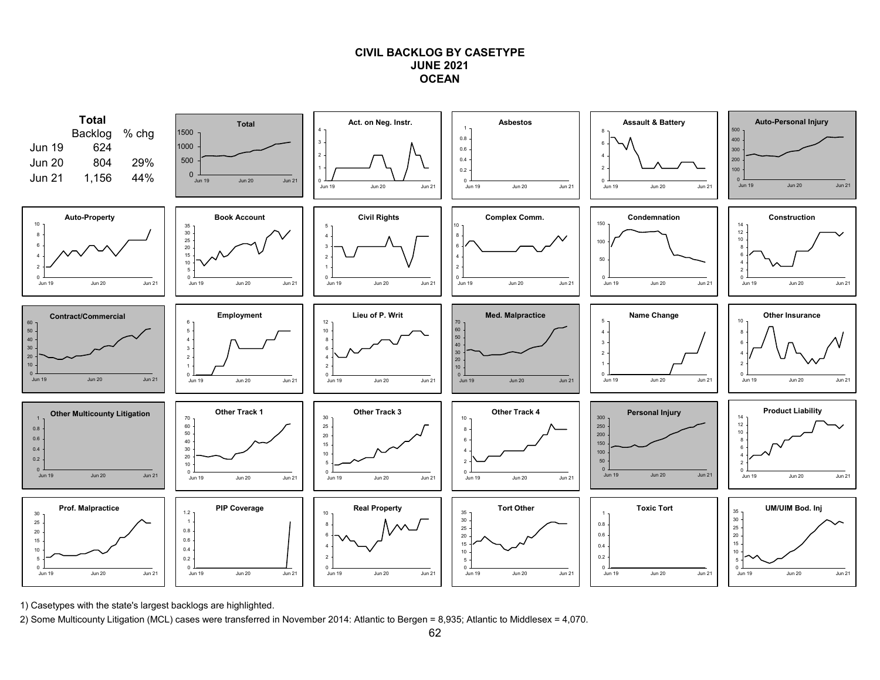## **CIVIL BACKLOG BY CASETYPEJUNE 2021OCEAN**



1) Casetypes with the state's largest backlogs are highlighted.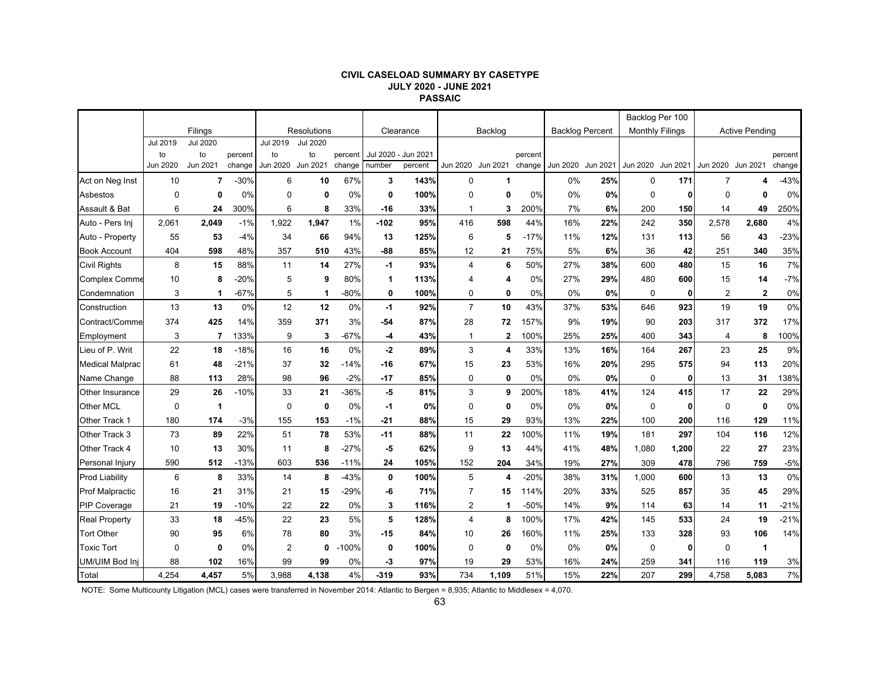#### **CIVIL CASELOAD SUMMARY BY CASETYPE JULY 2020 - JUNE 2021 PASSAIC**

|                        |          |                 |         |                |                    |         |            |           |                |             |         |          |                        |             | Backlog Per 100        |                   |                       |         |
|------------------------|----------|-----------------|---------|----------------|--------------------|---------|------------|-----------|----------------|-------------|---------|----------|------------------------|-------------|------------------------|-------------------|-----------------------|---------|
|                        |          | Filings         |         |                | <b>Resolutions</b> |         |            | Clearance |                | Backlog     |         |          | <b>Backlog Percent</b> |             | <b>Monthly Filings</b> |                   | <b>Active Pending</b> |         |
|                        | Jul 2019 | <b>Jul 2020</b> |         | Jul 2019       | <b>Jul 2020</b>    |         |            |           |                |             |         |          |                        |             |                        |                   |                       |         |
|                        | to       | to              | percent | to             | to                 | percent | Jul 2020 - | Jun 2021  |                |             | percent |          |                        |             |                        |                   |                       | percent |
|                        | Jun 2020 | Jun 2021        | change  | Jun 2020       | Jun 2021           | change  | number     | percent   | Jun 2020       | Jun 2021    | change  | Jun 2020 | Jun 2021               | Jun 2020    | Jun 2021               | Jun 2020 Jun 2021 |                       | change  |
| Act on Neg Inst        | 10       | $\overline{7}$  | $-30%$  | 6              | 10                 | 67%     | 3          | 143%      | $\mathbf 0$    | 1           |         | 0%       | 25%                    | $\mathbf 0$ | 171                    | $\overline{7}$    | 4                     | $-43%$  |
| Asbestos               | 0        | $\mathbf 0$     | 0%      | $\Omega$       | $\mathbf 0$        | 0%      | 0          | 100%      | $\mathbf 0$    | 0           | 0%      | 0%       | 0%                     | $\mathbf 0$ | 0                      | $\mathbf 0$       | 0                     | 0%      |
| Assault & Bat          | 6        | 24              | 300%    | 6              | 8                  | 33%     | -16        | 33%       | -1             | 3           | 200%    | 7%       | 6%                     | 200         | 150                    | 14                | 49                    | 250%    |
| Auto - Pers Inj        | 2,061    | 2,049           | $-1%$   | 1,922          | 1,947              | 1%      | $-102$     | 95%       | 416            | 598         | 44%     | 16%      | 22%                    | 242         | 350                    | 2,578             | 2,680                 | 4%      |
| Auto - Property        | 55       | 53              | $-4%$   | 34             | 66                 | 94%     | 13         | 125%      | 6              | 5           | $-17%$  | 11%      | 12%                    | 131         | 113                    | 56                | 43                    | $-23%$  |
| <b>Book Account</b>    | 404      | 598             | 48%     | 357            | 510                | 43%     | $-88$      | 85%       | 12             | 21          | 75%     | 5%       | 6%                     | 36          | 42                     | 251               | 340                   | 35%     |
| <b>Civil Rights</b>    | 8        | 15              | 88%     | 11             | 14                 | 27%     | $-1$       | 93%       | $\overline{4}$ | 6           | 50%     | 27%      | 38%                    | 600         | 480                    | 15                | 16                    | 7%      |
| <b>Complex Comme</b>   | 10       | 8               | $-20%$  | 5              | 9                  | 80%     | 1          | 113%      | 4              | 4           | 0%      | 27%      | 29%                    | 480         | 600                    | 15                | 14                    | $-7%$   |
| Condemnation           | 3        | 1               | $-67%$  | 5              | -1                 | $-80%$  | 0          | 100%      | 0              | $\mathbf 0$ | 0%      | 0%       | 0%                     | $\mathbf 0$ | 0                      | $\overline{2}$    | $\mathbf 2$           | $0\%$   |
| Construction           | 13       | 13              | 0%      | 12             | 12                 | 0%      | $-1$       | 92%       | $\overline{7}$ | 10          | 43%     | 37%      | 53%                    | 646         | 923                    | 19                | 19                    | 0%      |
| Contract/Comme         | 374      | 425             | 14%     | 359            | 371                | 3%      | $-54$      | 87%       | 28             | 72          | 157%    | 9%       | 19%                    | 90          | 203                    | 317               | 372                   | 17%     |
| Employment             | 3        | $\overline{7}$  | 133%    | 9              | 3                  | $-67%$  | -4         | 43%       | $\mathbf{1}$   | 2           | 100%    | 25%      | 25%                    | 400         | 343                    | $\overline{4}$    | 8                     | 100%    |
| Lieu of P. Writ        | 22       | 18              | $-18%$  | 16             | 16                 | $0\%$   | $-2$       | 89%       | 3              | 4           | 33%     | 13%      | 16%                    | 164         | 267                    | 23                | 25                    | 9%      |
| <b>Medical Malprac</b> | 61       | 48              | $-21%$  | 37             | 32                 | $-14%$  | -16        | 67%       | 15             | 23          | 53%     | 16%      | 20%                    | 295         | 575                    | 94                | 113                   | 20%     |
| Name Change            | 88       | 113             | 28%     | 98             | 96                 | $-2%$   | $-17$      | 85%       | 0              | $\mathbf 0$ | 0%      | 0%       | 0%                     | $\mathbf 0$ | 0                      | 13                | 31                    | 138%    |
| <b>Other Insurance</b> | 29       | 26              | $-10%$  | 33             | 21                 | $-36%$  | -5         | 81%       | 3              | 9           | 200%    | 18%      | 41%                    | 124         | 415                    | 17                | 22                    | 29%     |
| <b>Other MCL</b>       | 0        | 1               |         | 0              | 0                  | 0%      | -1         | 0%        | $\mathbf 0$    | 0           | $0\%$   | 0%       | 0%                     | 0           | 0                      | 0                 | 0                     | 0%      |
| Other Track 1          | 180      | 174             | $-3%$   | 155            | 153                | $-1%$   | $-21$      | 88%       | 15             | 29          | 93%     | 13%      | 22%                    | 100         | 200                    | 116               | 129                   | 11%     |
| Other Track 3          | 73       | 89              | 22%     | 51             | 78                 | 53%     | $-11$      | 88%       | 11             | 22          | 100%    | 11%      | 19%                    | 181         | 297                    | 104               | 116                   | 12%     |
| Other Track 4          | 10       | 13              | 30%     | 11             | 8                  | $-27%$  | -5         | 62%       | 9              | 13          | 44%     | 41%      | 48%                    | 1,080       | 1,200                  | 22                | 27                    | 23%     |
| Personal Injury        | 590      | 512             | $-13%$  | 603            | 536                | -11%    | 24         | 105%      | 152            | 204         | 34%     | 19%      | 27%                    | 309         | 478                    | 796               | 759                   | $-5%$   |
| <b>Prod Liability</b>  | 6        | 8               | 33%     | 14             | 8                  | $-43%$  | 0          | 100%      | 5              | 4           | -20%    | 38%      | 31%                    | 1,000       | 600                    | 13                | 13                    | 0%      |
| <b>Prof Malpractic</b> | 16       | 21              | 31%     | 21             | 15                 | $-29%$  | -6         | 71%       | $\overline{7}$ | 15          | 114%    | 20%      | 33%                    | 525         | 857                    | 35                | 45                    | 29%     |
| <b>PIP Coverage</b>    | 21       | 19              | $-10%$  | 22             | 22                 | 0%      | 3          | 116%      | $\overline{2}$ | $\mathbf 1$ | $-50%$  | 14%      | 9%                     | 114         | 63                     | 14                | 11                    | $-21%$  |
| <b>Real Property</b>   | 33       | 18              | $-45%$  | 22             | 23                 | 5%      | 5          | 128%      | $\overline{4}$ | 8           | 100%    | 17%      | 42%                    | 145         | 533                    | 24                | 19                    | $-21%$  |
| <b>Tort Other</b>      | 90       | 95              | 6%      | 78             | 80                 | 3%      | -15        | 84%       | 10             | 26          | 160%    | 11%      | 25%                    | 133         | 328                    | 93                | 106                   | 14%     |
| <b>Toxic Tort</b>      | 0        | $\mathbf 0$     | 0%      | $\overline{2}$ | 0                  | 100%    | 0          | 100%      | $\mathbf 0$    | $\mathbf 0$ | 0%      | 0%       | 0%                     | $\mathbf 0$ | 0                      | 0                 | 1                     |         |
| UM/UIM Bod Inj         | 88       | 102             | 16%     | 99             | 99                 | 0%      | -3         | 97%       | 19             | 29          | 53%     | 16%      | 24%                    | 259         | 341                    | 116               | 119                   | 3%      |
| Total                  | 4,254    | 4,457           | 5%      | 3,988          | 4.138              | 4%      | $-319$     | 93%       | 734            | 1.109       | 51%     | 15%      | 22%                    | 207         | 299                    | 4,758             | 5.083                 | $7\%$   |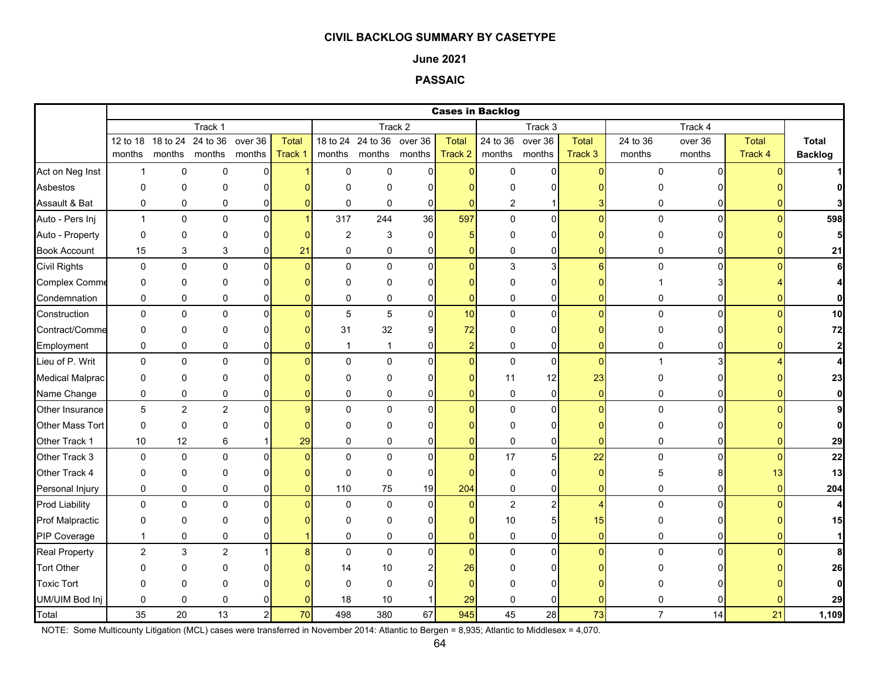### **June 2021**

# **PASSAIC**

|                        |                |                |                |                |         |                |                           |                | <b>Cases in Backlog</b> |               |                  |                  |                |                |              |                |
|------------------------|----------------|----------------|----------------|----------------|---------|----------------|---------------------------|----------------|-------------------------|---------------|------------------|------------------|----------------|----------------|--------------|----------------|
|                        |                |                | Track 1        |                |         |                |                           | Track 2        |                         |               | Track 3          |                  |                | Track 4        |              |                |
|                        | 12 to 18       | 18 to 24       | 24 to 36       | over 36        | Total   |                | 18 to 24 24 to 36 over 36 |                | <b>Total</b>            |               | 24 to 36 over 36 | Total            | 24 to 36       | over 36        | <b>Total</b> | <b>Total</b>   |
|                        | months         |                | months months  | months         | Track 1 |                | months months months      |                | Track 2                 | months months |                  | Track 3          | months         | months         | Track 4      | <b>Backlog</b> |
| Act on Neg Inst        | $\mathbf{1}$   | $\mathbf 0$    | 0              | $\overline{0}$ |         | $\mathsf 0$    | $\mathbf 0$               | $\overline{0}$ | $\overline{0}$          | $\mathsf 0$   | $\mathbf 0$      | $\Omega$         | 0              | $\Omega$       |              |                |
| Asbestos               | 0              | $\Omega$       | 0              | $\Omega$       |         | $\Omega$       | $\Omega$                  | $\Omega$       | n                       | O             | 0                |                  |                |                |              |                |
| Assault & Bat          | 0              | $\pmb{0}$      | 0              | 0              |         | 0              | 0                         | $\mathbf 0$    | $\Omega$                | 2             |                  |                  | 0              | 0              |              |                |
| Auto - Pers Inj        | $\mathbf{1}$   | $\mathbf 0$    | $\mathbf 0$    | $\overline{0}$ |         | 317            | 244                       | 36             | 597                     | $\mathbf 0$   | $\overline{0}$   | $\Omega$         | $\mathbf 0$    | $\Omega$       | $\Omega$     | 598            |
| Auto - Property        | 0              | $\mathbf 0$    | 0              | $\Omega$       |         | $\overline{2}$ | 3                         | $\Omega$       | 5                       | 0             | 0                |                  | 0              |                |              | 5              |
| <b>Book Account</b>    | 15             | 3              | 3              | 0              | 21      | $\mathbf 0$    | $\mathbf 0$               | $\overline{0}$ | 0                       | $\mathbf 0$   | 0                |                  | 0              | 01             |              | 21             |
| <b>Civil Rights</b>    | 0              | $\mathbf 0$    | $\mathbf 0$    | $\Omega$       | n       | $\Omega$       | $\Omega$                  | $\Omega$       | $\Omega$                | 3             | $\overline{3}$   | $6 \overline{6}$ | $\mathbf 0$    | $\Omega$       |              | 6              |
| <b>Complex Comme</b>   | 0              | $\mathbf 0$    | 0              | 0              |         | $\Omega$       | 0                         | $\Omega$       | O                       | $\Omega$      | 0                |                  |                |                |              | 4              |
| Condemnation           | 0              | 0              | 0              | 0              |         | $\mathbf 0$    | 0                         | 0              | $\overline{0}$          | 0             | 0                | ŋ                | 0              | 01             |              | $\mathbf{0}$   |
| Construction           | 0              | $\pmb{0}$      | $\pmb{0}$      | 0              |         | 5              | 5                         | $\mathbf{0}$   | 10                      | 0             | $\pmb{0}$        | $\overline{0}$   | 0              | $\Omega$       |              | 10             |
| Contract/Comme         | 0              | $\mathbf 0$    | $\Omega$       | $\Omega$       |         | 31             | 32                        | 9              | 72                      | $\mathbf 0$   | 0                |                  | $\Omega$       | 0              |              | 72             |
| Employment             | 0              | $\pmb{0}$      | 0              | 0              |         | -1             | $\mathbf{1}$              | 0              | $\overline{\mathbf{c}}$ | 0             | 0                | ŋ                | 0              | ΩI             |              | $\mathbf{2}$   |
| Lieu of P. Writ        | 0              | $\pmb{0}$      | $\pmb{0}$      | $\mathbf{0}$   |         | $\Omega$       | $\mathbf 0$               | $\Omega$       | $\Omega$                | $\pmb{0}$     | $\mathbf 0$      | $\Omega$         | $\mathbf{1}$   | 31             |              | $\overline{4}$ |
| <b>Medical Malprac</b> | 0              | $\Omega$       | 0              | $\Omega$       |         | $\Omega$       | 0                         | $\Omega$       | 0                       | 11            | 12               | 23               | O              |                |              | 23             |
| Name Change            | 0              | 0              | 0              | 0              |         | 0              | 0                         | $\overline{0}$ | $\overline{0}$          | 0             | $\pmb{0}$        | $\overline{0}$   | 0              | $\overline{0}$ | $\Omega$     | $\mathbf{0}$   |
| Other Insurance        | $\overline{5}$ | $\overline{2}$ | $\overline{2}$ | $\Omega$       |         | $\Omega$       | $\mathbf 0$               | $\Omega$       | $\Omega$                | $\mathbf 0$   | $\mathbf 0$      | $\Omega$         | $\mathbf 0$    | $\Omega$       |              | 9              |
| Other Mass Tort        | 0              | $\pmb{0}$      | 0              | $\Omega$       |         | $\Omega$       | $\Omega$                  |                |                         | $\Omega$      | 0                |                  | 0              |                |              | $\mathbf{0}$   |
| Other Track 1          | 10             | 12             | 6              |                | 29      | $\Omega$       | $\mathbf 0$               | 0              | $\Omega$                | $\pmb{0}$     | 0                | ŋ                | 0              | ΩI             |              | 29             |
| Other Track 3          | $\mathbf 0$    | $\pmb{0}$      | $\Omega$       | $\Omega$       |         | $\Omega$       | $\Omega$                  | $\Omega$       | $\Omega$                | 17            | 5                | 22               | $\mathbf 0$    | $\Omega$       |              | 22             |
| Other Track 4          | 0              | $\mathbf 0$    | 0              | $\Omega$       |         | $\mathbf 0$    | 0                         | $\mathbf{0}$   | $\Omega$                | 0             | 0                | $\overline{0}$   | 5              |                | 13           | 13             |
| Personal Injury        | 0              | $\pmb{0}$      | 0              | 0              |         | 110            | 75                        | 19             | 204                     | 0             | 0                | $\overline{0}$   | 0              | 0              | $\Omega$     | 204            |
| <b>Prod Liability</b>  | 0              | 0              | $\pmb{0}$      | 0              |         | $\mathbf 0$    | 0                         | $\Omega$       | $\overline{0}$          | $\mathbf 2$   | 2                | 4                | 0              | $\Omega$       |              | $\overline{4}$ |
| <b>Prof Malpractic</b> | 0              | $\pmb{0}$      | 0              | $\Omega$       |         | $\Omega$       | 0                         | O              | 0                       | $10$          | 5                | 15               | 0              |                |              | 15             |
| PIP Coverage           | $\mathbf{1}$   | $\mathbf 0$    | 0              | 0              |         | $\mathbf 0$    | $\mathbf 0$               | $\Omega$       | $\mathbf{0}$            | $\mathbf 0$   | 0                | $\Omega$         | 0              | 01             |              | $\mathbf{1}$   |
| <b>Real Property</b>   | $\overline{c}$ | $\mathsf 3$    | $\overline{c}$ | 1              |         | $\Omega$       | $\mathbf 0$               | $\Omega$       | $\overline{0}$          | $\pmb{0}$     | $\overline{0}$   | $\Omega$         | $\Omega$       | $\Omega$       |              | 8              |
| <b>Tort Other</b>      | O              | $\mathbf{0}$   | 0              | U              |         | 14             | 10                        |                | 26                      | O             | 0                |                  |                |                |              | 26             |
| <b>Toxic Tort</b>      | 0              | $\mathbf 0$    | 0              |                |         | $\Omega$       | 0                         | n              | $\Omega$                | $\Omega$      | $\Omega$         |                  |                |                |              | $\mathbf{0}$   |
| UM/UIM Bod Inj         | 0              | $\mathbf 0$    | 0              |                |         | 18             | 10                        |                | 29                      | $\mathbf 0$   | 0                |                  | 0              |                |              | 29             |
| Total                  | 35             | 20             | 13             | $\overline{c}$ | 70      | 498            | 380                       | 67             | 945                     | 45            | 28               | 73               | $\overline{7}$ | 14             | 21           | 1,109          |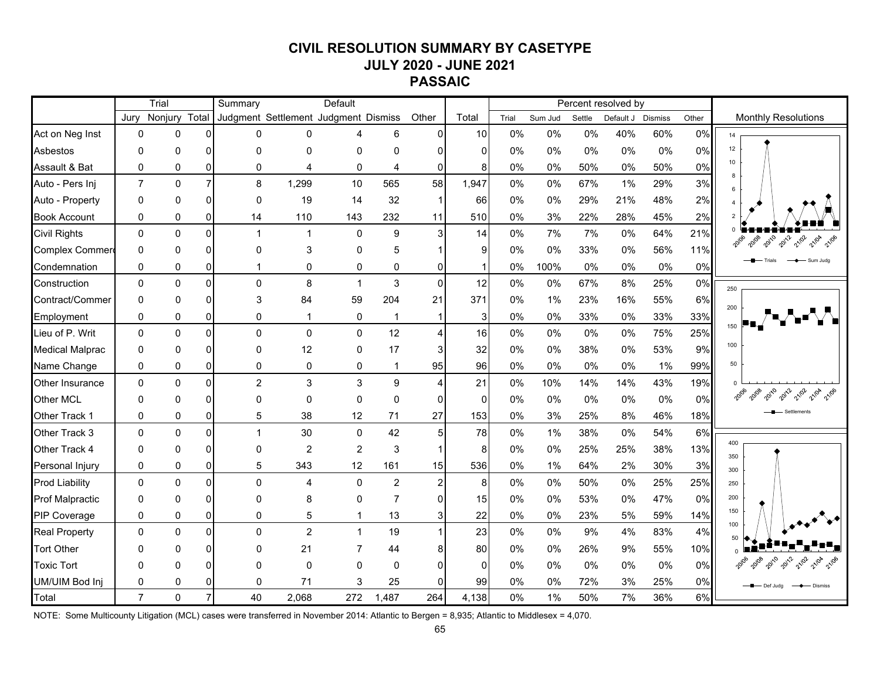# **CIVIL RESOLUTION SUMMARY BY CASETYPE JULY 2020 - JUNE 2021 PASSAIC**

|                        |                | Trial        |                | Summary                              |                | Default        |                |                |              |       |         |        | Percent resolved by |                |       |                                |
|------------------------|----------------|--------------|----------------|--------------------------------------|----------------|----------------|----------------|----------------|--------------|-------|---------|--------|---------------------|----------------|-------|--------------------------------|
|                        | Jurv           | Nonjury      | Total          | Judgment Settlement Judgment Dismiss |                |                |                | Other          | Total        | Trial | Sum Jud | Settle | Default J           | <b>Dismiss</b> | Other | <b>Monthly Resolutions</b>     |
| Act on Neg Inst        | $\Omega$       | 0            | ΩI             | 0                                    | $\Omega$       |                | 6              | $\Omega$       | 10           | 0%    | 0%      | 0%     | 40%                 | 60%            | 0%    | 14                             |
| Asbestos               | $\Omega$       | 0            | $\Omega$       | $\Omega$                             | 0              | 0              | $\Omega$       | <sup>0</sup>   | $\mathbf{0}$ | 0%    | 0%      | 0%     | 0%                  | 0%             | 0%    | 12                             |
| Assault & Bat          | $\Omega$       | 0            | $\Omega$       | $\Omega$                             | 4              | $\mathbf 0$    | 4              | $\Omega$       | 8            | 0%    | 0%      | 50%    | 0%                  | 50%            | 0%    | 10<br>R                        |
| Auto - Pers Inj        | $\overline{7}$ | $\mathbf{0}$ | $\overline{7}$ | 8                                    | 1,299          | 10             | 565            | 58             | 1,947        | 0%    | 0%      | 67%    | 1%                  | 29%            | 3%    | 6                              |
| Auto - Property        | 0              | 0            | $\Omega$       | $\Omega$                             | 19             | 14             | 32             |                | 66           | 0%    | 0%      | 29%    | 21%                 | 48%            | 2%    | $\overline{4}$                 |
| <b>Book Account</b>    | 0              | 0            | 0              | 14                                   | 110            | 143            | 232            | 11             | 510          | 0%    | 3%      | 22%    | 28%                 | 45%            | 2%    |                                |
| <b>Civil Rights</b>    | $\Omega$       | $\Omega$     | $\overline{0}$ | $\mathbf 1$                          | $\mathbf{1}$   | $\mathbf{0}$   | 9              | 3              | 14           | 0%    | 7%      | 7%     | 0%                  | 64%            | 21%   | 2010<br>2012<br>21/02          |
| Complex Commer         | $\mathbf{0}$   | 0            | $\Omega$       | $\Omega$                             | 3              | $\mathbf{0}$   | 5              |                | 9            | 0%    | 0%      | 33%    | $0\%$               | 56%            | 11%   |                                |
| Condemnation           | 0              | 0            | 0              | 1                                    | 0              | 0              | 0              | $\Omega$       | -1           | 0%    | 100%    | 0%     | 0%                  | 0%             | 0%    | Sum Jude                       |
| Construction           | $\mathbf{0}$   | $\Omega$     | $\overline{0}$ | $\Omega$                             | 8              | $\overline{1}$ | 3              | $\Omega$       | 12           | 0%    | 0%      | 67%    | 8%                  | 25%            | 0%    | 250                            |
| Contract/Commer        | $\Omega$       | 0            | $\Omega$       | 3                                    | 84             | 59             | 204            | 21             | 371          | 0%    | 1%      | 23%    | 16%                 | 55%            | 6%    | 200                            |
| Employment             | 0              | 0            | 0              | $\mathbf 0$                          | $\mathbf 1$    | 0              | $\mathbf 1$    | $\mathbf{1}$   | 3            | 0%    | 0%      | 33%    | 0%                  | 33%            | 33%   |                                |
| Lieu of P. Writ        | $\Omega$       | $\mathbf{0}$ | ΩI             | $\Omega$                             | $\mathbf 0$    | $\mathbf{0}$   | 12             | $\Delta$       | 16           | 0%    | 0%      | 0%     | 0%                  | 75%            | 25%   | 150                            |
| <b>Medical Malprac</b> | $\Omega$       | 0            | $\Omega$       | $\Omega$                             | 12             | $\mathbf{0}$   | 17             |                | 32           | 0%    | 0%      | 38%    | $0\%$               | 53%            | 9%    | 100                            |
| Name Change            | 0              | 0            | οI             | 0                                    | 0              | 0              |                | 95             | 96           | 0%    | 0%      | 0%     | 0%                  | 1%             | 99%   | 50                             |
| <b>Other Insurance</b> | $\Omega$       | $\mathbf{0}$ | $\Omega$       | $\overline{2}$                       | 3              | 3              | 9              | 4              | 21           | 0%    | 10%     | 14%    | 14%                 | 43%            | 19%   |                                |
| Other MCL              | $\Omega$       | 0            | $\Omega$       | ŋ                                    | $\mathbf{0}$   | $\Omega$       | $\mathbf{0}$   | $\Omega$       | $\mathbf 0$  | 0%    | 0%      | 0%     | 0%                  | 0%             | 0%    | 2010<br>21/02<br>20108<br>2012 |
| Other Track 1          | 0              | 0            | 0              | 5                                    | 38             | 12             | 71             | 27             | 153          | 0%    | 3%      | 25%    | 8%                  | 46%            | 18%   |                                |
| Other Track 3          | $\Omega$       | $\Omega$     | $\Omega$       | 1                                    | 30             | $\mathbf 0$    | 42             | 5              | 78           | 0%    | 1%      | 38%    | 0%                  | 54%            | 6%    |                                |
| Other Track 4          | 0              | 0            | $\Omega$       | $\Omega$                             | $\overline{c}$ | $\overline{c}$ | 3              |                | 8            | 0%    | 0%      | 25%    | 25%                 | 38%            | 13%   | 400<br>350                     |
| Personal Injury        | 0              | 0            | 0              | 5                                    | 343            | 12             | 161            | 15             | 536          | 0%    | 1%      | 64%    | 2%                  | 30%            | 3%    | 300                            |
| <b>Prod Liability</b>  | $\Omega$       | $\Omega$     | $\Omega$       | $\Omega$                             | 4              | $\Omega$       | $\overline{2}$ | $\overline{2}$ | 8            | 0%    | 0%      | 50%    | 0%                  | 25%            | 25%   | 250                            |
| <b>Prof Malpractic</b> | $\Omega$       | 0            | 0              | ŋ                                    | 8              | $\Omega$       | $\overline{7}$ |                | 15           | 0%    | 0%      | 53%    | 0%                  | 47%            | 0%    | 200                            |
| PIP Coverage           | $\Omega$       | $\Omega$     | 01             | $\Omega$                             | 5              |                | 13             | 3              | 22           | 0%    | 0%      | 23%    | 5%                  | 59%            | 14%   | 150                            |
| <b>Real Property</b>   | $\Omega$       | $\mathbf{0}$ | $\Omega$       | $\Omega$                             | $\overline{2}$ | $\mathbf{1}$   | 19             |                | 23           | 0%    | 0%      | 9%     | 4%                  | 83%            | 4%    | 100<br>50                      |
| <b>Tort Other</b>      | $\Omega$       | 0            | <sup>n</sup>   | ∩                                    | 21             |                | 44             |                | 80           | 0%    | 0%      | 26%    | 9%                  | 55%            | 10%   |                                |
| <b>Toxic Tort</b>      | n              | ი            | ΩI             | ŋ                                    | $\mathbf{0}$   | $\Omega$       | $\mathbf{0}$   | $\Omega$       | $\Omega$     | 0%    | 0%      | 0%     | 0%                  | 0%             | 0%    | 2010<br>2012<br>21/02          |
| UM/UIM Bod Inj         | 0              | 0            | 01             | 0                                    | 71             | 3              | 25             | $\Omega$       | 99           | 0%    | 0%      | 72%    | 3%                  | 25%            | $0\%$ | Def Judg<br>- Dismiss          |
| Total                  | $\overline{7}$ | $\Omega$     | $\overline{7}$ | 40                                   | 2,068          | 272            | 1,487          | 264            | 4,138        | 0%    | 1%      | 50%    | 7%                  | 36%            | 6%    |                                |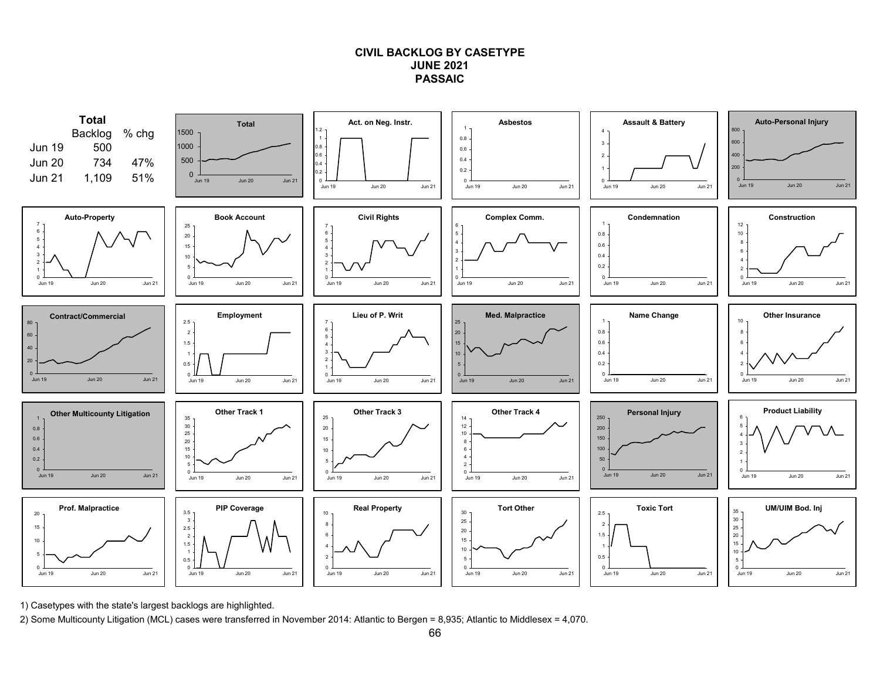# **CIVIL BACKLOG BY CASETYPEJUNE 2021PASSAIC**



1) Casetypes with the state's largest backlogs are highlighted.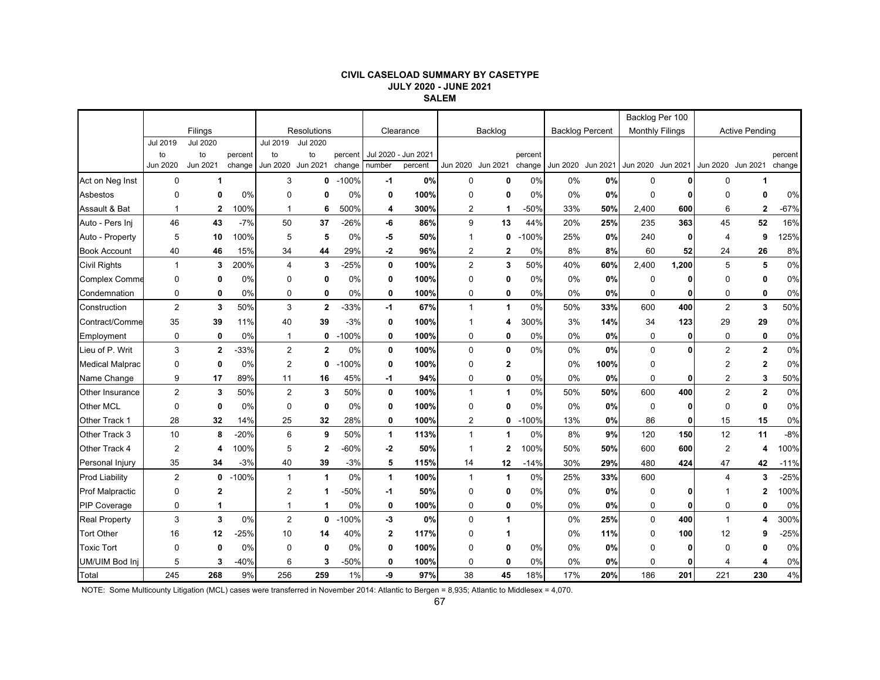#### **CIVIL CASELOAD SUMMARY BY CASETYPE JULY 2020 - JUNE 2021 SALEM**

|                           | Filings        |                    |                   |                |                    |                   |              |                                |                |                   |                   |                        | Backlog Per 100   |                        |              |                       |                |                   |
|---------------------------|----------------|--------------------|-------------------|----------------|--------------------|-------------------|--------------|--------------------------------|----------------|-------------------|-------------------|------------------------|-------------------|------------------------|--------------|-----------------------|----------------|-------------------|
|                           |                |                    |                   |                | <b>Resolutions</b> |                   | Clearance    |                                |                | Backlog           |                   | <b>Backlog Percent</b> |                   | <b>Monthly Filings</b> |              | <b>Active Pending</b> |                |                   |
|                           | Jul 2019       | <b>Jul 2020</b>    |                   | Jul 2019       | Jul 2020           |                   |              |                                |                |                   |                   |                        |                   |                        |              |                       |                |                   |
|                           | to<br>Jun 2020 | to<br>Jun 2021     | percent<br>change | to<br>Jun 2020 | to<br>Jun 2021     | percent<br>change | number       | Jul 2020 - Jun 2021<br>percent |                | Jun 2020 Jun 2021 | percent<br>change |                        | Jun 2020 Jun 2021 | Jun 2020 Jun 2021      |              | Jun 2020 Jun 2021     |                | percent<br>change |
| Act on Neg Inst           | 0              | 1                  |                   | 3              | 0                  | $-100%$           | -1           | 0%                             | $\mathbf 0$    | 0                 | 0%                | 0%                     | 0%                | $\mathbf 0$            | 01           | 0                     | 1              |                   |
|                           |                |                    |                   | $\Omega$       | O                  |                   |              |                                |                |                   |                   |                        | 0%                |                        |              | $\Omega$              | 0              |                   |
| Asbestos<br>Assault & Bat | 0              | 0                  | 0%<br>100%        | 1              |                    | 0%<br>500%        | 0            | 100%                           | $\mathbf 0$    | 0                 | 0%<br>-50%        | 0%                     |                   | $\mathbf 0$<br>2,400   |              |                       |                | 0%<br>$-67%$      |
| Auto - Pers Inj           | -1<br>46       | $\mathbf{2}$<br>43 | $-7%$             | 50             | 6<br>37            | $-26%$            | 4<br>-6      | 300%<br>86%                    | 2<br>9         | -1<br>13          | 44%               | 33%<br>20%             | 50%<br>25%        | 235                    | 600<br>363   | 6<br>45               | 2<br>52        | 16%               |
| Auto - Property           | 5              | 10                 | 100%              | 5              | 5                  | 0%                | -5           | 50%                            | 1              | 0                 | $-100%$           | 25%                    | 0%                | 240                    | 0            | $\overline{4}$        | 9              | 125%              |
| <b>Book Account</b>       | 40             | 46                 | 15%               | 34             | 44                 | 29%               | -2           | 96%                            | $\overline{2}$ | $\boldsymbol{2}$  | 0%                | 8%                     | 8%                | 60                     | 52           | 24                    | 26             | 8%                |
| <b>Civil Rights</b>       | $\mathbf{1}$   | 3                  | 200%              | 4              | 3                  | $-25%$            | 0            | 100%                           | $\overline{2}$ | 3                 | 50%               | 40%                    | 60%               | 2,400                  | 1,200        | 5                     | 5              | 0%                |
| <b>Complex Comme</b>      | 0              | $\mathbf 0$        | 0%                | $\Omega$       | 0                  | $0\%$             | 0            | 100%                           | $\Omega$       | 0                 | 0%                | 0%                     | 0%                | $\mathbf 0$            | 0            | $\Omega$              | $\mathbf{0}$   | 0%                |
| Condemnation              | 0              | 0                  | 0%                | 0              | 0                  | 0%                | 0            | 100%                           | 0              | 0                 | 0%                | 0%                     | 0%                | $\mathbf 0$            | 0            | 0                     | 0              | 0%                |
| Construction              | $\overline{2}$ | 3                  | 50%               | 3              | $\mathbf{2}$       | -33%              | -1           | 67%                            | $\mathbf{1}$   | $\mathbf{1}$      | 0%                | 50%                    | 33%               | 600                    | 400          | $\overline{2}$        | 3              | 50%               |
| Contract/Comme            | 35             | 39                 | 11%               | 40             | 39                 | $-3%$             | 0            | 100%                           | -1             | 4                 | 300%              | 3%                     | 14%               | 34                     | 123          | 29                    | 29             | 0%                |
| Employment                | 0              | $\mathbf 0$        | 0%                | 1              | 0                  | $-100%$           | 0            | 100%                           | $\mathbf 0$    | 0                 | 0%                | 0%                     | 0%                | 0                      | 0            | 0                     | 0              | 0%                |
| Lieu of P. Writ           | 3              | $\mathbf{2}$       | $-33%$            | $\overline{2}$ | $\mathbf{2}$       | 0%                | 0            | 100%                           | $\mathbf 0$    | $\mathbf 0$       | 0%                | 0%                     | 0%                | $\mathbf 0$            |              | $\overline{2}$        | $\mathbf 2$    | 0%                |
| <b>Medical Malprac</b>    | 0              | $\mathbf 0$        | 0%                | $\overline{2}$ | 0                  | $-100%$           | 0            | 100%                           | $\mathbf 0$    | 2                 |                   | 0%                     | 100%              | 0                      |              | $\overline{2}$        | $\overline{2}$ | 0%                |
| Name Change               | 9              | 17                 | 89%               | 11             | 16                 | 45%               | -1           | 94%                            | 0              | 0                 | 0%                | 0%                     | 0%                | 0                      | $\mathbf{0}$ | $\overline{2}$        | 3              | 50%               |
| <b>Other Insurance</b>    | $\overline{2}$ | 3                  | 50%               | $\overline{2}$ | 3                  | 50%               | 0            | 100%                           | $\mathbf{1}$   | $\mathbf{1}$      | 0%                | 50%                    | 50%               | 600                    | 400          | $\overline{2}$        | $\mathbf 2$    | 0%                |
| Other MCL                 | $\mathbf 0$    | $\mathbf 0$        | 0%                | 0              | $\mathbf 0$        | 0%                | 0            | 100%                           | $\mathbf 0$    | 0                 | 0%                | 0%                     | 0%                | $\mathbf 0$            | 0            | $\mathbf 0$           | 0              | 0%                |
| Other Track 1             | 28             | 32                 | 14%               | 25             | 32                 | 28%               | 0            | 100%                           | 2              | 0                 | $-100%$           | 13%                    | 0%                | 86                     | 01           | 15                    | 15             | 0%                |
| Other Track 3             | 10             | 8                  | $-20%$            | 6              | 9                  | 50%               | 1            | 113%                           | $\mathbf{1}$   | 1                 | 0%                | 8%                     | 9%                | 120                    | 150          | 12                    | 11             | $-8%$             |
| Other Track 4             | $\overline{2}$ | 4                  | 100%              | 5              | $\overline{2}$     | $-60%$            | -2           | 50%                            | $\mathbf 1$    | $\overline{2}$    | 100%              | 50%                    | 50%               | 600                    | 600          | $\overline{2}$        | 4              | 100%              |
| Personal Injury           | 35             | 34                 | $-3%$             | 40             | 39                 | $-3%$             | 5            | 115%                           | 14             | 12                | $-14%$            | 30%                    | 29%               | 480                    | 424          | 47                    | 42             | $-11%$            |
| <b>Prod Liability</b>     | $\overline{2}$ | 0                  | $-100%$           | $\mathbf 1$    | $\overline{1}$     | 0%                | $\mathbf{1}$ | 100%                           | $\mathbf{1}$   | $\mathbf{1}$      | 0%                | 25%                    | 33%               | 600                    |              | $\Delta$              | 3              | $-25%$            |
| <b>Prof Malpractic</b>    | 0              | $\mathbf{2}$       |                   | $\overline{2}$ | -1                 | $-50%$            | -1           | 50%                            | $\mathbf 0$    | 0                 | 0%                | 0%                     | 0%                | 0                      | 0            |                       | 2              | 100%              |
| <b>PIP Coverage</b>       | 0              | 1                  |                   |                | -1                 | 0%                | 0            | 100%                           | 0              | 0                 | 0%                | 0%                     | 0%                | 0                      | 0            | $\mathbf 0$           | 0              | 0%                |
| <b>Real Property</b>      | 3              | 3                  | 0%                | $\overline{2}$ | 0                  | $-100%$           | -3           | 0%                             | $\mathbf 0$    | $\mathbf{1}$      |                   | 0%                     | 25%               | $\mathbf 0$            | 400          | $\mathbf{1}$          | 4              | 300%              |
| <b>Tort Other</b>         | 16             | 12                 | $-25%$            | 10             | 14                 | 40%               | $\mathbf{2}$ | 117%                           | $\Omega$       | 1                 |                   | 0%                     | 11%               | $\Omega$               | 100          | 12                    | 9              | $-25%$            |
| <b>Toxic Tort</b>         | $\Omega$       | $\mathbf 0$        | 0%                | $\Omega$       | $\mathbf 0$        | 0%                | 0            | 100%                           | $\mathbf 0$    | 0                 | 0%                | 0%                     | 0%                | 0                      | ŋ            | $\Omega$              | 0              | 0%                |
| UM/UIM Bod Inj            | 5              | 3                  | $-40%$            | 6              | 3                  | $-50%$            | 0            | 100%                           | $\mathbf 0$    | 0                 | 0%                | 0%                     | 0%                | 0                      | 0            | 4                     | 4              | 0%                |
| Total                     | 245            | 268                | 9%                | 256            | 259                | 1%                | -9           | 97%                            | 38             | 45                | 18%               | 17%                    | 20%               | 186                    | 201          | 221                   | 230            | 4%                |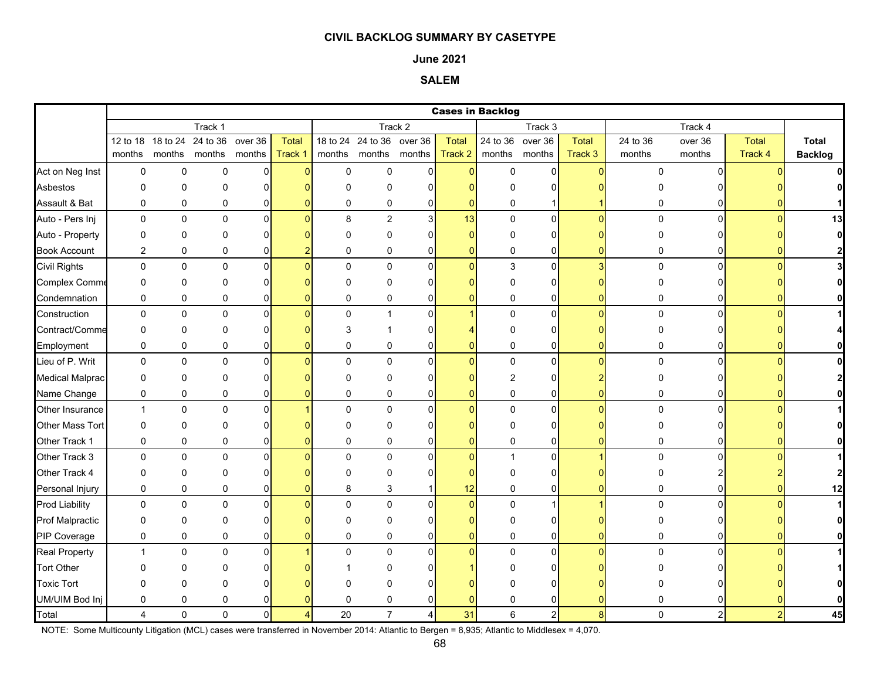#### **June 2021**

# **SALEM**

|                        |                |          |                                    |             |                |             |                           |                       |                | <b>Cases in Backlog</b> |                |                |             |                |              |                |
|------------------------|----------------|----------|------------------------------------|-------------|----------------|-------------|---------------------------|-----------------------|----------------|-------------------------|----------------|----------------|-------------|----------------|--------------|----------------|
|                        |                |          | Track 1                            |             |                |             |                           | Track 2               |                |                         | Track 3        |                |             | Track 4        |              |                |
|                        |                |          | 12 to 18 18 to 24 24 to 36 over 36 |             | Total          |             | 18 to 24 24 to 36 over 36 |                       | <b>Total</b>   | 24 to 36 over 36        |                | Total          | 24 to 36    | over 36        | <b>Total</b> | <b>Total</b>   |
|                        | months         |          | months months months               |             | Track 1        | months      | months months             |                       | Track 2        | months months           |                | Track 3        | months      | months         | Track 4      | <b>Backlog</b> |
| Act on Neg Inst        | $\mathbf 0$    | 0        | $\mathbf 0$                        | $\mathbf 0$ | n              | $\mathbf 0$ | $\mathsf 0$               | 0                     | $\overline{0}$ | $\mathbf 0$             | $\overline{0}$ | $\overline{0}$ | 0           | $\Omega$       |              |                |
| Asbestos               | 0              | 0        | $\mathbf{0}$                       | $\Omega$    |                | $\Omega$    | $\Omega$                  | n                     |                | U                       | 0              |                |             |                |              |                |
| Assault & Bat          | 0              | 0        | 0                                  | 0           |                | 0           | 0                         | $\Omega$              | $\Omega$       | 0                       |                |                | 0           | 01             |              |                |
| Auto - Pers Inj        | $\mathbf 0$    | 0        | $\mathbf 0$                        | $\pmb{0}$   | $\Omega$       | 8           | $\overline{2}$            | $\mathbf{3}$          | 13             | 0                       | $\mathsf{O}$   | $\Omega$       | $\mathbf 0$ | $\Omega$       | $\Omega$     | 13             |
| Auto - Property        | 0              | 0        | O                                  | 0           |                | $\Omega$    | $\Omega$                  | U                     | 0              | O                       | <sup>0</sup>   |                | O           |                |              | $\mathbf{0}$   |
| <b>Book Account</b>    | $\overline{2}$ | 0        | 0                                  | 0           |                | $\mathbf 0$ | $\pmb{0}$                 | $\Omega$              | $\mathbf{0}$   | 0                       | 0              | $\Omega$       | 0           | U              |              | $\mathbf{2}$   |
| <b>Civil Rights</b>    | 0              | 0        | $\mathbf 0$                        | $\mathbf 0$ |                | $\Omega$    | $\mathsf 0$               | $\Omega$              | $\overline{0}$ | 3                       | $\overline{0}$ | $\overline{3}$ | 0           | $\Omega$       |              | 3              |
| <b>Complex Comme</b>   | 0              | 0        | 0                                  | 0           |                | $\Omega$    | $\mathbf 0$               | n                     | n              | $\Omega$                | $\Omega$       |                | 0           | n              |              |                |
| Condemnation           | $\mathbf 0$    | 0        | 0                                  | 0           |                | $\mathbf 0$ | 0                         | $\Omega$              | $\Omega$       | 0                       | 0              | $\Omega$       | 0           | 0              |              |                |
| Construction           | $\mathbf 0$    | 0        | $\mathbf 0$                        | 0           |                | $\mathbf 0$ | $\mathbf{1}$              | $\Omega$              |                | 0                       | $\overline{0}$ | $\Omega$       | $\mathbf 0$ | $\Omega$       |              |                |
| Contract/Comme         | 0              | 0        | 0                                  | 0           |                | 3           |                           |                       |                | 0                       | 0              |                | 0           |                |              |                |
| Employment             | $\mathbf 0$    | 0        | 0                                  | 0           |                | 0           | 0                         | 0                     | 0              | 0                       | 0              | 0              | 0           |                |              |                |
| Lieu of P. Writ        | $\mathbf 0$    | 0        | $\mathbf 0$                        | $\Omega$    |                | $\Omega$    | $\Omega$                  | $\Omega$              | $\Omega$       | 0                       | $\Omega$       | $\Omega$       | $\mathbf 0$ | $\Omega$       |              | <sup>0</sup>   |
| <b>Medical Malprac</b> | 0              | 0        | $\Omega$                           | 0           |                | $\Omega$    | $\Omega$                  | O                     |                | $\overline{c}$          | 0              |                |             |                |              |                |
| Name Change            | 0              | 0        | $\pmb{0}$                          | 0           |                | 0           | $\pmb{0}$                 | 0                     | n              | 0                       | $\overline{0}$ | n              | 0           | 0              |              |                |
| Other Insurance        | $\mathbf{1}$   | 0        | $\mathbf 0$                        | $\pmb{0}$   |                | $\mathbf 0$ | $\pmb{0}$                 | $\Omega$              | $\overline{0}$ | 0                       | $\overline{0}$ | n              | 0           | $\Omega$       |              |                |
| <b>Other Mass Tort</b> | 0              | 0        | 0                                  | 0           |                | $\Omega$    | $\mathbf 0$               |                       |                | 0                       | 0              |                | 0           |                |              |                |
| Other Track 1          | 0              | 0        | 0                                  | 0           |                | 0           | 0                         | 0                     | n              | 0                       | 0              | n              | 0           | U              |              |                |
| Other Track 3          | $\mathbf 0$    | 0        | $\mathbf 0$                        | $\Omega$    |                | $\Omega$    | $\mathbf 0$               | $\Omega$              | $\overline{0}$ | $\mathbf{1}$            | $\overline{0}$ |                | 0           | $\Omega$       |              |                |
| Other Track 4          | $\Omega$       | 0        | $\Omega$                           | $\Omega$    |                | $\Omega$    | $\Omega$                  |                       |                | $\Omega$                | 0              |                |             |                |              | $\overline{2}$ |
| Personal Injury        | $\mathbf 0$    | 0        | 0                                  | 0           |                | 8           | 3                         |                       | 12             | 0                       | $\overline{0}$ | 0              | 0           | 01             |              | 12             |
| <b>Prod Liability</b>  | $\mathbf 0$    | 0        | 0                                  | $\mathbf 0$ |                | $\mathbf 0$ | $\mathsf 0$               | $\Omega$              | $\overline{0}$ | 0                       |                |                | 0           | $\Omega$       |              | $\mathbf{1}$   |
| <b>Prof Malpractic</b> | 0              | 0        | 0                                  | 0           |                | $\Omega$    | $\mathbf{0}$              |                       | o              | 0                       | 0              |                |             |                |              | $\mathbf{0}$   |
| PIP Coverage           | 0              | 0        | 0                                  | 0           |                | 0           | 0                         | $\Omega$              | 0              | 0                       | 0              | ი              | 0           |                |              | $\mathbf{0}$   |
| <b>Real Property</b>   | $\mathbf{1}$   | 0        | $\mathbf 0$                        | $\mathbf 0$ |                | $\Omega$    | $\mathbf 0$               | $\Omega$              | $\Omega$       | 0                       | $\Omega$       | $\Omega$       | 0           | $\Omega$       |              |                |
| <b>Tort Other</b>      | O              | 0        | ŋ                                  |             |                |             | O                         |                       |                |                         | 0              |                |             |                |              |                |
| <b>Toxic Tort</b>      | $\Omega$       | 0        | $\Omega$                           |             |                |             | O                         |                       |                |                         |                |                |             |                |              |                |
| UM/UIM Bod Inj         | 0              | 0        | 0                                  |             |                | 0           | 0                         |                       | 0              | 0                       | 0              |                | 0           |                |              |                |
| Total                  | 4              | $\Omega$ | $\Omega$                           | $\mathbf 0$ | $\overline{4}$ | 20          | $\overline{7}$            | $\boldsymbol{\Delta}$ | 31             | 6                       | $2 \vert$      | 8 <sup>1</sup> | $\Omega$    | $\overline{2}$ |              | 45             |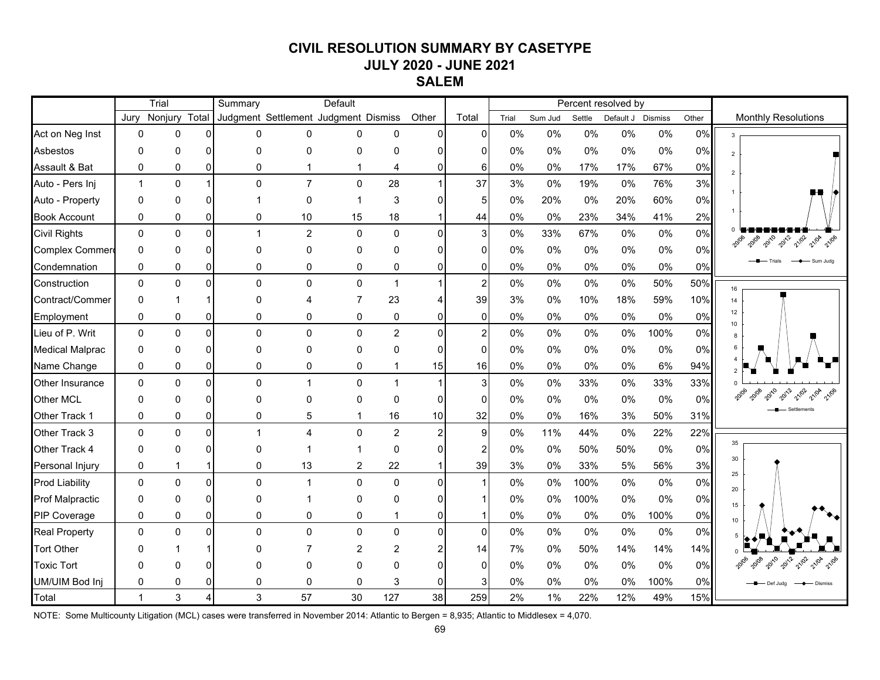# **CIVIL RESOLUTION SUMMARY BY CASETYPE JULY 2020 - JUNE 2021**

**SALEM**

|                        | Trial        |              |                | Default<br>Summary |                                      |                |                |                |                | Percent resolved by |       |                             |       |       |                            |                                |
|------------------------|--------------|--------------|----------------|--------------------|--------------------------------------|----------------|----------------|----------------|----------------|---------------------|-------|-----------------------------|-------|-------|----------------------------|--------------------------------|
|                        | Jury         | Nonjury      | Total          |                    | Judgment Settlement Judgment Dismiss |                | Other          | Total          | Trial          | Sum Jud<br>Settle   |       | <b>Dismiss</b><br>Default J |       | Other | <b>Monthly Resolutions</b> |                                |
| Act on Neg Inst        | $\mathbf 0$  | $\mathbf 0$  | $\Omega$       | 0                  | 0                                    | 0              | 0              | 0              | $\overline{0}$ | 0%                  | 0%    | 0%                          | 0%    | $0\%$ | 0%                         |                                |
| Asbestos               | 0            | 0            | $\Omega$       | 0                  | 0                                    | 0              | 0              | $\Omega$       | 0              | 0%                  | 0%    | 0%                          | 0%    | 0%    | 0%                         | $\overline{2}$                 |
| Assault & Bat          | $\mathbf 0$  | 0            | $\overline{0}$ | $\mathbf 0$        | 1                                    | $\mathbf 1$    | 4              | 0              | 6              | 0%                  | 0%    | 17%                         | 17%   | 67%   | 0%                         |                                |
| Auto - Pers Inj        | $\mathbf{1}$ | 0            | $\mathbf{1}$   | $\Omega$           | $\overline{7}$                       | $\mathbf 0$    | 28             | $\mathbf{1}$   | 37             | 3%                  | 0%    | 19%                         | 0%    | 76%   | 3%                         |                                |
| Auto - Property        | 0            | 0            | $\Omega$       |                    | 0                                    | 1              | 3              | 0              | 5              | 0%                  | 20%   | 0%                          | 20%   | 60%   | 0%                         |                                |
| <b>Book Account</b>    | 0            | 0            | $\overline{0}$ | 0                  | 10                                   | 15             | 18             |                | 44             | 0%                  | $0\%$ | 23%                         | 34%   | 41%   | 2%                         |                                |
| <b>Civil Rights</b>    | $\mathbf 0$  | $\Omega$     | $\overline{0}$ | 1                  | $\overline{c}$                       | $\mathbf 0$    | $\mathbf 0$    | $\mathbf 0$    | 3              | 0%                  | 33%   | 67%                         | $0\%$ | $0\%$ | 0%                         | 2010<br>2012<br>21/02          |
| Complex Commer         | $\mathbf 0$  | $\mathbf{0}$ | $\Omega$       | $\Omega$           | 0                                    | $\mathbf{0}$   | 0              | U              | 0              | 0%                  | 0%    | 0%                          | $0\%$ | $0\%$ | 0%                         |                                |
| Condemnation           | 0            | $\Omega$     | $\Omega$       | 0                  | 0                                    | 0              | 0              | 0              | 0              | 0%                  | 0%    | 0%                          | 0%    | 0%    | 0%                         | Sum Jude                       |
| Construction           | $\mathbf{0}$ | $\mathbf{0}$ | $\Omega$       | $\Omega$           | 0                                    | $\Omega$       | $\overline{1}$ |                | 2              | 0%                  | 0%    | 0%                          | 0%    | 50%   | 50%                        | 16                             |
| Contract/Commer        | $\Omega$     |              |                | 0                  | Δ                                    | $\overline{7}$ | 23             |                | 39             | 3%                  | 0%    | 10%                         | 18%   | 59%   | 10%                        | 14                             |
| Employment             | 0            | 0            | $\overline{0}$ | 0                  | 0                                    | 0              | 0              | 0              | $\Omega$       | 0%                  | 0%    | 0%                          | 0%    | 0%    | 0%                         | 12<br>10 <sup>1</sup>          |
| Lieu of P. Writ        | $\mathbf 0$  | $\mathbf 0$  | $\overline{0}$ | $\Omega$           | 0                                    | $\mathbf 0$    | $\overline{2}$ | $\overline{0}$ | $\overline{c}$ | 0%                  | 0%    | 0%                          | $0\%$ | 100%  | 0%                         | 8                              |
| <b>Medical Malprac</b> | 0            | $\mathbf{0}$ | $\Omega$       | $\Omega$           | 0                                    | $\mathbf{0}$   | 0              | 0              | 0              | 0%                  | $0\%$ | 0%                          | $0\%$ | 0%    | 0%                         |                                |
| Name Change            | $\mathbf{0}$ | $\mathbf{0}$ | $\Omega$       | $\Omega$           | 0                                    | 0              | 1              | 15             | 16             | 0%                  | 0%    | 0%                          | $0\%$ | 6%    | 94%                        |                                |
| Other Insurance        | $\mathbf 0$  | $\mathbf{0}$ | $\Omega$       | $\Omega$           | $\mathbf{1}$                         | $\Omega$       | $\mathbf{1}$   | 1              | 3              | 0%                  | 0%    | 33%                         | 0%    | 33%   | 33%                        |                                |
| <b>Other MCL</b>       | $\mathbf{0}$ | $\Omega$     | $\Omega$       | $\Omega$           | 0                                    | $\mathbf{0}$   | $\Omega$       | 0              | 0              | 0%                  | 0%    | 0%                          | 0%    | 0%    | 0%                         |                                |
| Other Track 1          | 0            | 0            | $\overline{0}$ | 0                  | 5                                    | 1              | 16             | 10             | 32             | 0%                  | 0%    | 16%                         | 3%    | 50%   | 31%                        |                                |
| Other Track 3          | $\mathbf{0}$ | $\mathbf{0}$ | $\overline{0}$ | 1                  | $\overline{4}$                       | $\mathbf 0$    | $\overline{2}$ | $\overline{a}$ | 9              | 0%                  | 11%   | 44%                         | 0%    | 22%   | 22%                        |                                |
| Other Track 4          | $\Omega$     | $\mathbf{0}$ | $\Omega$       | 0                  | 1                                    | 1              | 0              | 0              | 2              | 0%                  | 0%    | 50%                         | 50%   | 0%    | 0%                         | 35                             |
| Personal Injury        | 0            | 1            | $\mathbf{1}$   | 0                  | 13                                   | 2              | 22             |                | 39             | 3%                  | 0%    | 33%                         | 5%    | 56%   | 3%                         | 30                             |
| <b>Prod Liability</b>  | $\mathbf{0}$ | $\Omega$     | $\Omega$       | $\Omega$           | $\mathbf{1}$                         | $\mathbf 0$    | $\Omega$       | $\Omega$       |                | 0%                  | 0%    | 100%                        | 0%    | 0%    | 0%                         | 25<br>20                       |
| <b>Prof Malpractic</b> | $\Omega$     | $\mathbf{0}$ | $\Omega$       | 0                  | 1                                    | $\mathbf{0}$   | 0              | 0              |                | 0%                  | 0%    | 100%                        | 0%    | 0%    | 0%                         | 15                             |
| PIP Coverage           | $\mathbf 0$  | 0            | $\Omega$       | $\mathbf 0$        | 0                                    | 0              | 1              | 0              |                | 0%                  | 0%    | 0%                          | $0\%$ | 100%  | 0%                         | 10                             |
| <b>Real Property</b>   | $\mathbf 0$  | 0            | $\Omega$       | $\Omega$           | 0                                    | 0              | 0              | $\Omega$       | $\mathbf{0}$   | 0%                  | 0%    | 0%                          | 0%    | 0%    | 0%                         |                                |
| <b>Tort Other</b>      | $\Omega$     |              |                | 0                  | $\overline{7}$                       | $\overline{2}$ | $\overline{c}$ |                | 14             | 7%                  | 0%    | 50%                         | 14%   | 14%   | 14%                        |                                |
| <b>Toxic Tort</b>      | $\Omega$     | 0            | $\Omega$       | ŋ                  | 0                                    | $\mathbf{0}$   | 0              | U              | 0              | 0%                  | 0%    | 0%                          | 0%    | 0%    | 0%                         | 20108<br>2010<br>2012<br>21/02 |
| UM/UIM Bod Inj         | $\Omega$     | $\Omega$     | $\Omega$       | $\Omega$           | 0                                    | $\mathbf{0}$   | 3              | 0              | 3              | 0%                  | 0%    | 0%                          | $0\%$ | 100%  | 0%                         | Def Juda                       |
| Total                  | $\mathbf{1}$ | 3            | 4              | 3                  | 57                                   | 30             | 127            | 38             | 259            | 2%                  | 1%    | 22%                         | 12%   | 49%   | 15%                        |                                |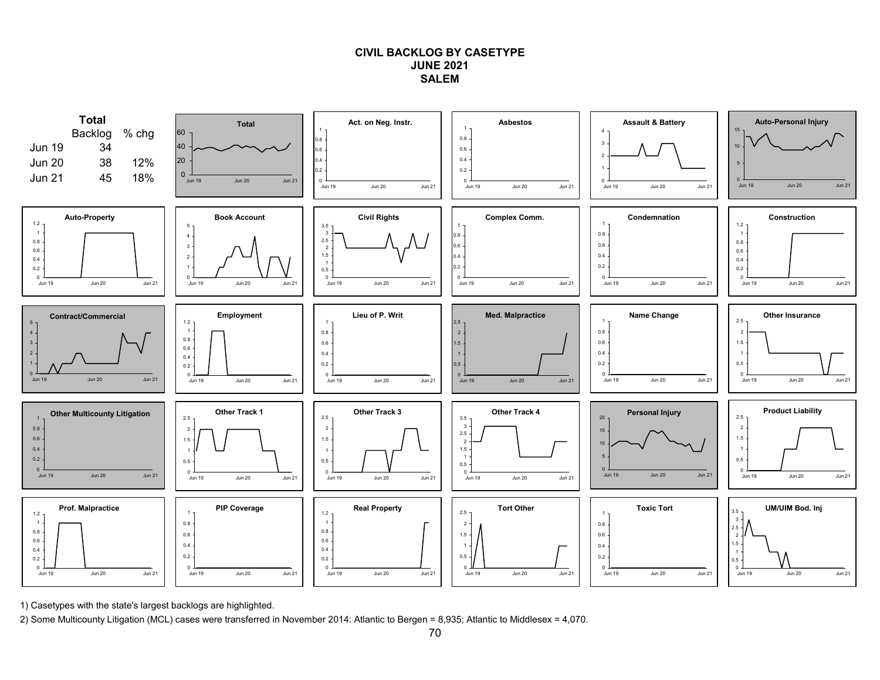### **CIVIL BACKLOG BY CASETYPEJUNE 2021SALEM**



1) Casetypes with the state's largest backlogs are highlighted.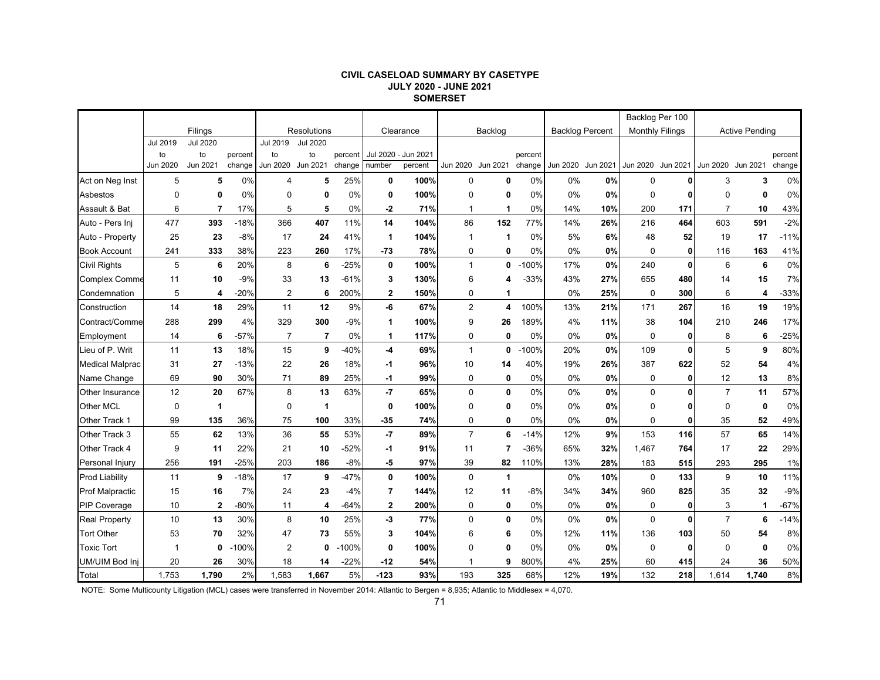#### **CIVIL CASELOAD SUMMARY BY CASETYPE JULY 2020 - JUNE 2021 SOMERSET**

|                        |             |                 |         |                |                 |         |                 |           |                |                |         |                        |          | Backlog Per 100 |                        |                   |                       |         |
|------------------------|-------------|-----------------|---------|----------------|-----------------|---------|-----------------|-----------|----------------|----------------|---------|------------------------|----------|-----------------|------------------------|-------------------|-----------------------|---------|
|                        |             | Filings         |         |                | Resolutions     |         |                 | Clearance |                | Backlog        |         | <b>Backlog Percent</b> |          |                 | <b>Monthly Filings</b> |                   | <b>Active Pending</b> |         |
|                        | Jul 2019    | <b>Jul 2020</b> |         | Jul 2019       | <b>Jul 2020</b> |         |                 |           |                |                |         |                        |          |                 |                        |                   |                       |         |
|                        | to          | to              | percent | to             | to              | percent | <b>Jul 2020</b> | Jun 2021  |                |                | percent |                        |          |                 |                        |                   |                       | percent |
|                        | Jun 2020    | Jun 2021        | change  | Jun 2020       | Jun 2021        | change  | number          | percent   | Jun 2020       | Jun 2021       | change  | Jun 2020               | Jun 2021 | Jun 2020        | Jun 2021               | Jun 2020 Jun 2021 |                       | change  |
| Act on Neg Inst        | 5           | 5               | 0%      | 4              | 5               | 25%     | 0               | 100%      | 0              | 0              | 0%      | 0%                     | 0%       | $\mathbf 0$     |                        | 3                 | 3                     | 0%      |
| Asbestos               | $\mathbf 0$ | $\mathbf 0$     | 0%      | $\Omega$       | 0               | 0%      | 0               | 100%      | $\Omega$       | 0              | 0%      | 0%                     | 0%       | $\mathbf 0$     | 0                      | $\mathbf 0$       | 0                     | 0%      |
| Assault & Bat          | 6           | $\overline{7}$  | 17%     | 5              | 5               | 0%      | $-2$            | 71%       | 1              | 1              | 0%      | 14%                    | 10%      | 200             | 171                    | $\overline{7}$    | 10                    | 43%     |
| Auto - Pers Inj        | 477         | 393             | $-18%$  | 366            | 407             | 11%     | 14              | 104%      | 86             | 152            | 77%     | 14%                    | 26%      | 216             | 464                    | 603               | 591                   | $-2%$   |
| Auto - Property        | 25          | 23              | $-8%$   | 17             | 24              | 41%     | 1               | 104%      | 1              | $\mathbf 1$    | 0%      | 5%                     | 6%       | 48              | 52                     | 19                | 17                    | $-11%$  |
| <b>Book Account</b>    | 241         | 333             | 38%     | 223            | 260             | 17%     | -73             | 78%       | 0              | $\mathbf 0$    | 0%      | 0%                     | 0%       | $\mathbf 0$     | 0                      | 116               | 163                   | 41%     |
| <b>Civil Rights</b>    | 5           | 6               | 20%     | 8              | 6               | $-25%$  | $\mathbf 0$     | 100%      | $\mathbf{1}$   | 0              | $-100%$ | 17%                    | 0%       | 240             | $\mathbf{0}$           | 6                 | 6                     | 0%      |
| <b>Complex Comme</b>   | 11          | 10              | $-9%$   | 33             | 13              | $-61%$  | 3               | 130%      | 6              | 4              | $-33%$  | 43%                    | 27%      | 655             | 480                    | 14                | 15                    | 7%      |
| Condemnation           | 5           | 4               | $-20%$  | 2              | 6               | 200%    | $\mathbf 2$     | 150%      | 0              | 1              |         | 0%                     | 25%      | $\mathbf 0$     | 300                    | 6                 | 4                     | $-33%$  |
| Construction           | 14          | 18              | 29%     | 11             | 12              | 9%      | -6              | 67%       | $\overline{2}$ | 4              | 100%    | 13%                    | 21%      | 171             | 267                    | 16                | 19                    | 19%     |
| Contract/Comme         | 288         | 299             | 4%      | 329            | 300             | $-9%$   | 1               | 100%      | 9              | 26             | 189%    | 4%                     | 11%      | 38              | 104                    | 210               | 246                   | 17%     |
| Employment             | 14          | 6               | $-57%$  | $\overline{7}$ | $\overline{7}$  | 0%      | 1               | 117%      | 0              | 0              | 0%      | 0%                     | 0%       | $\mathbf 0$     | $\mathbf{0}$           | 8                 | 6                     | $-25%$  |
| Lieu of P. Writ        | 11          | 13              | 18%     | 15             | 9               | $-40%$  | $-4$            | 69%       | $\mathbf{1}$   | 0              | $-100%$ | 20%                    | 0%       | 109             | 0                      | 5                 | 9                     | 80%     |
| <b>Medical Malprac</b> | 31          | 27              | $-13%$  | 22             | 26              | 18%     | -1              | 96%       | 10             | 14             | 40%     | 19%                    | 26%      | 387             | 622                    | 52                | 54                    | 4%      |
| Name Change            | 69          | 90              | 30%     | 71             | 89              | 25%     | $-1$            | 99%       | 0              | 0              | 0%      | 0%                     | 0%       | 0               | 0                      | 12                | 13                    | 8%      |
| Other Insurance        | 12          | 20              | 67%     | 8              | 13              | 63%     | $-7$            | 65%       | $\mathbf 0$    | $\mathbf 0$    | 0%      | 0%                     | 0%       | $\mathbf 0$     | 0                      | $\overline{7}$    | 11                    | 57%     |
| <b>Other MCL</b>       | 0           | $\mathbf 1$     |         | 0              | 1               |         | 0               | 100%      | 0              | 0              | $0\%$   | 0%                     | 0%       | 0               | ŋ                      | 0                 | 0                     | 0%      |
| Other Track 1          | 99          | 135             | 36%     | 75             | 100             | 33%     | $-35$           | 74%       | 0              | 0              | 0%      | 0%                     | 0%       | $\mathbf 0$     | 0                      | 35                | 52                    | 49%     |
| Other Track 3          | 55          | 62              | 13%     | 36             | 55              | 53%     | $-7$            | 89%       | $\overline{7}$ | 6              | $-14%$  | 12%                    | 9%       | 153             | 116                    | 57                | 65                    | 14%     |
| Other Track 4          | 9           | 11              | 22%     | 21             | 10              | $-52%$  | -1              | 91%       | 11             | $\overline{7}$ | -36%    | 65%                    | 32%      | 1,467           | 764                    | 17                | 22                    | 29%     |
| Personal Injury        | 256         | 191             | $-25%$  | 203            | 186             | $-8%$   | -5              | 97%       | 39             | 82             | 110%    | 13%                    | 28%      | 183             | 515                    | 293               | 295                   | 1%      |
| <b>Prod Liability</b>  | 11          | 9               | $-18%$  | 17             | 9               | $-47%$  | 0               | 100%      | $\mathbf 0$    | $\mathbf{1}$   |         | 0%                     | 10%      | $\mathbf 0$     | 133                    | 9                 | 10                    | 11%     |
| <b>Prof Malpractic</b> | 15          | 16              | 7%      | 24             | 23              | $-4%$   | $\overline{7}$  | 144%      | 12             | 11             | -8%     | 34%                    | 34%      | 960             | 825                    | 35                | 32                    | $-9%$   |
| <b>PIP Coverage</b>    | 10          | $\mathbf{2}$    | $-80%$  | 11             | 4               | $-64%$  | $\overline{2}$  | 200%      | 0              | 0              | 0%      | 0%                     | 0%       | 0               | 0                      | 3                 | 1                     | $-67%$  |
| <b>Real Property</b>   | 10          | 13              | 30%     | 8              | 10              | 25%     | -3              | 77%       | $\Omega$       | $\mathbf 0$    | 0%      | 0%                     | 0%       | $\Omega$        | $\mathbf{0}$           | $\overline{7}$    | 6                     | $-14%$  |
| <b>Tort Other</b>      | 53          | 70              | 32%     | 47             | 73              | 55%     | 3               | 104%      | 6              | 6              | 0%      | 12%                    | 11%      | 136             | 103                    | 50                | 54                    | 8%      |
| <b>Toxic Tort</b>      | 1           | $\mathbf 0$     | $-100%$ | 2              | 0               | $-100%$ | 0               | 100%      | $\Omega$       | $\mathbf{0}$   | 0%      | 0%                     | 0%       | $\mathbf 0$     | 0                      | $\Omega$          | $\mathbf{0}$          | 0%      |
| UM/UIM Bod Inj         | 20          | 26              | 30%     | 18             | 14              | $-22%$  | -12             | 54%       | -1             | 9              | 800%    | 4%                     | 25%      | 60              | 415                    | 24                | 36                    | 50%     |
| Total                  | 1,753       | 1,790           | 2%      | 1,583          | 1.667           | 5%      | $-123$          | 93%       | 193            | 325            | 68%     | 12%                    | 19%      | 132             | 218                    | 1.614             | 1.740                 | 8%      |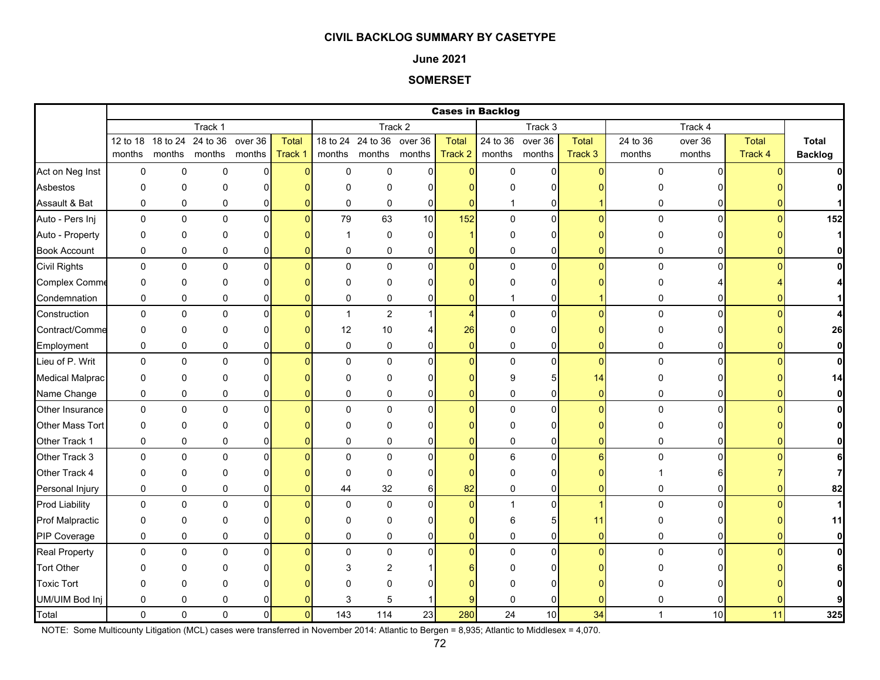### **June 2021**

## **SOMERSET**

|                        |             |             |             |                |                |              |                |                  | <b>Cases in Backlog</b> |              |                     |              |             |                 |         |                |
|------------------------|-------------|-------------|-------------|----------------|----------------|--------------|----------------|------------------|-------------------------|--------------|---------------------|--------------|-------------|-----------------|---------|----------------|
|                        |             |             | Track 1     |                |                |              |                | Track 2          |                         |              | Track 3             |              |             | Track 4         |         |                |
|                        | 12 to 18    | 18 to 24    | 24 to 36    | over 36        | <b>Total</b>   | 18 to 24     |                | 24 to 36 over 36 | <b>Total</b>            | 24 to 36     | over 36             | <b>Total</b> | 24 to 36    | over 36         | Total   | Total          |
|                        | months      | months      | months      | months         | Track 1        | months       | months         | months           | Track 2                 | months       | months              | Track 3      | months      | months          | Track 4 | <b>Backlog</b> |
| Act on Neg Inst        | 0           | 0           | 0           | 0              | $\Omega$       | $\mathbf 0$  | 0              | $\Omega$         | $\overline{0}$          | $\mathbf 0$  | $\mathbf 0$         | $\Omega$     | 0           | $\Omega$        |         |                |
| Asbestos               | 0           | $\mathbf 0$ | 0           | $\Omega$       |                | $\Omega$     | 0              | $\Omega$         |                         | O            | 0                   |              |             |                 |         | 0              |
| Assault & Bat          | $\mathbf 0$ | $\mathbf 0$ | $\pmb{0}$   | 0              |                | $\mathbf 0$  | $\mathbf 0$    | $\mathbf 0$      | $\Omega$                | 1            | 0                   |              | 0           |                 |         |                |
| Auto - Pers Inj        | $\mathbf 0$ | $\pmb{0}$   | $\pmb{0}$   | $\overline{0}$ | $\Omega$       | 79           | 63             | 10               | 152                     | $\pmb{0}$    | $\overline{0}$      | $\Omega$     | $\pmb{0}$   | $\overline{0}$  |         | 152            |
| Auto - Property        | 0           | $\mathbf 0$ | 0           | $\Omega$       |                | -1           | 0              | $\Omega$         |                         | $\Omega$     | 0                   |              | 0           |                 |         | $\mathbf{1}$   |
| <b>Book Account</b>    | 0           | $\mathbf 0$ | 0           | 0              |                | $\mathbf 0$  | 0              | $\overline{0}$   | $\Omega$                | 0            | $\overline{0}$      | n            | 0           | ŋ               |         | $\mathbf{0}$   |
| <b>Civil Rights</b>    | 0           | $\pmb{0}$   | $\pmb{0}$   | $\mathbf 0$    | $\Omega$       | $\mathbf 0$  | $\mathbf 0$    | $\overline{0}$   | $\overline{0}$          | 0            | $\overline{0}$      | $\Omega$     | 0           | $\Omega$        |         | $\mathbf{0}$   |
| Complex Comme          | 0           | $\mathbf 0$ | 0           | $\Omega$       |                | $\Omega$     | $\Omega$       | ŋ                | n                       | $\Omega$     | $\Omega$            |              | O           |                 |         | 4              |
| Condemnation           | 0           | $\pmb{0}$   | 0           | 0              |                | 0            | 0              | 0                | 0                       |              | 0                   |              | 0           | 01              |         | $\mathbf{1}$   |
| Construction           | 0           | $\mathbf 0$ | $\pmb{0}$   | $\mathbf{0}$   |                | $\mathbf{1}$ | $\overline{2}$ |                  | $\overline{4}$          | $\pmb{0}$    | $\pmb{0}$           | $\Omega$     | $\mathbf 0$ | $\Omega$        |         | 4              |
| Contract/Comme         | 0           | $\mathbf 0$ | 0           | 0              |                | 12           | $10\,$         |                  | 26                      | 0            | 0                   |              | 0           |                 |         | 26             |
| Employment             | 0           | $\mathbf 0$ | 0           | 0              |                | 0            | 0              | 0                | $\overline{0}$          | 0            | $\overline{0}$      | 0            | 0           |                 |         | $\mathbf{0}$   |
| Lieu of P. Writ        | 0           | $\mathbf 0$ | $\mathbf 0$ | $\Omega$       |                | $\Omega$     | $\mathbf 0$    | $\Omega$         | $\Omega$                | $\mathbf 0$  | 0                   | $\Omega$     | $\mathbf 0$ | $\Omega$        |         | $\mathbf{0}$   |
| <b>Medical Malprac</b> | 0           | $\mathbf 0$ | 0           | $\Omega$       |                | $\Omega$     | 0              | $\Omega$         |                         | 9            | 5                   | 14           | 0           |                 |         | 14             |
| Name Change            | $\mathbf 0$ | $\mathbf 0$ | 0           | 0              |                | $\mathbf 0$  | 0              | 0                | $\Omega$                | 0            | $\overline{0}$      | $\Omega$     | 0           | 0               |         | $\mathbf{0}$   |
| Other Insurance        | $\pmb{0}$   | $\pmb{0}$   | $\pmb{0}$   | $\mathbf 0$    |                | $\mathbf{0}$ | $\mathbf 0$    | $\Omega$         | $\overline{0}$          | $\pmb{0}$    | $\mathsf{O}\xspace$ | $\Omega$     | $\pmb{0}$   | $\overline{0}$  |         | $\mathbf{0}$   |
| <b>Other Mass Tort</b> | 0           | $\mathbf 0$ | 0           | 0              |                | $\Omega$     | 0              | ŋ                | ŋ                       | $\Omega$     | 0                   |              | 0           | 0l              |         | $\mathbf{0}$   |
| Other Track 1          | 0           | 0           | 0           | 0              |                | 0            | 0              | 0                | $\Omega$                | 0            | 0                   | ŋ            | 0           | $\Omega$        |         | 0              |
| Other Track 3          | 0           | $\pmb{0}$   | $\mathbf 0$ | $\Omega$       |                | $\Omega$     | $\Omega$       | $\Omega$         | $\Omega$                | 6            | $\overline{0}$      | 6            | $\Omega$    | $\Omega$        |         | 6              |
| Other Track 4          | $\Omega$    | $\Omega$    | $\Omega$    | $\Omega$       |                | $\Omega$     | $\Omega$       | ŋ                | n                       | $\Omega$     | 0                   |              |             |                 |         | $\overline{7}$ |
| Personal Injury        | 0           | $\pmb{0}$   | 0           | 0              |                | 44           | 32             | $6 \mid$         | 82                      | 0            | 0                   | $\Omega$     | 0           | 0               |         | 82             |
| <b>Prod Liability</b>  | 0           | $\pmb{0}$   | 0           | $\mathbf{0}$   |                | $\Omega$     | $\mathbf 0$    | $\bigcap$        | $\Omega$                | $\mathbf{1}$ | $\mathbf 0$         |              | $\mathbf 0$ | $\Omega$        |         | $\mathbf{1}$   |
| <b>Prof Malpractic</b> | 0           | 0           | 0           | 0              |                | $\Omega$     | 0              | ŋ                | ŋ                       | 6            | 5                   | 11           | 0           |                 |         | 11             |
| PIP Coverage           | 0           | $\mathbf 0$ | 0           | 0              |                | 0            | 0              | 0                | 0                       | 0            | $\overline{0}$      | $\Omega$     | 0           | 01              |         | $\mathbf{0}$   |
| <b>Real Property</b>   | 0           | $\mathbf 0$ | 0           | $\Omega$       |                | $\Omega$     | $\mathbf 0$    | $\Omega$         | $\Omega$                | $\mathbf 0$  | $\mathbf 0$         | $\Omega$     | $\Omega$    | $\Omega$        |         | $\mathbf{0}$   |
| <b>Tort Other</b>      | O           | $\Omega$    | ∩           |                |                | 3            | 2              |                  |                         |              | 0                   |              |             |                 |         | 61             |
| <b>Toxic Tort</b>      | $\Omega$    | $\mathbf 0$ | $\Omega$    |                |                |              | $\Omega$       |                  |                         | n            | 0                   |              |             |                 |         |                |
| UM/UIM Bod Inj         | 0           | $\mathbf 0$ | 0           |                |                | 3            | 5              |                  | 9                       | $\mathbf 0$  | 0                   |              | 0           |                 |         |                |
| Total                  | $\Omega$    | $\Omega$    | $\Omega$    | $\Omega$       | $\overline{0}$ | 143          | 114            | 23               | 280                     | 24           | 10 <sup>1</sup>     | 34           | 1           | 10 <sup>1</sup> | 11      | 325            |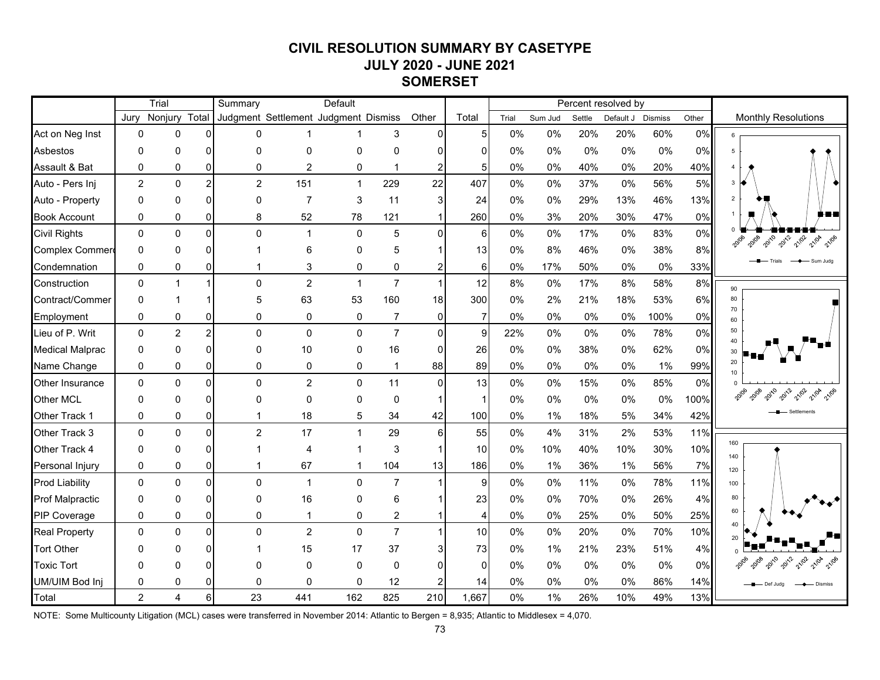# **CIVIL RESOLUTION SUMMARY BY CASETYPE JULY 2020 - JUNE 2021 SOMERSET**

|                        |                | Trial          |                | Summary                              |                | Default      |                |                |                |       |         |        | Percent resolved by |       |       |                                |
|------------------------|----------------|----------------|----------------|--------------------------------------|----------------|--------------|----------------|----------------|----------------|-------|---------|--------|---------------------|-------|-------|--------------------------------|
|                        | Jurv           | Nonjury        | Total          | Judgment Settlement Judgment Dismiss |                |              |                | Other          | Total          | Trial | Sum Jud | Settle | Default J Dismiss   |       | Other | <b>Monthly Resolutions</b>     |
| Act on Neg Inst        | 0              | $\mathbf{0}$   | $\Omega$       | 0                                    | 1              |              | 3              | $\Omega$       | 5              | 0%    | 0%      | 20%    | 20%                 | 60%   | 0%    | 6                              |
| Asbestos               | $\Omega$       | $\mathbf{0}$   | $\Omega$       | $\Omega$                             | 0              | 0            | 0              | n              | ŋ              | 0%    | 0%      | 0%     | 0%                  | 0%    | 0%    | $\overline{5}$                 |
| Assault & Bat          | $\mathbf 0$    | 0              | $\overline{0}$ | 0                                    | $\overline{c}$ | 0            | 1              | $\overline{2}$ | 5              | 0%    | 0%      | 40%    | 0%                  | 20%   | 40%   | $\Delta$                       |
| Auto - Pers Inj        | $\overline{2}$ | $\mathbf{0}$   | $\overline{2}$ | $\overline{2}$                       | 151            | $\mathbf{1}$ | 229            | 22             | 407            | $0\%$ | 0%      | 37%    | 0%                  | 56%   | 5%    | 3                              |
| Auto - Property        | 0              | 0              | $\Omega$       | $\Omega$                             | $\overline{7}$ | 3            | 11             | 3              | 24             | 0%    | 0%      | 29%    | 13%                 | 46%   | 13%   | $\overline{2}$                 |
| <b>Book Account</b>    | 0              | 0              | $\overline{0}$ | 8                                    | 52             | 78           | 121            |                | 260            | 0%    | 3%      | 20%    | 30%                 | 47%   | 0%    |                                |
| <b>Civil Rights</b>    | $\mathbf 0$    | $\mathbf{0}$   | $\Omega$       | $\Omega$                             | $\mathbf{1}$   | $\mathbf{0}$ | 5              | $\Omega$       | 6              | $0\%$ | 0%      | 17%    | 0%                  | 83%   | 0%    | 2012<br>2010<br>21/02<br>21/04 |
| <b>Complex Commer</b>  | $\mathbf{0}$   | $\mathbf{0}$   | $\Omega$       |                                      | 6              | $\mathbf{0}$ | 5              |                | 13             | 0%    | 8%      | 46%    | 0%                  | 38%   | 8%    |                                |
| Condemnation           | $\mathbf 0$    | 0              | $\Omega$       |                                      | 3              | 0            | 0              | 2              | 6              | 0%    | 17%     | 50%    | 0%                  | 0%    | 33%   | Sum Jude                       |
| Construction           | $\mathbf 0$    | $\mathbf{1}$   | $\mathbf{1}$   | $\Omega$                             | $\overline{2}$ | $\mathbf{1}$ | $\overline{7}$ | $\mathbf{1}$   | 12             | 8%    | $0\%$   | 17%    | 8%                  | 58%   | 8%    | 90                             |
| Contract/Commer        | $\Omega$       |                |                | 5                                    | 63             | 53           | 160            | 18             | 300            | 0%    | 2%      | 21%    | 18%                 | 53%   | 6%    | 80                             |
| Employment             | 0              | 0              | $\overline{0}$ | 0                                    | 0              | 0            | $\overline{7}$ | $\mathbf 0$    | $\overline{7}$ | 0%    | 0%      | 0%     | 0%                  | 100%  | 0%    | 70<br>60                       |
| Lieu of P. Writ        | $\mathbf{0}$   | $\overline{2}$ | $\overline{2}$ | $\Omega$                             | 0              | $\mathbf 0$  | $\overline{7}$ | $\Omega$       | 9              | 22%   | 0%      | 0%     | 0%                  | 78%   | 0%    | 50                             |
| <b>Medical Malprac</b> | 0              | $\Omega$       | $\Omega$       | $\Omega$                             | 10             | $\mathbf{0}$ | 16             | $\Omega$       | 26             | 0%    | 0%      | 38%    | $0\%$               | 62%   | 0%    |                                |
| Name Change            | 0              | 0              | $\overline{0}$ | $\mathbf 0$                          | 0              | 0            | $\mathbf 1$    | 88             | 89             | 0%    | 0%      | 0%     | 0%                  | 1%    | 99%   | 20                             |
| <b>Other Insurance</b> | $\mathbf 0$    | $\mathbf 0$    | $\overline{0}$ | $\Omega$                             | $\overline{c}$ | $\mathbf 0$  | 11             | $\mathbf 0$    | 13             | $0\%$ | $0\%$   | 15%    | 0%                  | 85%   | 0%    |                                |
| Other MCL              | $\mathbf{0}$   | 0              | $\Omega$       | $\Omega$                             | 0              | 0            | $\mathbf 0$    |                | 1              | 0%    | 0%      | 0%     | $0\%$               | $0\%$ | 100%  |                                |
| Other Track 1          | 0              | 0              | $\overline{0}$ |                                      | 18             | 5            | 34             | 42             | 100            | 0%    | 1%      | 18%    | 5%                  | 34%   | 42%   |                                |
| Other Track 3          | $\mathbf 0$    | $\mathbf 0$    | $\overline{0}$ | $\overline{2}$                       | 17             | $\mathbf{1}$ | 29             | 6              | 55             | 0%    | 4%      | 31%    | 2%                  | 53%   | 11%   |                                |
| Other Track 4          | $\mathbf{0}$   | $\Omega$       | $\Omega$       |                                      | 4              | -1           | 3              |                | 10             | 0%    | 10%     | 40%    | 10%                 | 30%   | 10%   | 160<br>140                     |
| Personal Injury        | 0              | 0              | $\overline{0}$ |                                      | 67             | 1            | 104            | 13             | 186            | 0%    | 1%      | 36%    | 1%                  | 56%   | 7%    | 120                            |
| <b>Prod Liability</b>  | $\mathbf{0}$   | $\Omega$       | $\Omega$       | $\Omega$                             | $\mathbf{1}$   | $\mathbf{0}$ | $\overline{7}$ | 1              | 9              | 0%    | 0%      | 11%    | 0%                  | 78%   | 11%   | 100                            |
| <b>Prof Malpractic</b> | $\mathbf{0}$   | $\Omega$       | $\Omega$       | $\Omega$                             | 16             | $\mathbf{0}$ | 6              |                | 23             | 0%    | 0%      | 70%    | 0%                  | 26%   | 4%    | 80                             |
| PIP Coverage           | $\mathbf{0}$   | $\mathbf{0}$   | $\Omega$       | $\Omega$                             | 1              | 0            | 2              |                |                | 0%    | 0%      | 25%    | 0%                  | 50%   | 25%   | 60                             |
| <b>Real Property</b>   | $\mathbf{0}$   | $\mathbf{0}$   | $\Omega$       | $\Omega$                             | $\overline{2}$ | $\mathbf{0}$ | $\overline{7}$ | 1              | 10             | 0%    | 0%      | 20%    | 0%                  | 70%   | 10%   | 40<br>20                       |
| <b>Tort Other</b>      | $\Omega$       | ∩              | $\Omega$       |                                      | 15             | 17           | 37             |                | 73             | 0%    | 1%      | 21%    | 23%                 | 51%   | 4%    |                                |
| <b>Toxic Tort</b>      | $\Omega$       | O              | $\Omega$       | ŋ                                    | 0              | $\mathbf{0}$ | $\mathbf{0}$   | U              | $\mathbf{0}$   | 0%    | 0%      | 0%     | 0%                  | 0%    | 0%    |                                |
| UM/UIM Bod Inj         | 0              | 0              | $\overline{0}$ | 0                                    | 0              | $\mathbf{0}$ | 12             |                | 14             | 0%    | 0%      | 0%     | 0%                  | 86%   | 14%   |                                |
| Total                  | $\overline{2}$ | $\overline{4}$ | $6 \mid$       | 23                                   | 441            | 162          | 825            | 210            | 1,667          | 0%    | 1%      | 26%    | 10%                 | 49%   | 13%   |                                |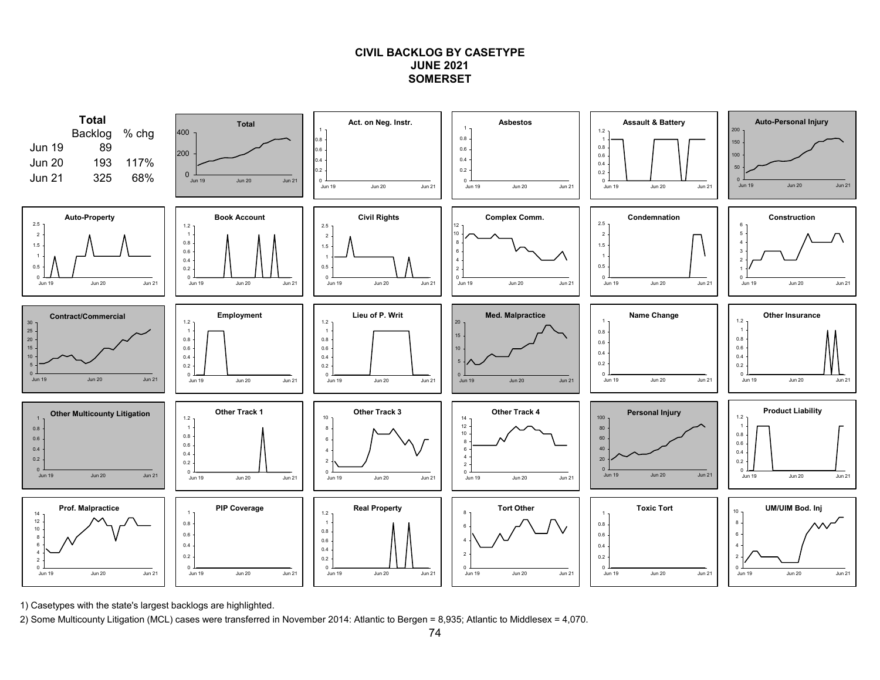## **CIVIL BACKLOG BY CASETYPEJUNE 2021SOMERSET**



1) Casetypes with the state's largest backlogs are highlighted.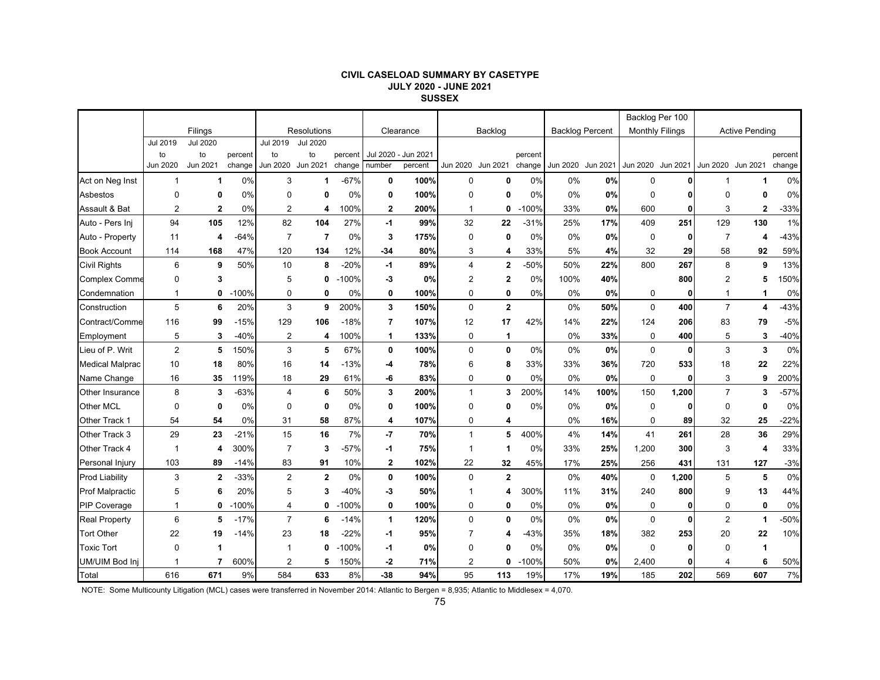#### **CIVIL CASELOAD SUMMARY BY CASETYPE JULY 2020 - JUNE 2021 SUSSEX**

|                        |                            |                                   |                   |                                   |                                   |                   |                |                                |                |                         |                   |                        |                   | Backlog Per 100        |              |                   |                       |                   |
|------------------------|----------------------------|-----------------------------------|-------------------|-----------------------------------|-----------------------------------|-------------------|----------------|--------------------------------|----------------|-------------------------|-------------------|------------------------|-------------------|------------------------|--------------|-------------------|-----------------------|-------------------|
|                        |                            | Filings                           |                   |                                   | Resolutions                       |                   |                | Clearance                      |                | Backlog                 |                   | <b>Backlog Percent</b> |                   | <b>Monthly Filings</b> |              |                   | <b>Active Pending</b> |                   |
|                        | Jul 2019<br>to<br>Jun 2020 | <b>Jul 2020</b><br>to<br>Jun 2021 | percent<br>change | Jul 2019<br>to<br><b>Jun 2020</b> | <b>Jul 2020</b><br>to<br>Jun 2021 | percent<br>change | number         | Jul 2020 - Jun 2021<br>percent |                | Jun 2020 Jun 2021       | percent<br>change |                        | Jun 2020 Jun 2021 | Jun 2020 Jun 2021      |              | Jun 2020 Jun 2021 |                       | percent<br>change |
| Act on Neg Inst        | 1                          | $\mathbf 1$                       | 0%                | 3                                 | 1                                 | $-67%$            | 0              | 100%                           | 0              | 0                       | 0%                | 0%                     | 0%                | $\mathbf 0$            |              |                   | 1                     | 0%                |
| Asbestos               | 0                          | 0                                 | 0%                | 0                                 | 0                                 | 0%                | 0              | 100%                           | $\mathbf 0$    | 0                       | 0%                | 0%                     | 0%                | 0                      |              | $\Omega$          | 0                     | 0%                |
| Assault & Bat          | 2                          | $\mathbf{2}$                      | 0%                | 2                                 | 4                                 | 100%              | $\mathbf{2}$   | 200%                           | $\mathbf{1}$   | 0                       | $-100%$           | 33%                    | 0%                | 600                    | 0            | 3                 | $\mathbf 2$           | $-33%$            |
| Auto - Pers Inj        | 94                         | 105                               | 12%               | 82                                | 104                               | 27%               | -1             | 99%                            | 32             | 22                      | $-31%$            | 25%                    | 17%               | 409                    | 251          | 129               | 130                   | 1%                |
| Auto - Property        | 11                         | 4                                 | $-64%$            | $\overline{7}$                    | 7                                 | 0%                | 3              | 175%                           | 0              | $\mathbf 0$             | 0%                | 0%                     | 0%                | 0                      | 0            | 7                 | 4                     | $-43%$            |
| <b>Book Account</b>    | 114                        | 168                               | 47%               | 120                               | 134                               | 12%               | $-34$          | 80%                            | 3              | 4                       | 33%               | 5%                     | 4%                | 32                     | 29           | 58                | 92                    | 59%               |
| <b>Civil Rights</b>    | 6                          | 9                                 | 50%               | 10                                | 8                                 | $-20%$            | -1             | 89%                            | $\overline{4}$ | $\mathbf 2$             | -50%              | 50%                    | 22%               | 800                    | 267          | 8                 | 9                     | 13%               |
| <b>Complex Comme</b>   | 0                          | 3                                 |                   | 5                                 | 0                                 | $-100%$           | -3             | 0%                             | $\overline{2}$ | $\overline{\mathbf{2}}$ | 0%                | 100%                   | 40%               |                        | 800          | $\overline{2}$    | 5                     | 150%              |
| Condemnation           | $\mathbf{1}$               | 0                                 | $-100%$           | 0                                 | 0                                 | 0%                | 0              | 100%                           | 0              | 0                       | 0%                | 0%                     | 0%                | 0                      | $\mathbf{0}$ | $\mathbf{1}$      | 1                     | 0%                |
| Construction           | 5                          | 6                                 | 20%               | 3                                 | 9                                 | 200%              | 3              | 150%                           | $\mathbf 0$    | $\mathbf{2}$            |                   | 0%                     | 50%               | $\mathbf 0$            | 400          | $\overline{7}$    | 4                     | $-43%$            |
| Contract/Comme         | 116                        | 99                                | $-15%$            | 129                               | 106                               | $-18%$            | $\overline{7}$ | 107%                           | 12             | 17                      | 42%               | 14%                    | 22%               | 124                    | 206          | 83                | 79                    | $-5%$             |
| Employment             | 5                          | 3                                 | $-40%$            | 2                                 | 4                                 | 100%              | 1              | 133%                           | 0              | 1                       |                   | 0%                     | 33%               | $\mathbf 0$            | 400          | 5                 | 3                     | $-40%$            |
| Lieu of P. Writ        | $\overline{2}$             | 5                                 | 150%              | 3                                 | 5                                 | 67%               | 0              | 100%                           | 0              | 0                       | 0%                | 0%                     | 0%                | 0                      | 0            | 3                 | 3                     | 0%                |
| <b>Medical Malprac</b> | 10                         | 18                                | 80%               | 16                                | 14                                | $-13%$            | -4             | 78%                            | 6              | 8                       | 33%               | 33%                    | 36%               | 720                    | 533          | 18                | 22                    | 22%               |
| Name Change            | 16                         | 35                                | 119%              | 18                                | 29                                | 61%               | -6             | 83%                            | $\mathbf 0$    | 0                       | 0%                | 0%                     | 0%                | $\mathbf 0$            | 0            | 3                 | 9                     | 200%              |
| <b>Other Insurance</b> | 8                          | 3                                 | $-63%$            | 4                                 | 6                                 | 50%               | 3              | 200%                           | $\mathbf{1}$   | 3                       | 200%              | 14%                    | 100%              | 150                    | 1,200        | $\overline{7}$    | 3                     | $-57%$            |
| Other MCL              | 0                          | 0                                 | 0%                | 0                                 | 0                                 | 0%                | 0              | 100%                           | $\mathbf 0$    | 0                       | 0%                | 0%                     | 0%                | 0                      | 0            | 0                 | 0                     | 0%                |
| Other Track 1          | 54                         | 54                                | 0%                | 31                                | 58                                | 87%               | 4              | 107%                           | 0              | 4                       |                   | 0%                     | 16%               | $\Omega$               | 89           | 32                | 25                    | $-22%$            |
| Other Track 3          | 29                         | 23                                | $-21%$            | 15                                | 16                                | 7%                | -7             | 70%                            | $\mathbf{1}$   | 5                       | 400%              | 4%                     | 14%               | 41                     | 261          | 28                | 36                    | 29%               |
| Other Track 4          | -1                         | 4                                 | 300%              | $\overline{7}$                    | 3                                 | $-57%$            | -1             | 75%                            | $\mathbf 1$    | 1                       | 0%                | 33%                    | 25%               | 1,200                  | 300          | 3                 | 4                     | 33%               |
| Personal Injury        | 103                        | 89                                | $-14%$            | 83                                | 91                                | 10%               | $\mathbf 2$    | 102%                           | 22             | 32                      | 45%               | 17%                    | 25%               | 256                    | 431          | 131               | 127                   | $-3%$             |
| <b>Prod Liability</b>  | 3                          | $\overline{2}$                    | $-33%$            | $\overline{2}$                    | $\mathbf{2}$                      | $0\%$             | 0              | 100%                           | $\mathbf 0$    | $\mathbf{2}$            |                   | 0%                     | 40%               | $\mathbf 0$            | 1,200        | 5                 | 5                     | 0%                |
| <b>Prof Malpractic</b> | 5                          | 6                                 | 20%               | 5                                 | 3                                 | $-40%$            | -3             | 50%                            | -1             | 4                       | 300%              | 11%                    | 31%               | 240                    | 800          | 9                 | 13                    | 44%               |
| <b>PIP Coverage</b>    | $\mathbf 1$                | 0                                 | $-100%$           | 4                                 | 0                                 | $-100%$           | 0              | 100%                           | 0              | 0                       | 0%                | 0%                     | 0%                | 0                      | 0            | 0                 | 0                     | 0%                |
| <b>Real Property</b>   | 6                          | 5                                 | $-17%$            | $\overline{7}$                    | 6                                 | -14%              | 1              | 120%                           | $\mathbf 0$    | $\mathbf 0$             | 0%                | 0%                     | 0%                | $\mathbf 0$            | 0            | $\overline{2}$    | 1                     | $-50%$            |
| <b>Tort Other</b>      | 22                         | 19                                | $-14%$            | 23                                | 18                                | $-22%$            | -1             | 95%                            | 7              | 4                       | -43%              | 35%                    | 18%               | 382                    | 253          | 20                | 22                    | 10%               |
| <b>Toxic Tort</b>      | $\Omega$                   | 1                                 |                   |                                   | 0                                 | $-100%$           | -1             | 0%                             | $\mathbf 0$    | 0                       | 0%                | 0%                     | 0%                | $\mathbf 0$            | 0            | $\Omega$          | 1                     |                   |
| UM/UIM Bod Inj         | 1                          | 7                                 | 600%              | $\overline{2}$                    | 5                                 | 150%              | -2             | 71%                            | $\overline{2}$ | 0                       | $-100%$           | 50%                    | 0%                | 2,400                  | 0            | 4                 | 6                     | 50%               |
| Total                  | 616                        | 671                               | 9%                | 584                               | 633                               | 8%                | -38            | 94%                            | 95             | 113                     | 19%               | 17%                    | 19%               | 185                    | 202          | 569               | 607                   | 7%                |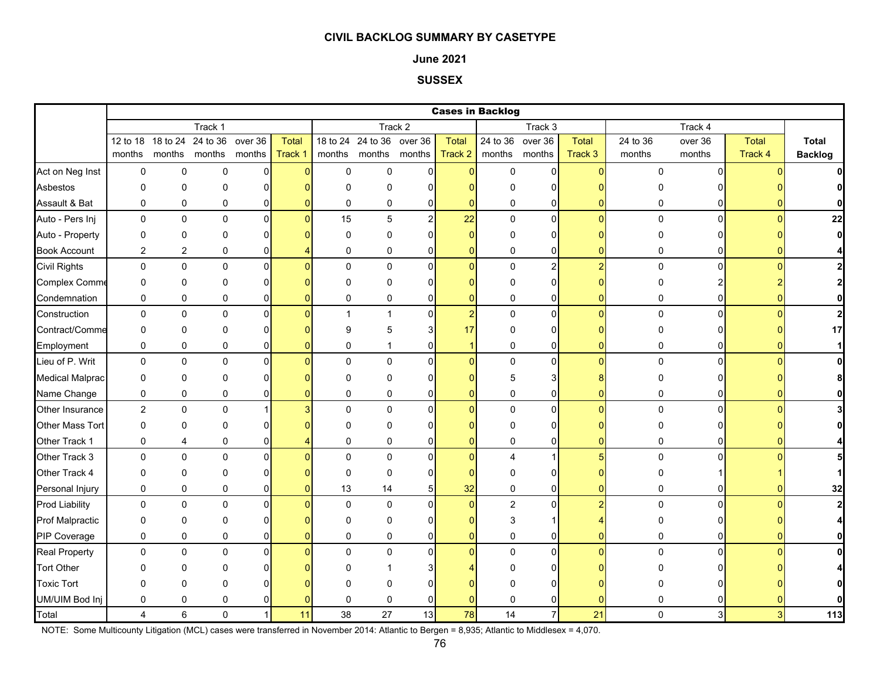### **June 2021**

## **SUSSEX**

|                        |                |                |                                    |                |              |             |                           |                |                | <b>Cases in Backlog</b> |                  |                |              |                |                |                |
|------------------------|----------------|----------------|------------------------------------|----------------|--------------|-------------|---------------------------|----------------|----------------|-------------------------|------------------|----------------|--------------|----------------|----------------|----------------|
|                        |                |                | Track 1                            |                |              |             |                           | Track 2        |                |                         | Track 3          |                |              | Track 4        |                |                |
|                        |                |                | 12 to 18 18 to 24 24 to 36 over 36 |                | <b>Total</b> |             | 18 to 24 24 to 36 over 36 |                | <b>Total</b>   |                         | 24 to 36 over 36 | <b>Total</b>   | 24 to 36     | over 36        | <b>Total</b>   | <b>Total</b>   |
|                        | months         |                | months months months               |                | Track 1      | months      |                           | months months  | Track 2        |                         | months months    | Track 3        | months       | months         | Track 4        | <b>Backlog</b> |
| Act on Neg Inst        | 0              | 0              | $\mathbf 0$                        | $\mathbf 0$    | n            | $\pmb{0}$   | $\mathsf 0$               | 0              | $\overline{0}$ | $\pmb{0}$               | $\overline{0}$   | $\overline{0}$ | 0            | $\Omega$       |                |                |
| Asbestos               | 0              | 0              | $\mathbf{0}$                       | $\Omega$       |              | $\Omega$    | $\Omega$                  | U              |                | U                       | 0                |                |              |                |                |                |
| Assault & Bat          | 0              | 0              | 0                                  | 0              |              | 0           | 0                         | $\Omega$       | $\Omega$       | 0                       | 0                |                | 0            | 01             |                | $\mathbf{0}$   |
| Auto - Pers Inj        | $\mathbf 0$    | 0              | 0                                  | $\overline{0}$ | $\Omega$     | 15          | 5                         | $\overline{2}$ | 22             | 0                       | $\mathsf{O}$     | $\overline{0}$ | $\mathbf{0}$ | $\Omega$       | $\Omega$       | 22             |
| Auto - Property        | 0              | 0              | $\Omega$                           | 0              |              | $\mathbf 0$ | $\mathbf 0$               | n              | $\Omega$       | 0                       | 0                |                |              |                |                | $\mathbf{0}$   |
| <b>Book Account</b>    | $\overline{2}$ | $\overline{c}$ | 0                                  | 0              |              | $\mathbf 0$ | $\mathbf 0$               | $\Omega$       | $\mathbf{0}$   | 0                       | 0                | 0              | 0            | O              |                |                |
| <b>Civil Rights</b>    | 0              | 0              | $\mathbf 0$                        | $\mathbf{0}$   |              | $\Omega$    | $\Omega$                  | $\Omega$       | $\Omega$       | 0                       | $\mathbf{2}$     | $\overline{2}$ | 0            | $\Omega$       |                | $\mathbf{2}$   |
| <b>Complex Comme</b>   | 0              | 0              | $\Omega$                           | 0              |              | $\Omega$    | $\Omega$                  | O              | n              | 0                       | 0                |                | 0            |                |                | $\mathbf{2}$   |
| Condemnation           | 0              | 0              | 0                                  | 0              |              | 0           | $\mathbf 0$               | 0              | $\mathbf{0}$   | 0                       | 0                | O              | 0            | 01             |                | 0              |
| Construction           | 0              | 0              | $\mathbf 0$                        | $\pmb{0}$      |              |             | 1                         | $\Omega$       | $\overline{2}$ | 0                       | $\overline{0}$   | $\Omega$       | 0            | $\Omega$       |                | $\mathbf{2}$   |
| Contract/Comme         | 0              | 0              | 0                                  | $\Omega$       |              | 9           | 5                         |                | 17             | 0                       | 0                |                |              |                |                | 17             |
| Employment             | 0              | 0              | 0                                  | $\Omega$       |              | $\Omega$    |                           | U              |                | 0                       | 0                | O              | 0            | U              |                | $\mathbf{1}$   |
| Lieu of P. Writ        | $\mathbf 0$    | $\pmb{0}$      | $\mathbf 0$                        | $\mathbf 0$    |              | $\Omega$    | $\mathsf 0$               | $\Omega$       | $\overline{0}$ | 0                       | $\overline{0}$   | $\Omega$       | $\pmb{0}$    | $\Omega$       |                | $\mathbf{0}$   |
| <b>Medical Malprac</b> | 0              | 0              | $\Omega$                           | 0              |              | $\Omega$    | $\Omega$                  | U              |                | 5                       | 3                |                |              |                |                |                |
| Name Change            | 0              | 0              | 0                                  | 0              |              | $\mathbf 0$ | 0                         | 0              | 0              | 0                       | $\overline{0}$   | $\Omega$       | 0            | $\overline{0}$ |                |                |
| Other Insurance        | $\overline{2}$ | 0              | $\mathbf 0$                        |                |              | $\Omega$    | $\mathbf 0$               | $\Omega$       | $\overline{0}$ | 0                       | $\Omega$         | O              | $\mathbf 0$  | $\Omega$       |                |                |
| Other Mass Tort        | 0              | 0              | $\Omega$                           | 0              |              | $\Omega$    | $\Omega$                  |                |                | $\Omega$                | 0                |                | ŋ            |                |                |                |
| Other Track 1          | $\mathbf 0$    | 4              | 0                                  | 0              |              | 0           | $\mathbf 0$               | $\Omega$       | 0              | 0                       | 0                | 0              | 0            | U              |                |                |
| Other Track 3          | $\mathbf 0$    | 0              | $\mathbf{0}$                       | $\Omega$       |              | $\Omega$    | $\Omega$                  | $\Omega$       | $\Omega$       | 4                       |                  |                | $\Omega$     |                |                |                |
| Other Track 4          | 0              | 0              | 0                                  | $\Omega$       |              | $\Omega$    | 0                         | n              |                | 0                       | 0                |                | ŋ            |                |                |                |
| Personal Injury        | 0              | 0              | $\mathbf 0$                        | 0              |              | 13          | 14                        | 5              | 32             | 0                       | $\overline{0}$   | $\overline{0}$ | 0            | 01             |                | 32             |
| <b>Prod Liability</b>  | 0              | 0              | $\mathbf 0$                        | 0              |              | $\pmb{0}$   | $\pmb{0}$                 | $\Omega$       | $\overline{0}$ | $\overline{c}$          | $\Omega$         |                | 0            | $\Omega$       |                | $\mathbf{2}$   |
| <b>Prof Malpractic</b> | 0              | 0              | 0                                  | 0              |              | $\Omega$    | 0                         | U              | n              | 3                       |                  |                | 0            |                |                |                |
| PIP Coverage           | $\mathbf 0$    | 0              | $\mathbf 0$                        | 0              |              | $\Omega$    | $\mathbf 0$               | $\Omega$       | $\Omega$       | 0                       | 0                |                | 0            | ΩI             |                | $\mathbf{0}$   |
| <b>Real Property</b>   | $\mathbf 0$    | 0              | $\mathbf 0$                        | $\mathbf 0$    |              | $\Omega$    | $\Omega$                  | $\Omega$       | $\Omega$       | 0                       | $\overline{0}$   | $\Omega$       | $\mathbf 0$  | $\Omega$       |                | $\mathbf{0}$   |
| <b>Tort Other</b>      | O              | 0              | O                                  | ŋ              |              | n           |                           |                |                |                         | 0                |                |              |                |                |                |
| <b>Toxic Tort</b>      | $\Omega$       | 0              | $\Omega$                           |                |              | n           | 0                         |                |                | n                       |                  |                |              |                |                |                |
| UM/UIM Bod Inj         | 0              | 0              | 0                                  |                |              | $\Omega$    | 0                         | O              | 0              | 0                       | 0                |                |              |                |                |                |
| Total                  | 4              | 6              | $\Omega$                           | 1              | 11           | 38          | 27                        | 13             | 78             | 14                      | $\overline{7}$   | 21             | $\Omega$     | $\overline{3}$ | $\overline{3}$ | $113$          |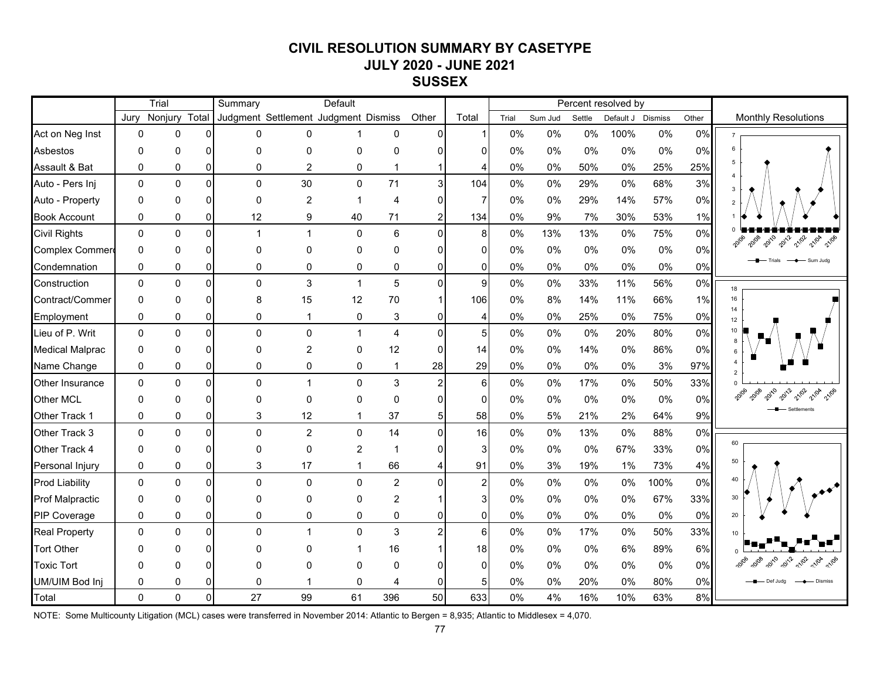# **CIVIL RESOLUTION SUMMARY BY CASETYPE JULY 2020 - JUNE 2021 SUSSEX**

|                        |          | Trial         |                | Summary      |                | Default                              |                         |                      |                |       |         |        | Percent resolved by |       |       |                              |
|------------------------|----------|---------------|----------------|--------------|----------------|--------------------------------------|-------------------------|----------------------|----------------|-------|---------|--------|---------------------|-------|-------|------------------------------|
|                        | Jurv     | Nonjury Total |                |              |                | Judgment Settlement Judgment Dismiss |                         | Other                | Total          | Trial | Sum Jud | Settle | Default J Dismiss   |       | Other | <b>Monthly Resolutions</b>   |
| Act on Neg Inst        | $\Omega$ | $\Omega$      | $\Omega$       | $\mathbf 0$  | $\Omega$       |                                      | 0                       | $\Omega$             |                | 0%    | 0%      | 0%     | 100%                | $0\%$ | 0%    |                              |
| Asbestos               | $\Omega$ | $\Omega$      | $\Omega$       | $\Omega$     | $\Omega$       | 0                                    | $\Omega$                | $\Omega$             | U              | $0\%$ | 0%      | 0%     | 0%                  | 0%    | 0%    |                              |
| Assault & Bat          | $\Omega$ | 0             | $\overline{0}$ | $\mathbf 0$  | $\overline{2}$ | 0                                    | $\mathbf{1}$            | $\mathbf{1}$         |                | 0%    | 0%      | 50%    | 0%                  | 25%   | 25%   | 5                            |
| Auto - Pers Inj        | $\Omega$ | $\Omega$      | $\Omega$       | $\mathbf 0$  | 30             | 0                                    | 71                      | 3 <sup>1</sup>       | 104            | 0%    | 0%      | 29%    | 0%                  | 68%   | 3%    | $\mathbf{3}$                 |
| Auto - Property        | $\Omega$ | $\Omega$      | $\Omega$       | $\mathbf 0$  | $\overline{c}$ | 1                                    | 4                       | $\overline{0}$       | $\overline{7}$ | 0%    | 0%      | 29%    | 14%                 | 57%   | 0%    |                              |
| <b>Book Account</b>    | 0        | 0             | $\overline{0}$ | 12           | 9              | 40                                   | 71                      | $\sqrt{2}$           | 134            | 0%    | 9%      | 7%     | 30%                 | 53%   | 1%    |                              |
| <b>Civil Rights</b>    | 0        | 0             | $\Omega$       | $\mathbf{1}$ | $\mathbf{1}$   | 0                                    | $\,6\,$                 | $\overline{0}$       | 8              | $0\%$ | 13%     | 13%    | $0\%$               | 75%   | 0%    | 20108 20110 2012 2102 2104   |
| Complex Commer         | 0        | 0             | $\overline{0}$ | $\mathbf 0$  | $\mathbf 0$    | 0                                    | 0                       | $\Omega$             | $\Omega$       | $0\%$ | 0%      | 0%     | 0%                  | 0%    | 0%    |                              |
| Condemnation           | 0        | 0             | $\overline{0}$ | 0            | 0              | 0                                    | 0                       | $\overline{0}$       | $\Omega$       | 0%    | 0%      | 0%     | 0%                  | 0%    | 0%    | Trials - + Sum Judg          |
| Construction           | 0        | $\Omega$      | $\Omega$       | $\mathbf 0$  | 3              | $\mathbf{1}$                         | 5                       | $\overline{0}$       | 9              | 0%    | 0%      | 33%    | 11%                 | 56%   | 0%    | 18                           |
| Contract/Commer        | $\Omega$ | $\mathbf 0$   | $\Omega$       | 8            | 15             | 12                                   | 70                      | $\vert$ 1            | 106            | $0\%$ | 8%      | 14%    | 11%                 | 66%   | 1%    | 16<br>14                     |
| Employment             | 0        | 0             | $\overline{0}$ | 0            | $\mathbf 1$    | 0                                    | 3                       | $\overline{0}$       | 4              | 0%    | 0%      | 25%    | 0%                  | 75%   | 0%    | 12                           |
| Lieu of P. Writ        | $\Omega$ | $\mathbf 0$   | $\Omega$       | $\pmb{0}$    | $\pmb{0}$      | $\mathbf{1}$                         | $\overline{\mathbf{4}}$ | $\overline{0}$       | 5 <sub>5</sub> | 0%    | 0%      | 0%     | 20%                 | 80%   | 0%    | 10<br>8                      |
| <b>Medical Malprac</b> | $\Omega$ | $\Omega$      | $\Omega$       | $\mathbf 0$  | $\overline{c}$ | 0                                    | 12                      | $\overline{0}$       | 14             | 0%    | 0%      | 14%    | $0\%$               | 86%   | 0%    |                              |
| Name Change            | 0        | 0             | $\overline{0}$ | 0            | 0              | 0                                    | $\mathbf{1}$            | 28                   | 29             | 0%    | 0%      | 0%     | 0%                  | 3%    | 97%   |                              |
| Other Insurance        | $\Omega$ | $\Omega$      | $\Omega$       | $\pmb{0}$    | $\mathbf{1}$   | 0                                    | 3                       | $\overline{2}$       | 6              | 0%    | 0%      | 17%    | 0%                  | 50%   | 33%   |                              |
| Other MCL              | $\Omega$ | $\Omega$      | $\overline{0}$ | $\mathbf 0$  | $\mathbf 0$    | 0                                    | 0                       | $\overline{0}$       | $\mathbf 0$    | 0%    | 0%      | 0%     | $0\%$               | 0%    | 0%    |                              |
| Other Track 1          | 0        | $\mathbf 0$   | $\overline{0}$ | $\mathbf{3}$ | 12             | $\mathbf{1}$                         | 37                      | 5 <sup>1</sup>       | 58             | 0%    | 5%      | 21%    | 2%                  | 64%   | 9%    |                              |
| Other Track 3          | $\Omega$ | $\Omega$      | $\Omega$       | $\pmb{0}$    | $\overline{c}$ | 0                                    | 14                      | $\overline{0}$       | 16             | 0%    | 0%      | 13%    | $0\%$               | 88%   | 0%    |                              |
| Other Track 4          | $\Omega$ | $\Omega$      | $\overline{0}$ | $\mathbf 0$  | 0              | $\overline{2}$                       | $\mathbf 1$             | $\overline{0}$       | 3              | 0%    | 0%      | 0%     | 67%                 | 33%   | 0%    | 60                           |
| Personal Injury        | 0        | 0             | $\overline{0}$ | 3            | 17             | $\mathbf{1}$                         | 66                      | 4                    | 91             | 0%    | 3%      | 19%    | 1%                  | 73%   | 4%    | 50                           |
| <b>Prod Liability</b>  | $\Omega$ | $\Omega$      | $\Omega$       | $\Omega$     | $\mathbf{0}$   | 0                                    | $\overline{2}$          | $\Omega$             | $\overline{c}$ | 0%    | 0%      | 0%     | 0%                  | 100%  | 0%    |                              |
| Prof Malpractic        | $\Omega$ | $\Omega$      | $\Omega$       | $\mathbf 0$  | 0              | 0                                    | $\overline{c}$          | $\blacktriangleleft$ | 3              | $0\%$ | 0%      | 0%     | 0%                  | 67%   | 33%   | 30                           |
| PIP Coverage           | $\Omega$ | $\Omega$      | $\overline{0}$ | $\mathbf 0$  | $\mathbf 0$    | 0                                    | 0                       | $\overline{0}$       | $\Omega$       | 0%    | 0%      | 0%     | 0%                  | 0%    | 0%    | 20                           |
| <b>Real Property</b>   | $\Omega$ | $\Omega$      | $\Omega$       | $\mathbf 0$  | $\mathbf{1}$   | 0                                    | 3                       | $\overline{2}$       | 6              | 0%    | 0%      | 17%    | 0%                  | 50%   | 33%   |                              |
| <b>Tort Other</b>      | $\Omega$ | $\Omega$      | $\Omega$       | $\Omega$     | $\Omega$       | 1                                    | 16                      | $\mathbf{1}$         | 18             | 0%    | 0%      | $0\%$  | 6%                  | 89%   | 6%    |                              |
| <b>Toxic Tort</b>      | 0        | $\Omega$      | $\overline{0}$ | $\Omega$     | $\Omega$       | 0                                    | 0                       | $\Omega$             | $\Omega$       | $0\%$ | 0%      | 0%     | 0%                  | 0%    | 0%    | 2010 2012 2102 2104<br>10/08 |
| UM/UIM Bod Inj         | $\Omega$ | $\Omega$      | $\overline{0}$ | 0            | -1             | 0                                    | 4                       | $\mathbf{0}$         | 5              | 0%    | 0%      | 20%    | 0%                  | 80%   | 0%    | Def Judg<br>- Dismiss        |
| Total                  | $\Omega$ | 0             | $\mathbf 0$    | 27           | 99             | 61                                   | 396                     | 50                   | 633            | 0%    | 4%      | 16%    | 10%                 | 63%   | 8%    |                              |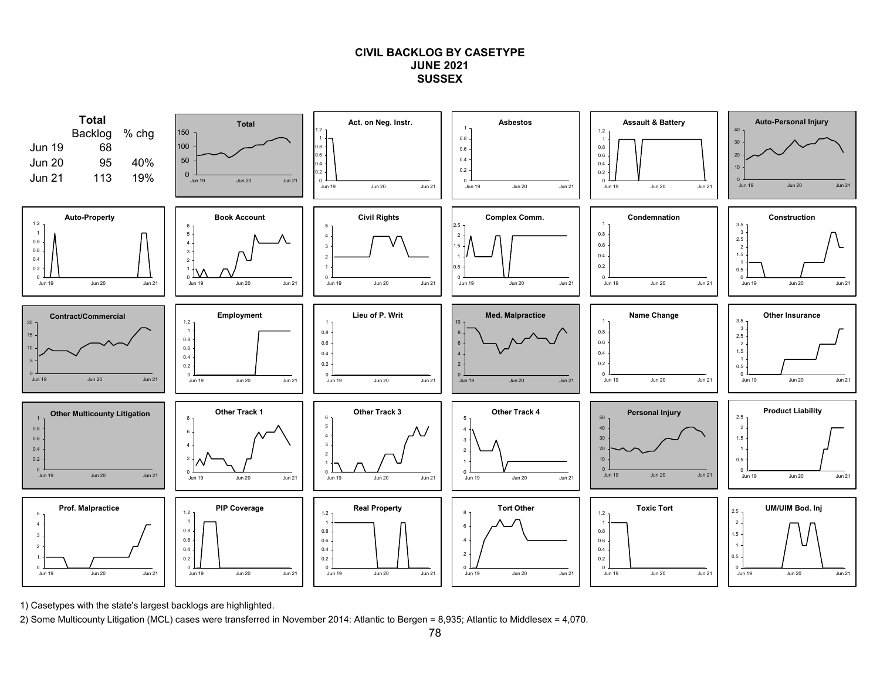## **CIVIL BACKLOG BY CASETYPEJUNE 2021SUSSEX**



1) Casetypes with the state's largest backlogs are highlighted.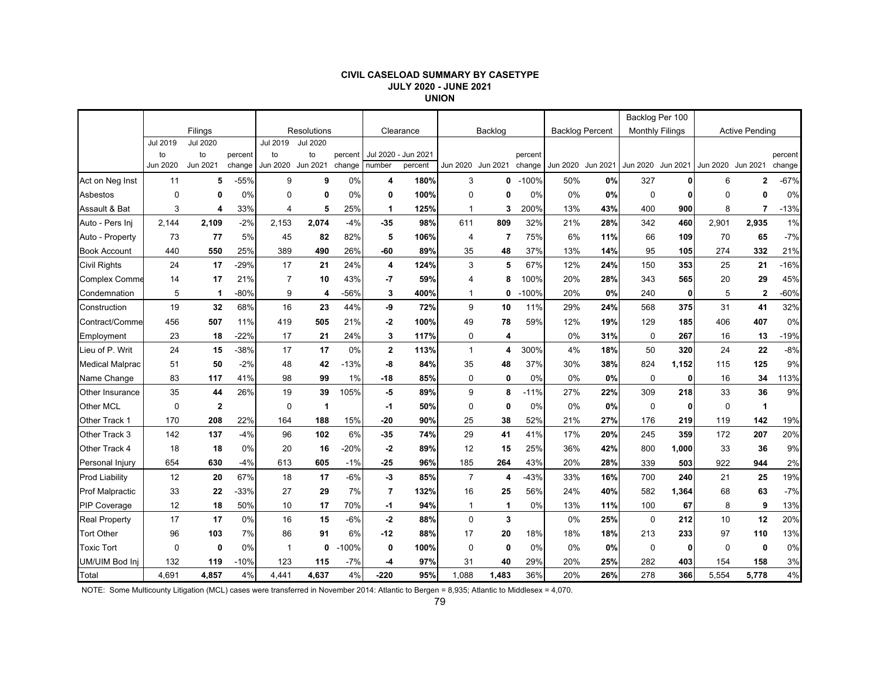#### **CIVIL CASELOAD SUMMARY BY CASETYPE JULY 2020 - JUNE 2021 UNION**

|                        |             |                 |         |                |             |         |                |                     |                   |              |         |                        |     |                        | Backlog Per 100 |                   |                       |         |
|------------------------|-------------|-----------------|---------|----------------|-------------|---------|----------------|---------------------|-------------------|--------------|---------|------------------------|-----|------------------------|-----------------|-------------------|-----------------------|---------|
|                        |             | Filings         |         |                | Resolutions |         |                | Clearance           |                   | Backlog      |         | <b>Backlog Percent</b> |     | <b>Monthly Filings</b> |                 |                   | <b>Active Pending</b> |         |
|                        | Jul 2019    | <b>Jul 2020</b> |         | Jul 2019       | Jul 2020    |         |                |                     |                   |              |         |                        |     |                        |                 |                   |                       |         |
|                        | to          | to              | percent | to             | to          | percent |                | Jul 2020 - Jun 2021 |                   |              | percent |                        |     |                        |                 |                   |                       | percent |
|                        | Jun 2020    | Jun 2021        | change  | Jun 2020       | Jun 2021    | change  | number         | percent             | Jun 2020 Jun 2021 |              | change  | Jun 2020 Jun 2021      |     | Jun 2020 Jun 2021      |                 | Jun 2020 Jun 2021 |                       | change  |
| Act on Neg Inst        | 11          | 5               | $-55%$  | 9              | 9           | 0%      | 4              | 180%                | 3                 | 0            | $-100%$ | 50%                    | 0%  | 327                    | 0               | 6                 | $\mathbf{2}$          | $-67%$  |
| Asbestos               | $\Omega$    | 0               | 0%      | $\Omega$       | 0           | 0%      | 0              | 100%                | $\mathbf 0$       | 0            | 0%      | $0\%$                  | 0%  | 0                      | 0               | $\Omega$          | O                     | 0%      |
| Assault & Bat          | 3           | 4               | 33%     | 4              | 5           | 25%     | 1              | 125%                | 1                 | 3            | 200%    | 13%                    | 43% | 400                    | 900             | 8                 | $\overline{7}$        | $-13%$  |
| Auto - Pers Inj        | 2,144       | 2,109           | $-2%$   | 2,153          | 2,074       | $-4%$   | $-35$          | 98%                 | 611               | 809          | 32%     | 21%                    | 28% | 342                    | 460             | 2,901             | 2,935                 | 1%      |
| Auto - Property        | 73          | 77              | 5%      | 45             | 82          | 82%     | 5              | 106%                | 4                 | 7            | 75%     | 6%                     | 11% | 66                     | 109             | 70                | 65                    | $-7%$   |
| <b>Book Account</b>    | 440         | 550             | 25%     | 389            | 490         | 26%     | -60            | 89%                 | 35                | 48           | 37%     | 13%                    | 14% | 95                     | 105             | 274               | 332                   | 21%     |
| <b>Civil Rights</b>    | 24          | 17              | $-29%$  | 17             | 21          | 24%     | 4              | 124%                | 3                 | 5            | 67%     | 12%                    | 24% | 150                    | 353             | 25                | 21                    | $-16%$  |
| <b>Complex Comme</b>   | 14          | 17              | 21%     | $\overline{7}$ | 10          | 43%     | -7             | 59%                 | 4                 | 8            | 100%    | 20%                    | 28% | 343                    | 565             | 20                | 29                    | 45%     |
| Condemnation           | 5           | 1               | $-80%$  | 9              | 4           | -56%    | 3              | 400%                | $\mathbf 1$       | 0            | $-100%$ | 20%                    | 0%  | 240                    | $\mathbf{0}$    | 5                 | 2                     | $-60%$  |
| Construction           | 19          | 32              | 68%     | 16             | 23          | 44%     | -9             | 72%                 | 9                 | 10           | 11%     | 29%                    | 24% | 568                    | 375             | 31                | 41                    | 32%     |
| Contract/Comme         | 456         | 507             | 11%     | 419            | 505         | 21%     | $-2$           | 100%                | 49                | 78           | 59%     | 12%                    | 19% | 129                    | 185             | 406               | 407                   | 0%      |
| Employment             | 23          | 18              | $-22%$  | 17             | 21          | 24%     | 3              | 117%                | 0                 | 4            |         | 0%                     | 31% | $\mathbf 0$            | 267             | 16                | 13                    | $-19%$  |
| Lieu of P. Writ        | 24          | 15              | $-38%$  | 17             | 17          | 0%      | $\mathbf 2$    | 113%                | $\mathbf{1}$      | 4            | 300%    | 4%                     | 18% | 50                     | 320             | 24                | 22                    | $-8%$   |
| <b>Medical Malprac</b> | 51          | 50              | $-2%$   | 48             | 42          | $-13%$  | -8             | 84%                 | 35                | 48           | 37%     | 30%                    | 38% | 824                    | 1,152           | 115               | 125                   | 9%      |
| Name Change            | 83          | 117             | 41%     | 98             | 99          | 1%      | $-18$          | 85%                 | 0                 | $\mathbf{0}$ | 0%      | 0%                     | 0%  | $\mathbf 0$            | $\mathbf{0}$    | 16                | 34                    | 113%    |
| Other Insurance        | 35          | 44              | 26%     | 19             | 39          | 105%    | -5             | 89%                 | 9                 | 8            | $-11%$  | 27%                    | 22% | 309                    | 218             | 33                | 36                    | 9%      |
| Other MCL              | $\mathbf 0$ | $\mathbf{2}$    |         | 0              | -1          |         | -1             | 50%                 | 0                 | 0            | 0%      | 0%                     | 0%  | 0                      | 0               | 0                 | 1                     |         |
| Other Track 1          | 170         | 208             | 22%     | 164            | 188         | 15%     | $-20$          | 90%                 | 25                | 38           | 52%     | 21%                    | 27% | 176                    | 219             | 119               | 142                   | 19%     |
| Other Track 3          | 142         | 137             | $-4%$   | 96             | 102         | 6%      | $-35$          | 74%                 | 29                | 41           | 41%     | 17%                    | 20% | 245                    | 359             | 172               | 207                   | 20%     |
| Other Track 4          | 18          | 18              | 0%      | 20             | 16          | $-20%$  | $-2$           | 89%                 | 12                | 15           | 25%     | 36%                    | 42% | 800                    | 1,000           | 33                | 36                    | 9%      |
| Personal Injury        | 654         | 630             | $-4%$   | 613            | 605         | $-1%$   | $-25$          | 96%                 | 185               | 264          | 43%     | 20%                    | 28% | 339                    | 503             | 922               | 944                   | 2%      |
| <b>Prod Liability</b>  | 12          | 20              | 67%     | 18             | 17          | $-6%$   | -3             | 85%                 | $\overline{7}$    | 4            | -43%    | 33%                    | 16% | 700                    | 240             | 21                | 25                    | 19%     |
| <b>Prof Malpractic</b> | 33          | 22              | $-33%$  | 27             | 29          | 7%      | $\overline{7}$ | 132%                | 16                | 25           | 56%     | 24%                    | 40% | 582                    | 1,364           | 68                | 63                    | $-7%$   |
| <b>PIP Coverage</b>    | 12          | 18              | 50%     | 10             | 17          | 70%     | -1             | 94%                 | $\mathbf 1$       | $\mathbf 1$  | 0%      | 13%                    | 11% | 100                    | 67              | 8                 | 9                     | 13%     |
| <b>Real Property</b>   | 17          | 17              | 0%      | 16             | 15          | $-6%$   | -2             | 88%                 | $\mathbf 0$       | 3            |         | 0%                     | 25% | $\mathbf 0$            | 212             | 10                | 12                    | 20%     |
| <b>Tort Other</b>      | 96          | 103             | 7%      | 86             | 91          | 6%      | $-12$          | 88%                 | 17                | 20           | 18%     | 18%                    | 18% | 213                    | 233             | 97                | 110                   | 13%     |
| <b>Toxic Tort</b>      | $\mathbf 0$ | $\mathbf 0$     | 0%      | -1             | 0           | $-100%$ | 0              | 100%                | $\mathbf 0$       | $\mathbf 0$  | 0%      | 0%                     | 0%  | 0                      | $\mathbf{0}$    | $\mathbf 0$       | 0                     | 0%      |
| UM/UIM Bod Inj         | 132         | 119             | $-10%$  | 123            | 115         | $-7%$   | -4             | 97%                 | 31                | 40           | 29%     | 20%                    | 25% | 282                    | 403             | 154               | 158                   | 3%      |
| Total                  | 4.691       | 4,857           | 4%      | 4.441          | 4.637       | 4%      | $-220$         | 95%                 | 1,088             | 1,483        | 36%     | 20%                    | 26% | 278                    | 366             | 5.554             | 5.778                 | 4%      |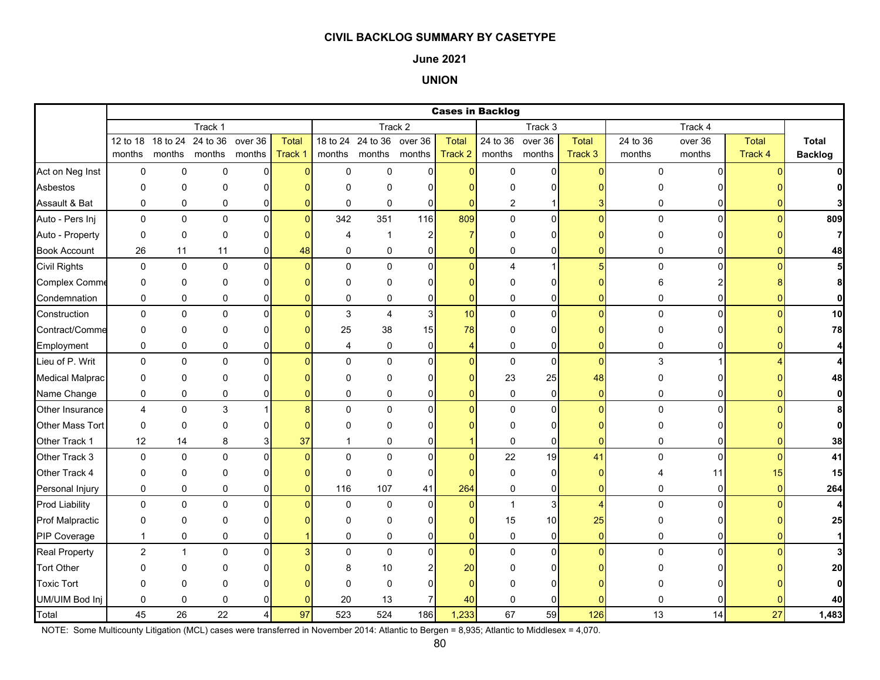### **June 2021**

## **UNION**

|                        |                |              |               |                |          |                |                           |                |                | <b>Cases in Backlog</b> |                  |                |             |                |              |                |
|------------------------|----------------|--------------|---------------|----------------|----------|----------------|---------------------------|----------------|----------------|-------------------------|------------------|----------------|-------------|----------------|--------------|----------------|
|                        |                |              | Track 1       |                |          |                |                           | Track 2        |                |                         | Track 3          |                |             | Track 4        |              |                |
|                        | 12 to 18       | 18 to 24     | 24 to 36      | over 36        | Total    |                | 18 to 24 24 to 36 over 36 |                | <b>Total</b>   |                         | 24 to 36 over 36 | Total          | 24 to 36    | over 36        | <b>Total</b> | <b>Total</b>   |
|                        | months         |              | months months | months         | Track 1  |                | months months months      |                | Track 2        | months                  | months           | Track 3        | months      | months         | Track 4      | <b>Backlog</b> |
| Act on Neg Inst        | 0              | $\mathbf 0$  | 0             | $\overline{0}$ | $\Omega$ | $\mathsf 0$    | $\mathbf 0$               | $\overline{0}$ | $\overline{0}$ | $\mathsf 0$             | $\mathbf 0$      | $\overline{0}$ | 0           | $\Omega$       |              |                |
| Asbestos               | $\Omega$       | $\Omega$     | 0             | $\Omega$       |          | $\Omega$       | $\Omega$                  | $\Omega$       | O              | O                       | 0                |                |             |                |              | 0              |
| Assault & Bat          | 0              | 0            | 0             | 0              |          | 0              | 0                         | $\mathbf 0$    | $\Omega$       | 2                       |                  |                | 0           | 0              |              |                |
| Auto - Pers Inj        | $\mathbf 0$    | $\mathbf 0$  | $\mathbf 0$   | $\overline{0}$ | $\Omega$ | 342            | 351                       | 116            | 809            | $\mathbf 0$             | $\overline{0}$   | $\Omega$       | $\mathbf 0$ | $\Omega$       | $\Omega$     | 809            |
| Auto - Property        | 0              | $\mathbf 0$  | 0             | $\Omega$       |          | $\overline{4}$ | $\mathbf 1$               | $\overline{2}$ | $\overline{7}$ | $\mathbf 0$             | 0                |                | 0           |                |              | $\overline{7}$ |
| <b>Book Account</b>    | 26             | 11           | 11            | 0              | 48       | $\mathbf 0$    | $\mathbf 0$               | 0              | $\mathbf{0}$   | 0                       | 0                |                | 0           | 0              |              | 48             |
| <b>Civil Rights</b>    | 0              | $\pmb{0}$    | $\mathbf{0}$  | $\Omega$       | n        | $\Omega$       | $\Omega$                  | $\Omega$       | $\Omega$       | $\overline{\mathbf{4}}$ | $\mathbf{1}$     | 5              | 0           | $\Omega$       |              | 5              |
| <b>Complex Comme</b>   | 0              | $\mathbf 0$  | 0             | $\Omega$       |          | $\Omega$       | 0                         | $\Omega$       | $\Omega$       | $\Omega$                | 0                |                | 6           |                |              | 8              |
| Condemnation           | 0              | 0            | 0             | 0              |          | $\mathbf 0$    | 0                         | $\mathbf 0$    | $\overline{0}$ | 0                       | 0                | ŋ              | 0           | $\Omega$       |              | $\mathbf{0}$   |
| Construction           | 0              | $\pmb{0}$    | $\pmb{0}$     | 0              |          | $\mathbf{3}$   | $\overline{\mathbf{4}}$   | $\mathbf{3}$   | 10             | 0                       | $\pmb{0}$        | $\overline{0}$ | 0           | $\Omega$       |              | 10             |
| Contract/Comme         | 0              | $\mathbf 0$  | $\Omega$      | $\Omega$       |          | 25             | 38                        | 15             | 78             | $\mathbf 0$             | 0                |                | 0           | 0              |              | 78             |
| Employment             | 0              | 0            | 0             | 0              |          | 4              | 0                         | $\mathbf 0$    | 4              | 0                       | 0                | ŋ              | 0           | ΩI             |              | $\overline{4}$ |
| Lieu of P. Writ        | 0              | $\pmb{0}$    | $\pmb{0}$     | $\mathbf{0}$   |          | $\Omega$       | $\mathbf 0$               | $\Omega$       | $\Omega$       | $\pmb{0}$               | $\mathbf 0$      | $\Omega$       | 3           |                |              | $\overline{4}$ |
| <b>Medical Malprac</b> | 0              | $\Omega$     | $\Omega$      | $\Omega$       |          | $\Omega$       | 0                         | $\Omega$       | 0              | 23                      | 25               | 48             | 0           |                |              | 48             |
| Name Change            | 0              | 0            | 0             | 0              |          | $\mathbf 0$    | 0                         | $\overline{0}$ | $\overline{0}$ | 0                       | $\mathbf 0$      | $\overline{0}$ | 0           | $\overline{0}$ | $\Omega$     | $\mathbf{0}$   |
| Other Insurance        | $\overline{4}$ | $\mathbf 0$  | 3             |                |          | $\Omega$       | $\mathbf 0$               | $\Omega$       | $\Omega$       | $\mathbf 0$             | $\mathbf 0$      | $\Omega$       | $\mathbf 0$ | $\Omega$       |              | 8              |
| Other Mass Tort        | 0              | $\pmb{0}$    | $\Omega$      | $\Omega$       |          | $\Omega$       | $\Omega$                  |                |                | $\Omega$                | 0                |                | 0           | 0l             |              | $\mathbf{0}$   |
| Other Track 1          | 12             | 14           | 8             |                | 37       |                | 0                         | 0              |                | $\mathbf 0$             | 0                | 0              | 0           | 0              |              | 38             |
| Other Track 3          | $\mathbf 0$    | $\pmb{0}$    | $\Omega$      | $\Omega$       |          | $\Omega$       | $\Omega$                  | $\Omega$       | $\Omega$       | 22                      | 19               | 41             | $\mathbf 0$ | $\Omega$       |              | 41             |
| Other Track 4          | 0              | $\mathbf 0$  | 0             | $\Omega$       |          | $\mathbf 0$    | 0                         | $\Omega$       | $\Omega$       | $\pmb{0}$               | 0                |                | 4           | 11             | 15           | 15             |
| Personal Injury        | 0              | $\pmb{0}$    | 0             | 0              |          | 116            | 107                       | 41             | 264            | 0                       | $\pmb{0}$        | $\overline{0}$ | 0           | $\overline{0}$ | $\Omega$     | 264            |
| <b>Prod Liability</b>  | 0              | 0            | $\pmb{0}$     | 0              |          | $\mathbf 0$    | 0                         | $\mathbf 0$    | $\overline{0}$ | $\mathbf{1}$            | 3                | $\overline{4}$ | 0           | $\Omega$       |              | 4              |
| <b>Prof Malpractic</b> | 0              | $\pmb{0}$    | 0             | $\Omega$       |          | $\Omega$       | 0                         | 0              | 0              | 15                      | 10               | 25             | 0           |                |              | 25             |
| PIP Coverage           | $\mathbf{1}$   | $\mathbf 0$  | 0             | 0              |          | $\Omega$       | $\mathbf 0$               | $\Omega$       | $\overline{0}$ | $\mathbf 0$             | 0                | $\Omega$       | 0           | 01             |              | $\mathbf{1}$   |
| <b>Real Property</b>   | $\overline{c}$ | $\mathbf{1}$ | 0             | $\Omega$       |          | $\Omega$       | $\mathbf 0$               | $\overline{0}$ | $\overline{0}$ | $\pmb{0}$               | $\overline{0}$   | $\Omega$       | 0           | $\Omega$       |              | 3 <sup>1</sup> |
| <b>Tort Other</b>      | O              | 0            | 0             | U              |          | 8              | 10                        |                | 20             | O                       | 0                |                |             |                |              | 20             |
| <b>Toxic Tort</b>      | 0              | $\mathbf 0$  | 0             |                |          | $\Omega$       | 0                         | n              | $\Omega$       | U                       | $\Omega$         |                |             |                |              | $\mathbf{0}$   |
| UM/UIM Bod Inj         | 0              | $\mathbf 0$  | 0             |                |          | 20             | 13                        |                | 40             | $\mathbf 0$             | 0                |                |             |                |              | 40             |
| Total                  | 45             | 26           | 22            | 4              | 97       | 523            | 524                       | 186            | 1,233          | 67                      | 59               | 126            | 13          | 14             | 27           | 1,483          |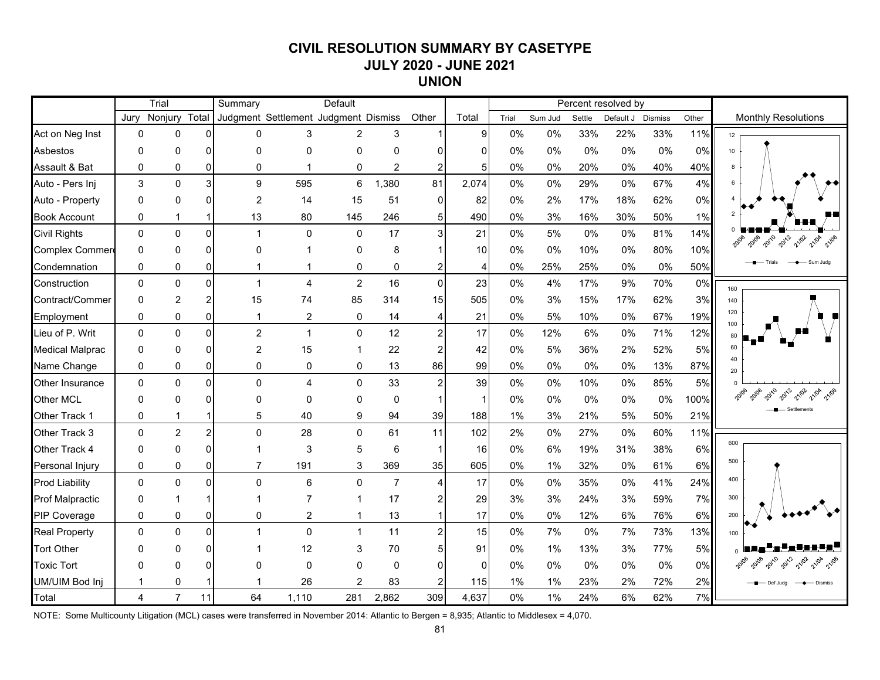# **CIVIL RESOLUTION SUMMARY BY CASETYPE JULY 2020 - JUNE 2021 UNION**

|                        |              | Trial          |                | Summary        |                                      | Default        |                |                |                |       |         |        | Percent resolved by |                |       |                            |
|------------------------|--------------|----------------|----------------|----------------|--------------------------------------|----------------|----------------|----------------|----------------|-------|---------|--------|---------------------|----------------|-------|----------------------------|
|                        | Jurv         | Nonjury Total  |                |                | Judgment Settlement Judgment Dismiss |                |                | Other          | Total          | Trial | Sum Jud | Settle | Default J           | <b>Dismiss</b> | Other | <b>Monthly Resolutions</b> |
| Act on Neg Inst        | $\mathbf{0}$ | 0              | $\Omega$       | $\mathbf{0}$   | 3                                    | 2              | 3              |                | 9              | 0%    | 0%      | 33%    | 22%                 | 33%            | 11%   | 12 <sup>°</sup>            |
| Asbestos               | $\Omega$     | 0              | ΩI             | $\mathbf{0}$   | $\Omega$                             | 0              | $\Omega$       | $\overline{0}$ | 0              | 0%    | 0%      | 0%     | 0%                  | 0%             | 0%    | 10 <sup>1</sup>            |
| Assault & Bat          | $\mathbf{0}$ | $\mathbf 0$    | $\Omega$       | $\mathbf 0$    | $\blacktriangleleft$                 | 0              | $\overline{2}$ | $\overline{2}$ | 5 <sub>l</sub> | 0%    | 0%      | 20%    | 0%                  | 40%            | 40%   | 8                          |
| Auto - Pers Inj        | 3            | $\Omega$       | $\mathbf{3}$   | 9              | 595                                  | 6              | 1,380          | 81             | 2,074          | 0%    | 0%      | 29%    | 0%                  | 67%            | 4%    | 6                          |
| Auto - Property        | $\Omega$     | $\Omega$       | ΩI             | 2              | 14                                   | 15             | 51             | $\overline{0}$ | 82             | 0%    | 2%      | 17%    | 18%                 | 62%            | 0%    |                            |
| <b>Book Account</b>    | 0            | $\mathbf 1$    |                | 13             | 80                                   | 145            | 246            | $\sqrt{5}$     | 490            | 0%    | 3%      | 16%    | 30%                 | 50%            | 1%    |                            |
| <b>Civil Rights</b>    | $\mathbf 0$  | $\mathbf 0$    | $\Omega$       | $\overline{1}$ | $\mathbf 0$                          | 0              | 17             | 3 <sup>1</sup> | 21             | 0%    | 5%      | 0%     | $0\%$               | 81%            | 14%   | 2012<br>21/02<br>21/04     |
| Complex Commer         | 0            | 0              | 0I             | $\mathbf 0$    |                                      | 0              | 8              | $\mathbf{1}$   | 10             | 0%    | 0%      | 10%    | 0%                  | 80%            | 10%   |                            |
| Condemnation           | 0            | 0              | Οl             | $\mathbf{1}$   | 1                                    | 0              | 0              | $\overline{a}$ | 4              | 0%    | 25%     | 25%    | 0%                  | 0%             | 50%   | Sum Juda                   |
| Construction           | $\Omega$     | 0              | οI             | $\overline{1}$ | $\overline{\mathbf{4}}$              | $\overline{c}$ | 16             | $\mathbf 0$    | 23             | 0%    | 4%      | 17%    | 9%                  | 70%            | 0%    | 160                        |
| Contract/Commer        | $\mathbf{0}$ | $\overline{c}$ | $\overline{2}$ | 15             | 74                                   | 85             | 314            | 15             | 505            | 0%    | 3%      | 15%    | 17%                 | 62%            | 3%    | 140                        |
| Employment             | $\mathbf 0$  | $\mathbf 0$    | $\Omega$       | $\mathbf{1}$   | $\overline{c}$                       | 0              | 14             | $\overline{4}$ | 21             | 0%    | 5%      | 10%    | 0%                  | 67%            | 19%   | 120<br>100                 |
| Lieu of P. Writ        | $\mathbf{0}$ | 0              | $\Omega$       | $\overline{2}$ | $\mathbf{1}$                         | 0              | 12             | $\overline{c}$ | 17             | 0%    | 12%     | 6%     | 0%                  | 71%            | 12%   |                            |
| <b>Medical Malprac</b> | $\mathbf{0}$ | 0              | 0              | $\overline{2}$ | 15                                   | 1              | 22             | $\overline{c}$ | 42             | 0%    | 5%      | 36%    | 2%                  | 52%            | 5%    | 60                         |
| Name Change            | $\mathbf 0$  | 0              | 0I             | $\pmb{0}$      | 0                                    | 0              | 13             | 86             | 99             | 0%    | $0\%$   | 0%     | 0%                  | 13%            | 87%   | 40<br>20                   |
| Other Insurance        | $\Omega$     | $\Omega$       | $\Omega$       | $\mathbf 0$    | $\overline{\mathbf{4}}$              | 0              | 33             | $\overline{2}$ | 39             | 0%    | $0\%$   | 10%    | 0%                  | 85%            | 5%    |                            |
| <b>Other MCL</b>       | $\mathbf{0}$ | 0              | 0              | $\mathbf{0}$   | $\mathbf{0}$                         | 0              | $\mathbf 0$    | $\mathbf{1}$   | $\mathbf{1}$   | 0%    | 0%      | 0%     | $0\%$               | $0\%$          | 100%  | 21/02                      |
| Other Track 1          | 0            | 1              |                | 5              | 40                                   | 9              | 94             | 39             | 188            | 1%    | 3%      | 21%    | 5%                  | 50%            | 21%   |                            |
| Other Track 3          | $\mathbf 0$  | $\overline{2}$ | $\overline{2}$ | $\mathbf 0$    | 28                                   | $\mathbf 0$    | 61             | 11             | 102            | 2%    | 0%      | 27%    | 0%                  | 60%            | 11%   |                            |
| Other Track 4          | $\Omega$     | 0              | $\Omega$       | -1             | 3                                    | 5              | 6              | $\mathbf{1}$   | 16             | $0\%$ | 6%      | 19%    | 31%                 | 38%            | 6%    | 600                        |
| Personal Injury        | $\mathbf{0}$ | 0              | 0              | $\overline{7}$ | 191                                  | 3              | 369            | 35             | 605            | $0\%$ | 1%      | 32%    | 0%                  | 61%            | 6%    | 500                        |
| <b>Prod Liability</b>  | $\Omega$     | 0              | $\Omega$       | $\mathbf{0}$   | 6                                    | 0              | $\overline{7}$ | $\overline{4}$ | 17             | 0%    | 0%      | 35%    | $0\%$               | 41%            | 24%   | 400                        |
| <b>Prof Malpractic</b> | $\Omega$     | 1              |                | -1             | 7                                    | 1              | 17             | $\overline{a}$ | 29             | 3%    | 3%      | 24%    | 3%                  | 59%            | 7%    | 300                        |
| <b>PIP Coverage</b>    | $\mathbf 0$  | $\mathbf 0$    | 0              | 0              | $\overline{c}$                       | $\mathbf{1}$   | 13             | 1              | 17             | $0\%$ | 0%      | 12%    | 6%                  | 76%            | 6%    | 200                        |
| <b>Real Property</b>   | $\Omega$     | 0              | $\Omega$       | $\mathbf{1}$   | $\Omega$                             | $\mathbf{1}$   | 11             | 2 <sup>1</sup> | 15             | 0%    | 7%      | 0%     | 7%                  | 73%            | 13%   | 100                        |
| <b>Tort Other</b>      | O            | 0              | ΩI             |                | 12                                   | 3              | 70             | $\sqrt{5}$     | 91             | $0\%$ | $1\%$   | 13%    | 3%                  | 77%            | 5%    |                            |
| <b>Toxic Tort</b>      | O            | 0              | ΩI             | $\Omega$       | $\Omega$                             | $\mathbf 0$    | $\mathbf 0$    | $\Omega$       | $\mathbf{0}$   | $0\%$ | 0%      | 0%     | 0%                  | 0%             | 0%    |                            |
| <b>UM/UIM Bod Inj</b>  |              | $\Omega$       |                | -1             | 26                                   | $\overline{2}$ | 83             | $\overline{2}$ | 115            | 1%    | 1%      | 23%    | 2%                  | 72%            | 2%    | Def Judg<br><b>Dismiss</b> |
| Total                  | 4            | $\overline{7}$ | 11             | 64             | 1,110                                | 281            | 2,862          | 309            | 4,637          | 0%    | 1%      | 24%    | 6%                  | 62%            | 7%    |                            |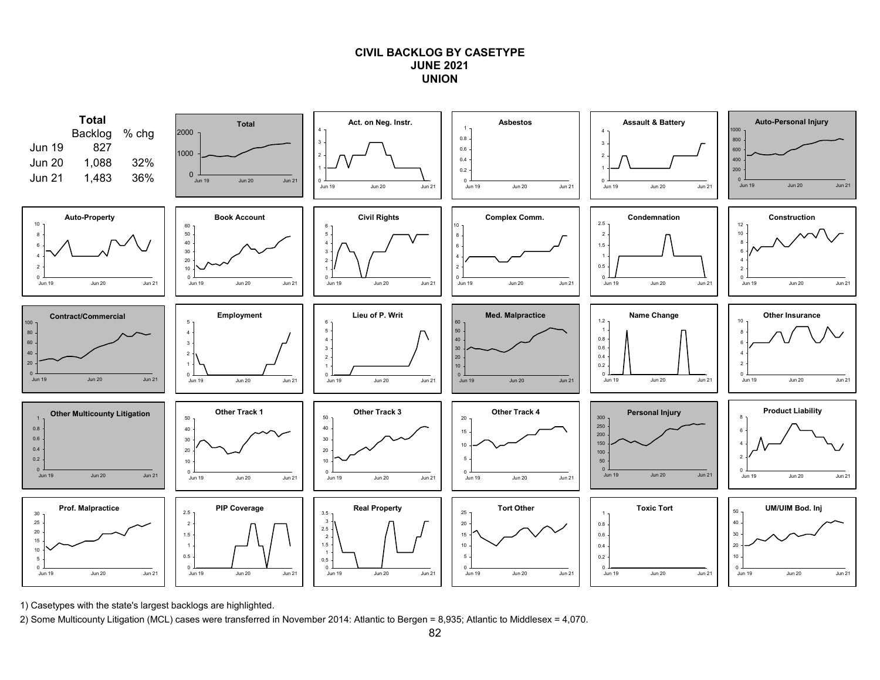## **CIVIL BACKLOG BY CASETYPEJUNE 2021UNION**



1) Casetypes with the state's largest backlogs are highlighted.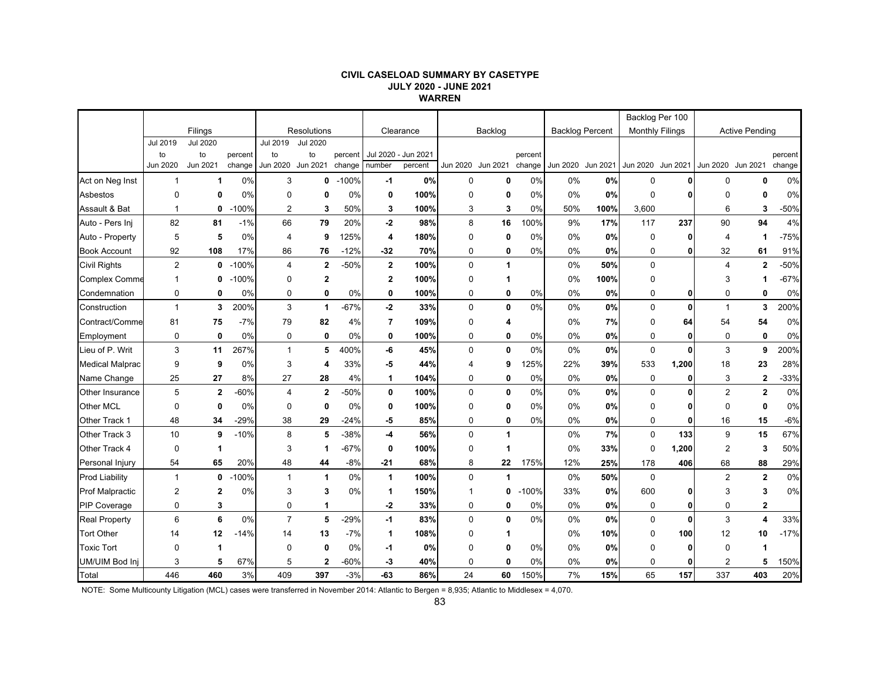#### **CIVIL CASELOAD SUMMARY BY CASETYPE JULY 2020 - JUNE 2021 WARREN**

|                        |                 |                 |         |                 |                    |         |                |           |                |              |         |                        |          | Backlog Per 100   |                        |                   |                         |         |
|------------------------|-----------------|-----------------|---------|-----------------|--------------------|---------|----------------|-----------|----------------|--------------|---------|------------------------|----------|-------------------|------------------------|-------------------|-------------------------|---------|
|                        |                 | Filings         |         |                 | <b>Resolutions</b> |         |                | Clearance |                | Backlog      |         | <b>Backlog Percent</b> |          |                   | <b>Monthly Filings</b> |                   | <b>Active Pending</b>   |         |
|                        | <b>Jul 2019</b> | <b>Jul 2020</b> |         | Jul 2019        | <b>Jul 2020</b>    |         |                |           |                |              |         |                        |          |                   |                        |                   |                         |         |
|                        | to              | to              | percent | to              | to                 | percent | Jul 2020 -     | Jun 2021  |                |              | percent |                        |          |                   |                        |                   |                         | percent |
|                        | Jun 2020        | Jun 2021        | change  | <b>Jun 2020</b> | Jun 2021           | change  | number         | percent   | Jun 2020       | Jun 2021     | change  | Jun 2020               | Jun 2021 | Jun 2020 Jun 2021 |                        | Jun 2020 Jun 2021 |                         | change  |
| Act on Neg Inst        | 1               | $\mathbf 1$     | 0%      | 3               | 0                  | $-100%$ | -1             | 0%        | 0              | 0            | 0%      | 0%                     | 0%       | 0                 |                        | 0                 | 0                       | 0%      |
| Asbestos               | $\Omega$        | 0               | 0%      | 0               | 0                  | 0%      | 0              | 100%      | 0              | 0            | 0%      | 0%                     | 0%       | $\mathbf 0$       |                        | $\mathbf 0$       | 0                       | 0%      |
| Assault & Bat          | $\mathbf{1}$    | 0               | $-100%$ | 2               | 3                  | 50%     | 3              | 100%      | 3              | 3            | 0%      | 50%                    | 100%     | 3,600             |                        | 6                 | 3                       | $-50%$  |
| Auto - Pers Inj        | 82              | 81              | $-1%$   | 66              | 79                 | 20%     | $-2$           | 98%       | 8              | 16           | 100%    | 9%                     | 17%      | 117               | 237                    | 90                | 94                      | 4%      |
| Auto - Property        | 5               | 5               | 0%      | 4               | 9                  | 125%    | 4              | 180%      | $\Omega$       | 0            | 0%      | 0%                     | 0%       | $\mathbf 0$       | U                      | $\overline{4}$    | 1                       | $-75%$  |
| <b>Book Account</b>    | 92              | 108             | 17%     | 86              | 76                 | $-12%$  | $-32$          | 70%       | 0              | 0            | 0%      | 0%                     | 0%       | $\mathbf 0$       | 01                     | 32                | 61                      | 91%     |
| <b>Civil Rights</b>    | 2               | 0               | $-100%$ | 4               | $\mathbf{2}$       | $-50%$  | $\mathbf{2}$   | 100%      | $\mathbf 0$    | 1            |         | 0%                     | 50%      | $\mathbf 0$       |                        | $\overline{4}$    | $\overline{2}$          | $-50%$  |
| <b>Complex Comme</b>   | 1               | 0               | $-100%$ | 0               | $\overline{2}$     |         | $\mathbf 2$    | 100%      | $\Omega$       | 1            |         | 0%                     | 100%     | 0                 |                        | 3                 | 1                       | $-67%$  |
| Condemnation           | $\mathbf 0$     | $\mathbf 0$     | 0%      | $\Omega$        | 0                  | 0%      | 0              | 100%      | 0              | $\mathbf{0}$ | 0%      | 0%                     | 0%       | 0                 | 0                      | $\mathbf 0$       | 0                       | 0%      |
| Construction           | $\mathbf{1}$    | 3               | 200%    | 3               | 1                  | $-67%$  | $-2$           | 33%       | $\mathbf 0$    | 0            | 0%      | 0%                     | 0%       | $\mathbf 0$       | $\mathbf{0}$           | $\overline{1}$    | 3                       | 200%    |
| Contract/Comme         | 81              | 75              | $-7%$   | 79              | 82                 | 4%      | $\overline{7}$ | 109%      | $\Omega$       | 4            |         | 0%                     | 7%       | $\mathbf 0$       | 64                     | 54                | 54                      | 0%      |
| Employment             | 0               | 0               | 0%      | $\mathbf 0$     | 0                  | 0%      | 0              | 100%      | 0              | 0            | 0%      | 0%                     | 0%       | 0                 | 0                      | 0                 | 0                       | 0%      |
| Lieu of P. Writ        | 3               | 11              | 267%    | 1               | 5                  | 400%    | -6             | 45%       | $\mathbf 0$    | $\mathbf 0$  | 0%      | 0%                     | 0%       | $\mathbf 0$       | 0                      | 3                 | 9                       | 200%    |
| <b>Medical Malprac</b> | 9               | 9               | 0%      | 3               | 4                  | 33%     | -5             | 44%       | $\overline{4}$ | 9            | 125%    | 22%                    | 39%      | 533               | 1,200                  | 18                | 23                      | 28%     |
| Name Change            | 25              | 27              | 8%      | 27              | 28                 | 4%      | $\mathbf{1}$   | 104%      | 0              | $\mathbf 0$  | 0%      | 0%                     | 0%       | 0                 | 0                      | 3                 | $\mathbf 2$             | $-33%$  |
| Other Insurance        | 5               | $\mathbf{2}$    | $-60%$  | 4               | $\overline{2}$     | $-50%$  | 0              | 100%      | $\mathbf 0$    | $\mathbf 0$  | 0%      | 0%                     | 0%       | $\Omega$          | 0                      | $\overline{2}$    | $\overline{2}$          | 0%      |
| Other MCL              | $\mathbf 0$     | $\mathbf 0$     | 0%      | $\mathbf 0$     | $\mathbf 0$        | 0%      | 0              | 100%      | $\Omega$       | 0            | 0%      | 0%                     | 0%       | $\Omega$          | 0                      | $\Omega$          | 0                       | 0%      |
| Other Track 1          | 48              | 34              | $-29%$  | 38              | 29                 | $-24%$  | -5             | 85%       | 0              | 0            | 0%      | 0%                     | 0%       | 0                 | 0                      | 16                | 15                      | $-6%$   |
| Other Track 3          | 10              | 9               | $-10%$  | 8               | 5                  | $-38%$  | $-4$           | 56%       | $\mathbf{0}$   | 1            |         | 0%                     | 7%       | $\Omega$          | 133                    | 9                 | 15                      | 67%     |
| Other Track 4          | $\mathbf 0$     | 1               |         | 3               | -1                 | $-67%$  | 0              | 100%      | 0              | 1            |         | 0%                     | 33%      | $\Omega$          | 1,200                  | $\overline{2}$    | 3                       | 50%     |
| Personal Injury        | 54              | 65              | 20%     | 48              | 44                 | $-8%$   | $-21$          | 68%       | 8              | 22           | 175%    | 12%                    | 25%      | 178               | 406                    | 68                | 88                      | 29%     |
| <b>Prod Liability</b>  | $\mathbf{1}$    | 0               | $-100%$ | $\mathbf 1$     | 1                  | 0%      | $\mathbf{1}$   | 100%      | $\mathbf 0$    | $\mathbf{1}$ |         | 0%                     | 50%      | $\Omega$          |                        | $\overline{2}$    | $\overline{\mathbf{2}}$ | 0%      |
| <b>Prof Malpractic</b> | 2               | $\mathbf{2}$    | 0%      | 3               | 3                  | 0%      | 1              | 150%      | 1              | 0            | $-100%$ | 33%                    | 0%       | 600               | 0                      | 3                 | 3                       | 0%      |
| <b>PIP Coverage</b>    | 0               | 3               |         | $\mathbf 0$     | 1                  |         | $-2$           | 33%       | 0              | 0            | 0%      | 0%                     | 0%       | $\mathbf 0$       | $\mathbf{0}$           | $\mathbf 0$       | 2                       |         |
| <b>Real Property</b>   | 6               | 6               | 0%      | $\overline{7}$  | 5                  | $-29%$  | $-1$           | 83%       | $\Omega$       | $\mathbf{0}$ | 0%      | 0%                     | 0%       | $\mathbf 0$       | $\mathbf{0}$           | 3                 | 4                       | 33%     |
| <b>Tort Other</b>      | 14              | 12              | $-14%$  | 14              | 13                 | $-7%$   | $\mathbf{1}$   | 108%      | 0              | 1            |         | 0%                     | 10%      | $\mathbf 0$       | 100                    | 12                | 10                      | $-17%$  |
| <b>Toxic Tort</b>      | $\mathbf 0$     | 1               |         | $\mathbf 0$     | $\mathbf 0$        | 0%      | -1             | 0%        | $\Omega$       | 0            | 0%      | 0%                     | 0%       | $\Omega$          | 0                      | $\mathbf 0$       | 1                       |         |
| UM/UIM Bod Inj         | 3               | 5               | 67%     | 5               | $\overline{2}$     | $-60%$  | -3             | 40%       | 0              | 0            | 0%      | 0%                     | 0%       | 0                 | 0                      | $\overline{2}$    | 5                       | 150%    |
| Total                  | 446             | 460             | 3%      | 409             | 397                | $-3%$   | -63            | 86%       | 24             | 60           | 150%    | 7%                     | 15%      | 65                | 157                    | 337               | 403                     | 20%     |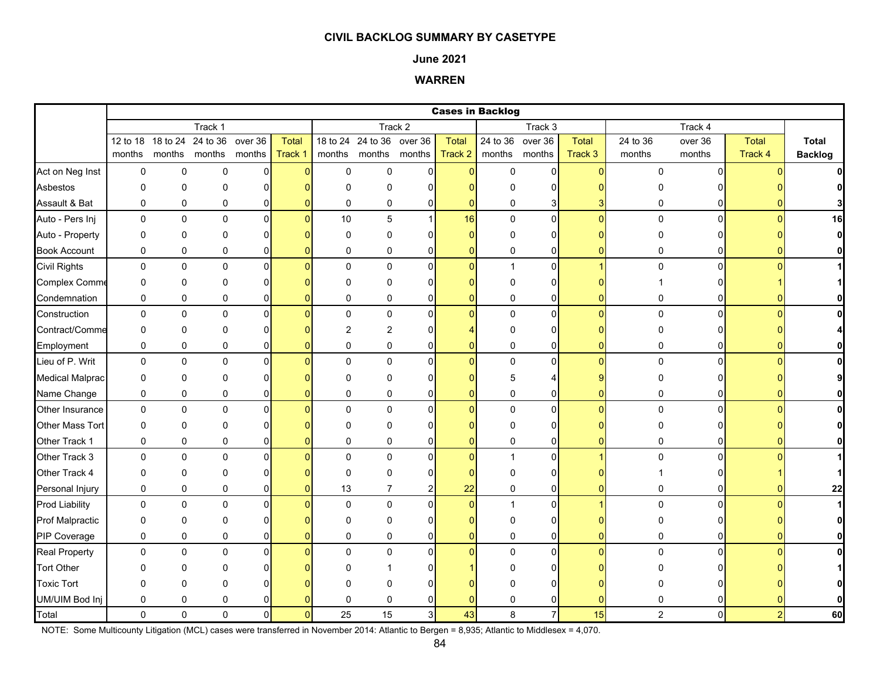### **June 2021**

## **WARREN**

|                        |             |              |                      |                |                |                |                           |                | <b>Cases in Backlog</b> |               |                        |          |                |                |              |                |
|------------------------|-------------|--------------|----------------------|----------------|----------------|----------------|---------------------------|----------------|-------------------------|---------------|------------------------|----------|----------------|----------------|--------------|----------------|
|                        |             |              | Track 1              |                |                |                |                           | Track 2        |                         |               | Track 3                |          |                | Track 4        |              |                |
|                        | 12 to 18    | 18 to 24     | 24 to 36             | over 36        | Total          |                | 18 to 24 24 to 36 over 36 |                | <b>Total</b>            |               | $24$ to $36$ over $36$ | Total    | 24 to 36       | over 36        | <b>Total</b> | Total          |
|                        | months      |              | months months months |                | Track 1        |                | months months months      |                | Track 2                 | months months |                        | Track 3  | months         | months         | Track 4      | <b>Backlog</b> |
| Act on Neg Inst        | 0           | $\mathbf 0$  | $\mathbf 0$          | $\overline{0}$ | $\Omega$       | $\mathsf 0$    | $\mathbf 0$               | $\overline{0}$ | $\overline{0}$          | $\mathsf 0$   | $\mathbf 0$            | $\Omega$ | 0              | $\Omega$       |              |                |
| Asbestos               | 0           | $\mathbf 0$  | 0                    | 0              |                | $\Omega$       | $\Omega$                  | ŋ              |                         | U             | 0                      |          |                |                |              |                |
| Assault & Bat          | 0           | 0            | 0                    | 0              |                | 0              | 0                         | 0              | $\Omega$                | 0             | 3                      |          | 0              |                |              | 3              |
| Auto - Pers Inj        | 0           | $\mathbf 0$  | $\mathbf 0$          | $\overline{0}$ | $\Omega$       | 10             | 5                         | $\mathbf{1}$   | 16                      | $\mathbf 0$   | $\overline{0}$         | $\Omega$ | $\mathbf 0$    | $\Omega$       | $\Omega$     | 16             |
| Auto - Property        | 0           | $\mathbf 0$  | 0                    | $\Omega$       |                | $\Omega$       | $\Omega$                  |                | $\Omega$                | $\Omega$      | 0                      |          | 0              |                |              | $\mathbf{0}$   |
| <b>Book Account</b>    | 0           | $\pmb{0}$    | 0                    | 0              |                | $\mathbf 0$    | 0                         | $\mathbf{0}$   | 0                       | 0             | 0                      |          | 0              | ŋ              |              | $\mathbf{0}$   |
| <b>Civil Rights</b>    | 0           | $\mathbf 0$  | 0                    | $\mathbf{0}$   |                | $\Omega$       | $\mathbf 0$               | $\Omega$       | $\Omega$                | $\mathbf{1}$  | $\overline{0}$         |          | 0              | $\Omega$       |              |                |
| <b>Complex Comme</b>   | 0           | 0            | 0                    | $\Omega$       |                | 0              | 0                         | $\Omega$       | n                       | $\Omega$      | 0                      |          |                |                |              |                |
| Condemnation           | 0           | $\pmb{0}$    | 0                    | 0              |                | $\mathbf 0$    | 0                         | 0              | 0                       | 0             | 0                      |          | 0              | 0              |              | $\mathbf{0}$   |
| Construction           | 0           | $\mathbf 0$  | $\mathbf 0$          | $\Omega$       |                | $\Omega$       | $\mathbf 0$               | $\Omega$       | $\overline{0}$          | $\mathbf 0$   | $\pmb{0}$              | $\Omega$ | $\mathbf 0$    | $\Omega$       |              | $\mathbf{0}$   |
| Contract/Comme         | 0           | 0            | $\mathbf 0$          | $\Omega$       |                | $\overline{2}$ | $\overline{c}$            | ŋ              |                         | 0             | 0                      |          | 0              |                |              |                |
| Employment             | 0           | $\mathbf 0$  | 0                    | 0              |                | $\mathbf 0$    | $\mathbf 0$               | 0              | 0                       | 0             | 0                      |          | 0              | o              |              |                |
| Lieu of P. Writ        | 0           | $\pmb{0}$    | $\pmb{0}$            | $\Omega$       |                | $\Omega$       | $\mathbf 0$               | $\Omega$       | $\Omega$                | $\pmb{0}$     | 0                      | $\Omega$ | $\mathbf 0$    | $\Omega$       |              | $\mathbf{0}$   |
| <b>Medical Malprac</b> | 0           | $\mathbf 0$  | 0                    | $\Omega$       |                | $\Omega$       | $\Omega$                  | O              |                         | 5             | 4                      |          | $\Omega$       |                |              |                |
| Name Change            | 0           | $\pmb{0}$    | $\pmb{0}$            | 0              |                | 0              | 0                         | 0              | ŋ                       | 0             | 0                      |          | 0              | 0              |              |                |
| Other Insurance        | $\mathbf 0$ | $\pmb{0}$    | $\pmb{0}$            | $\Omega$       |                | $\mathbf 0$    | 0                         | $\Omega$       | $\overline{0}$          | 0             | $\pmb{0}$              | n        | 0              | $\overline{0}$ |              | $\mathbf{0}$   |
| Other Mass Tort        | 0           | $\pmb{0}$    | 0                    | $\Omega$       |                | $\Omega$       | 0                         |                |                         | 0             | 0                      |          | 0              | ΩI             |              | $\mathbf{0}$   |
| Other Track 1          | 0           | $\mathbf 0$  | 0                    | 0              |                | 0              | 0                         | 0              | O                       | 0             | $\overline{0}$         |          | 0              | ŋ              |              |                |
| Other Track 3          | 0           | $\pmb{0}$    | 0                    | $\mathbf{0}$   |                | $\Omega$       | $\mathbf 0$               | $\Omega$       | $\Omega$                | $\mathbf{1}$  | $\mathbf 0$            |          | $\Omega$       | $\Omega$       |              |                |
| Other Track 4          | 0           | $\mathbf 0$  | 0                    | $\Omega$       |                | $\Omega$       | $\Omega$                  | ŋ              |                         | $\Omega$      | 0                      |          |                |                |              | $\mathbf{1}$   |
| Personal Injury        | 0           | $\mathbf 0$  | 0                    | 0              |                | 13             | $\overline{7}$            | $\overline{2}$ | 22                      | 0             | $\overline{0}$         |          | 0              | 01             |              | 22             |
| <b>Prod Liability</b>  | 0           | $\pmb{0}$    | 0                    | $\mathbf 0$    |                | $\mathbf 0$    | $\mathbf 0$               | $\Omega$       | $\mathbf{0}$            | $\mathbf{1}$  | $\pmb{0}$              |          | 0              | $\Omega$       |              | $\mathbf{1}$   |
| <b>Prof Malpractic</b> | 0           | $\mathbf 0$  | 0                    | 0              |                | $\Omega$       | 0                         | O              |                         | 0             | 0                      |          |                |                |              | $\mathbf{0}$   |
| PIP Coverage           | 0           | $\pmb{0}$    | 0                    | 0              |                | $\mathbf 0$    | 0                         | 0              | $\Omega$                | 0             | 0                      |          | 0              |                |              | $\mathbf{0}$   |
| <b>Real Property</b>   | 0           | $\mathbf 0$  | 0                    | $\Omega$       |                | $\Omega$       | 0                         | $\Omega$       | $\Omega$                | $\Omega$      | $\mathbf 0$            | $\Omega$ | 0              | $\Omega$       |              | $\mathbf{0}$   |
| <b>Tort Other</b>      | U           | $\mathbf{0}$ | ∩                    |                |                | ∩              |                           |                |                         |               | 0                      |          |                |                |              |                |
| <b>Toxic Tort</b>      | 0           | $\mathbf 0$  | 0                    |                |                | n              | 0                         |                |                         | ŋ             | $\Omega$               |          |                |                |              |                |
| UM/UIM Bod Inj         | 0           | $\mathbf 0$  | 0                    |                |                | $\mathbf 0$    | $\Omega$                  |                |                         | 0             | 0                      |          | 0              |                |              |                |
| Total                  | $\Omega$    | $\Omega$     | $\Omega$             | $\Omega$       | $\overline{0}$ | 25             | 15                        | $\mathbf{3}$   | 43                      | 8             | $\overline{7}$         | 15       | $\overline{2}$ | $\Omega$       |              | 60             |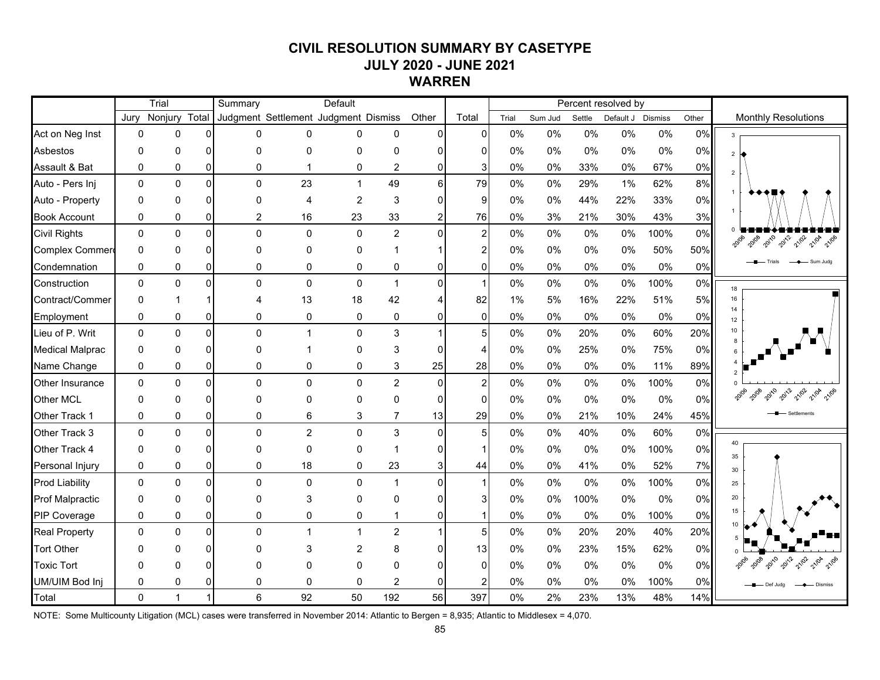# **CIVIL RESOLUTION SUMMARY BY CASETYPE JULY 2020 - JUNE 2021 WARREN**

|                        |              | Trial         |          | Summary        |                | Default                              |                |                |                         |       |         |        | Percent resolved by |       |       |                               |
|------------------------|--------------|---------------|----------|----------------|----------------|--------------------------------------|----------------|----------------|-------------------------|-------|---------|--------|---------------------|-------|-------|-------------------------------|
|                        | Jury         | Nonjury Total |          |                |                | Judgment Settlement Judgment Dismiss |                | Other          | Total                   | Trial | Sum Jud | Settle | Default J Dismiss   |       | Other | <b>Monthly Resolutions</b>    |
| Act on Neg Inst        | $\mathbf{0}$ | 0             | ΩI       | $\Omega$       | $\Omega$       | $\Omega$                             | 0              | $\overline{0}$ | 0                       | 0%    | $0\%$   | 0%     | $0\%$               | 0%    | 0%    | $3^{\circ}$                   |
| Asbestos               | $\Omega$     | 0             | ΩI       | $\Omega$       | $\Omega$       | 0                                    | 0              | $\Omega$       | 0                       | 0%    | 0%      | 0%     | $0\%$               | $0\%$ | 0%    | 2H                            |
| Assault & Bat          | $\mathbf{0}$ | $\mathbf 0$   | $\Omega$ | $\mathbf 0$    | $\overline{1}$ | 0                                    | $\overline{2}$ | $\mathbf 0$    | 3 <sup>1</sup>          | 0%    | 0%      | 33%    | 0%                  | 67%   | 0%    | $\overline{2}$                |
| Auto - Pers Inj        | $\mathbf 0$  | 0             | $\Omega$ | $\mathbf 0$    | 23             | $\mathbf{1}$                         | 49             | $6\phantom{a}$ | 79                      | 0%    | 0%      | 29%    | 1%                  | 62%   | 8%    |                               |
| Auto - Property        | $\mathbf{0}$ | 0             | ΩI       | $\mathbf{0}$   | 4              | $\overline{c}$                       | 3              | $\overline{0}$ | 9                       | 0%    | 0%      | 44%    | 22%                 | 33%   | 0%    |                               |
| <b>Book Account</b>    | 0            | 0             | $\Omega$ | $\overline{2}$ | 16             | 23                                   | 33             | $\overline{a}$ | 76                      | 0%    | 3%      | 21%    | 30%                 | 43%   | 3%    |                               |
| <b>Civil Rights</b>    | $\Omega$     | $\mathbf 0$   | $\Omega$ | $\mathbf 0$    | $\mathbf 0$    | $\mathbf 0$                          | $\overline{2}$ | $\mathbf 0$    | $\mathbf{2}$            | 0%    | 0%      | $0\%$  | 0%                  | 100%  | 0%    | 2018 2010 2012 2102 2104 2106 |
| Complex Commer         | $\mathbf{0}$ | 0             | 0I       | $\Omega$       | $\Omega$       | 0                                    |                | $\mathbf{1}$   | 2                       | 0%    | 0%      | $0\%$  | $0\%$               | 50%   | 50%   |                               |
| Condemnation           | 0            | 0             | 0        | $\pmb{0}$      | 0              | 0                                    | 0              | $\mathbf 0$    | $\overline{0}$          | 0%    | 0%      | 0%     | 0%                  | $0\%$ | 0%    |                               |
| Construction           | $\mathbf 0$  | 0             | $\Omega$ | $\mathbf 0$    | $\mathbf 0$    | $\mathbf 0$                          | $\mathbf{1}$   | $\mathbf 0$    | $\mathbf{1}$            | 0%    | $0\%$   | 0%     | 0%                  | 100%  | 0%    | 18                            |
| Contract/Commer        | $\mathbf{0}$ | 1             |          | 4              | 13             | 18                                   | 42             | $\overline{4}$ | 82                      | 1%    | 5%      | 16%    | 22%                 | 51%   | 5%    | 16                            |
| Employment             | $\mathbf 0$  | 0             | $\Omega$ | 0              | $\mathbf 0$    | 0                                    | 0              | $\mathbf 0$    | $\overline{0}$          | 0%    | $0\%$   | 0%     | 0%                  | 0%    | 0%    | 14<br>12                      |
| Lieu of P. Writ        | $\mathbf 0$  | 0             | $\Omega$ | $\mathbf 0$    | $\mathbf{1}$   | 0                                    | 3              | $\mathbf{1}$   | 5 <sub>5</sub>          | 0%    | 0%      | 20%    | $0\%$               | 60%   | 20%   | 10<br>8                       |
| <b>Medical Malprac</b> | $\Omega$     | 0             | ΩI       | $\mathbf 0$    |                | 0                                    | 3              | $\mathbf 0$    | 4                       | 0%    | 0%      | 25%    | $0\%$               | 75%   | $0\%$ |                               |
| Name Change            | $\mathbf 0$  | 0             | 0I       | 0              | 0              | 0                                    | 3              | 25             | 28                      | 0%    | $0\%$   | 0%     | $0\%$               | 11%   | 89%   |                               |
| Other Insurance        | $\Omega$     | $\pmb{0}$     | $\Omega$ | $\mathbf 0$    | $\mathbf 0$    | 0                                    | $\overline{2}$ | $\mathbf 0$    | $\overline{\mathbf{c}}$ | 0%    | $0\%$   | $0\%$  | 0%                  | 100%  | 0%    |                               |
| Other MCL              | $\mathbf{0}$ | 0             | $\Omega$ | $\mathbf 0$    | $\Omega$       | 0                                    | 0              | $\mathbf 0$    | $\overline{0}$          | 0%    | 0%      | 0%     | 0%                  | 0%    | 0%    | 21/02<br>2 21/04 21/06        |
| Other Track 1          | 0            | 0             | $\Omega$ | 0              | 6              | 3                                    | $\overline{7}$ | 13             | 29                      | 0%    | 0%      | 21%    | 10%                 | 24%   | 45%   |                               |
| Other Track 3          | $\Omega$     | 0             | $\Omega$ | $\mathbf 0$    | $\overline{c}$ | 0                                    | 3              | $\mathbf 0$    | 5                       | 0%    | 0%      | 40%    | $0\%$               | 60%   | 0%    |                               |
| Other Track 4          | $\mathbf{0}$ | 0             | $\Omega$ | $\mathbf 0$    | 0              | 0                                    | 1              | $\pmb{0}$      |                         | 0%    | 0%      | 0%     | $0\%$               | 100%  | 0%    | 40<br>35                      |
| Personal Injury        | 0            | 0             | 0        | 0              | 18             | 0                                    | 23             | 3              | 44                      | 0%    | 0%      | 41%    | 0%                  | 52%   | 7%    | 30 <sup>°</sup>               |
| <b>Prod Liability</b>  | $\Omega$     | 0             | $\Omega$ | $\mathbf{0}$   | $\Omega$       | 0                                    | $\mathbf{1}$   | $\mathbf{0}$   | $\mathbf{1}$            | 0%    | $0\%$   | $0\%$  | $0\%$               | 100%  | 0%    | 25                            |
| <b>Prof Malpractic</b> | $\Omega$     | 0             | ΩI       | $\Omega$       | 3              | $\Omega$                             | 0              | $\Omega$       | 3                       | $0\%$ | 0%      | 100%   | 0%                  | 0%    | 0%    | 20                            |
| PIP Coverage           | $\mathbf 0$  | 0             | $\Omega$ | $\mathbf 0$    | $\pmb{0}$      | 0                                    | $\mathbf 1$    | $\Omega$       |                         | 0%    | 0%      | 0%     | 0%                  | 100%  | 0%    | 15                            |
| <b>Real Property</b>   | $\Omega$     | 0             | $\Omega$ | $\mathbf{0}$   | $\mathbf{1}$   | $\mathbf{1}$                         | $\overline{a}$ | $\mathbf{1}$   | 5 <sub>l</sub>          | 0%    | 0%      | 20%    | 20%                 | 40%   | 20%   | 10                            |
| <b>Tort Other</b>      | $\Omega$     | 0             | ΩI       | $\Omega$       | 3              | $\overline{2}$                       | 8              | $\mathbf 0$    | 13                      | 0%    | 0%      | 23%    | 15%                 | 62%   | 0%    |                               |
| <b>Toxic Tort</b>      | O            | 0             | ΩI       | $\Omega$       | $\Omega$       | $\mathbf{0}$                         | $\Omega$       | $\Omega$       | $\Omega$                | 0%    | 0%      | 0%     | 0%                  | 0%    | 0%    | 2012<br>21/02                 |
| UM/UIM Bod Inj         | $\mathbf{0}$ | 0             | ΩI       | $\mathbf 0$    | $\Omega$       | $\mathbf{0}$                         | $\overline{2}$ | 0              | 2                       | 0%    | 0%      | 0%     | 0%                  | 100%  | 0%    | Def Judg                      |
| Total                  | $\Omega$     | $\mathbf{1}$  |          | $6\phantom{1}$ | 92             | 50                                   | 192            | 56             | 397                     | 0%    | 2%      | 23%    | 13%                 | 48%   | 14%   |                               |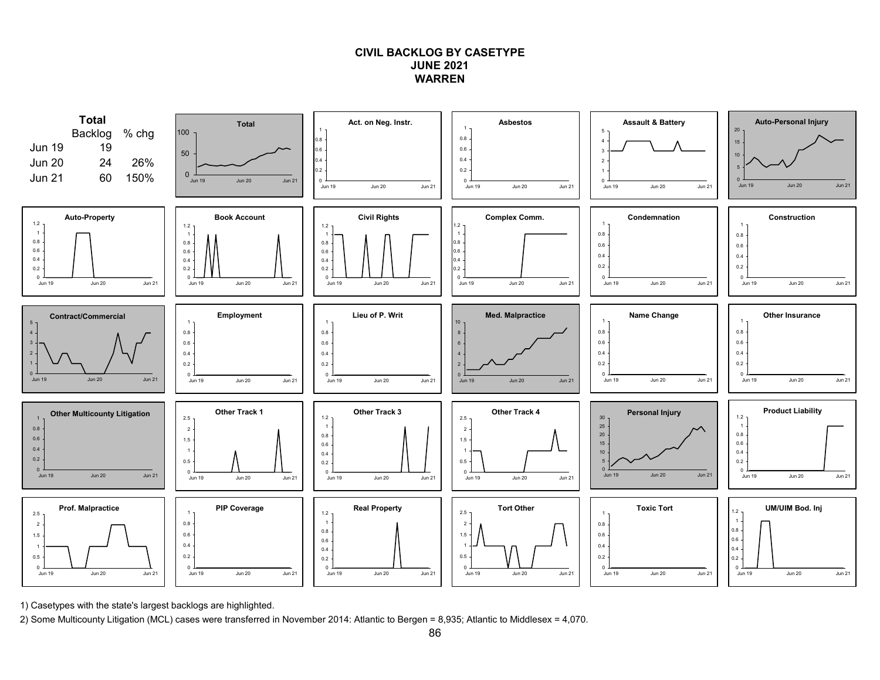## **CIVIL BACKLOG BY CASETYPEJUNE 2021WARREN**



1) Casetypes with the state's largest backlogs are highlighted.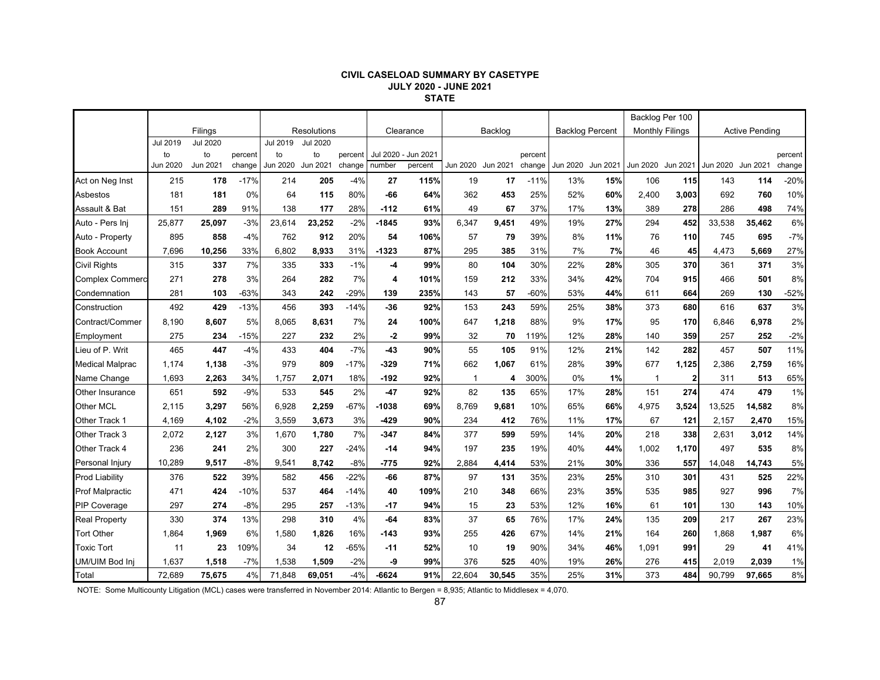#### **CIVIL CASELOAD SUMMARY BY CASETYPE JULY 2020 - JUNE 2021 STATE**

|                        |                 |          |         |                    |                 |         |           |                     |              |          |         |                        |          | Backlog Per 100        |              |                       |        |         |
|------------------------|-----------------|----------|---------|--------------------|-----------------|---------|-----------|---------------------|--------------|----------|---------|------------------------|----------|------------------------|--------------|-----------------------|--------|---------|
|                        | Filings         |          |         | <b>Resolutions</b> |                 |         | Clearance |                     | Backlog      |          |         | <b>Backlog Percent</b> |          | <b>Monthly Filings</b> |              | <b>Active Pending</b> |        |         |
|                        | <b>Jul 2019</b> | Jul 2020 |         | Jul 2019           | <b>Jul 2020</b> |         |           |                     |              |          |         |                        |          |                        |              |                       |        |         |
|                        | to              | to       | percent | to                 | to              | percent |           | Jul 2020 - Jun 2021 |              |          | percent |                        |          |                        |              |                       |        | percent |
|                        | <b>Jun 2020</b> | Jun 2021 | change  | Jun 2020           | Jun 2021        | change  | number    | percent             | Jun 2020     | Jun 2021 | change  | Jun 2020               | Jun 2021 | Jun 2020 Jun 2021      |              | Jun 2020 Jun 2021     |        | change  |
| Act on Neg Inst        | 215             | 178      | $-17%$  | 214                | 205             | $-4%$   | 27        | 115%                | 19           | 17       | $-11%$  | 13%                    | 15%      | 106                    | 115          | 143                   | 114    | $-20%$  |
| Asbestos               | 181             | 181      | 0%      | 64                 | 115             | 80%     | $-66$     | 64%                 | 362          | 453      | 25%     | 52%                    | 60%      | 2,400                  | 3,003        | 692                   | 760    | 10%     |
| Assault & Bat          | 151             | 289      | 91%     | 138                | 177             | 28%     | $-112$    | 61%                 | 49           | 67       | 37%     | 17%                    | 13%      | 389                    | 278          | 286                   | 498    | 74%     |
| Auto - Pers Inj        | 25,877          | 25,097   | $-3%$   | 23,614             | 23,252          | $-2%$   | $-1845$   | 93%                 | 6,347        | 9,451    | 49%     | 19%                    | 27%      | 294                    | 452          | 33,538                | 35,462 | 6%      |
| Auto - Property        | 895             | 858      | $-4%$   | 762                | 912             | 20%     | 54        | 106%                | 57           | 79       | 39%     | 8%                     | 11%      | 76                     | 110          | 745                   | 695    | $-7%$   |
| <b>Book Account</b>    | 7,696           | 10,256   | 33%     | 6.802              | 8,933           | 31%     | $-1323$   | 87%                 | 295          | 385      | 31%     | 7%                     | 7%       | 46                     | 45           | 4,473                 | 5,669  | 27%     |
| <b>Civil Rights</b>    | 315             | 337      | 7%      | 335                | 333             | $-1%$   | -4        | 99%                 | 80           | 104      | 30%     | 22%                    | 28%      | 305                    | 370          | 361                   | 371    | 3%      |
| <b>Complex Commerc</b> | 271             | 278      | 3%      | 264                | 282             | 7%      | 4         | 101%                | 159          | 212      | 33%     | 34%                    | 42%      | 704                    | 915          | 466                   | 501    | 8%      |
| Condemnation           | 281             | 103      | $-63%$  | 343                | 242             | $-29%$  | 139       | 235%                | 143          | 57       | $-60%$  | 53%                    | 44%      | 611                    | 664          | 269                   | 130    | $-52%$  |
| Construction           | 492             | 429      | $-13%$  | 456                | 393             | $-14%$  | -36       | 92%                 | 153          | 243      | 59%     | 25%                    | 38%      | 373                    | 680          | 616                   | 637    | 3%      |
| Contract/Commer        | 8,190           | 8,607    | 5%      | 8,065              | 8,631           | 7%      | 24        | 100%                | 647          | 1,218    | 88%     | 9%                     | 17%      | 95                     | 170          | 6,846                 | 6,978  | 2%      |
| Employment             | 275             | 234      | $-15%$  | 227                | 232             | 2%      | $-2$      | 99%                 | 32           | 70       | 119%    | 12%                    | 28%      | 140                    | 359          | 257                   | 252    | $-2%$   |
| Lieu of P. Writ        | 465             | 447      | $-4%$   | 433                | 404             | $-7%$   | $-43$     | 90%                 | 55           | 105      | 91%     | 12%                    | 21%      | 142                    | 282          | 457                   | 507    | 11%     |
| <b>Medical Malprac</b> | 1,174           | 1,138    | $-3%$   | 979                | 809             | $-17%$  | $-329$    | 71%                 | 662          | 1,067    | 61%     | 28%                    | 39%      | 677                    | 1,125        | 2,386                 | 2,759  | 16%     |
| Name Change            | 1,693           | 2,263    | 34%     | 1,757              | 2,071           | 18%     | -192      | 92%                 | $\mathbf{1}$ | 4        | 300%    | 0%                     | 1%       | $\mathbf 1$            | $\mathbf{2}$ | 311                   | 513    | 65%     |
| Other Insurance        | 651             | 592      | $-9%$   | 533                | 545             | 2%      | $-47$     | 92%                 | 82           | 135      | 65%     | 17%                    | 28%      | 151                    | 274          | 474                   | 479    | 1%      |
| <b>Other MCL</b>       | 2,115           | 3,297    | 56%     | 6,928              | 2,259           | $-67%$  | $-1038$   | 69%                 | 8,769        | 9,681    | 10%     | 65%                    | 66%      | 4,975                  | 3,524        | 13,525                | 14,582 | 8%      |
| Other Track 1          | 4,169           | 4,102    | $-2%$   | 3,559              | 3,673           | 3%      | $-429$    | 90%                 | 234          | 412      | 76%     | 11%                    | 17%      | 67                     | 121          | 2,157                 | 2,470  | 15%     |
| Other Track 3          | 2,072           | 2,127    | 3%      | 1,670              | 1,780           | 7%      | $-347$    | 84%                 | 377          | 599      | 59%     | 14%                    | 20%      | 218                    | 338          | 2,631                 | 3,012  | 14%     |
| Other Track 4          | 236             | 241      | 2%      | 300                | 227             | $-24%$  | $-14$     | 94%                 | 197          | 235      | 19%     | 40%                    | 44%      | 1,002                  | 1,170        | 497                   | 535    | 8%      |
| Personal Injury        | 10,289          | 9,517    | $-8%$   | 9,541              | 8,742           | $-8%$   | $-775$    | 92%                 | 2,884        | 4,414    | 53%     | 21%                    | 30%      | 336                    | 557          | 14,048                | 14,743 | 5%      |
| <b>Prod Liability</b>  | 376             | 522      | 39%     | 582                | 456             | $-22%$  | -66       | 87%                 | 97           | 131      | 35%     | 23%                    | 25%      | 310                    | 301          | 431                   | 525    | 22%     |
| <b>Prof Malpractic</b> | 471             | 424      | $-10%$  | 537                | 464             | $-14%$  | 40        | 109%                | 210          | 348      | 66%     | 23%                    | 35%      | 535                    | 985          | 927                   | 996    | 7%      |
| <b>PIP Coverage</b>    | 297             | 274      | $-8%$   | 295                | 257             | $-13%$  | $-17$     | 94%                 | 15           | 23       | 53%     | 12%                    | 16%      | 61                     | 101          | 130                   | 143    | 10%     |
| <b>Real Property</b>   | 330             | 374      | 13%     | 298                | 310             | 4%      | $-64$     | 83%                 | 37           | 65       | 76%     | 17%                    | 24%      | 135                    | 209          | 217                   | 267    | 23%     |
| <b>Tort Other</b>      | 1,864           | 1,969    | 6%      | 1,580              | 1,826           | 16%     | $-143$    | 93%                 | 255          | 426      | 67%     | 14%                    | 21%      | 164                    | 260          | 1,868                 | 1,987  | 6%      |
| <b>Toxic Tort</b>      | 11              | 23       | 109%    | 34                 | 12              | $-65%$  | $-11$     | 52%                 | 10           | 19       | 90%     | 34%                    | 46%      | 1,091                  | 991          | 29                    | 41     | 41%     |
| UM/UIM Bod Inj         | 1,637           | 1,518    | $-7%$   | 1,538              | 1,509           | $-2%$   | -9        | 99%                 | 376          | 525      | 40%     | 19%                    | 26%      | 276                    | 415          | 2,019                 | 2,039  | 1%      |
| Total                  | 72,689          | 75,675   | 4%      | 71,848             | 69,051          | $-4%$   | -6624     | 91%                 | 22,604       | 30,545   | 35%     | 25%                    | 31%      | 373                    | 484          | 90,799                | 97,665 | 8%      |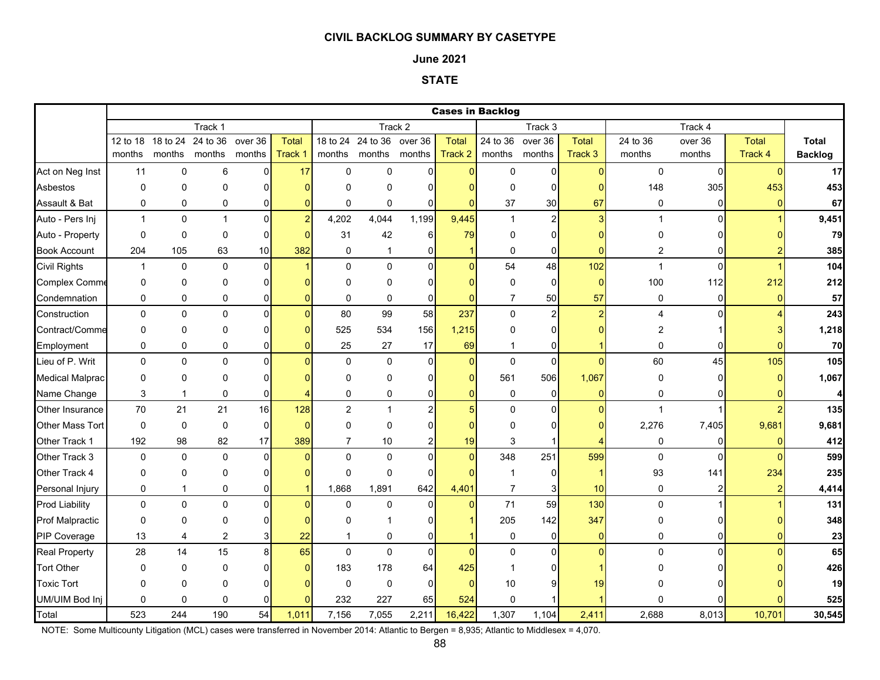### **June 2021**

## **STATE**

|                        |              | <b>Cases in Backlog</b><br>Track 4 |                |                |                |                |                           |                |                 |                |                         |                |                |                |               |                |
|------------------------|--------------|------------------------------------|----------------|----------------|----------------|----------------|---------------------------|----------------|-----------------|----------------|-------------------------|----------------|----------------|----------------|---------------|----------------|
|                        |              |                                    | Track 1        |                |                | Track 2        |                           |                |                 |                | Track 3                 |                |                |                |               |                |
|                        | 12 to 18     | 18 to 24                           | 24 to 36       | over 36        | <b>Total</b>   |                | 18 to 24 24 to 36 over 36 |                | <b>Total</b>    | 24 to 36       | over 36                 | Total          | 24 to 36       | over 36        | <b>Total</b>  | <b>Total</b>   |
|                        | months       | months months                      |                | months         | Track 1        |                | months months months      |                | Track 2         | months         | months                  | Track 3        | months         | months         | Track 4       | <b>Backlog</b> |
| Act on Neg Inst        | 11           | $\mathbf 0$                        | 6              | $\Omega$       | 17             | $\mathbf{0}$   | $\Omega$                  | $\Omega$       | $\overline{0}$  | $\mathbf 0$    | $\overline{0}$          | $\Omega$       | $\mathbf 0$    | $\overline{0}$ | $\Omega$      | 17             |
| Asbestos               | 0            | $\mathbf 0$                        | 0              | 0              |                | $\Omega$       | 0                         | $\Omega$       | $\overline{0}$  | $\mathbf 0$    | $\overline{0}$          | $\Omega$       | 148            | 305            | 453           | 453            |
| Assault & Bat          | 0            | $\mathbf 0$                        | 0              | 0              | $\Omega$       | $\mathbf 0$    | 0                         | $\mathbf{0}$   | $\Omega$        | 37             | 30                      | 67             | 0              | $\overline{0}$ | $\Omega$      | 67             |
| Auto - Pers Inj        | $\mathbf{1}$ | $\pmb{0}$                          | $\mathbf{1}$   | $\overline{0}$ | $\overline{2}$ | 4,202          | 4,044                     | 1,199          | 9,445           | $\mathbf{1}$   | $\mathbf{2}$            | $\overline{3}$ | $\mathbf{1}$   | $\Omega$       |               | 9,451          |
| Auto - Property        | $\mathbf 0$  | $\mathbf 0$                        | $\mathbf 0$    | $\Omega$       | $\Omega$       | 31             | 42                        | 6              | 79              | 0              | 0                       |                | 0              |                |               | 79             |
| <b>Book Account</b>    | 204          | 105                                | 63             | 10             | 382            | $\mathbf 0$    | $\mathbf{1}$              | $\mathbf{0}$   | $\overline{1}$  | $\mathbf 0$    | 0                       | 0              | $\overline{c}$ | 0              |               | 385            |
| <b>Civil Rights</b>    | $\mathbf{1}$ | $\pmb{0}$                          | 0              | $\Omega$       |                | $\Omega$       | $\Omega$                  | $\Omega$       | $\overline{0}$  | 54             | 48                      | 102            | $\mathbf{1}$   | $\Omega$       |               | 104            |
| Complex Comme          | 0            | $\mathbf 0$                        | 0              | 0              |                | 0              | 0                         | $\overline{0}$ | $\overline{0}$  | 0              | $\mathbf 0$             | $\overline{0}$ | 100            | 112            | 212           | 212            |
| Condemnation           | 0            | $\mathbf 0$                        | 0              | 0              |                | 0              | 0                         | $\mathbf 0$    | $\overline{0}$  | $\overline{7}$ | 50                      | 57             | 0              | $\overline{0}$ | $\Omega$      | 57             |
| Construction           | 0            | $\pmb{0}$                          | 0              | $\Omega$       |                | 80             | 99                        | 58             | 237             | 0              | $\overline{\mathbf{c}}$ | $\overline{2}$ | 4              | $\Omega$       |               | 243            |
| Contract/Comme         | 0            | $\Omega$                           | 0              | $\Omega$       |                | 525            | 534                       | 156            | 1,215           | 0              | $\overline{0}$          |                | 2              |                |               | 1,218          |
| Employment             | 0            | $\mathbf 0$                        | 0              | 0              | ŋ              | 25             | 27                        | 17             | 69              | $\mathbf{1}$   | 0                       |                | 0              | $\Omega$       | $\Omega$      | 70             |
| Lieu of P. Writ        | $\Omega$     | $\Omega$                           | $\Omega$       | $\Omega$       |                | $\Omega$       | $\mathbf{0}$              | $\Omega$       | $\Omega$        | $\mathbf 0$    | $\mathbf 0$             | $\Omega$       | 60             | 45             | 105           | 105            |
| <b>Medical Malprac</b> | 0            | $\mathbf 0$                        | 0              | $\Omega$       |                | $\Omega$       | 0                         | $\Omega$       | $\overline{0}$  | 561            | 506                     | 1,067          | 0              | $\Omega$       | $\Omega$      | 1,067          |
| Name Change            | 3            | $\mathbf 1$                        | $\Omega$       | 0              |                | $\Omega$       | 0                         | $\overline{0}$ | $\overline{0}$  | $\mathbf 0$    | $\mathbf 0$             | $\overline{0}$ | 0              | $\Omega$       | n             | 4              |
| Other Insurance        | 70           | 21                                 | 21             | 16             | 128            | $\overline{2}$ | $\mathbf{1}$              | $\overline{2}$ | $5\overline{)}$ | $\pmb{0}$      | $\mathbf 0$             | $\Omega$       | $\mathbf{1}$   |                |               | 135            |
| Other Mass Tort        | 0            | $\mathbf 0$                        | $\mathbf 0$    | $\Omega$       | $\Omega$       | $\Omega$       | 0                         | O              | O               | 0              | 0                       |                | 2,276          | 7,405          | 9,681         | 9,681          |
| Other Track 1          | 192          | 98                                 | 82             | 17             | 389            | $\overline{7}$ | 10                        | $\overline{2}$ | 19              | 3              |                         |                | 0              | $\Omega$       | $\Omega$      | 412            |
| Other Track 3          | $\mathbf 0$  | $\mathbf 0$                        | $\mathbf 0$    | $\Omega$       | $\Omega$       | $\mathbf{0}$   | $\mathbf{0}$              | $\Omega$       | $\overline{0}$  | 348            | 251                     | 599            | $\mathbf 0$    | $\Omega$       | $\Omega$      | 599            |
| Other Track 4          | 0            | $\mathbf 0$                        | 0              | $\Omega$       |                | $\mathbf 0$    | $\mathbf 0$               | $\mathbf{0}$   | $\Omega$        | $\mathbf{1}$   | $\mathbf 0$             |                | 93             | 141            | 234           | 235            |
| Personal Injury        | 0            | $\mathbf{1}$                       | 0              | 0              |                | 1,868          | 1,891                     | 642            | 4,401           | $\overline{7}$ | 3                       | 10             | $\mathbf 0$    | $\overline{2}$ | $\mathcal{P}$ | 4,414          |
| <b>Prod Liability</b>  | 0            | $\mathbf 0$                        | 0              | $\overline{0}$ | $\Omega$       | $\mathbf 0$    | $\mathbf 0$               | $\overline{0}$ | $\overline{0}$  | 71             | 59                      | 130            | $\pmb{0}$      |                |               | 131            |
| <b>Prof Malpractic</b> | 0            | $\Omega$                           | 0              | 0              |                | $\Omega$       |                           | 0              | 1               | 205            | 142                     | 347            | 0              | U              |               | 348            |
| PIP Coverage           | 13           | $\overline{4}$                     | $\overline{c}$ | 3              | 22             | $\mathbf{1}$   | 0                         | $\mathbf 0$    | $\overline{1}$  | 0              | 0                       | $\overline{0}$ | 0              | $\overline{0}$ | $\Omega$      | 23             |
| <b>Real Property</b>   | 28           | 14                                 | 15             | 8              | 65             | $\Omega$       | $\Omega$                  | $\overline{0}$ | $\overline{0}$  | $\mathbf 0$    | $\overline{0}$          | $\Omega$       | $\Omega$       | $\Omega$       | $\Omega$      | 65             |
| <b>Tort Other</b>      | 0            | $\mathbf 0$                        | 0              | 0              | $\Omega$       | 183            | 178                       | 64             | 425             | -1             | $\overline{0}$          |                | 0              |                |               | 426            |
| <b>Toxic Tort</b>      | $\Omega$     | $\Omega$                           | 0              | $\Omega$       |                | $\Omega$       | $\mathbf 0$               | $\mathbf 0$    | $\Omega$        | 10             | 9                       | 19             | O              |                |               | 19             |
| UM/UIM Bod Inj         | $\mathbf 0$  | $\mathbf 0$                        | $\mathbf 0$    | O              |                | 232            | 227                       | 65             | 524             | $\pmb{0}$      |                         |                | 0              |                |               | 525            |
| Total                  | 523          | 244                                | 190            | 54             | 1,011          | 7,156          | 7,055                     | 2,211          | 16,422          | 1,307          | 1,104                   | 2,411          | 2,688          | 8,013          | 10,701        | 30,545         |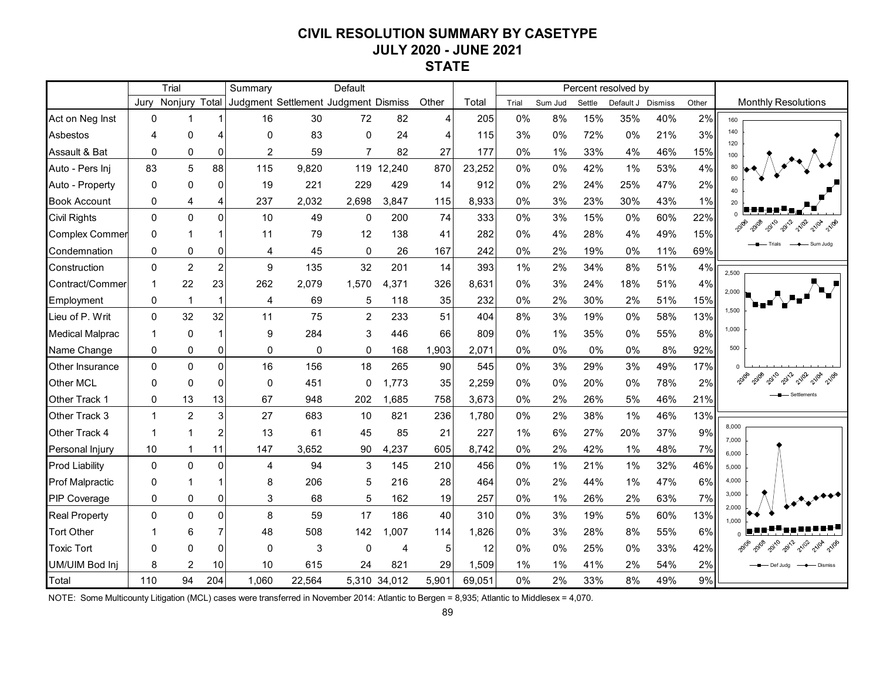# **CIVIL RESOLUTION SUMMARY BY CASETYPE JULY 2020 - JUNE 2021 STATE**

|                        | Trial        |                |                | Default<br>Summary                   |        |                |              |       |        |       |         | Percent resolved by |           |                |       |                                                   |
|------------------------|--------------|----------------|----------------|--------------------------------------|--------|----------------|--------------|-------|--------|-------|---------|---------------------|-----------|----------------|-------|---------------------------------------------------|
|                        | Jury         | Nonjury        | Total          | Judgment Settlement Judgment Dismiss |        |                |              | Other | Total  | Trial | Sum Jud | Settle              | Default J | <b>Dismiss</b> | Other | <b>Monthly Resolutions</b>                        |
| Act on Neg Inst        | $\Omega$     |                |                | 16                                   | 30     | 72             | 82           | 4     | 205    | 0%    | 8%      | 15%                 | 35%       | 40%            | 2%    | 160                                               |
| Asbestos               | 4            | 0              | 4              | 0                                    | 83     | $\mathbf{0}$   | 24           | 4     | 115    | 3%    | 0%      | 72%                 | 0%        | 21%            | 3%    | 140<br>120                                        |
| Assault & Bat          | $\mathbf 0$  | 0              | $\overline{0}$ | $\overline{2}$                       | 59     | $\overline{7}$ | 82           | 27    | 177    | 0%    | 1%      | 33%                 | 4%        | 46%            | 15%   | 100                                               |
| Auto - Pers Inj        | 83           | 5              | 88             | 115                                  | 9,820  | 119            | 12,240       | 870   | 23,252 | 0%    | 0%      | 42%                 | 1%        | 53%            | 4%    |                                                   |
| Auto - Property        | $\mathbf{0}$ | 0              | $\Omega$       | 19                                   | 221    | 229            | 429          | 14    | 912    | $0\%$ | 2%      | 24%                 | 25%       | 47%            | 2%    | 40                                                |
| <b>Book Account</b>    | 0            | 4              | 4              | 237                                  | 2,032  | 2,698          | 3,847        | 115   | 8,933  | 0%    | 3%      | 23%                 | 30%       | 43%            | 1%    |                                                   |
| <b>Civil Rights</b>    | $\pmb{0}$    | $\overline{0}$ | $\Omega$       | 10                                   | 49     | 0              | 200          | 74    | 333    | 0%    | 3%      | 15%                 | 0%        | 60%            | 22%   |                                                   |
| <b>Complex Commer</b>  | $\Omega$     |                |                | 11                                   | 79     | 12             | 138          | 41    | 282    | 0%    | 4%      | 28%                 | 4%        | 49%            | 15%   | vs,                                               |
| Condemnation           | 0            | 0              | 0              | 4                                    | 45     | $\Omega$       | 26           | 167   | 242    | 0%    | 2%      | 19%                 | 0%        | 11%            | 69%   |                                                   |
| Construction           | 0            | $\overline{2}$ | $\overline{c}$ | 9                                    | 135    | 32             | 201          | 14    | 393    | 1%    | 2%      | 34%                 | 8%        | 51%            | 4%    | 2,500                                             |
| Contract/Commer        | -1           | 22             | 23             | 262                                  | 2,079  | 1,570          | 4,371        | 326   | 8,631  | 0%    | 3%      | 24%                 | 18%       | 51%            | 4%    |                                                   |
| Employment             | 0            | $\mathbf{1}$   | $\mathbf{1}$   | 4                                    | 69     | 5              | 118          | 35    | 232    | 0%    | 2%      | 30%                 | 2%        | 51%            | 15%   | 2,000                                             |
| Lieu of P. Writ        | 0            | 32             | 32             | 11                                   | 75     | $\overline{2}$ | 233          | 51    | 404    | 8%    | 3%      | 19%                 | 0%        | 58%            | 13%   | 1,500                                             |
| <b>Medical Malprac</b> | 1            | $\mathbf 0$    |                | 9                                    | 284    | 3              | 446          | 66    | 809    | 0%    | 1%      | 35%                 | 0%        | 55%            | 8%    | 1,000                                             |
| Name Change            | $\mathbf{0}$ | 0              | 0              | 0                                    | 0      | $\mathbf{0}$   | 168          | 1,903 | 2,071  | 0%    | 0%      | 0%                  | 0%        | 8%             | 92%   | 500                                               |
| Other Insurance        | $\Omega$     | $\overline{0}$ | $\Omega$       | 16                                   | 156    | 18             | 265          | 90    | 545    | 0%    | 3%      | 29%                 | 3%        | 49%            | 17%   |                                                   |
| Other MCL              | $\Omega$     | $\Omega$       | $\Omega$       | $\mathbf{0}$                         | 451    | 0              | 1,773        | 35    | 2,259  | 0%    | 0%      | 20%                 | 0%        | 78%            | 2%    | 20108<br>20110<br>2012<br>21/02<br><b>A</b> 21/0A |
| Other Track 1          | 0            | 13             | 13             | 67                                   | 948    | 202            | 1,685        | 758   | 3,673  | 0%    | 2%      | 26%                 | 5%        | 46%            | 21%   | Settlements                                       |
| Other Track 3          | $\mathbf{1}$ | $\overline{2}$ | 3              | 27                                   | 683    | 10             | 821          | 236   | 1,780  | 0%    | 2%      | 38%                 | 1%        | 46%            | 13%   |                                                   |
| Other Track 4          | -1           |                | 2              | 13                                   | 61     | 45             | 85           | 21    | 227    | 1%    | 6%      | 27%                 | 20%       | 37%            | 9%    | 8,000                                             |
| Personal Injury        | 10           |                | 11             | 147                                  | 3,652  | 90             | 4,237        | 605   | 8,742  | 0%    | 2%      | 42%                 | 1%        | 48%            | 7%    | 7.000<br>6,000                                    |
| <b>Prod Liability</b>  | $\Omega$     | $\overline{0}$ | $\Omega$       | 4                                    | 94     | 3              | 145          | 210   | 456    | 0%    | 1%      | 21%                 | 1%        | 32%            | 46%   | 5.000                                             |
| Prof Malpractic        | $\mathbf{0}$ |                |                | 8                                    | 206    | 5              | 216          | 28    | 464    | 0%    | 2%      | 44%                 | 1%        | 47%            | 6%    | 4,000                                             |
| PIP Coverage           | $\mathbf 0$  | 0              | 0              | 3                                    | 68     | 5              | 162          | 19    | 257    | 0%    | 1%      | 26%                 | 2%        | 63%            | 7%    | 3,000                                             |
| <b>Real Property</b>   | $\mathbf 0$  | 0              | $\Omega$       | 8                                    | 59     | 17             | 186          | 40    | 310    | 0%    | 3%      | 19%                 | 5%        | 60%            | 13%   | 2,000<br>1,000                                    |
| <b>Tort Other</b>      |              | 6              | $\overline{7}$ | 48                                   | 508    | 142            | .007         | 114   | 1,826  | 0%    | 3%      | 28%                 | 8%        | 55%            | 6%    |                                                   |
| <b>Toxic Tort</b>      | $\Omega$     | O              | $\overline{0}$ | 0                                    | 3      | $\mathbf{0}$   | 4            | 5     | 12     | $0\%$ | 0%      | 25%                 | 0%        | 33%            | 42%   | 2012<br>21/02                                     |
| UM/UIM Bod Inj         | 8            | $\overline{2}$ | 10             | 10                                   | 615    | 24             | 821          | 29    | 1,509  | 1%    | 1%      | 41%                 | 2%        | 54%            | 2%    | Def Juda                                          |
| Total                  | 110          | 94             | 204            | 1,060                                | 22,564 |                | 5.310 34.012 | 5,901 | 69,051 | 0%    | 2%      | 33%                 | 8%        | 49%            | 9%    |                                                   |